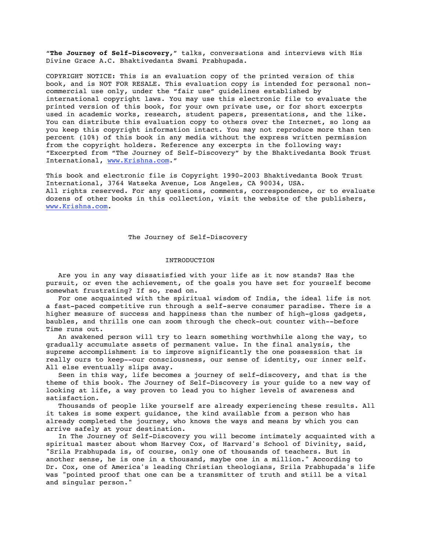"**The Journey of Self-Discovery,**" talks, conversations and interviews with His Divine Grace A.C. Bhaktivedanta Swami Prabhupada.

COPYRIGHT NOTICE: This is an evaluation copy of the printed version of this book, and is NOT FOR RESALE. This evaluation copy is intended for personal noncommercial use only, under the "fair use" guidelines established by international copyright laws. You may use this electronic file to evaluate the printed version of this book, for your own private use, or for short excerpts used in academic works, research, student papers, presentations, and the like. You can distribute this evaluation copy to others over the Internet, so long as you keep this copyright information intact. You may not reproduce more than ten percent (10%) of this book in any media without the express written permission from the copyright holders. Reference any excerpts in the following way: "Excerpted from "The Journey of Self-Discovery" by the Bhaktivedanta Book Trust International, www.Krishna.com."

This book and electronic file is Copyright 1990-2003 Bhaktivedanta Book Trust International, 3764 Watseka Avenue, Los Angeles, CA 90034, USA. All rights reserved. For any questions, comments, correspondence, or to evaluate dozens of other books in this collection, visit the website of the publishers, www.Krishna.com.

The Journey of Self-Discovery

### INTRODUCTION

 Are you in any way dissatisfied with your life as it now stands? Has the pursuit, or even the achievement, of the goals you have set for yourself become somewhat frustrating? If so, read on.

 For one acquainted with the spiritual wisdom of India, the ideal life is not a fast-paced competitive run through a self-serve consumer paradise. There is a higher measure of success and happiness than the number of high-gloss gadgets, baubles, and thrills one can zoom through the check-out counter with--before Time runs out.

 An awakened person will try to learn something worthwhile along the way, to gradually accumulate assets of permanent value. In the final analysis, the supreme accomplishment is to improve significantly the one possession that is really ours to keep--our consciousness, our sense of identity, our inner self. All else eventually slips away.

 Seen in this way, life becomes a journey of self-discovery, and that is the theme of this book. The Journey of Self-Discovery is your guide to a new way of looking at life, a way proven to lead you to higher levels of awareness and satisfaction.

 Thousands of people like yourself are already experiencing these results. All it takes is some expert guidance, the kind available from a person who has already completed the journey, who knows the ways and means by which you can arrive safely at your destination.

 In The Journey of Self-Discovery you will become intimately acquainted with a spiritual master about whom Harvey Cox, of Harvard's School of Divinity, said, "Srila Prabhupada is, of course, only one of thousands of teachers. But in another sense, he is one in a thousand, maybe one in a million." According to Dr. Cox, one of America's leading Christian theologians, Srila Prabhupada's life was "pointed proof that one can be a transmitter of truth and still be a vital and singular person."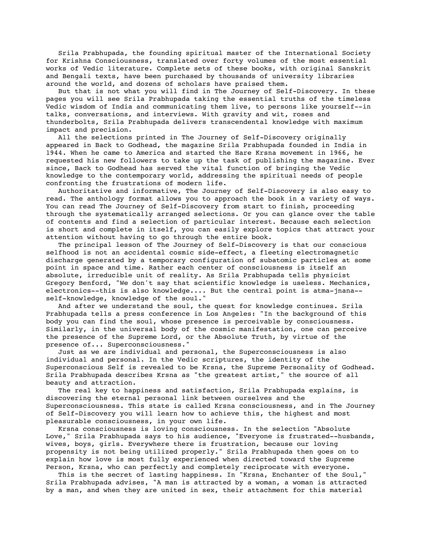Srila Prabhupada, the founding spiritual master of the International Society for Krishna Consciousness, translated over forty volumes of the most essential works of Vedic literature. Complete sets of these books, with original Sanskrit and Bengali texts, have been purchased by thousands of university libraries around the world, and dozens of scholars have praised them.

 But that is not what you will find in The Journey of Self-Discovery. In these pages you will see Srila Prabhupada taking the essential truths of the timeless Vedic wisdom of India and communicating them live, to persons like yourself--in talks, conversations, and interviews. With gravity and wit, roses and thunderbolts, Srila Prabhupada delivers transcendental knowledge with maximum impact and precision.

 All the selections printed in The Journey of Self-Discovery originally appeared in Back to Godhead, the magazine Srila Prabhupada founded in India in 1944. When he came to America and started the Hare Krsna movement in 1966, he requested his new followers to take up the task of publishing the magazine. Ever since, Back to Godhead has served the vital function of bringing the Vedic knowledge to the contemporary world, addressing the spiritual needs of people confronting the frustrations of modern life.

 Authoritative and informative, The Journey of Self-Discovery is also easy to read. The anthology format allows you to approach the book in a variety of ways. You can read The Journey of Self-Discovery from start to finish, proceeding through the systematically arranged selections. Or you can glance over the table of contents and find a selection of particular interest. Because each selection is short and complete in itself, you can easily explore topics that attract your attention without having to go through the entire book.

 The principal lesson of The Journey of Self-Discovery is that our conscious selfhood is not an accidental cosmic side-effect, a fleeting electromagnetic discharge generated by a temporary configuration of subatomic particles at some point in space and time. Rather each center of consciousness is itself an absolute, irreducible unit of reality. As Srila Prabhupada tells physicist Gregory Benford, "We don't say that scientific knowledge is useless. Mechanics, electronics--this is also knowledge.... But the central point is atma-jnana- self-knowledge, knowledge of the soul."

 And after we understand the soul, the quest for knowledge continues. Srila Prabhupada tells a press conference in Los Angeles: "In the background of this body you can find the soul, whose presence is perceivable by consciousness. Similarly, in the universal body of the cosmic manifestation, one can perceive the presence of the Supreme Lord, or the Absolute Truth, by virtue of the presence of... Superconsciousness."

 Just as we are individual and personal, the Superconsciousness is also individual and personal. In the Vedic scriptures, the identity of the Superconscious Self is revealed to be Krsna, the Supreme Personality of Godhead. Srila Prabhupada describes Krsna as "the greatest artist," the source of all beauty and attraction.

 The real key to happiness and satisfaction, Srila Prabhupada explains, is discovering the eternal personal link between ourselves and the Superconsciousness. This state is called Krsna consciousness, and in The Journey of Self-Discovery you will learn how to achieve this, the highest and most pleasurable consciousness, in your own life.

 Krsna consciousness is loving consciousness. In the selection "Absolute Love," Srila Prabhupada says to his audience, "Everyone is frustrated--husbands, wives, boys, girls. Everywhere there is frustration, because our loving propensity is not being utilized properly." Srila Prabhupada then goes on to explain how love is most fully experienced when directed toward the Supreme Person, Krsna, who can perfectly and completely reciprocate with everyone.

This is the secret of lasting happiness. In "Krsna, Enchanter of the Soul," Srila Prabhupada advises, "A man is attracted by a woman, a woman is attracted by a man, and when they are united in sex, their attachment for this material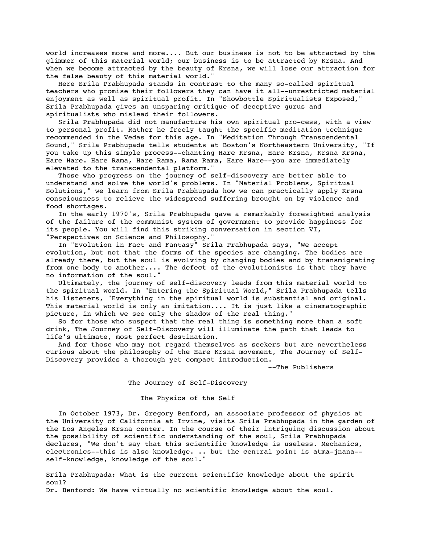world increases more and more.... But our business is not to be attracted by the glimmer of this material world; our business is to be attracted by Krsna. And when we become attracted by the beauty of Krsna, we will lose our attraction for the false beauty of this material world."

 Here Srila Prabhupada stands in contrast to the many so-called spiritual teachers who promise their followers they can have it all--unrestricted material enjoyment as well as spiritual profit. In "Showbottle Spiritualists Exposed," Srila Prabhupada gives an unsparing critique of deceptive gurus and spiritualists who mislead their followers.

 Srila Prabhupada did not manufacture his own spiritual pro-cess, with a view to personal profit. Rather he freely taught the specific meditation technique recommended in the Vedas for this age. In "Meditation Through Transcendental Sound," Srila Prabhupada tells students at Boston's Northeastern University, "If you take up this simple process--chanting Hare Krsna, Hare Krsna, Krsna Krsna, Hare Hare. Hare Rama, Hare Rama, Rama Rama, Hare Hare--you are immediately elevated to the transcendental platform."

 Those who progress on the journey of self-discovery are better able to understand and solve the world's problems. In "Material Problems, Spiritual Solutions," we learn from Srila Prabhupada how we can practically apply Krsna consciousness to relieve the widespread suffering brought on by violence and food shortages.

 In the early 1970's, Srila Prabhupada gave a remarkably foresighted analysis of the failure of the communist system of government to provide happiness for its people. You will find this striking conversation in section VI, "Perspectives on Science and Philosophy."

 In "Evolution in Fact and Fantasy" Srila Prabhupada says, "We accept evolution, but not that the forms of the species are changing. The bodies are already there, but the soul is evolving by changing bodies and by transmigrating from one body to another.... The defect of the evolutionists is that they have no information of the soul."

 Ultimately, the journey of self-discovery leads from this material world to the spiritual world. In "Entering the Spiritual World," Srila Prabhupada tells his listeners, "Everything in the spiritual world is substantial and original. This material world is only an imitation.... It is just like a cinematographic picture, in which we see only the shadow of the real thing."

 So for those who suspect that the real thing is something more than a soft drink, The Journey of Self-Discovery will illuminate the path that leads to life's ultimate, most perfect destination.

 And for those who may not regard themselves as seekers but are nevertheless curious about the philosophy of the Hare Krsna movement, The Journey of Self-Discovery provides a thorough yet compact introduction.

--The Publishers

#### The Journey of Self-Discovery

## The Physics of the Self

 In October 1973, Dr. Gregory Benford, an associate professor of physics at the University of California at Irvine, visits Srila Prabhupada in the garden of the Los Angeles Krsna center. In the course of their intriguing discussion about the possibility of scientific understanding of the soul, Srila Prabhupada declares, "We don't say that this scientific knowledge is useless. Mechanics, electronics--this is also knowledge. .. but the central point is atma-jnana- self-knowledge, knowledge of the soul."

Srila Prabhupada: What is the current scientific knowledge about the spirit soul? Dr. Benford: We have virtually no scientific knowledge about the soul.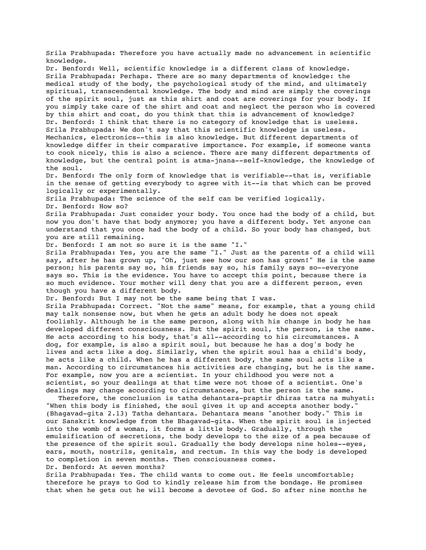Srila Prabhupada: Therefore you have actually made no advancement in scientific knowledge.

Dr. Benford: Well, scientific knowledge is a different class of knowledge. Srila Prabhupada: Perhaps. There are so many departments of knowledge: the medical study of the body, the psychological study of the mind, and ultimately spiritual, transcendental knowledge. The body and mind are simply the coverings of the spirit soul, just as this shirt and coat are coverings for your body. If you simply take care of the shirt and coat and neglect the person who is covered by this shirt and coat, do you think that this is advancement of knowledge? Dr. Benford: I think that there is no category of knowledge that is useless. Srila Prabhupada: We don't say that this scientific knowledge is useless. Mechanics, electronics--this is also knowledge. But different departments of knowledge differ in their comparative importance. For example, if someone wants to cook nicely, this is also a science. There are many different departments of knowledge, but the central point is atma-jnana--self-knowledge, the knowledge of the soul.

Dr. Benford: The only form of knowledge that is verifiable--that is, verifiable in the sense of getting everybody to agree with it--is that which can be proved logically or experimentally.

Srila Prabhupada: The science of the self can be verified logically.

Dr. Benford: How so?

Srila Prabhupada: Just consider your body. You once had the body of a child, but now you don't have that body anymore; you have a different body. Yet anyone can understand that you once had the body of a child. So your body has changed, but you are still remaining.

Dr. Benford: I am not so sure it is the same "I."

Srila Prabhupada: Yes, you are the same "I." Just as the parents of a child will say, after he has grown up, "Oh, just see how our son has grown!" He is the same person; his parents say so, his friends say so, his family says so--everyone says so. This is the evidence. You have to accept this point, because there is so much evidence. Your mother will deny that you are a different person, even though you have a different body.

Dr. Benford: But I may not be the same being that I was.

Srila Prabhupada: Correct. "Not the same" means, for example, that a young child may talk nonsense now, but when he gets an adult body he does not speak foolishly. Although he is the same person, along with his change in body he has developed different consciousness. But the spirit soul, the person, is the same. He acts according to his body, that's all--according to his circumstances. A dog, for example, is also a spirit soul, but because he has a dog's body he lives and acts like a dog. Similarly, when the spirit soul has a child's body, he acts like a child. When he has a different body, the same soul acts like a man. According to circumstances his activities are changing, but he is the same. For example, now you are a scientist. In your childhood you were not a scientist, so your dealings at that time were not those of a scientist. One's dealings may change according to circumstances, but the person is the same.

 Therefore, the conclusion is tatha dehantara-praptir dhiras tatra na muhyati: "When this body is finished, the soul gives it up and accepts another body." (Bhagavad-gita 2.13) Tatha dehantara. Dehantara means "another body." This is our Sanskrit knowledge from the Bhagavad-gita. When the spirit soul is injected into the womb of a woman, it forms a little body. Gradually, through the emulsification of secretions, the body develops to the size of a pea because of the presence of the spirit soul. Gradually the body develops nine holes--eyes, ears, mouth, nostrils, genitals, and rectum. In this way the body is developed to completion in seven months. Then consciousness comes. Dr. Benford: At seven months?

Srila Prabhupada: Yes. The child wants to come out. He feels uncomfortable; therefore he prays to God to kindly release him from the bondage. He promises that when he gets out he will become a devotee of God. So after nine months he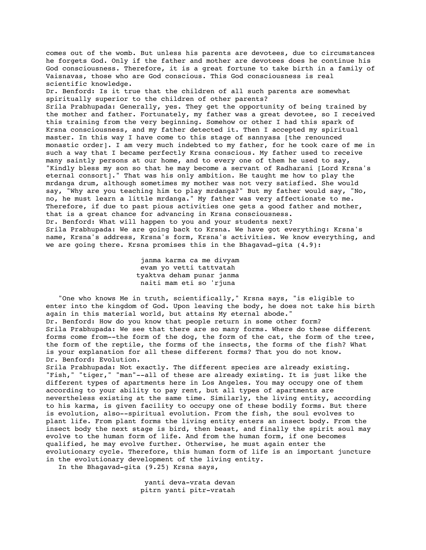comes out of the womb. But unless his parents are devotees, due to circumstances he forgets God. Only if the father and mother are devotees does he continue his God consciousness. Therefore, it is a great fortune to take birth in a family of Vaisnavas, those who are God conscious. This God consciousness is real scientific knowledge. Dr. Benford: Is it true that the children of all such parents are somewhat spiritually superior to the children of other parents? Srila Prabhupada: Generally, yes. They get the opportunity of being trained by the mother and father. Fortunately, my father was a great devotee, so I received this training from the very beginning. Somehow or other I had this spark of Krsna consciousness, and my father detected it. Then I accepted my spiritual master. In this way I have come to this stage of sannyasa [the renounced monastic order]. I am very much indebted to my father, for he took care of me in such a way that I became perfectly Krsna conscious. My father used to receive many saintly persons at our home, and to every one of them he used to say, "Kindly bless my son so that he may become a servant of Radharani [Lord Krsna's eternal consort]." That was his only ambition. He taught me how to play the mrdanga drum, although sometimes my mother was not very satisfied. She would say, "Why are you teaching him to play mrdanga?" But my father would say, "No, no, he must learn a little mrdanga." My father was very affectionate to me. Therefore, if due to past pious activities one gets a good father and mother, that is a great chance for advancing in Krsna consciousness. Dr. Benford: What will happen to you and your students next? Srila Prabhupada: We are going back to Krsna. We have got everything: Krsna's name, Krsna's address, Krsna's form, Krsna's activities. We know everything, and we are going there. Krsna promises this in the Bhagavad-gita  $(4.9)$ :

> janma karma ca me divyam evam yo vetti tattvatah tyaktva deham punar janma naiti mam eti so 'rjuna

 "One who knows Me in truth, scientifically," Krsna says, "is eligible to enter into the kingdom of God. Upon leaving the body, he does not take his birth again in this material world, but attains My eternal abode." Dr. Benford: How do you know that people return in some other form? Srila Prabhupada: We see that there are so many forms. Where do these different forms come from--the form of the dog, the form of the cat, the form of the tree, the form of the reptile, the forms of the insects, the forms of the fish? What is your explanation for all these different forms? That you do not know. Dr. Benford: Evolution.

Srila Prabhupada: Not exactly. The different species are already existing. "Fish," "tiger," "man"--all of these are already existing. It is just like the different types of apartments here in Los Angeles. You may occupy one of them according to your ability to pay rent, but all types of apartments are nevertheless existing at the same time. Similarly, the living entity, according to his karma, is given facility to occupy one of these bodily forms. But there is evolution, also--spiritual evolution. From the fish, the soul evolves to plant life. From plant forms the living entity enters an insect body. From the insect body the next stage is bird, then beast, and finally the spirit soul may evolve to the human form of life. And from the human form, if one becomes qualified, he may evolve further. Otherwise, he must again enter the evolutionary cycle. Therefore, this human form of life is an important juncture in the evolutionary development of the living entity.

In the Bhagavad-gita (9.25) Krsna says,

 yanti deva-vrata devan pitrn yanti pitr-vratah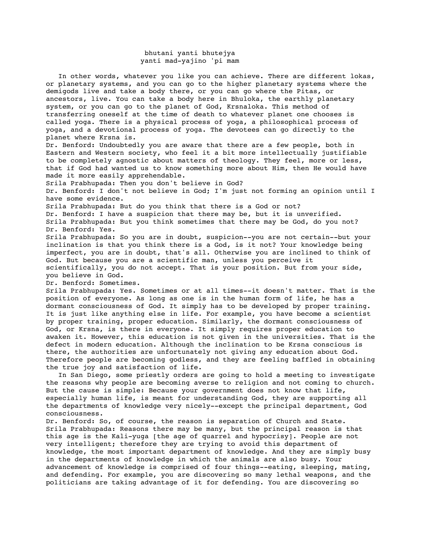# bhutani yanti bhutejya yanti mad-yajino 'pi mam

In other words, whatever you like you can achieve. There are different lokas,

or planetary systems, and you can go to the higher planetary systems where the demigods live and take a body there, or you can go where the Pitas, or ancestors, live. You can take a body here in Bhuloka, the earthly planetary system, or you can go to the planet of God, Krsnaloka. This method of transferring oneself at the time of death to whatever planet one chooses is called yoga. There is a physical process of yoga, a philosophical process of yoga, and a devotional process of yoga. The devotees can go directly to the planet where Krsna is. Dr. Benford: Undoubtedly you are aware that there are a few people, both in Eastern and Western society, who feel it a bit more intellectually justifiable to be completely agnostic about matters of theology. They feel, more or less, that if God had wanted us to know something more about Him, then He would have made it more easily apprehendable. Srila Prabhupada: Then you don't believe in God? Dr. Benford: I don't not believe in God; I'm just not forming an opinion until I have some evidence. Srila Prabhupada: But do you think that there is a God or not? Dr. Benford: I have a suspicion that there may be, but it is unverified. Srila Prabhupada: But you think sometimes that there may be God, do you not? Dr. Benford: Yes. Srila Prabhupada: So you are in doubt, suspicion--you are not certain--but your inclination is that you think there is a God, is it not? Your knowledge being imperfect, you are in doubt, that's all. Otherwise you are inclined to think of God. But because you are a scientific man, unless you perceive it scientifically, you do not accept. That is your position. But from your side, you believe in God. Dr. Benford: Sometimes. Srila Prabhupada: Yes. Sometimes or at all times--it doesn't matter. That is the position of everyone. As long as one is in the human form of life, he has a dormant consciousness of God. It simply has to be developed by proper training. It is just like anything else in life. For example, you have become a scientist by proper training, proper education. Similarly, the dormant consciousness of God, or Krsna, is there in everyone. It simply requires proper education to awaken it. However, this education is not given in the universities. That is the defect in modern education. Although the inclination to be Krsna conscious is there, the authorities are unfortunately not giving any education about God. Therefore people are becoming godless, and they are feeling baffled in obtaining the true joy and satisfaction of life. In San Diego, some priestly orders are going to hold a meeting to investigate the reasons why people are becoming averse to religion and not coming to church. But the cause is simple: Because your government does not know that life, especially human life, is meant for understanding God, they are supporting all the departments of knowledge very nicely--except the principal department, God consciousness. Dr. Benford: So, of course, the reason is separation of Church and State. Srila Prabhupada: Reasons there may be many, but the principal reason is that this age is the Kali-yuga [the age of quarrel and hypocrisy]. People are not very intelligent; therefore they are trying to avoid this department of knowledge, the most important department of knowledge. And they are simply busy in the departments of knowledge in which the animals are also busy. Your advancement of knowledge is comprised of four things--eating, sleeping, mating, and defending. For example, you are discovering so many lethal weapons, and the politicians are taking advantage of it for defending. You are discovering so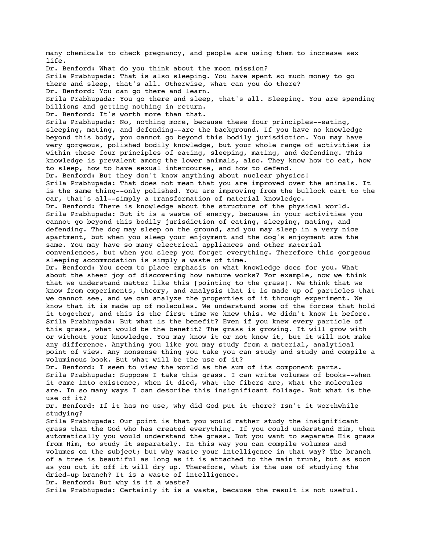many chemicals to check pregnancy, and people are using them to increase sex life. Dr. Benford: What do you think about the moon mission? Srila Prabhupada: That is also sleeping. You have spent so much money to go there and sleep, that's all. Otherwise, what can you do there? Dr. Benford: You can go there and learn. Srila Prabhupada: You go there and sleep, that's all. Sleeping. You are spending billions and getting nothing in return. Dr. Benford: It's worth more than that. Srila Prabhupada: No, nothing more, because these four principles--eating, sleeping, mating, and defending--are the background. If you have no knowledge beyond this body, you cannot go beyond this bodily jurisdiction. You may have very gorgeous, polished bodily knowledge, but your whole range of activities is within these four principles of eating, sleeping, mating, and defending. This knowledge is prevalent among the lower animals, also. They know how to eat, how to sleep, how to have sexual intercourse, and how to defend. Dr. Benford: But they don't know anything about nuclear physics! Srila Prabhupada: That does not mean that you are improved over the animals. It is the same thing--only polished. You are improving from the bullock cart to the car, that's all--simply a transformation of material knowledge. Dr. Benford: There is knowledge about the structure of the physical world. Srila Prabhupada: But it is a waste of energy, because in your activities you cannot go beyond this bodily jurisdiction of eating, sleeping, mating, and defending. The dog may sleep on the ground, and you may sleep in a very nice apartment, but when you sleep your enjoyment and the dog's enjoyment are the same. You may have so many electrical appliances and other material conveniences, but when you sleep you forget everything. Therefore this gorgeous sleeping accommodation is simply a waste of time. Dr. Benford: You seem to place emphasis on what knowledge does for you. What about the sheer joy of discovering how nature works? For example, now we think that we understand matter like this [pointing to the grass]. We think that we know from experiments, theory, and analysis that it is made up of particles that we cannot see, and we can analyze the properties of it through experiment. We know that it is made up of molecules. We understand some of the forces that hold it together, and this is the first time we knew this. We didn't know it before. Srila Prabhupada: But what is the benefit? Even if you knew every particle of this grass, what would be the benefit? The grass is growing. It will grow with or without your knowledge. You may know it or not know it, but it will not make any difference. Anything you like you may study from a material, analytical point of view. Any nonsense thing you take you can study and study and compile a voluminous book. But what will be the use of it? Dr. Benford: I seem to view the world as the sum of its component parts. Srila Prabhupada: Suppose I take this grass. I can write volumes of books--when it came into existence, when it died, what the fibers are, what the molecules are. In so many ways I can describe this insignificant foliage. But what is the use of it? Dr. Benford: If it has no use, why did God put it there? Isn't it worthwhile studying? Srila Prabhupada: Our point is that you would rather study the insignificant grass than the God who has created everything. If you could understand Him, then automatically you would understand the grass. But you want to separate His grass from Him, to study it separately. In this way you can compile volumes and volumes on the subject; but why waste your intelligence in that way? The branch of a tree is beautiful as long as it is attached to the main trunk, but as soon as you cut it off it will dry up. Therefore, what is the use of studying the dried-up branch? It is a waste of intelligence. Dr. Benford: But why is it a waste? Srila Prabhupada: Certainly it is a waste, because the result is not useful.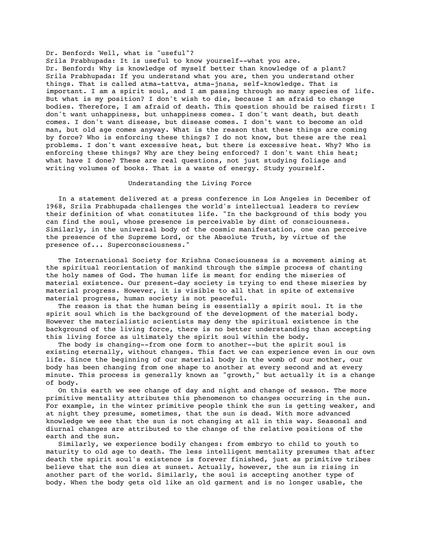#### Dr. Benford: Well, what is "useful"?

Srila Prabhupada: It is useful to know yourself--what you are. Dr. Benford: Why is knowledge of myself better than knowledge of a plant? Srila Prabhupada: If you understand what you are, then you understand other things. That is called atma-tattva, atma-jnana, self-knowledge. That is important. I am a spirit soul, and I am passing through so many species of life. But what is my position? I don't wish to die, because I am afraid to change bodies. Therefore, I am afraid of death. This question should be raised first: I don't want unhappiness, but unhappiness comes. I don't want death, but death comes. I don't want disease, but disease comes. I don't want to become an old man, but old age comes anyway. What is the reason that these things are coming by force? Who is enforcing these things? I do not know, but these are the real problems. I don't want excessive heat, but there is excessive heat. Why? Who is enforcing these things? Why are they being enforced? I don't want this heat; what have I done? These are real questions, not just studying foliage and writing volumes of books. That is a waste of energy. Study yourself.

## Understanding the Living Force

 In a statement delivered at a press conference in Los Angeles in December of 1968, Srila Prabhupada challenges the world's intellectual leaders to review their definition of what constitutes life. "In the background of this body you can find the soul, whose presence is perceivable by dint of consciousness. Similarly, in the universal body of the cosmic manifestation, one can perceive the presence of the Supreme Lord, or the Absolute Truth, by virtue of the presence of... Superconsciousness."

 The International Society for Krishna Consciousness is a movement aiming at the spiritual reorientation of mankind through the simple process of chanting the holy names of God. The human life is meant for ending the miseries of material existence. Our present-day society is trying to end these miseries by material progress. However, it is visible to all that in spite of extensive material progress, human society is not peaceful.

 The reason is that the human being is essentially a spirit soul. It is the spirit soul which is the background of the development of the material body. However the materialistic scientists may deny the spiritual existence in the background of the living force, there is no better understanding than accepting this living force as ultimately the spirit soul within the body.

 The body is changing--from one form to another--but the spirit soul is existing eternally, without changes. This fact we can experience even in our own life. Since the beginning of our material body in the womb of our mother, our body has been changing from one shape to another at every second and at every minute. This process is generally known as "growth," but actually it is a change of body.

 On this earth we see change of day and night and change of season. The more primitive mentality attributes this phenomenon to changes occurring in the sun. For example, in the winter primitive people think the sun is getting weaker, and at night they presume, sometimes, that the sun is dead. With more advanced knowledge we see that the sun is not changing at all in this way. Seasonal and diurnal changes are attributed to the change of the relative positions of the earth and the sun.

 Similarly, we experience bodily changes: from embryo to child to youth to maturity to old age to death. The less intelligent mentality presumes that after death the spirit soul's existence is forever finished, just as primitive tribes believe that the sun dies at sunset. Actually, however, the sun is rising in another part of the world. Similarly, the soul is accepting another type of body. When the body gets old like an old garment and is no longer usable, the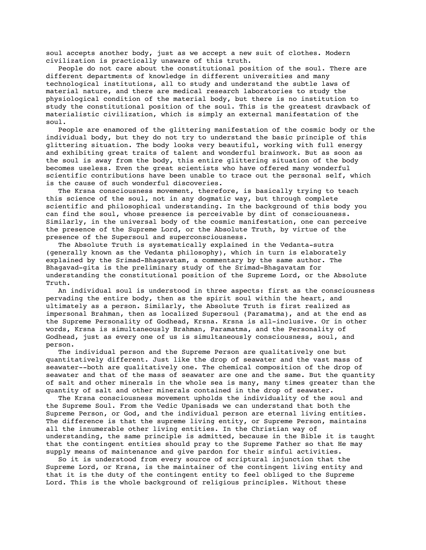soul accepts another body, just as we accept a new suit of clothes. Modern civilization is practically unaware of this truth.

 People do not care about the constitutional position of the soul. There are different departments of knowledge in different universities and many technological institutions, all to study and understand the subtle laws of material nature, and there are medical research laboratories to study the physiological condition of the material body, but there is no institution to study the constitutional position of the soul. This is the greatest drawback of materialistic civilization, which is simply an external manifestation of the soul.

 People are enamored of the glittering manifestation of the cosmic body or the individual body, but they do not try to understand the basic principle of this glittering situation. The body looks very beautiful, working with full energy and exhibiting great traits of talent and wonderful brainwork. But as soon as the soul is away from the body, this entire glittering situation of the body becomes useless. Even the great scientists who have offered many wonderful scientific contributions have been unable to trace out the personal self, which is the cause of such wonderful discoveries.

 The Krsna consciousness movement, therefore, is basically trying to teach this science of the soul, not in any dogmatic way, but through complete scientific and philosophical understanding. In the background of this body you can find the soul, whose presence is perceivable by dint of consciousness. Similarly, in the universal body of the cosmic manifestation, one can perceive the presence of the Supreme Lord, or the Absolute Truth, by virtue of the presence of the Supersoul and superconsciousness.

 The Absolute Truth is systematically explained in the Vedanta-sutra (generally known as the Vedanta philosophy), which in turn is elaborately explained by the Srimad-Bhagavatam, a commentary by the same author. The Bhagavad-gita is the preliminary study of the Srimad-Bhagavatam for understanding the constitutional position of the Supreme Lord, or the Absolute Truth.

 An individual soul is understood in three aspects: first as the consciousness pervading the entire body, then as the spirit soul within the heart, and ultimately as a person. Similarly, the Absolute Truth is first realized as impersonal Brahman, then as localized Supersoul (Paramatma), and at the end as the Supreme Personality of Godhead, Krsna. Krsna is all-inclusive. Or in other words, Krsna is simultaneously Brahman, Paramatma, and the Personality of Godhead, just as every one of us is simultaneously consciousness, soul, and person.

 The individual person and the Supreme Person are qualitatively one but quantitatively different. Just like the drop of seawater and the vast mass of seawater--both are qualitatively one. The chemical composition of the drop of seawater and that of the mass of seawater are one and the same. But the quantity of salt and other minerals in the whole sea is many, many times greater than the quantity of salt and other minerals contained in the drop of seawater.

 The Krsna consciousness movement upholds the individuality of the soul and the Supreme Soul. From the Vedic Upanisads we can understand that both the Supreme Person, or God, and the individual person are eternal living entities. The difference is that the supreme living entity, or Supreme Person, maintains all the innumerable other living entities. In the Christian way of understanding, the same principle is admitted, because in the Bible it is taught that the contingent entities should pray to the Supreme Father so that He may supply means of maintenance and give pardon for their sinful activities.

 So it is understood from every source of scriptural injunction that the Supreme Lord, or Krsna, is the maintainer of the contingent living entity and that it is the duty of the contingent entity to feel obliged to the Supreme Lord. This is the whole background of religious principles. Without these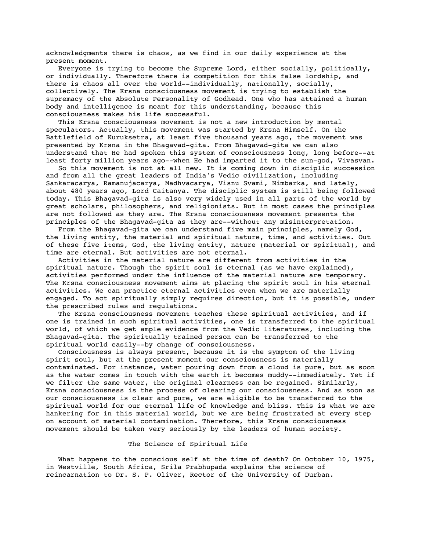acknowledgments there is chaos, as we find in our daily experience at the present moment.

 Everyone is trying to become the Supreme Lord, either socially, politically, or individually. Therefore there is competition for this false lordship, and there is chaos all over the world--individually, nationally, socially, collectively. The Krsna consciousness movement is trying to establish the supremacy of the Absolute Personality of Godhead. One who has attained a human body and intelligence is meant for this understanding, because this consciousness makes his life successful.

 This Krsna consciousness movement is not a new introduction by mental speculators. Actually, this movement was started by Krsna Himself. On the Battlefield of Kuruksetra, at least five thousand years ago, the movement was presented by Krsna in the Bhagavad-gita. From Bhagavad-gita we can also understand that He had spoken this system of consciousness long, long before--at least forty million years ago--when He had imparted it to the sun-god, Vivasvan.

 So this movement is not at all new. It is coming down in disciplic succession and from all the great leaders of India's Vedic civilization, including Sankaracarya, Ramanujacarya, Madhvacarya, Visnu Svami, Nimbarka, and lately, about 480 years ago, Lord Caitanya. The disciplic system is still being followed today. This Bhagavad-gita is also very widely used in all parts of the world by great scholars, philosophers, and religionists. But in most cases the principles are not followed as they are. The Krsna consciousness movement presents the principles of the Bhagavad-gita as they are--without any misinterpretation.

 From the Bhagavad-gita we can understand five main principles, namely God, the living entity, the material and spiritual nature, time, and activities. Out of these five items, God, the living entity, nature (material or spiritual), and time are eternal. But activities are not eternal.

 Activities in the material nature are different from activities in the spiritual nature. Though the spirit soul is eternal (as we have explained), activities performed under the influence of the material nature are temporary. The Krsna consciousness movement aims at placing the spirit soul in his eternal activities. We can practice eternal activities even when we are materially engaged. To act spiritually simply requires direction, but it is possible, under the prescribed rules and regulations.

 The Krsna consciousness movement teaches these spiritual activities, and if one is trained in such spiritual activities, one is transferred to the spiritual world, of which we get ample evidence from the Vedic literatures, including the Bhagavad-gita. The spiritually trained person can be transferred to the spiritual world easily--by change of consciousness.

 Consciousness is always present, because it is the symptom of the living spirit soul, but at the present moment our consciousness is materially contaminated. For instance, water pouring down from a cloud is pure, but as soon as the water comes in touch with the earth it becomes muddy--immediately. Yet if we filter the same water, the original clearness can be regained. Similarly, Krsna consciousness is the process of clearing our consciousness. And as soon as our consciousness is clear and pure, we are eligible to be transferred to the spiritual world for our eternal life of knowledge and bliss. This is what we are hankering for in this material world, but we are being frustrated at every step on account of material contamination. Therefore, this Krsna consciousness movement should be taken very seriously by the leaders of human society.

## The Science of Spiritual Life

What happens to the conscious self at the time of death? On October 10, 1975, in Westville, South Africa, Srila Prabhupada explains the science of reincarnation to Dr. S. P. Oliver, Rector of the University of Durban.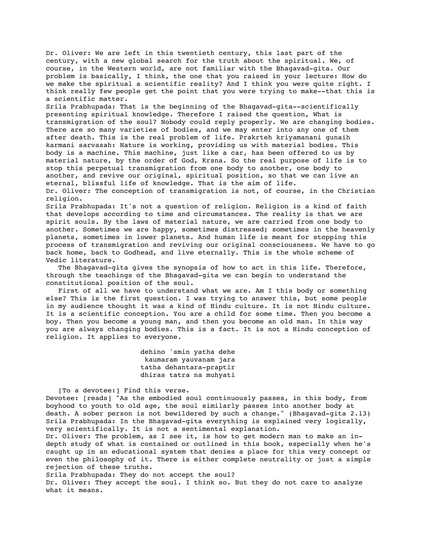Dr. Oliver: We are left in this twentieth century, this last part of the century, with a new global search for the truth about the spiritual. We, of course, in the Western world, are not familiar with the Bhagavad-gita. Our problem is basically, I think, the one that you raised in your lecture: How do we make the spiritual a scientific reality? And I think you were quite right. I think really few people get the point that you were trying to make--that this is a scientific matter.

Srila Prabhupada: That is the beginning of the Bhagavad-gita--scientifically presenting spiritual knowledge. Therefore I raised the question, What is transmigration of the soul? Nobody could reply properly. We are changing bodies. There are so many varieties of bodies, and we may enter into any one of them after death. This is the real problem of life. Prakrteh kriyamanani gunaih karmani sarvasah: Nature is working, providing us with material bodies. This body is a machine. This machine, just like a car, has been offered to us by material nature, by the order of God, Krsna. So the real purpose of life is to stop this perpetual transmigration from one body to another, one body to another, and revive our original, spiritual position, so that we can live an eternal, blissful life of knowledge. That is the aim of life. Dr. Oliver: The conception of transmigration is not, of course, in the Christian religion.

Srila Prabhupada: It's not a question of religion. Religion is a kind of faith that develops according to time and circumstances. The reality is that we are spirit souls. By the laws of material nature, we are carried from one body to another. Sometimes we are happy, sometimes distressed; sometimes in the heavenly planets, sometimes in lower planets. And human life is meant for stopping this process of transmigration and reviving our original consciousness. We have to go back home, back to Godhead, and live eternally. This is the whole scheme of Vedic literature.

 The Bhagavad-gita gives the synopsis of how to act in this life. Therefore, through the teachings of the Bhagavad-gita we can begin to understand the constitutional position of the soul.

 First of all we have to understand what we are. Am I this body or something else? This is the first question. I was trying to answer this, but some people in my audience thought it was a kind of Hindu culture. It is not Hindu culture. It is a scientific conception. You are a child for some time. Then you become a boy. Then you become a young man, and then you become an old man. In this way you are always changing bodies. This is a fact. It is not a Hindu conception of religion. It applies to everyone.

> dehino 'smin yatha dehe kaumaram yauvanam jara tatha dehantara-praptir dhiras tatra na muhyati

[To a devotee:] Find this verse.

Devotee: [reads] "As the embodied soul continuously passes, in this body, from boyhood to youth to old age, the soul similarly passes into another body at death. A sober person is not bewildered by such a change." (Bhagavad-gita 2.13) Srila Prabhupada: In the Bhagavad-gita everything is explained very logically, very scientifically. It is not a sentimental explanation.

Dr. Oliver: The problem, as I see it, is how to get modern man to make an indepth study of what is contained or outlined in this book, especially when he's caught up in an educational system that denies a place for this very concept or even the philosophy of it. There is either complete neutrality or just a simple rejection of these truths.

Srila Prabhupada: They do not accept the soul?

Dr. Oliver: They accept the soul. I think so. But they do not care to analyze what it means.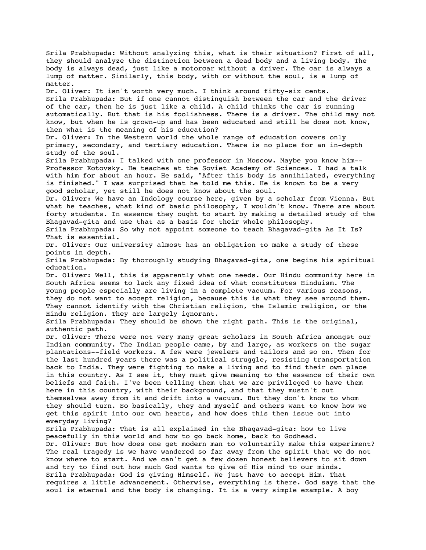Srila Prabhupada: Without analyzing this, what is their situation? First of all, they should analyze the distinction between a dead body and a living body. The body is always dead, just like a motorcar without a driver. The car is always a lump of matter. Similarly, this body, with or without the soul, is a lump of matter. Dr. Oliver: It isn't worth very much. I think around fifty-six cents. Srila Prabhupada: But if one cannot distinguish between the car and the driver of the car, then he is just like a child. A child thinks the car is running automatically. But that is his foolishness. There is a driver. The child may not know, but when he is grown-up and has been educated and still he does not know, then what is the meaning of his education? Dr. Oliver: In the Western world the whole range of education covers only primary, secondary, and tertiary education. There is no place for an in-depth study of the soul. Srila Prabhupada: I talked with one professor in Moscow. Maybe you know him-- Professor Kotovsky. He teaches at the Soviet Academy of Sciences. I had a talk with him for about an hour. He said, "After this body is annihilated, everything is finished." I was surprised that he told me this. He is known to be a very good scholar, yet still he does not know about the soul. Dr. Oliver: We have an Indology course here, given by a scholar from Vienna. But what he teaches, what kind of basic philosophy, I wouldn't know. There are about forty students. In essence they ought to start by making a detailed study of the Bhagavad-gita and use that as a basis for their whole philosophy. Srila Prabhupada: So why not appoint someone to teach Bhagavad-gita As It Is? That is essential. Dr. Oliver: Our university almost has an obligation to make a study of these points in depth. Srila Prabhupada: By thoroughly studying Bhagavad-gita, one begins his spiritual education. Dr. Oliver: Well, this is apparently what one needs. Our Hindu community here in South Africa seems to lack any fixed idea of what constitutes Hinduism. The young people especially are living in a complete vacuum. For various reasons, they do not want to accept religion, because this is what they see around them. They cannot identify with the Christian religion, the Islamic religion, or the Hindu religion. They are largely ignorant. Srila Prabhupada: They should be shown the right path. This is the original, authentic path. Dr. Oliver: There were not very many great scholars in South Africa amongst our Indian community. The Indian people came, by and large, as workers on the sugar plantations--field workers. A few were jewelers and tailors and so on. Then for the last hundred years there was a political struggle, resisting transportation back to India. They were fighting to make a living and to find their own place in this country. As I see it, they must give meaning to the essence of their own beliefs and faith. I've been telling them that we are privileged to have them here in this country, with their background, and that they mustn't cut themselves away from it and drift into a vacuum. But they don't know to whom they should turn. So basically, they and myself and others want to know how we get this spirit into our own hearts, and how does this then issue out into everyday living? Srila Prabhupada: That is all explained in the Bhagavad-gita: how to live peacefully in this world and how to go back home, back to Godhead. Dr. Oliver: But how does one get modern man to voluntarily make this experiment? The real tragedy is we have wandered so far away from the spirit that we do not know where to start. And we can't get a few dozen honest believers to sit down and try to find out how much God wants to give of His mind to our minds. Srila Prabhupada: God is giving Himself. We just have to accept Him. That requires a little advancement. Otherwise, everything is there. God says that the soul is eternal and the body is changing. It is a very simple example. A boy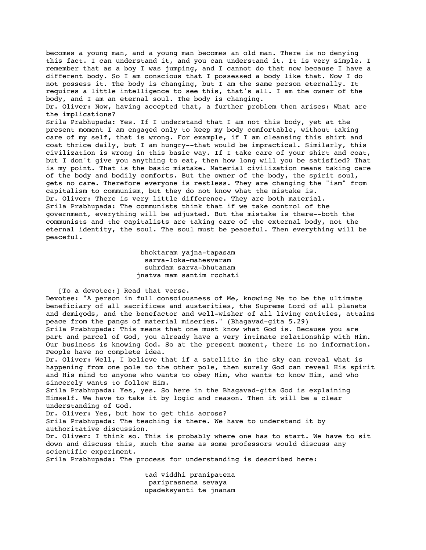becomes a young man, and a young man becomes an old man. There is no denying this fact. I can understand it, and you can understand it. It is very simple. I remember that as a boy I was jumping, and I cannot do that now because I have a different body. So I am conscious that I possessed a body like that. Now I do not possess it. The body is changing, but I am the same person eternally. It requires a little intelligence to see this, that's all. I am the owner of the body, and I am an eternal soul. The body is changing. Dr. Oliver: Now, having accepted that, a further problem then arises: What are the implications? Srila Prabhupada: Yes. If I understand that I am not this body, yet at the present moment I am engaged only to keep my body comfortable, without taking care of my self, that is wrong. For example, if I am cleansing this shirt and coat thrice daily, but I am hungry--that would be impractical. Similarly, this civilization is wrong in this basic way. If I take care of your shirt and coat, but I don't give you anything to eat, then how long will you be satisfied? That is my point. That is the basic mistake. Material civilization means taking care of the body and bodily comforts. But the owner of the body, the spirit soul, gets no care. Therefore everyone is restless. They are changing the "ism" from capitalism to communism, but they do not know what the mistake is. Dr. Oliver: There is very little difference. They are both material. Srila Prabhupada: The communists think that if we take control of the government, everything will be adjusted. But the mistake is there--both the communists and the capitalists are taking care of the external body, not the eternal identity, the soul. The soul must be peaceful. Then everything will be peaceful.

> bhoktaram yajna-tapasam sarva-loka-mahesvaram suhrdam sarva-bhutanam jnatva mam santim rcchati

 [To a devotee:] Read that verse. Devotee: "A person in full consciousness of Me, knowing Me to be the ultimate beneficiary of all sacrifices and austerities, the Supreme Lord of all planets and demigods, and the benefactor and well-wisher of all living entities, attains peace from the pangs of material miseries." (Bhagavad-gita 5.29) Srila Prabhupada: This means that one must know what God is. Because you are part and parcel of God, you already have a very intimate relationship with Him. Our business is knowing God. So at the present moment, there is no information. People have no complete idea. Dr. Oliver: Well, I believe that if a satellite in the sky can reveal what is happening from one pole to the other pole, then surely God can reveal His spirit and His mind to anyone who wants to obey Him, who wants to know Him, and who sincerely wants to follow Him. Srila Prabhupada: Yes, yes. So here in the Bhagavad-gita God is explaining Himself. We have to take it by logic and reason. Then it will be a clear understanding of God. Dr. Oliver: Yes, but how to get this across? Srila Prabhupada: The teaching is there. We have to understand it by authoritative discussion. Dr. Oliver: I think so. This is probably where one has to start. We have to sit down and discuss this, much the same as some professors would discuss any scientific experiment. Srila Prabhupada: The process for understanding is described here:

> tad viddhi pranipatena pariprasnena sevaya upadeksyanti te jnanam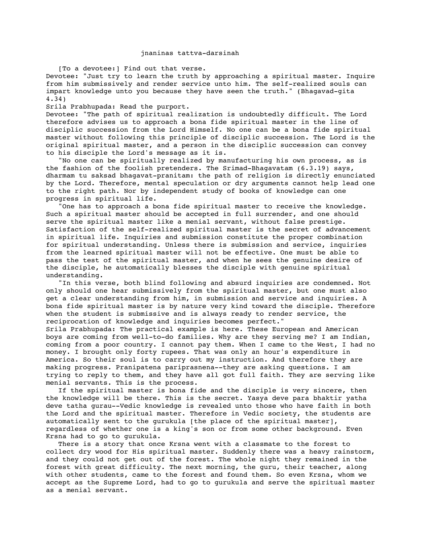[To a devotee:] Find out that verse.

Devotee: "Just try to learn the truth by approaching a spiritual master. Inquire from him submissively and render service unto him. The self-realized souls can impart knowledge unto you because they have seen the truth." (Bhagavad-gita 4.34)

Srila Prabhupada: Read the purport.

Devotee: "The path of spiritual realization is undoubtedly difficult. The Lord therefore advises us to approach a bona fide spiritual master in the line of disciplic succession from the Lord Himself. No one can be a bona fide spiritual master without following this principle of disciplic succession. The Lord is the original spiritual master, and a person in the disciplic succession can convey to his disciple the Lord's message as it is.

 "No one can be spiritually realized by manufacturing his own process, as is the fashion of the foolish pretenders. The Srimad-Bhagavatam (6.3.19) says, dharmam tu saksad bhagavat-pranitam: the path of religion is directly enunciated by the Lord. Therefore, mental speculation or dry arguments cannot help lead one to the right path. Nor by independent study of books of knowledge can one progress in spiritual life.

 "One has to approach a bona fide spiritual master to receive the knowledge. Such a spiritual master should be accepted in full surrender, and one should serve the spiritual master like a menial servant, without false prestige. Satisfaction of the self-realized spiritual master is the secret of advancement in spiritual life. Inquiries and submission constitute the proper combination for spiritual understanding. Unless there is submission and service, inquiries from the learned spiritual master will not be effective. One must be able to pass the test of the spiritual master, and when he sees the genuine desire of the disciple, he automatically blesses the disciple with genuine spiritual understanding.

 "In this verse, both blind following and absurd inquiries are condemned. Not only should one hear submissively from the spiritual master, but one must also get a clear understanding from him, in submission and service and inquiries. A bona fide spiritual master is by nature very kind toward the disciple. Therefore when the student is submissive and is always ready to render service, the reciprocation of knowledge and inquiries becomes perfect."

Srila Prabhupada: The practical example is here. These European and American boys are coming from well-to-do families. Why are they serving me? I am Indian, coming from a poor country. I cannot pay them. When I came to the West, I had no money. I brought only forty rupees. That was only an hour's expenditure in America. So their soul is to carry out my instruction. And therefore they are making progress. Pranipatena pariprasnena--they are asking questions. I am trying to reply to them, and they have all got full faith. They are serving like menial servants. This is the process.

 If the spiritual master is bona fide and the disciple is very sincere, then the knowledge will be there. This is the secret. Yasya deve para bhaktir yatha deve tatha gurau--Vedic knowledge is revealed unto those who have faith in both the Lord and the spiritual master. Therefore in Vedic society, the students are automatically sent to the gurukula [the place of the spiritual master], regardless of whether one is a king's son or from some other background. Even Krsna had to go to gurukula.

 There is a story that once Krsna went with a classmate to the forest to collect dry wood for His spiritual master. Suddenly there was a heavy rainstorm, and they could not get out of the forest. The whole night they remained in the forest with great difficulty. The next morning, the guru, their teacher, along with other students, came to the forest and found them. So even Krsna, whom we accept as the Supreme Lord, had to go to gurukula and serve the spiritual master as a menial servant.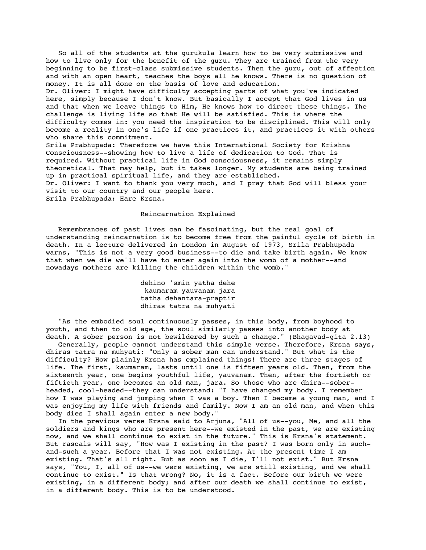So all of the students at the gurukula learn how to be very submissive and how to live only for the benefit of the guru. They are trained from the very beginning to be first-class submissive students. Then the guru, out of affection and with an open heart, teaches the boys all he knows. There is no question of money. It is all done on the basis of love and education. Dr. Oliver: I might have difficulty accepting parts of what you've indicated here, simply because I don't know. But basically I accept that God lives in us and that when we leave things to Him, He knows how to direct these things. The challenge is living life so that He will be satisfied. This is where the difficulty comes in: you need the inspiration to be disciplined. This will only become a reality in one's life if one practices it, and practices it with others who share this commitment. Srila Prabhupada: Therefore we have this International Society for Krishna Consciousness--showing how to live a life of dedication to God. That is required. Without practical life in God consciousness, it remains simply theoretical. That may help, but it takes longer. My students are being trained up in practical spiritual life, and they are established. Dr. Oliver: I want to thank you very much, and I pray that God will bless your visit to our country and our people here. Srila Prabhupada: Hare Krsna.

### Reincarnation Explained

 Remembrances of past lives can be fascinating, but the real goal of understanding reincarnation is to become free from the painful cycle of birth in death. In a lecture delivered in London in August of 1973, Srila Prabhupada warns, "This is not a very good business--to die and take birth again. We know that when we die we'll have to enter again into the womb of a mother--and nowadays mothers are killing the children within the womb."

> dehino 'smin yatha dehe kaumaram yauvanam jara tatha dehantara-praptir dhiras tatra na muhyati

 "As the embodied soul continuously passes, in this body, from boyhood to youth, and then to old age, the soul similarly passes into another body at death. A sober person is not bewildered by such a change." (Bhagavad-gita 2.13)

 Generally, people cannot understand this simple verse. Therefore, Krsna says, dhiras tatra na muhyati: "Only a sober man can understand." But what is the difficulty? How plainly Krsna has explained things! There are three stages of life. The first, kaumaram, lasts until one is fifteen years old. Then, from the sixteenth year, one begins youthful life, yauvanam. Then, after the fortieth or fiftieth year, one becomes an old man, jara. So those who are dhira--soberheaded, cool-headed--they can understand: "I have changed my body. I remember how I was playing and jumping when I was a boy. Then I became a young man, and I was enjoying my life with friends and family. Now I am an old man, and when this body dies I shall again enter a new body."

 In the previous verse Krsna said to Arjuna, "All of us--you, Me, and all the soldiers and kings who are present here--we existed in the past, we are existing now, and we shall continue to exist in the future." This is Krsna's statement. But rascals will say, "How was I existing in the past? I was born only in suchand-such a year. Before that I was not existing. At the present time I am existing. That's all right. But as soon as I die, I'll not exist." But Krsna says, "You, I, all of us--we were existing, we are still existing, and we shall continue to exist." Is that wrong? No, it is a fact. Before our birth we were existing, in a different body; and after our death we shall continue to exist, in a different body. This is to be understood.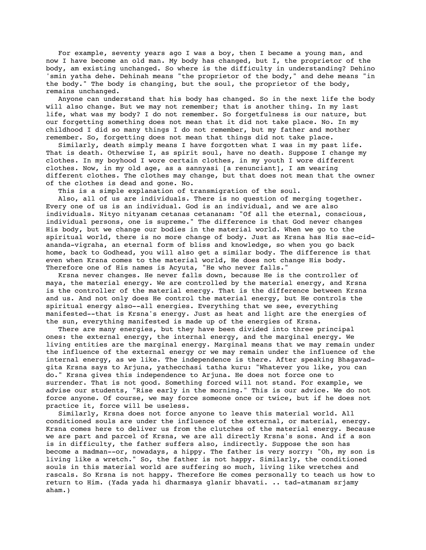For example, seventy years ago I was a boy, then I became a young man, and now I have become an old man. My body has changed, but I, the proprietor of the body, am existing unchanged. So where is the difficulty in understanding? Dehino 'smin yatha dehe. Dehinah means "the proprietor of the body," and dehe means "in the body." The body is changing, but the soul, the proprietor of the body, remains unchanged.

 Anyone can understand that his body has changed. So in the next life the body will also change. But we may not remember; that is another thing. In my last life, what was my body? I do not remember. So forgetfulness is our nature, but our forgetting something does not mean that it did not take place. No. In my childhood I did so many things I do not remember, but my father and mother remember. So, forgetting does not mean that things did not take place.

 Similarly, death simply means I have forgotten what I was in my past life. That is death. Otherwise I, as spirit soul, have no death. Suppose I change my clothes. In my boyhood I wore certain clothes, in my youth I wore different clothes. Now, in my old age, as a sannyasi [a renunciant], I am wearing different clothes. The clothes may change, but that does not mean that the owner of the clothes is dead and gone. No.

This is a simple explanation of transmigration of the soul.

 Also, all of us are individuals. There is no question of merging together. Every one of us is an individual. God is an individual, and we are also individuals. Nityo nityanam cetanas cetananam: "Of all the eternal, conscious, individual persons, one is supreme." The difference is that God never changes His body, but we change our bodies in the material world. When we go to the spiritual world, there is no more change of body. Just as Krsna has His sac-cidananda-vigraha, an eternal form of bliss and knowledge, so when you go back home, back to Godhead, you will also get a similar body. The difference is that even when Krsna comes to the material world, He does not change His body. Therefore one of His names is Acyuta, "He who never falls."

 Krsna never changes. He never falls down, because He is the controller of maya, the material energy. We are controlled by the material energy, and Krsna is the controller of the material energy. That is the difference between Krsna and us. And not only does He control the material energy, but He controls the spiritual energy also--all energies. Everything that we see, everything manifested--that is Krsna's energy. Just as heat and light are the energies of the sun, everything manifested is made up of the energies of Krsna.

 There are many energies, but they have been divided into three principal ones: the external energy, the internal energy, and the marginal energy. We living entities are the marginal energy. Marginal means that we may remain under the influence of the external energy or we may remain under the influence of the internal energy, as we like. The independence is there. After speaking Bhagavadgita Krsna says to Arjuna, yathecchasi tatha kuru: "Whatever you like, you can do." Krsna gives this independence to Arjuna. He does not force one to surrender. That is not good. Something forced will not stand. For example, we advise our students, "Rise early in the morning." This is our advice. We do not force anyone. Of course, we may force someone once or twice, but if he does not practice it, force will be useless.

 Similarly, Krsna does not force anyone to leave this material world. All conditioned souls are under the influence of the external, or material, energy. Krsna comes here to deliver us from the clutches of the material energy. Because we are part and parcel of Krsna, we are all directly Krsna's sons. And if a son is in difficulty, the father suffers also, indirectly. Suppose the son has become a madman--or, nowadays, a hippy. The father is very sorry: "Oh, my son is living like a wretch." So, the father is not happy. Similarly, the conditioned souls in this material world are suffering so much, living like wretches and rascals. So Krsna is not happy. Therefore He comes personally to teach us how to return to Him. (Yada yada hi dharmasya glanir bhavati. .. tad-atmanam srjamy aham.)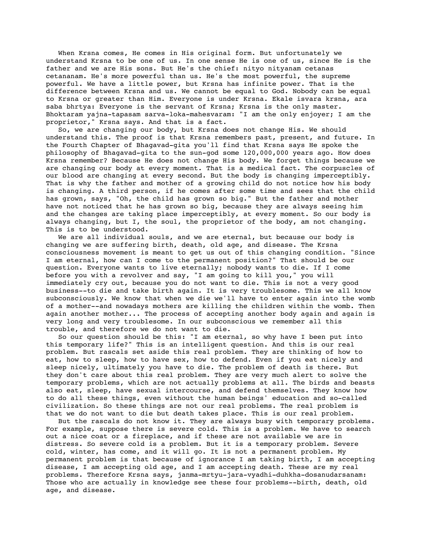When Krsna comes, He comes in His original form. But unfortunately we understand Krsna to be one of us. In one sense He is one of us, since He is the father and we are His sons. But He's the chief: nityo nityanam cetanas cetananam. He's more powerful than us. He's the most powerful, the supreme powerful. We have a little power, but Krsna has infinite power. That is the difference between Krsna and us. We cannot be equal to God. Nobody can be equal to Krsna or greater than Him. Everyone is under Krsna. Ekale isvara krsna, ara saba bhrtya: Everyone is the servant of Krsna; Krsna is the only master. Bhoktaram yajna-tapasam sarva-loka-mahesvaram: "I am the only enjoyer; I am the proprietor," Krsna says. And that is a fact.

 So, we are changing our body, but Krsna does not change His. We should understand this. The proof is that Krsna remembers past, present, and future. In the Fourth Chapter of Bhagavad-gita you'll find that Krsna says He spoke the philosophy of Bhagavad-gita to the sun-god some 120,000,000 years ago. How does Krsna remember? Because He does not change His body. We forget things because we are changing our body at every moment. That is a medical fact. The corpuscles of our blood are changing at every second. But the body is changing imperceptibly. That is why the father and mother of a growing child do not notice how his body is changing. A third person, if he comes after some time and sees that the child has grown, says, "Oh, the child has grown so big." But the father and mother have not noticed that he has grown so big, because they are always seeing him and the changes are taking place imperceptibly, at every moment. So our body is always changing, but I, the soul, the proprietor of the body, am not changing. This is to be understood.

 We are all individual souls, and we are eternal, but because our body is changing we are suffering birth, death, old age, and disease. The Krsna consciousness movement is meant to get us out of this changing condition. "Since I am eternal, how can I come to the permanent position?" That should be our question. Everyone wants to live eternally; nobody wants to die. If I come before you with a revolver and say, "I am going to kill you," you will immediately cry out, because you do not want to die. This is not a very good business--to die and take birth again. It is very troublesome. This we all know subconsciously. We know that when we die we'll have to enter again into the womb of a mother--and nowadays mothers are killing the children within the womb. Then again another mother... The process of accepting another body again and again is very long and very troublesome. In our subconscious we remember all this trouble, and therefore we do not want to die.

 So our question should be this: "I am eternal, so why have I been put into this temporary life?" This is an intelligent question. And this is our real problem. But rascals set aside this real problem. They are thinking of how to eat, how to sleep, how to have sex, how to defend. Even if you eat nicely and sleep nicely, ultimately you have to die. The problem of death is there. But they don't care about this real problem. They are very much alert to solve the temporary problems, which are not actually problems at all. The birds and beasts also eat, sleep, have sexual intercourse, and defend themselves. They know how to do all these things, even without the human beings' education and so-called civilization. So these things are not our real problems. The real problem is that we do not want to die but death takes place. This is our real problem.

 But the rascals do not know it. They are always busy with temporary problems. For example, suppose there is severe cold. This is a problem. We have to search out a nice coat or a fireplace, and if these are not available we are in distress. So severe cold is a problem. But it is a temporary problem. Severe cold, winter, has come, and it will go. It is not a permanent problem. My permanent problem is that because of ignorance I am taking birth, I am accepting disease, I am accepting old age, and I am accepting death. These are my real problems. Therefore Krsna says, janma-mrtyu-jara-vyadhi-duhkha-dosanudarsanam: Those who are actually in knowledge see these four problems--birth, death, old age, and disease.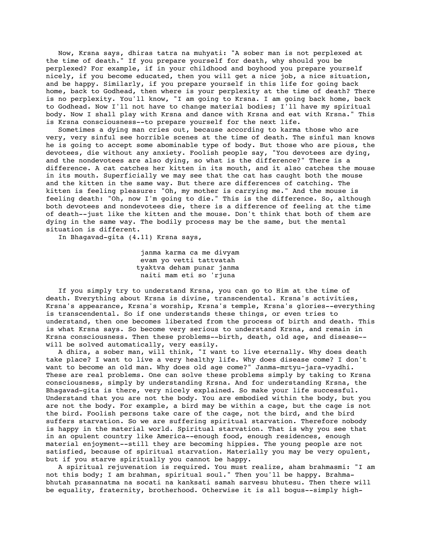Now, Krsna says, dhiras tatra na muhyati: "A sober man is not perplexed at the time of death." If you prepare yourself for death, why should you be perplexed? For example, if in your childhood and boyhood you prepare yourself nicely, if you become educated, then you will get a nice job, a nice situation, and be happy. Similarly, if you prepare yourself in this life for going back home, back to Godhead, then where is your perplexity at the time of death? There is no perplexity. You'll know, "I am going to Krsna. I am going back home, back to Godhead. Now I'll not have to change material bodies; I'll have my spiritual body. Now I shall play with Krsna and dance with Krsna and eat with Krsna." This is Krsna consciousness--to prepare yourself for the next life.

 Sometimes a dying man cries out, because according to karma those who are very, very sinful see horrible scenes at the time of death. The sinful man knows he is going to accept some abominable type of body. But those who are pious, the devotees, die without any anxiety. Foolish people say, "You devotees are dying, and the nondevotees are also dying, so what is the difference?" There is a difference. A cat catches her kitten in its mouth, and it also catches the mouse in its mouth. Superficially we may see that the cat has caught both the mouse and the kitten in the same way. But there are differences of catching. The kitten is feeling pleasure: "Oh, my mother is carrying me." And the mouse is feeling death: "Oh, now I'm going to die." This is the difference. So, although both devotees and nondevotees die, there is a difference of feeling at the time of death--just like the kitten and the mouse. Don't think that both of them are dying in the same way. The bodily process may be the same, but the mental situation is different.

In Bhagavad-gita (4.11) Krsna says,

 janma karma ca me divyam evam yo vetti tattvatah tyaktva deham punar janma naiti mam eti so 'rjuna

 If you simply try to understand Krsna, you can go to Him at the time of death. Everything about Krsna is divine, transcendental. Krsna's activities, Krsna's appearance, Krsna's worship, Krsna's temple, Krsna's glories--everything is transcendental. So if one understands these things, or even tries to understand, then one becomes liberated from the process of birth and death. This is what Krsna says. So become very serious to understand Krsna, and remain in Krsna consciousness. Then these problems--birth, death, old age, and disease- will be solved automatically, very easily.

 A dhira, a sober man, will think, "I want to live eternally. Why does death take place? I want to live a very healthy life. Why does disease come? I don't want to become an old man. Why does old age come?" Janma-mrtyu-jara-vyadhi. These are real problems. One can solve these problems simply by taking to Krsna consciousness, simply by understanding Krsna. And for understanding Krsna, the Bhagavad-gita is there, very nicely explained. So make your life successful. Understand that you are not the body. You are embodied within the body, but you are not the body. For example, a bird may be within a cage, but the cage is not the bird. Foolish persons take care of the cage, not the bird, and the bird suffers starvation. So we are suffering spiritual starvation. Therefore nobody is happy in the material world. Spiritual starvation. That is why you see that in an opulent country like America--enough food, enough residences, enough material enjoyment--still they are becoming hippies. The young people are not satisfied, because of spiritual starvation. Materially you may be very opulent, but if you starve spiritually you cannot be happy.

 A spiritual rejuvenation is required. You must realize, aham brahmasmi: "I am not this body; I am brahman, spiritual soul." Then you'll be happy. Brahmabhutah prasannatma na socati na kanksati samah sarvesu bhutesu. Then there will be equality, fraternity, brotherhood. Otherwise it is all bogus--simply high-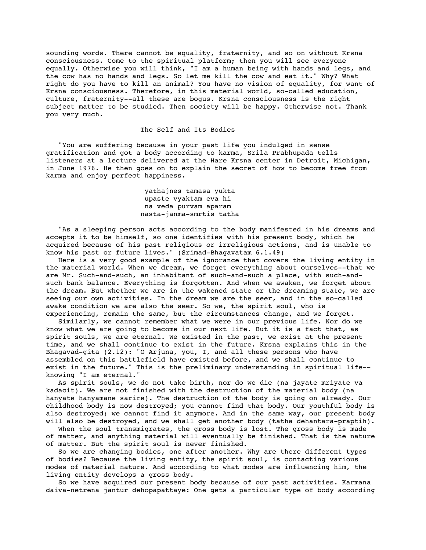sounding words. There cannot be equality, fraternity, and so on without Krsna consciousness. Come to the spiritual platform; then you will see everyone equally. Otherwise you will think, "I am a human being with hands and legs, and the cow has no hands and legs. So let me kill the cow and eat it." Why? What right do you have to kill an animal? You have no vision of equality, for want of Krsna consciousness. Therefore, in this material world, so-called education, culture, fraternity--all these are bogus. Krsna consciousness is the right subject matter to be studied. Then society will be happy. Otherwise not. Thank you very much.

## The Self and Its Bodies

 "You are suffering because in your past life you indulged in sense gratification and got a body according to karma, Srila Prabhupada tells listeners at a lecture delivered at the Hare Krsna center in Detroit, Michigan, in June 1976. He then goes on to explain the secret of how to become free from karma and enjoy perfect happiness.

> yathajnes tamasa yukta upaste vyaktam eva hi na veda purvam aparam nasta-janma-smrtis tatha

 "As a sleeping person acts according to the body manifested in his dreams and accepts it to be himself, so one identifies with his present body, which he acquired because of his past religious or irreligious actions, and is unable to know his past or future lives." (Srimad-Bhagavatam 6.1.49)

 Here is a very good example of the ignorance that covers the living entity in the material world. When we dream, we forget everything about ourselves--that we are Mr. Such-and-such, an inhabitant of such-and-such a place, with such-andsuch bank balance. Everything is forgotten. And when we awaken, we forget about the dream. But whether we are in the wakened state or the dreaming state, we are seeing our own activities. In the dream we are the seer, and in the so-called awake condition we are also the seer. So we, the spirit soul, who is experiencing, remain the same, but the circumstances change, and we forget.

 Similarly, we cannot remember what we were in our previous life. Nor do we know what we are going to become in our next life. But it is a fact that, as spirit souls, we are eternal. We existed in the past, we exist at the present time, and we shall continue to exist in the future. Krsna explains this in the Bhagavad-gita (2.12): "O Arjuna, you, I, and all these persons who have assembled on this battlefield have existed before, and we shall continue to exist in the future." This is the preliminary understanding in spiritual life- knowing "I am eternal."

 As spirit souls, we do not take birth, nor do we die (na jayate mriyate va kadacit). We are not finished with the destruction of the material body (na hanyate hanyamane sarire). The destruction of the body is going on already. Our childhood body is now destroyed; you cannot find that body. Our youthful body is also destroyed; we cannot find it anymore. And in the same way, our present body will also be destroyed, and we shall get another body (tatha dehantara-praptih).

When the soul transmigrates, the gross body is lost. The gross body is made of matter, and anything material will eventually be finished. That is the nature of matter. But the spirit soul is never finished.

 So we are changing bodies, one after another. Why are there different types of bodies? Because the living entity, the spirit soul, is contacting various modes of material nature. And according to what modes are influencing him, the living entity develops a gross body.

 So we have acquired our present body because of our past activities. Karmana daiva-netrena jantur dehopapattaye: One gets a particular type of body according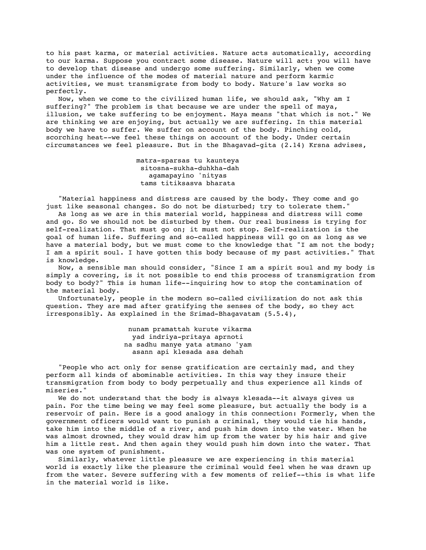to his past karma, or material activities. Nature acts automatically, according to our karma. Suppose you contract some disease. Nature will act: you will have to develop that disease and undergo some suffering. Similarly, when we come under the influence of the modes of material nature and perform karmic activities, we must transmigrate from body to body. Nature's law works so perfectly.

 Now, when we come to the civilized human life, we should ask, "Why am I suffering?" The problem is that because we are under the spell of maya, illusion, we take suffering to be enjoyment. Maya means "that which is not." We are thinking we are enjoying, but actually we are suffering. In this material body we have to suffer. We suffer on account of the body. Pinching cold, scorching heat--we feel these things on account of the body. Under certain circumstances we feel pleasure. But in the Bhagavad-gita (2.14) Krsna advises,

> matra-sparsas tu kaunteya sitosna-sukha-duhkha-dah agamapayino 'nityas tams titiksasva bharata

 "Material happiness and distress are caused by the body. They come and go just like seasonal changes. So do not be disturbed; try to tolerate them."

 As long as we are in this material world, happiness and distress will come and go. So we should not be disturbed by them. Our real business is trying for self-realization. That must go on; it must not stop. Self-realization is the goal of human life. Suffering and so-called happiness will go on as long as we have a material body, but we must come to the knowledge that "I am not the body; I am a spirit soul. I have gotten this body because of my past activities." That is knowledge.

 Now, a sensible man should consider, "Since I am a spirit soul and my body is simply a covering, is it not possible to end this process of transmigration from body to body?" This is human life--inquiring how to stop the contamination of the material body.

 Unfortunately, people in the modern so-called civilization do not ask this question. They are mad after gratifying the senses of the body, so they act irresponsibly. As explained in the Srimad-Bhagavatam (5.5.4),

> nunam pramattah kurute vikarma yad indriya-pritaya aprnoti na sadhu manye yata atmano 'yam asann api klesada asa dehah

 "People who act only for sense gratification are certainly mad, and they perform all kinds of abominable activities. In this way they insure their transmigration from body to body perpetually and thus experience all kinds of miseries."

 We do not understand that the body is always klesada--it always gives us pain. For the time being we may feel some pleasure, but actually the body is a reservoir of pain. Here is a good analogy in this connection: Formerly, when the government officers would want to punish a criminal, they would tie his hands, take him into the middle of a river, and push him down into the water. When he was almost drowned, they would draw him up from the water by his hair and give him a little rest. And then again they would push him down into the water. That was one system of punishment.

 Similarly, whatever little pleasure we are experiencing in this material world is exactly like the pleasure the criminal would feel when he was drawn up from the water. Severe suffering with a few moments of relief--this is what life in the material world is like.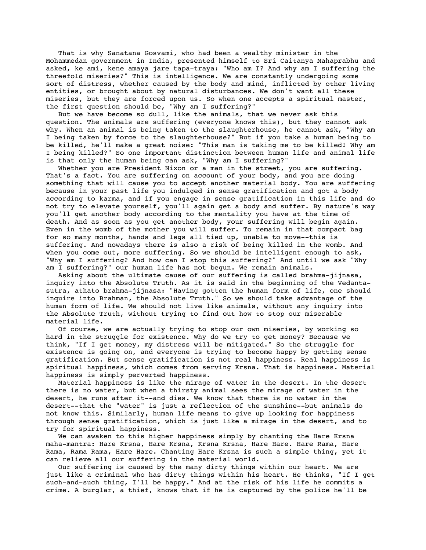That is why Sanatana Gosvami, who had been a wealthy minister in the Mohammedan government in India, presented himself to Sri Caitanya Mahaprabhu and asked, ke ami, kene amaya jare tapa-traya: "Who am I? And why am I suffering the threefold miseries?" This is intelligence. We are constantly undergoing some sort of distress, whether caused by the body and mind, inflicted by other living entities, or brought about by natural disturbances. We don't want all these miseries, but they are forced upon us. So when one accepts a spiritual master, the first question should be, "Why am I suffering?"

 But we have become so dull, like the animals, that we never ask this question. The animals are suffering (everyone knows this), but they cannot ask why. When an animal is being taken to the slaughterhouse, he cannot ask, "Why am I being taken by force to the slaughterhouse?" But if you take a human being to be killed, he'll make a great noise: "This man is taking me to be killed! Why am I being killed?" So one important distinction between human life and animal life is that only the human being can ask, "Why am I suffering?"

Whether you are President Nixon or a man in the street, you are suffering. That's a fact. You are suffering on account of your body, and you are doing something that will cause you to accept another material body. You are suffering because in your past life you indulged in sense gratification and got a body according to karma, and if you engage in sense gratification in this life and do not try to elevate yourself, you'll again get a body and suffer. By nature's way you'll get another body according to the mentality you have at the time of death. And as soon as you get another body, your suffering will begin again. Even in the womb of the mother you will suffer. To remain in that compact bag for so many months, hands and legs all tied up, unable to move--this is suffering. And nowadays there is also a risk of being killed in the womb. And when you come out, more suffering. So we should be intelligent enough to ask, "Why am I suffering? And how can I stop this suffering?" And until we ask "Why am I suffering?" our human life has not begun. We remain animals.

 Asking about the ultimate cause of our suffering is called brahma-jijnasa, inquiry into the Absolute Truth. As it is said in the beginning of the Vedantasutra, athato brahma-jijnasa: "Having gotten the human form of life, one should inquire into Brahman, the Absolute Truth." So we should take advantage of the human form of life. We should not live like animals, without any inquiry into the Absolute Truth, without trying to find out how to stop our miserable material life.

 Of course, we are actually trying to stop our own miseries, by working so hard in the struggle for existence. Why do we try to get money? Because we think, "If I get money, my distress will be mitigated." So the struggle for existence is going on, and everyone is trying to become happy by getting sense gratification. But sense gratification is not real happiness. Real happiness is spiritual happiness, which comes from serving Krsna. That is happiness. Material happiness is simply perverted happiness.

 Material happiness is like the mirage of water in the desert. In the desert there is no water, but when a thirsty animal sees the mirage of water in the desert, he runs after it--and dies. We know that there is no water in the desert--that the "water" is just a reflection of the sunshine--but animals do not know this. Similarly, human life means to give up looking for happiness through sense gratification, which is just like a mirage in the desert, and to try for spiritual happiness.

 We can awaken to this higher happiness simply by chanting the Hare Krsna maha-mantra: Hare Krsna, Hare Krsna, Krsna Krsna, Hare Hare. Hare Rama, Hare Rama, Rama Rama, Hare Hare. Chanting Hare Krsna is such a simple thing, yet it can relieve all our suffering in the material world.

 Our suffering is caused by the many dirty things within our heart. We are just like a criminal who has dirty things within his heart. He thinks, "If I get such-and-such thing, I'll be happy." And at the risk of his life he commits a crime. A burglar, a thief, knows that if he is captured by the police he'll be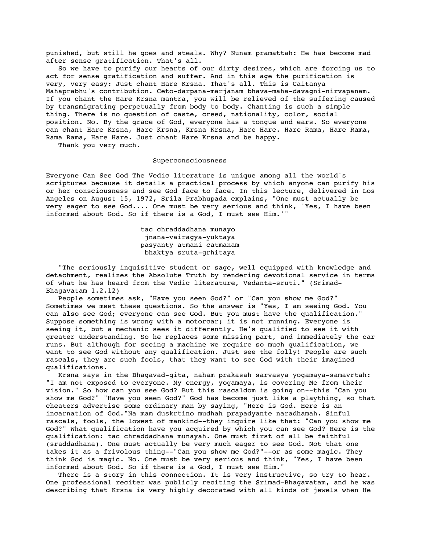punished, but still he goes and steals. Why? Nunam pramattah: He has become mad after sense gratification. That's all.

 So we have to purify our hearts of our dirty desires, which are forcing us to act for sense gratification and suffer. And in this age the purification is very, very easy: Just chant Hare Krsna. That's all. This is Caitanya Mahaprabhu's contribution. Ceto-darpana-marjanam bhava-maha-davagni-nirvapanam. If you chant the Hare Krsna mantra, you will be relieved of the suffering caused by transmigrating perpetually from body to body. Chanting is such a simple thing. There is no question of caste, creed, nationality, color, social position. No. By the grace of God, everyone has a tongue and ears. So everyone can chant Hare Krsna, Hare Krsna, Krsna Krsna, Hare Hare. Hare Rama, Hare Rama, Rama Rama, Hare Hare. Just chant Hare Krsna and be happy.

Thank you very much.

# Superconsciousness

Everyone Can See God The Vedic literature is unique among all the world's scriptures because it details a practical process by which anyone can purify his or her consciousness and see God face to face. In this lecture, delivered in Los Angeles on August 15, 1972, Srila Prabhupada explains, "One must actually be very eager to see God.... One must be very serious and think, 'Yes, I have been informed about God. So if there is a God, I must see Him.'"

> tac chraddadhana munayo jnana-vairagya-yuktaya pasyanty atmani catmanam bhaktya sruta-grhitaya

 "The seriously inquisitive student or sage, well equipped with knowledge and detachment, realizes the Absolute Truth by rendering devotional service in terms of what he has heard from the Vedic literature, Vedanta-sruti." (Srimad-Bhagavatam 1.2.12)

 People sometimes ask, "Have you seen God?" or "Can you show me God?" Sometimes we meet these questions. So the answer is "Yes, I am seeing God. You can also see God; everyone can see God. But you must have the qualification." Suppose something is wrong with a motorcar; it is not running. Everyone is seeing it, but a mechanic sees it differently. He's qualified to see it with greater understanding. So he replaces some missing part, and immediately the car runs. But although for seeing a machine we require so much qualification, we want to see God without any qualification. Just see the folly! People are such rascals, they are such fools, that they want to see God with their imagined qualifications.

 Krsna says in the Bhagavad-gita, naham prakasah sarvasya yogamaya-samavrtah: "I am not exposed to everyone. My energy, yogamaya, is covering Me from their vision." So how can you see God? But this rascaldom is going on--this "Can you show me God?" "Have you seen God?" God has become just like a plaything, so that cheaters advertise some ordinary man by saying, "Here is God. Here is an incarnation of God."Na mam duskrtino mudhah prapadyante naradhamah. Sinful rascals, fools, the lowest of mankind--they inquire like that: "Can you show me God?" What qualification have you acquired by which you can see God? Here is the qualification: tac chraddadhana munayah. One must first of all be faithful (sraddadhana). One must actually be very much eager to see God. Not that one takes it as a frivolous thing--"Can you show me God?"--or as some magic. They think God is magic. No. One must be very serious and think, "Yes, I have been informed about God. So if there is a God, I must see Him."

There is a story in this connection. It is very instructive, so try to hear. One professional reciter was publicly reciting the Srimad-Bhagavatam, and he was describing that Krsna is very highly decorated with all kinds of jewels when He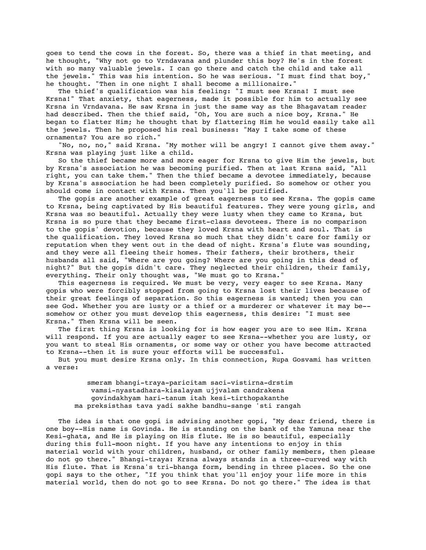goes to tend the cows in the forest. So, there was a thief in that meeting, and he thought, "Why not go to Vrndavana and plunder this boy? He's in the forest with so many valuable jewels. I can go there and catch the child and take all the jewels." This was his intention. So he was serious. "I must find that boy," he thought. "Then in one night I shall become a millionaire."

 The thief's qualification was his feeling: "I must see Krsna! I must see Krsna!" That anxiety, that eagerness, made it possible for him to actually see Krsna in Vrndavana. He saw Krsna in just the same way as the Bhagavatam reader had described. Then the thief said, "Oh, You are such a nice boy, Krsna." He began to flatter Him; he thought that by flattering Him he would easily take all the jewels. Then he proposed his real business: "May I take some of these ornaments? You are so rich."

 "No, no, no," said Krsna. "My mother will be angry! I cannot give them away." Krsna was playing just like a child.

 So the thief became more and more eager for Krsna to give Him the jewels, but by Krsna's association he was becoming purified. Then at last Krsna said, "All right, you can take them." Then the thief became a devotee immediately, because by Krsna's association he had been completely purified. So somehow or other you should come in contact with Krsna. Then you'll be purified.

 The gopis are another example of great eagerness to see Krsna. The gopis came to Krsna, being captivated by His beautiful features. They were young girls, and Krsna was so beautiful. Actually they were lusty when they came to Krsna, but Krsna is so pure that they became first-class devotees. There is no comparison to the gopis' devotion, because they loved Krsna with heart and soul. That is the qualification. They loved Krsna so much that they didn't care for family or reputation when they went out in the dead of night. Krsna's flute was sounding, and they were all fleeing their homes. Their fathers, their brothers, their husbands all said, "Where are you going? Where are you going in this dead of night?" But the gopis didn't care. They neglected their children, their family, everything. Their only thought was, "We must go to Krsna."

 This eagerness is required. We must be very, very eager to see Krsna. Many gopis who were forcibly stopped from going to Krsna lost their lives because of their great feelings of separation. So this eagerness is wanted; then you can see God. Whether you are lusty or a thief or a murderer or whatever it may be- somehow or other you must develop this eagerness, this desire: "I must see Krsna." Then Krsna will be seen.

 The first thing Krsna is looking for is how eager you are to see Him. Krsna will respond. If you are actually eager to see Krsna--whether you are lusty, or you want to steal His ornaments, or some way or other you have become attracted to Krsna--then it is sure your efforts will be successful.

 But you must desire Krsna only. In this connection, Rupa Gosvami has written a verse:

 smeram bhangi-traya-paricitam saci-vistirna-drstim vamsi-nyastadhara-kisalayam ujjvalam candrakena govindakhyam hari-tanum itah kesi-tirthopakanthe ma preksisthas tava yadi sakhe bandhu-sange 'sti rangah

The idea is that one gopi is advising another gopi, "My dear friend, there is one boy--His name is Govinda. He is standing on the bank of the Yamuna near the Kesi-ghata, and He is playing on His flute. He is so beautiful, especially during this full-moon night. If you have any intentions to enjoy in this material world with your children, husband, or other family members, then please do not go there." Bhangi-traya: Krsna always stands in a three-curved way with His flute. That is Krsna's tri-bhanga form, bending in three places. So the one gopi says to the other, "If you think that you'll enjoy your life more in this material world, then do not go to see Krsna. Do not go there." The idea is that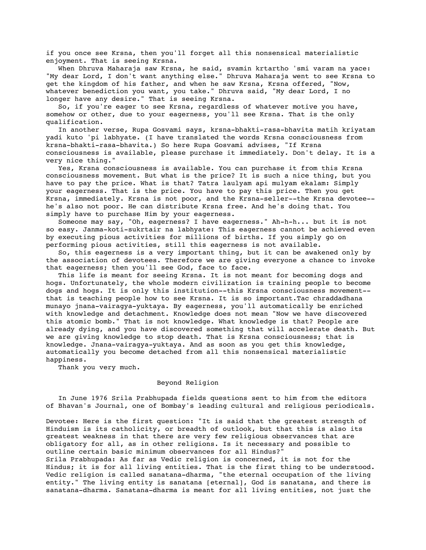if you once see Krsna, then you'll forget all this nonsensical materialistic enjoyment. That is seeing Krsna.

When Dhruva Maharaja saw Krsna, he said, svamin krtartho 'smi varam na yace: "My dear Lord, I don't want anything else." Dhruva Maharaja went to see Krsna to get the kingdom of his father, and when he saw Krsna, Krsna offered, "Now, whatever benediction you want, you take." Dhruva said, "My dear Lord, I no longer have any desire." That is seeing Krsna.

 So, if you're eager to see Krsna, regardless of whatever motive you have, somehow or other, due to your eagerness, you'll see Krsna. That is the only qualification.

 In another verse, Rupa Gosvami says, krsna-bhakti-rasa-bhavita matih kriyatam yadi kuto 'pi labhyate. (I have translated the words Krsna consciousness from krsna-bhakti-rasa-bhavita.) So here Rupa Gosvami advises, "If Krsna consciousness is available, please purchase it immediately. Don't delay. It is a very nice thing."

 Yes, Krsna consciousness is available. You can purchase it from this Krsna consciousness movement. But what is the price? It is such a nice thing, but you have to pay the price. What is that? Tatra laulyam api mulyam ekalam: Simply your eagerness. That is the price. You have to pay this price. Then you get Krsna, immediately. Krsna is not poor, and the Krsna-seller--the Krsna devotee- he's also not poor. He can distribute Krsna free. And he's doing that. You simply have to purchase Him by your eagerness.

 Someone may say, "Oh, eagerness? I have eagerness." Ah-h-h... but it is not so easy. Janma-koti-sukrtair na labhyate: This eagerness cannot be achieved even by executing pious activities for millions of births. If you simply go on performing pious activities, still this eagerness is not available.

 So, this eagerness is a very important thing, but it can be awakened only by the association of devotees. Therefore we are giving everyone a chance to invoke that eagerness; then you'll see God, face to face.

 This life is meant for seeing Krsna. It is not meant for becoming dogs and hogs. Unfortunately, the whole modern civilization is training people to become dogs and hogs. It is only this institution--this Krsna consciousness movement- that is teaching people how to see Krsna. It is so important.Tac chraddadhana munayo jnana-vairagya-yuktaya. By eagerness, you'll automatically be enriched with knowledge and detachment. Knowledge does not mean "Now we have discovered this atomic bomb." That is not knowledge. What knowledge is that? People are already dying, and you have discovered something that will accelerate death. But we are giving knowledge to stop death. That is Krsna consciousness; that is knowledge. Jnana-vairagya-yuktaya. And as soon as you get this knowledge, automatically you become detached from all this nonsensical materialistic happiness.

Thank you very much.

#### Beyond Religion

 In June 1976 Srila Prabhupada fields questions sent to him from the editors of Bhavan's Journal, one of Bombay's leading cultural and religious periodicals.

Devotee: Here is the first question: "It is said that the greatest strength of Hinduism is its catholicity, or breadth of outlook, but that this is also its greatest weakness in that there are very few religious observances that are obligatory for all, as in other religions. Is it necessary and possible to outline certain basic minimum observances for all Hindus?"

Srila Prabhupada: As far as Vedic religion is concerned, it is not for the Hindus; it is for all living entities. That is the first thing to be understood. Vedic religion is called sanatana-dharma, "the eternal occupation of the living entity." The living entity is sanatana [eternal], God is sanatana, and there is sanatana-dharma. Sanatana-dharma is meant for all living entities, not just the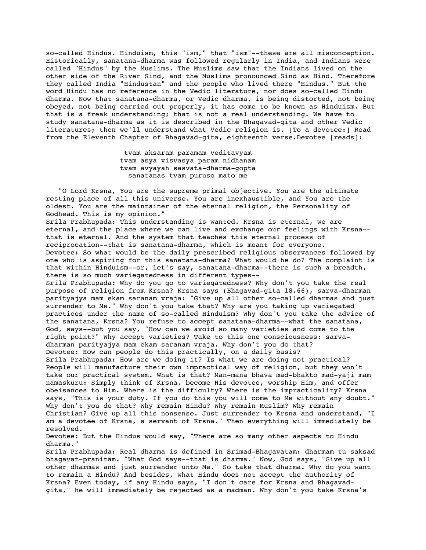so-called Hindus. Hinduism, this "ism," that "ism"--these are all misconception. Historically, sanatana-dharma was followed regularly in India, and Indians were called "Hindus" by the Muslims. The Muslims saw that the Indians lived on the other side of the River Sind, and the Muslims pronounced Sind as Hind. Therefore they called India "Hindustan" and the people who lived there "Hindus." But the word Hindu has no reference in the Vedic literature, nor does so-called Hindu dharma. Now that sanatana-dharma, or Vedic dharma, is being distorted, not being obeyed, not being carried out properly, it has come to be known as Hinduism. But that is a freak understanding; that is not a real understanding. We have to study sanatana-dharma as it is described in the Bhagavad-gita and other Vedic literatures; then we'll understand what Vedic religion is. [To a devotee:] Read from the Eleventh Chapter of Bhagavad-gita, eighteenth verse.Devotee [reads]:

> tvam aksaram paramam veditavyam tvam asya visvasya param nidhanam tvam avyayah sasvata-dharma-gopta sanatanas tvam puruso mato me

 "O Lord Krsna, You are the supreme primal objective. You are the ultimate resting place of all this universe. You are inexhaustible, and You are the oldest. You are the maintainer of the eternal religion, the Personality of Godhead. This is my opinion." Srila Prabhupada: This understanding is wanted. Krsna is eternal, we are eternal, and the place where we can live and exchange our feelings with Krsna- that is eternal. And the system that teaches this eternal process of reciprocation--that is sanatana-dharma, which is meant for everyone. Devotee: So what would be the daily prescribed religious observances followed by one who is aspiring for this sanatana-dharma? What would he do? The complaint is that within Hinduism--or, let's say, sanatana-dharma--there is such a breadth, there is so much variegatedness in different types-- Srila Prabhupada: Why do you go to variegatedness? Why don't you take the real purpose of religion from Krsna? Krsna says (Bhagavad-gita 18.66), sarva-dharman parityajya mam ekam saranam vraja: "Give up all other so-called dharmas and just surrender to Me." Why don't you take that? Why are you taking up variegated practices under the name of so-called Hinduism? Why don't you take the advice of the sanatana, Krsna? You refuse to accept sanatana-dharma--what the sanatana, God, says--but you say, "How can we avoid so many varieties and come to the right point?" Why accept varieties? Take to this one consciousness: sarvadharman parityajya mam ekam saranam vraja. Why don't you do that? Devotee: How can people do this practically, on a daily basis? Srila Prabhupada: How are we doing it? Is what we are doing not practical? People will manufacture their own impractical way of religion, but they won't take our practical system. What is that? Man-mana bhava mad-bhakto mad-yaji mam namaskuru: Simply think of Krsna, become His devotee, worship Him, and offer obeisances to Him. Where is the difficulty? Where is the impracticality? Krsna says, "This is your duty. If you do this you will come to Me without any doubt." Why don't you do that? Why remain Hindu? Why remain Muslim? Why remain Christian? Give up all this nonsense. Just surrender to Krsna and understand, "I am a devotee of Krsna, a servant of Krsna." Then everything will immediately be resolved. Devotee: But the Hindus would say, "There are so many other aspects to Hindu

dharma."

Srila Prabhupada: Real dharma is defined in Srimad-Bhagavatam: dharmam tu saksad bhagavat-pranitam. "What God says--that is dharma." Now, God says, "Give up all other dharmas and just surrender unto Me." So take that dharma. Why do you want to remain a Hindu? And besides, what Hindu does not accept the authority of Krsna? Even today, if any Hindu says, "I don't care for Krsna and Bhagavadgita," he will immediately be rejected as a madman. Why don't you take Krsna's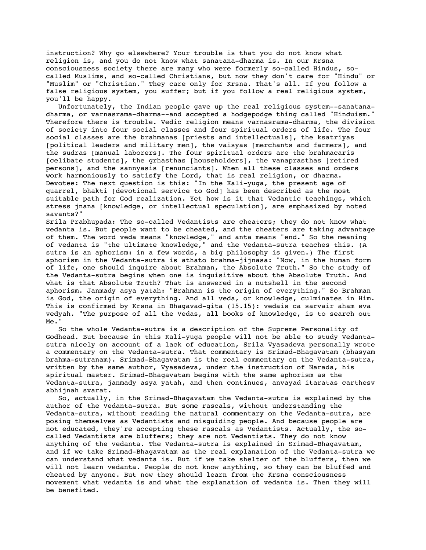instruction? Why go elsewhere? Your trouble is that you do not know what religion is, and you do not know what sanatana-dharma is. In our Krsna consciousness society there are many who were formerly so-called Hindus, socalled Muslims, and so-called Christians, but now they don't care for "Hindu" or "Muslim" or "Christian." They care only for Krsna. That's all. If you follow a false religious system, you suffer; but if you follow a real religious system, you'll be happy.

 Unfortunately, the Indian people gave up the real religious system--sanatanadharma, or varnasrama-dharma--and accepted a hodgepodge thing called "Hinduism." Therefore there is trouble. Vedic religion means varnasrama-dharma, the division of society into four social classes and four spiritual orders of life. The four social classes are the brahmanas [priests and intellectuals], the ksatriyas [political leaders and military men], the vaisyas [merchants and farmers], and the sudras [manual laborers]. The four spiritual orders are the brahmacaris [celibate students], the grhasthas [householders], the vanaprasthas [retired persons], and the sannyasis [renunciants]. When all these classes and orders work harmoniously to satisfy the Lord, that is real religion, or dharma. Devotee: The next question is this: "In the Kali-yuga, the present age of quarrel, bhakti [devotional service to God] has been described as the most suitable path for God realization. Yet how is it that Vedantic teachings, which stress jnana [knowledge, or intellectual speculation], are emphasized by noted savants?"

Srila Prabhupada: The so-called Vedantists are cheaters; they do not know what vedanta is. But people want to be cheated, and the cheaters are taking advantage of them. The word veda means "knowledge," and anta means "end." So the meaning of vedanta is "the ultimate knowledge," and the Vedanta-sutra teaches this. (A sutra is an aphorism: in a few words, a big philosophy is given.) The first aphorism in the Vedanta-sutra is athato brahma-jijnasa: "Now, in the human form of life, one should inquire about Brahman, the Absolute Truth." So the study of the Vedanta-sutra begins when one is inquisitive about the Absolute Truth. And what is that Absolute Truth? That is answered in a nutshell in the second aphorism. Janmady asya yatah: "Brahman is the origin of everything." So Brahman is God, the origin of everything. And all veda, or knowledge, culminates in Him. This is confirmed by Krsna in Bhagavad-gita (15.15): vedais ca sarvair aham eva vedyah. "The purpose of all the Vedas, all books of knowledge, is to search out Me."

 So the whole Vedanta-sutra is a description of the Supreme Personality of Godhead. But because in this Kali-yuga people will not be able to study Vedantasutra nicely on account of a lack of education, Srila Vyasadeva personally wrote a commentary on the Vedanta-sutra. That commentary is Srimad-Bhagavatam (bhasyam brahma-sutranam). Srimad-Bhagavatam is the real commentary on the Vedanta-sutra, written by the same author, Vyasadeva, under the instruction of Narada, his spiritual master. Srimad-Bhagavatam begins with the same aphorism as the Vedanta-sutra, janmady asya yatah, and then continues, anvayad itaratas carthesv abhijnah svarat.

 So, actually, in the Srimad-Bhagavatam the Vedanta-sutra is explained by the author of the Vedanta-sutra. But some rascals, without understanding the Vedanta-sutra, without reading the natural commentary on the Vedanta-sutra, are posing themselves as Vedantists and misguiding people. And because people are not educated, they're accepting these rascals as Vedantists. Actually, the socalled Vedantists are bluffers; they are not Vedantists. They do not know anything of the vedanta. The Vedanta-sutra is explained in Srimad-Bhagavatam, and if we take Srimad-Bhagavatam as the real explanation of the Vedanta-sutra we can understand what vedanta is. But if we take shelter of the bluffers, then we will not learn vedanta. People do not know anything, so they can be bluffed and cheated by anyone. But now they should learn from the Krsna consciousness movement what vedanta is and what the explanation of vedanta is. Then they will be benefited.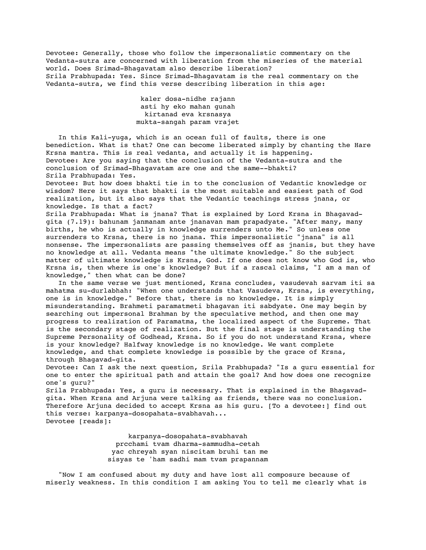Devotee: Generally, those who follow the impersonalistic commentary on the Vedanta-sutra are concerned with liberation from the miseries of the material world. Does Srimad-Bhagavatam also describe liberation? Srila Prabhupada: Yes. Since Srimad-Bhagavatam is the real commentary on the Vedanta-sutra, we find this verse describing liberation in this age:

> kaler dosa-nidhe rajann asti hy eko mahan gunah kirtanad eva krsnasya mukta-sangah param vrajet

 In this Kali-yuga, which is an ocean full of faults, there is one benediction. What is that? One can become liberated simply by chanting the Hare Krsna mantra. This is real vedanta, and actually it is happening. Devotee: Are you saying that the conclusion of the Vedanta-sutra and the conclusion of Srimad-Bhagavatam are one and the same--bhakti? Srila Prabhupada: Yes.

Devotee: But how does bhakti tie in to the conclusion of Vedantic knowledge or wisdom? Here it says that bhakti is the most suitable and easiest path of God realization, but it also says that the Vedantic teachings stress jnana, or knowledge. Is that a fact?

Srila Prabhupada: What is jnana? That is explained by Lord Krsna in Bhagavadgita (7.19): bahunam janmanam ante jnanavan mam prapadyate. "After many, many births, he who is actually in knowledge surrenders unto Me." So unless one surrenders to Krsna, there is no jnana. This impersonalistic "jnana" is all nonsense. The impersonalists are passing themselves off as jnanis, but they have no knowledge at all. Vedanta means "the ultimate knowledge." So the subject matter of ultimate knowledge is Krsna, God. If one does not know who God is, who Krsna is, then where is one's knowledge? But if a rascal claims, "I am a man of knowledge," then what can be done?

 In the same verse we just mentioned, Krsna concludes, vasudevah sarvam iti sa mahatma su-durlabhah: "When one understands that Vasudeva, Krsna, is everything, one is in knowledge." Before that, there is no knowledge. It is simply misunderstanding. Brahmeti paramatmeti bhagavan iti sabdyate. One may begin by searching out impersonal Brahman by the speculative method, and then one may progress to realization of Paramatma, the localized aspect of the Supreme. That is the secondary stage of realization. But the final stage is understanding the Supreme Personality of Godhead, Krsna. So if you do not understand Krsna, where is your knowledge? Halfway knowledge is no knowledge. We want complete knowledge, and that complete knowledge is possible by the grace of Krsna, through Bhagavad-gita.

Devotee: Can I ask the next question, Srila Prabhupada? "Is a guru essential for one to enter the spiritual path and attain the goal? And how does one recognize one's guru?"

Srila Prabhupada: Yes, a guru is necessary. That is explained in the Bhagavadgita. When Krsna and Arjuna were talking as friends, there was no conclusion. Therefore Arjuna decided to accept Krsna as his guru. [To a devotee:] find out this verse: karpanya-dosopahata-svabhavah... Devotee [reads]:

> karpanya-dosopahata-svabhavah prcchami tvam dharma-sammudha-cetah yac chreyah syan niscitam bruhi tan me sisyas te 'ham sadhi mam tvam prapannam

 "Now I am confused about my duty and have lost all composure because of miserly weakness. In this condition I am asking You to tell me clearly what is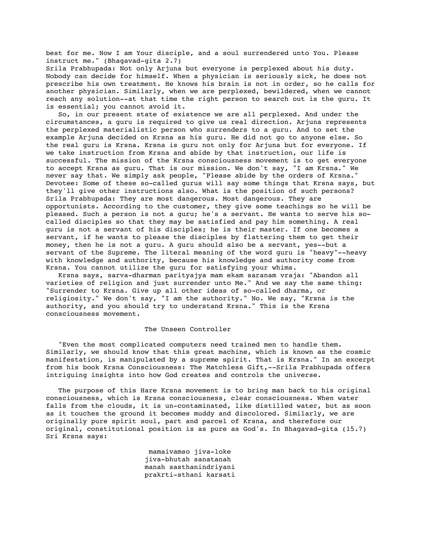best for me. Now I am Your disciple, and a soul surrendered unto You. Please instruct me." (Bhagavad-gita 2.7)

Srila Prabhupada: Not only Arjuna but everyone is perplexed about his duty. Nobody can decide for himself. When a physician is seriously sick, he does not prescribe his own treatment. He knows his brain is not in order, so he calls for another physician. Similarly, when we are perplexed, bewildered, when we cannot reach any solution--at that time the right person to search out is the guru. It is essential; you cannot avoid it.

 So, in our present state of existence we are all perplexed. And under the circumstances, a guru is required to give us real direction. Arjuna represents the perplexed materialistic person who surrenders to a guru. And to set the example Arjuna decided on Krsna as his guru. He did not go to anyone else. So the real guru is Krsna. Krsna is guru not only for Arjuna but for everyone. If we take instruction from Krsna and abide by that instruction, our life is successful. The mission of the Krsna consciousness movement is to get everyone to accept Krsna as guru. That is our mission. We don't say, "I am Krsna." We never say that. We simply ask people, "Please abide by the orders of Krsna." Devotee: Some of these so-called gurus will say some things that Krsna says, but they'll give other instructions also. What is the position of such persons? Srila Prabhupada: They are most dangerous. Most dangerous. They are opportunists. According to the customer, they give some teachings so he will be pleased. Such a person is not a guru; he's a servant. He wants to serve his socalled disciples so that they may be satisfied and pay him something. A real guru is not a servant of his disciples; he is their master. If one becomes a servant, if he wants to please the disciples by flattering them to get their money, then he is not a guru. A guru should also be a servant, yes--but a servant of the Supreme. The literal meaning of the word guru is "heavy"--heavy with knowledge and authority, because his knowledge and authority come from Krsna. You cannot utilize the guru for satisfying your whims.

 Krsna says, sarva-dharman parityajya mam ekam saranam vraja: "Abandon all varieties of religion and just surrender unto Me." And we say the same thing: "Surrender to Krsna. Give up all other ideas of so-called dharma, or religiosity." We don't say, "I am the authority." No. We say, "Krsna is the authority, and you should try to understand Krsna." This is the Krsna consciousness movement.

# The Unseen Controller

 "Even the most complicated computers need trained men to handle them. Similarly, we should know that this great machine, which is known as the cosmic manifestation, is manipulated by a supreme spirit. That is Krsna." In an excerpt from his book Krsna Consciousness: The Matchless Gift,--Srila Prabhupada offers intriguing insights into how God creates and controls the universe.

 The purpose of this Hare Krsna movement is to bring man back to his original consciousness, which is Krsna consciousness, clear consciousness. When water falls from the clouds, it is un-contaminated, like distilled water, but as soon as it touches the ground it becomes muddy and discolored. Similarly, we are originally pure spirit soul, part and parcel of Krsna, and therefore our original, constitutional position is as pure as God's. In Bhagavad-gita (15.7) Sri Krsna says:

> mamaivamso jiva-loke jiva-bhutah sanatanah manah sasthanindriyani prakrti-sthani karsati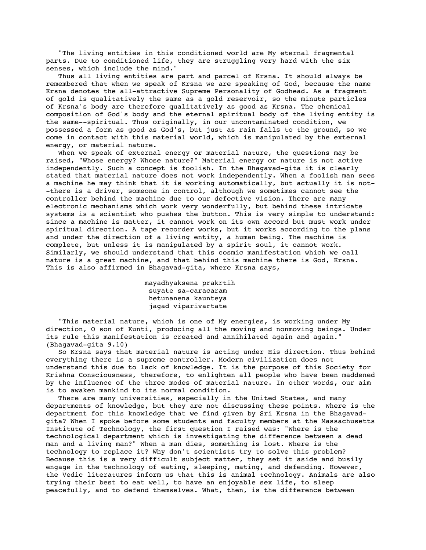"The living entities in this conditioned world are My eternal fragmental parts. Due to conditioned life, they are struggling very hard with the six senses, which include the mind."

 Thus all living entities are part and parcel of Krsna. It should always be remembered that when we speak of Krsna we are speaking of God, because the name Krsna denotes the all-attractive Supreme Personality of Godhead. As a fragment of gold is qualitatively the same as a gold reservoir, so the minute particles of Krsna's body are therefore qualitatively as good as Krsna. The chemical composition of God's body and the eternal spiritual body of the living entity is the same--spiritual. Thus originally, in our uncontaminated condition, we possessed a form as good as God's, but just as rain falls to the ground, so we come in contact with this material world, which is manipulated by the external energy, or material nature.

 When we speak of external energy or material nature, the questions may be raised, "Whose energy? Whose nature?" Material energy or nature is not active independently. Such a concept is foolish. In the Bhagavad-gita it is clearly stated that material nature does not work independently. When a foolish man sees a machine he may think that it is working automatically, but actually it is not- -there is a driver, someone in control, although we sometimes cannot see the controller behind the machine due to our defective vision. There are many electronic mechanisms which work very wonderfully, but behind these intricate systems is a scientist who pushes the button. This is very simple to understand: since a machine is matter, it cannot work on its own accord but must work under spiritual direction. A tape recorder works, but it works according to the plans and under the direction of a living entity, a human being. The machine is complete, but unless it is manipulated by a spirit soul, it cannot work. Similarly, we should understand that this cosmic manifestation which we call nature is a great machine, and that behind this machine there is God, Krsna. This is also affirmed in Bhagavad-gita, where Krsna says,

> mayadhyaksena prakrtih suyate sa-caracaram hetunanena kaunteya jagad viparivartate

 "This material nature, which is one of My energies, is working under My direction, O son of Kunti, producing all the moving and nonmoving beings. Under its rule this manifestation is created and annihilated again and again." (Bhagavad-gita 9.10)

 So Krsna says that material nature is acting under His direction. Thus behind everything there is a supreme controller. Modern civilization does not understand this due to lack of knowledge. It is the purpose of this Society for Krishna Consciousness, therefore, to enlighten all people who have been maddened by the influence of the three modes of material nature. In other words, our aim is to awaken mankind to its normal condition.

 There are many universities, especially in the United States, and many departments of knowledge, but they are not discussing these points. Where is the department for this knowledge that we find given by Sri Krsna in the Bhagavadgita? When I spoke before some students and faculty members at the Massachusetts Institute of Technology, the first question I raised was: "Where is the technological department which is investigating the difference between a dead man and a living man?" When a man dies, something is lost. Where is the technology to replace it? Why don't scientists try to solve this problem? Because this is a very difficult subject matter, they set it aside and busily engage in the technology of eating, sleeping, mating, and defending. However, the Vedic literatures inform us that this is animal technology. Animals are also trying their best to eat well, to have an enjoyable sex life, to sleep peacefully, and to defend themselves. What, then, is the difference between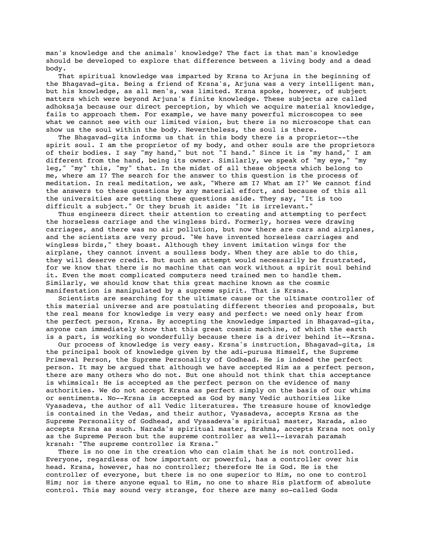man's knowledge and the animals' knowledge? The fact is that man's knowledge should be developed to explore that difference between a living body and a dead body.

 That spiritual knowledge was imparted by Krsna to Arjuna in the beginning of the Bhagavad-gita. Being a friend of Krsna's, Arjuna was a very intelligent man, but his knowledge, as all men's, was limited. Krsna spoke, however, of subject matters which were beyond Arjuna's finite knowledge. These subjects are called adhoksaja because our direct perception, by which we acquire material knowledge, fails to approach them. For example, we have many powerful microscopes to see what we cannot see with our limited vision, but there is no microscope that can show us the soul within the body. Nevertheless, the soul is there.

 The Bhagavad-gita informs us that in this body there is a proprietor--the spirit soul. I am the proprietor of my body, and other souls are the proprietors of their bodies. I say "my hand," but not "I hand." Since it is "my hand," I am different from the hand, being its owner. Similarly, we speak of "my eye," "my leg," "my" this, "my" that. In the midst of all these objects which belong to me, where am I? The search for the answer to this question is the process of meditation. In real meditation, we ask, "Where am I? What am I?" We cannot find the answers to these questions by any material effort, and because of this all the universities are setting these questions aside. They say, "It is too difficult a subject." Or they brush it aside: "It is irrelevant."

 Thus engineers direct their attention to creating and attempting to perfect the horseless carriage and the wingless bird. Formerly, horses were drawing carriages, and there was no air pollution, but now there are cars and airplanes, and the scientists are very proud. "We have invented horseless carriages and wingless birds," they boast. Although they invent imitation wings for the airplane, they cannot invent a soulless body. When they are able to do this, they will deserve credit. But such an attempt would necessarily be frustrated, for we know that there is no machine that can work without a spirit soul behind it. Even the most complicated computers need trained men to handle them. Similarly, we should know that this great machine known as the cosmic manifestation is manipulated by a supreme spirit. That is Krsna.

 Scientists are searching for the ultimate cause or the ultimate controller of this material universe and are postulating different theories and proposals, but the real means for knowledge is very easy and perfect: we need only hear from the perfect person, Krsna. By accepting the knowledge imparted in Bhagavad-gita, anyone can immediately know that this great cosmic machine, of which the earth is a part, is working so wonderfully because there is a driver behind it--Krsna.

 Our process of knowledge is very easy. Krsna's instruction, Bhagavad-gita, is the principal book of knowledge given by the adi-purusa Himself, the Supreme Primeval Person, the Supreme Personality of Godhead. He is indeed the perfect person. It may be argued that although we have accepted Him as a perfect person, there are many others who do not. But one should not think that this acceptance is whimsical: He is accepted as the perfect person on the evidence of many authorities. We do not accept Krsna as perfect simply on the basis of our whims or sentiments. No--Krsna is accepted as God by many Vedic authorities like Vyasadeva, the author of all Vedic literatures. The treasure house of knowledge is contained in the Vedas, and their author, Vyasadeva, accepts Krsna as the Supreme Personality of Godhead, and Vyasadeva's spiritual master, Narada, also accepts Krsna as such. Narada's spiritual master, Brahma, accepts Krsna not only as the Supreme Person but the supreme controller as well--isvarah paramah krsnah: "The supreme controller is Krsna."

 There is no one in the creation who can claim that he is not controlled. Everyone, regardless of how important or powerful, has a controller over his head. Krsna, however, has no controller; therefore He is God. He is the controller of everyone, but there is no one superior to Him, no one to control Him; nor is there anyone equal to Him, no one to share His platform of absolute control. This may sound very strange, for there are many so-called Gods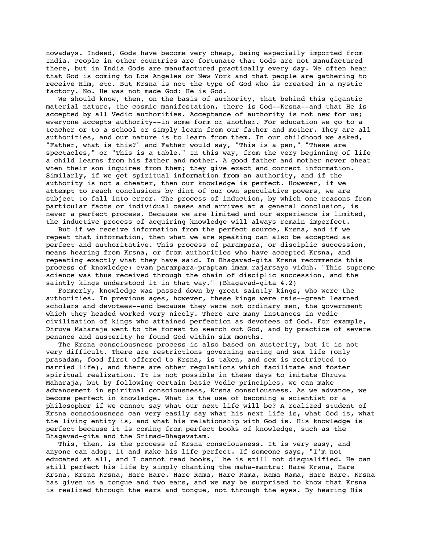nowadays. Indeed, Gods have become very cheap, being especially imported from India. People in other countries are fortunate that Gods are not manufactured there, but in India Gods are manufactured practically every day. We often hear that God is coming to Los Angeles or New York and that people are gathering to receive Him, etc. But Krsna is not the type of God who is created in a mystic factory. No. He was not made God: He is God.

 We should know, then, on the basis of authority, that behind this gigantic material nature, the cosmic manifestation, there is God--Krsna--and that He is accepted by all Vedic authorities. Acceptance of authority is not new for us; everyone accepts authority--in some form or another. For education we go to a teacher or to a school or simply learn from our father and mother. They are all authorities, and our nature is to learn from them. In our childhood we asked, "Father, what is this?" and Father would say, "This is a pen," "These are spectacles," or "This is a table." In this way, from the very beginning of life a child learns from his father and mother. A good father and mother never cheat when their son inquires from them; they give exact and correct information. Similarly, if we get spiritual information from an authority, and if the authority is not a cheater, then our knowledge is perfect. However, if we attempt to reach conclusions by dint of our own speculative powers, we are subject to fall into error. The process of induction, by which one reasons from particular facts or individual cases and arrives at a general conclusion, is never a perfect process. Because we are limited and our experience is limited, the inductive process of acquiring knowledge will always remain imperfect.

 But if we receive information from the perfect source, Krsna, and if we repeat that information, then what we are speaking can also be accepted as perfect and authoritative. This process of parampara, or disciplic succession, means hearing from Krsna, or from authorities who have accepted Krsna, and repeating exactly what they have said. In Bhagavad-gita Krsna recommends this process of knowledge: evam parampara-praptam imam rajarsayo viduh. "This supreme science was thus received through the chain of disciplic succession, and the saintly kings understood it in that way." (Bhagavad-gita 4.2)

 Formerly, knowledge was passed down by great saintly kings, who were the authorities. In previous ages, however, these kings were rsis--great learned scholars and devotees--and because they were not ordinary men, the government which they headed worked very nicely. There are many instances in Vedic civilization of kings who attained perfection as devotees of God. For example, Dhruva Maharaja went to the forest to search out God, and by practice of severe penance and austerity he found God within six months.

 The Krsna consciousness process is also based on austerity, but it is not very difficult. There are restrictions governing eating and sex life (only prasadam, food first offered to Krsna, is taken, and sex is restricted to married life), and there are other regulations which facilitate and foster spiritual realization. It is not possible in these days to imitate Dhruva Maharaja, but by following certain basic Vedic principles, we can make advancement in spiritual consciousness, Krsna consciousness. As we advance, we become perfect in knowledge. What is the use of becoming a scientist or a philosopher if we cannot say what our next life will be? A realized student of Krsna consciousness can very easily say what his next life is, what God is, what the living entity is, and what his relationship with God is. His knowledge is perfect because it is coming from perfect books of knowledge, such as the Bhagavad-gita and the Srimad-Bhagavatam.

 This, then, is the process of Krsna consciousness. It is very easy, and anyone can adopt it and make his life perfect. If someone says, "I'm not educated at all, and I cannot read books," he is still not disqualified. He can still perfect his life by simply chanting the maha-mantra: Hare Krsna, Hare Krsna, Krsna Krsna, Hare Hare. Hare Rama, Hare Rama, Rama Rama, Hare Hare. Krsna has given us a tongue and two ears, and we may be surprised to know that Krsna is realized through the ears and tongue, not through the eyes. By hearing His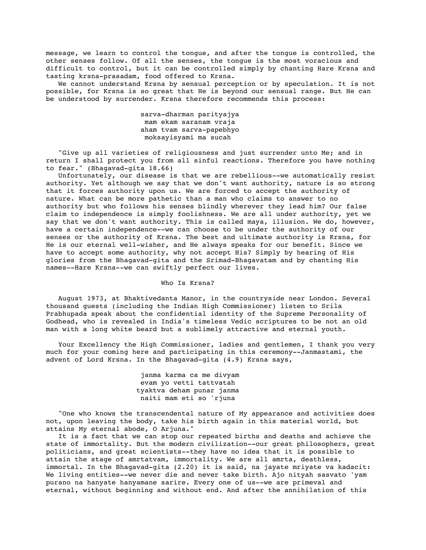message, we learn to control the tongue, and after the tongue is controlled, the other senses follow. Of all the senses, the tongue is the most voracious and difficult to control, but it can be controlled simply by chanting Hare Krsna and tasting krsna-prasadam, food offered to Krsna.

 We cannot understand Krsna by sensual perception or by speculation. It is not possible, for Krsna is so great that He is beyond our sensual range. But He can be understood by surrender. Krsna therefore recommends this process:

> sarva-dharman parityajya mam ekam saranam vraja aham tvam sarva-papebhyo moksayisyami ma sucah

 "Give up all varieties of religiousness and just surrender unto Me; and in return I shall protect you from all sinful reactions. Therefore you have nothing to fear." (Bhagavad-gita 18.66)

 Unfortunately, our disease is that we are rebellious--we automatically resist authority. Yet although we say that we don't want authority, nature is so strong that it forces authority upon us. We are forced to accept the authority of nature. What can be more pathetic than a man who claims to answer to no authority but who follows his senses blindly wherever they lead him? Our false claim to independence is simply foolishness. We are all under authority, yet we say that we don't want authority. This is called maya, illusion. We do, however, have a certain independence--we can choose to be under the authority of our senses or the authority of Krsna. The best and ultimate authority is Krsna, for He is our eternal well-wisher, and He always speaks for our benefit. Since we have to accept some authority, why not accept His? Simply by hearing of His glories from the Bhagavad-gita and the Srimad-Bhagavatam and by chanting His names--Hare Krsna--we can swiftly perfect our lives.

Who Is Krsna?

 August 1973, at Bhaktivedanta Manor, in the countryside near London. Several thousand guests (including the Indian High Commissioner) listen to Srila Prabhupada speak about the confidential identity of the Supreme Personality of Godhead, who is revealed in India's timeless Vedic scriptures to be not an old man with a long white beard but a sublimely attractive and eternal youth.

 Your Excellency the High Commissioner, ladies and gentlemen, I thank you very much for your coming here and participating in this ceremony--Janmastami, the advent of Lord Krsna. In the Bhagavad-gita (4.9) Krsna says,

> janma karma ca me divyam evam yo vetti tattvatah tyaktva deham punar janma naiti mam eti so 'rjuna

 "One who knows the transcendental nature of My appearance and activities does not, upon leaving the body, take his birth again in this material world, but attains My eternal abode, O Arjuna."

 It is a fact that we can stop our repeated births and deaths and achieve the state of immortality. But the modern civilization--our great philosophers, great politicians, and great scientists--they have no idea that it is possible to attain the stage of amrtatvam, immortality. We are all amrta, deathless, immortal. In the Bhagavad-gita (2.20) it is said, na jayate mriyate va kadacit: We living entities--we never die and never take birth. Ajo nityah sasvato 'yam purano na hanyate hanyamane sarire. Every one of us--we are primeval and eternal, without beginning and without end. And after the annihilation of this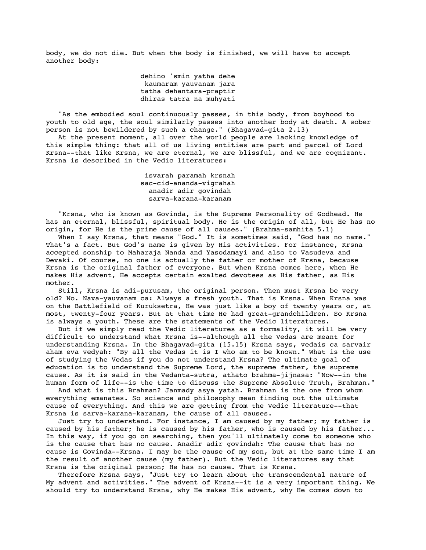body, we do not die. But when the body is finished, we will have to accept another body:

> dehino 'smin yatha dehe kaumaram yauvanam jara tatha dehantara-praptir dhiras tatra na muhyati

 "As the embodied soul continuously passes, in this body, from boyhood to youth to old age, the soul similarly passes into another body at death. A sober person is not bewildered by such a change." (Bhagavad-gita 2.13)

 At the present moment, all over the world people are lacking knowledge of this simple thing: that all of us living entities are part and parcel of Lord Krsna--that like Krsna, we are eternal, we are blissful, and we are cognizant. Krsna is described in the Vedic literatures:

> isvarah paramah krsnah sac-cid-ananda-vigrahah anadir adir govindah sarva-karana-karanam

 "Krsna, who is known as Govinda, is the Supreme Personality of Godhead. He has an eternal, blissful, spiritual body. He is the origin of all, but He has no origin, for He is the prime cause of all causes." (Brahma-samhita 5.1)

When I say Krsna, that means "God." It is sometimes said, "God has no name." That's a fact. But God's name is given by His activities. For instance, Krsna accepted sonship to Maharaja Nanda and Yasodamayi and also to Vasudeva and Devaki. Of course, no one is actually the father or mother of Krsna, because Krsna is the original father of everyone. But when Krsna comes here, when He makes His advent, He accepts certain exalted devotees as His father, as His mother.

 Still, Krsna is adi-purusam, the original person. Then must Krsna be very old? No. Nava-yauvanam ca: Always a fresh youth. That is Krsna. When Krsna was on the Battlefield of Kuruksetra, He was just like a boy of twenty years or, at most, twenty-four years. But at that time He had great-grandchildren. So Krsna is always a youth. These are the statements of the Vedic literatures.

 But if we simply read the Vedic literatures as a formality, it will be very difficult to understand what Krsna is--although all the Vedas are meant for understanding Krsna. In the Bhagavad-gita (15.15) Krsna says, vedais ca sarvair aham eva vedyah: "By all the Vedas it is I who am to be known." What is the use of studying the Vedas if you do not understand Krsna? The ultimate goal of education is to understand the Supreme Lord, the supreme father, the supreme cause. As it is said in the Vedanta-sutra, athato brahma-jijnasa: "Now--in the human form of life--is the time to discuss the Supreme Absolute Truth, Brahman."

 And what is this Brahman? Janmady asya yatah. Brahman is the one from whom everything emanates. So science and philosophy mean finding out the ultimate cause of everything. And this we are getting from the Vedic literature--that Krsna is sarva-karana-karanam, the cause of all causes.

Just try to understand. For instance, I am caused by my father; my father is caused by his father; he is caused by his father, who is caused by his father... In this way, if you go on searching, then you'll ultimately come to someone who is the cause that has no cause. Anadir adir govindah: The cause that has no cause is Govinda--Krsna. I may be the cause of my son, but at the same time I am the result of another cause (my father). But the Vedic literatures say that Krsna is the original person; He has no cause. That is Krsna.

 Therefore Krsna says, "Just try to learn about the transcendental nature of My advent and activities." The advent of Krsna--it is a very important thing. We should try to understand Krsna, why He makes His advent, why He comes down to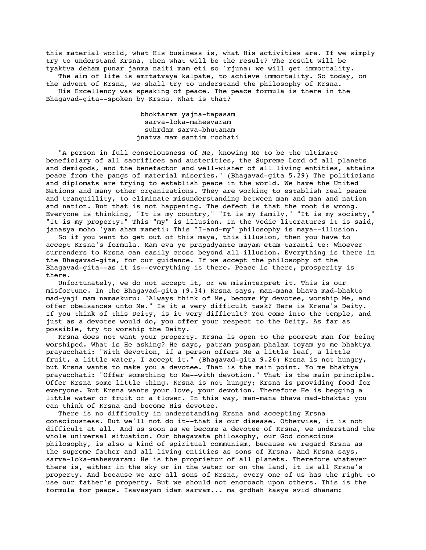this material world, what His business is, what His activities are. If we simply try to understand Krsna, then what will be the result? The result will be tyaktva deham punar janma naiti mam eti so 'rjuna: we will get immortality.

The aim of life is amrtatvaya kalpate, to achieve immortality. So today, on the advent of Krsna, we shall try to understand the philosophy of Krsna.

 His Excellency was speaking of peace. The peace formula is there in the Bhagavad-gita--spoken by Krsna. What is that?

> bhoktaram yajna-tapasam sarva-loka-mahesvaram suhrdam sarva-bhutanam jnatva mam santim rcchati

 "A person in full consciousness of Me, knowing Me to be the ultimate beneficiary of all sacrifices and austerities, the Supreme Lord of all planets and demigods, and the benefactor and well-wisher of all living entities, attains peace from the pangs of material miseries." (Bhagavad-gita 5.29) The politicians and diplomats are trying to establish peace in the world. We have the United Nations and many other organizations. They are working to establish real peace and tranquillity, to eliminate misunderstanding between man and man and nation and nation. But that is not happening. The defect is that the root is wrong. Everyone is thinking, "It is my country," "It is my family," "It is my society," "It is my property." This "my" is illusion. In the Vedic literatures it is said, janasya moho 'yam aham mameti: This "I-and-my" philosophy is maya--illusion.

 So if you want to get out of this maya, this illusion, then you have to accept Krsna's formula. Mam eva ye prapadyante mayam etam taranti te: Whoever surrenders to Krsna can easily cross beyond all illusion. Everything is there in the Bhagavad-gita, for our guidance. If we accept the philosophy of the Bhagavad-gita--as it is--everything is there. Peace is there, prosperity is there.

 Unfortunately, we do not accept it, or we misinterpret it. This is our misfortune. In the Bhagavad-gita (9.34) Krsna says, man-mana bhava mad-bhakto mad-yaji mam namaskuru: "Always think of Me, become My devotee, worship Me, and offer obeisances unto Me." Is it a very difficult task? Here is Krsna's Deity. If you think of this Deity, is it very difficult? You come into the temple, and just as a devotee would do, you offer your respect to the Deity. As far as possible, try to worship the Deity.

 Krsna does not want your property. Krsna is open to the poorest man for being worshiped. What is He asking? He says, patram puspam phalam toyam yo me bhaktya prayacchati: "With devotion, if a person offers Me a little leaf, a little fruit, a little water, I accept it." (Bhagavad-gita 9.26) Krsna is not hungry, but Krsna wants to make you a devotee. That is the main point. Yo me bhaktya prayacchati: "Offer something to Me--with devotion." That is the main principle. Offer Krsna some little thing. Krsna is not hungry; Krsna is providing food for everyone. But Krsna wants your love, your devotion. Therefore He is begging a little water or fruit or a flower. In this way, man-mana bhava mad-bhakta: you can think of Krsna and become His devotee.

 There is no difficulty in understanding Krsna and accepting Krsna consciousness. But we'll not do it--that is our disease. Otherwise, it is not difficult at all. And as soon as we become a devotee of Krsna, we understand the whole universal situation. Our bhagavata philosophy, our God conscious philosophy, is also a kind of spiritual communism, because we regard Krsna as the supreme father and all living entities as sons of Krsna. And Krsna says, sarva-loka-mahesvaram: He is the proprietor of all planets. Therefore whatever there is, either in the sky or in the water or on the land, it is all Krsna's property. And because we are all sons of Krsna, every one of us has the right to use our father's property. But we should not encroach upon others. This is the formula for peace. Isavasyam idam sarvam... ma grdhah kasya svid dhanam: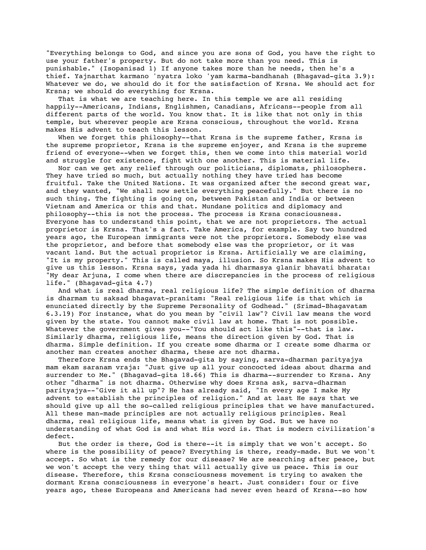"Everything belongs to God, and since you are sons of God, you have the right to use your father's property. But do not take more than you need. This is punishable." (Isopanisad 1) If anyone takes more than he needs, then he's a thief. Yajnarthat karmano 'nyatra loko 'yam karma-bandhanah (Bhagavad-gita 3.9): Whatever we do, we should do it for the satisfaction of Krsna. We should act for Krsna; we should do everything for Krsna.

That is what we are teaching here. In this temple we are all residing happily--Americans, Indians, Englishmen, Canadians, Africans--people from all different parts of the world. You know that. It is like that not only in this temple, but wherever people are Krsna conscious, throughout the world. Krsna makes His advent to teach this lesson.

When we forget this philosophy--that Krsna is the supreme father, Krsna is the supreme proprietor, Krsna is the supreme enjoyer, and Krsna is the supreme friend of everyone--when we forget this, then we come into this material world and struggle for existence, fight with one another. This is material life.

 Nor can we get any relief through our politicians, diplomats, philosophers. They have tried so much, but actually nothing they have tried has become fruitful. Take the United Nations. It was organized after the second great war, and they wanted, "We shall now settle everything peacefully." But there is no such thing. The fighting is going on, between Pakistan and India or between Vietnam and America or this and that. Mundane politics and diplomacy and philosophy--this is not the process. The process is Krsna consciousness. Everyone has to understand this point, that we are not proprietors. The actual proprietor is Krsna. That's a fact. Take America, for example. Say two hundred years ago, the European immigrants were not the proprietors. Somebody else was the proprietor, and before that somebody else was the proprietor, or it was vacant land. But the actual proprietor is Krsna. Artificially we are claiming, "It is my property." This is called maya, illusion. So Krsna makes His advent to give us this lesson. Krsna says, yada yada hi dharmasya glanir bhavati bharata: "My dear Arjuna, I come when there are discrepancies in the process of religious life." (Bhagavad-gita 4.7)

 And what is real dharma, real religious life? The simple definition of dharma is dharmam tu saksad bhagavat-pranitam: "Real religious life is that which is enunciated directly by the Supreme Personality of Godhead." (Srimad-Bhagavatam 6.3.19) For instance, what do you mean by "civil law"? Civil law means the word given by the state. You cannot make civil law at home. That is not possible. Whatever the government gives you--"You should act like this"--that is law. Similarly dharma, religious life, means the direction given by God. That is dharma. Simple definition. If you create some dharma or I create some dharma or another man creates another dharma, these are not dharma.

 Therefore Krsna ends the Bhagavad-gita by saying, sarva-dharman parityajya mam ekam saranam vraja: "Just give up all your concocted ideas about dharma and surrender to Me." (Bhagavad-gita 18.66) This is dharma--surrender to Krsna. Any other "dharma" is not dharma. Otherwise why does Krsna ask, sarva-dharman parityajya--"Give it all up"? He has already said, "In every age I make My advent to establish the principles of religion." And at last He says that we should give up all the so-called religious principles that we have manufactured. All these man-made principles are not actually religious principles. Real dharma, real religious life, means what is given by God. But we have no understanding of what God is and what His word is. That is modern civilization's defect.

 But the order is there, God is there--it is simply that we won't accept. So where is the possibility of peace? Everything is there, ready-made. But we won't accept. So what is the remedy for our disease? We are searching after peace, but we won't accept the very thing that will actually give us peace. This is our disease. Therefore, this Krsna consciousness movement is trying to awaken the dormant Krsna consciousness in everyone's heart. Just consider: four or five years ago, these Europeans and Americans had never even heard of Krsna--so how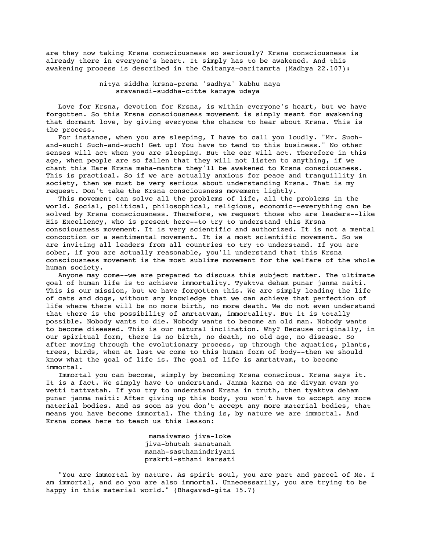are they now taking Krsna consciousness so seriously? Krsna consciousness is already there in everyone's heart. It simply has to be awakened. And this awakening process is described in the Caitanya-caritamrta (Madhya 22.107):

> nitya siddha krsna-prema 'sadhya' kabhu naya sravanadi-suddha-citte karaye udaya

 Love for Krsna, devotion for Krsna, is within everyone's heart, but we have forgotten. So this Krsna consciousness movement is simply meant for awakening that dormant love, by giving everyone the chance to hear about Krsna. This is the process.

 For instance, when you are sleeping, I have to call you loudly. "Mr. Suchand-such! Such-and-such! Get up! You have to tend to this business." No other senses will act when you are sleeping. But the ear will act. Therefore in this age, when people are so fallen that they will not listen to anything, if we chant this Hare Krsna maha-mantra they'll be awakened to Krsna consciousness. This is practical. So if we are actually anxious for peace and tranquillity in society, then we must be very serious about understanding Krsna. That is my request. Don't take the Krsna consciousness movement lightly.

 This movement can solve all the problems of life, all the problems in the world. Social, political, philosophical, religious, economic--everything can be solved by Krsna consciousness. Therefore, we request those who are leaders--like His Excellency, who is present here--to try to understand this Krsna consciousness movement. It is very scientific and authorized. It is not a mental concoction or a sentimental movement. It is a most scientific movement. So we are inviting all leaders from all countries to try to understand. If you are sober, if you are actually reasonable, you'll understand that this Krsna consciousness movement is the most sublime movement for the welfare of the whole human society.

 Anyone may come--we are prepared to discuss this subject matter. The ultimate goal of human life is to achieve immortality. Tyaktva deham punar janma naiti. This is our mission, but we have forgotten this. We are simply leading the life of cats and dogs, without any knowledge that we can achieve that perfection of life where there will be no more birth, no more death. We do not even understand that there is the possibility of amrtatvam, immortality. But it is totally possible. Nobody wants to die. Nobody wants to become an old man. Nobody wants to become diseased. This is our natural inclination. Why? Because originally, in our spiritual form, there is no birth, no death, no old age, no disease. So after moving through the evolutionary process, up through the aquatics, plants, trees, birds, when at last we come to this human form of body--then we should know what the goal of life is. The goal of life is amrtatvam, to become immortal.

 Immortal you can become, simply by becoming Krsna conscious. Krsna says it. It is a fact. We simply have to understand. Janma karma ca me divyam evam yo vetti tattvatah. If you try to understand Krsna in truth, then tyaktva deham punar janma naiti: After giving up this body, you won't have to accept any more material bodies. And as soon as you don't accept any more material bodies, that means you have become immortal. The thing is, by nature we are immortal. And Krsna comes here to teach us this lesson:

> mamaivamso jiva-loke jiva-bhutah sanatanah manah-sasthanindriyani prakrti-sthani karsati

 "You are immortal by nature. As spirit soul, you are part and parcel of Me. I am immortal, and so you are also immortal. Unnecessarily, you are trying to be happy in this material world." (Bhagavad-gita 15.7)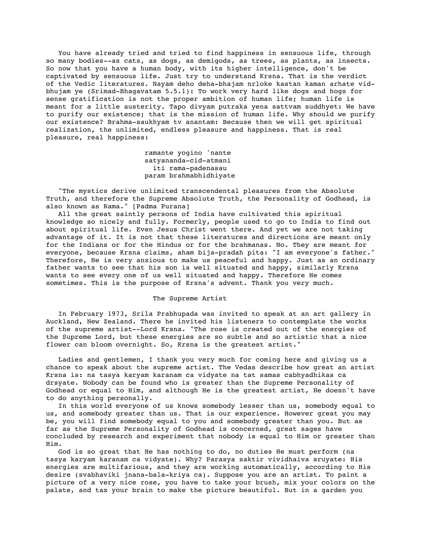You have already tried and tried to find happiness in sensuous life, through so many bodies--as cats, as dogs, as demigods, as trees, as plants, as insects. So now that you have a human body, with its higher intelligence, don't be captivated by sensuous life. Just try to understand Krsna. That is the verdict of the Vedic literatures. Nayam deho deha-bhajam nrloke kastan kaman arhate vidbhujam ye (Srimad-Bhagavatam 5.5.1): To work very hard like dogs and hogs for sense gratification is not the proper ambition of human life; human life is meant for a little austerity. Tapo divyam putraka yena sattvam suddhyet: We have to purify our existence; that is the mission of human life. Why should we purify our existence? Brahma-saukhyam tv anantam: Because then we will get spiritual realization, the unlimited, endless pleasure and happiness. That is real pleasure, real happiness:

> ramante yogino 'nante satyananda-cid-atmani iti rama-padenasau param brahmabhidhiyate

 "The mystics derive unlimited transcendental pleasures from the Absolute Truth, and therefore the Supreme Absolute Truth, the Personality of Godhead, is also known as Rama." [Padma Purana]

 All the great saintly persons of India have cultivated this spiritual knowledge so nicely and fully. Formerly, people used to go to India to find out about spiritual life. Even Jesus Christ went there. And yet we are not taking advantage of it. It is not that these literatures and directions are meant only for the Indians or for the Hindus or for the brahmanas. No. They are meant for everyone, because Krsna claims, aham bija-pradah pita: "I am everyone's father." Therefore, He is very anxious to make us peaceful and happy. Just as an ordinary father wants to see that his son is well situated and happy, similarly Krsna wants to see every one of us well situated and happy. Therefore He comes sometimes. This is the purpose of Krsna's advent. Thank you very much.

# The Supreme Artist

 In February 1973, Srila Prabhupada was invited to speak at an art gallery in Auckland, New Zealand. There he invited his listeners to contemplate the works of the supreme artist--Lord Krsna. "The rose is created out of the energies of the Supreme Lord, but these energies are so subtle and so artistic that a nice flower can bloom overnight. So, Krsna is the greatest artist."

 Ladies and gentlemen, I thank you very much for coming here and giving us a chance to speak about the supreme artist. The Vedas describe how great an artist Krsna is: na tasya karyam karanam ca vidyate na tat samas cabhyadhikas ca drsyate. Nobody can be found who is greater than the Supreme Personality of Godhead or equal to Him, and although He is the greatest artist, He doesn't have to do anything personally.

 In this world everyone of us knows somebody lesser than us, somebody equal to us, and somebody greater than us. That is our experience. However great you may be, you will find somebody equal to you and somebody greater than you. But as far as the Supreme Personality of Godhead is concerned, great sages have concluded by research and experiment that nobody is equal to Him or greater than Him.

 God is so great that He has nothing to do, no duties He must perform (na tasya karyam karanam ca vidyate). Why? Parasya saktir vividhaiva sruyate: His energies are multifarious, and they are working automatically, according to His desire (svabhaviki jnana-bala-kriya ca). Suppose you are an artist. To paint a picture of a very nice rose, you have to take your brush, mix your colors on the palate, and tax your brain to make the picture beautiful. But in a garden you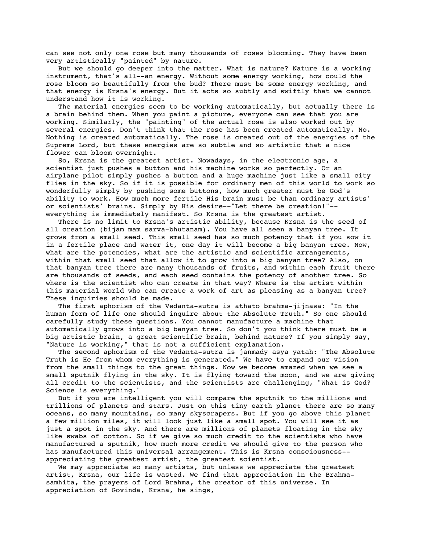can see not only one rose but many thousands of roses blooming. They have been very artistically "painted" by nature.

 But we should go deeper into the matter. What is nature? Nature is a working instrument, that's all--an energy. Without some energy working, how could the rose bloom so beautifully from the bud? There must be some energy working, and that energy is Krsna's energy. But it acts so subtly and swiftly that we cannot understand how it is working.

 The material energies seem to be working automatically, but actually there is a brain behind them. When you paint a picture, everyone can see that you are working. Similarly, the "painting" of the actual rose is also worked out by several energies. Don't think that the rose has been created automatically. No. Nothing is created automatically. The rose is created out of the energies of the Supreme Lord, but these energies are so subtle and so artistic that a nice flower can bloom overnight.

 So, Krsna is the greatest artist. Nowadays, in the electronic age, a scientist just pushes a button and his machine works so perfectly. Or an airplane pilot simply pushes a button and a huge machine just like a small city flies in the sky. So if it is possible for ordinary men of this world to work so wonderfully simply by pushing some buttons, how much greater must be God's ability to work. How much more fertile His brain must be than ordinary artists' or scientists' brains. Simply by His desire--"Let there be creation!"- everything is immediately manifest. So Krsna is the greatest artist.

 There is no limit to Krsna's artistic ability, because Krsna is the seed of all creation (bijam mam sarva-bhutanam). You have all seen a banyan tree. It grows from a small seed. This small seed has so much potency that if you sow it in a fertile place and water it, one day it will become a big banyan tree. Now, what are the potencies, what are the artistic and scientific arrangements, within that small seed that allow it to grow into a big banyan tree? Also, on that banyan tree there are many thousands of fruits, and within each fruit there are thousands of seeds, and each seed contains the potency of another tree. So where is the scientist who can create in that way? Where is the artist within this material world who can create a work of art as pleasing as a banyan tree? These inquiries should be made.

 The first aphorism of the Vedanta-sutra is athato brahma-jijnasa: "In the human form of life one should inquire about the Absolute Truth." So one should carefully study these questions. You cannot manufacture a machine that automatically grows into a big banyan tree. So don't you think there must be a big artistic brain, a great scientific brain, behind nature? If you simply say, "Nature is working," that is not a sufficient explanation.

 The second aphorism of the Vedanta-sutra is janmady asya yatah: "The Absolute Truth is He from whom everything is generated." We have to expand our vision from the small things to the great things. Now we become amazed when we see a small sputnik flying in the sky. It is flying toward the moon, and we are giving all credit to the scientists, and the scientists are challenging, "What is God? Science is everything."

 But if you are intelligent you will compare the sputnik to the millions and trillions of planets and stars. Just on this tiny earth planet there are so many oceans, so many mountains, so many skyscrapers. But if you go above this planet a few million miles, it will look just like a small spot. You will see it as just a spot in the sky. And there are millions of planets floating in the sky like swabs of cotton. So if we give so much credit to the scientists who have manufactured a sputnik, how much more credit we should give to the person who has manufactured this universal arrangement. This is Krsna consciousness- appreciating the greatest artist, the greatest scientist.

 We may appreciate so many artists, but unless we appreciate the greatest artist, Krsna, our life is wasted. We find that appreciation in the Brahmasamhita, the prayers of Lord Brahma, the creator of this universe. In appreciation of Govinda, Krsna, he sings,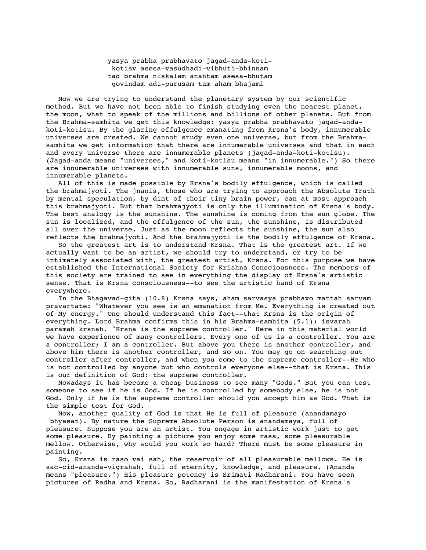yasya prabha prabhavato jagad-anda-koti kotisv asesa-vasudhadi-vibhuti-bhinnam tad brahma niskalam anantam asesa-bhutam govindam adi-purusam tam aham bhajami

 Now we are trying to understand the planetary system by our scientific method. But we have not been able to finish studying even the nearest planet, the moon, what to speak of the millions and billions of other planets. But from the Brahma-samhita we get this knowledge: yasya prabha prabhavato jagad-andakoti-kotisu. By the glaring effulgence emanating from Krsna's body, innumerable universes are created. We cannot study even one universe, but from the Brahmasamhita we get information that there are innumerable universes and that in each and every universe there are innumerable planets (jagad-anda-koti-kotisu). (Jagad-anda means "universes," and koti-kotisu means "in innumerable.") So there are innumerable universes with innumerable suns, innumerable moons, and innumerable planets.

 All of this is made possible by Krsna's bodily effulgence, which is called the brahmajyoti. The jnanis, those who are trying to approach the Absolute Truth by mental speculation, by dint of their tiny brain power, can at most approach this brahmajyoti. But that brahmajyoti is only the illumination of Krsna's body. The best analogy is the sunshine. The sunshine is coming from the sun globe. The sun is localized, and the effulgence of the sun, the sunshine, is distributed all over the universe. Just as the moon reflects the sunshine, the sun also reflects the brahmajyoti. And the brahmajyoti is the bodily effulgence of Krsna.

 So the greatest art is to understand Krsna. That is the greatest art. If we actually want to be an artist, we should try to understand, or try to be intimately associated with, the greatest artist, Krsna. For this purpose we have established the International Society for Krishna Consciousness. The members of this society are trained to see in everything the display of Krsna's artistic sense. That is Krsna consciousness--to see the artistic hand of Krsna everywhere.

 In the Bhagavad-gita (10.8) Krsna says, aham sarvasya prabhavo mattah sarvam pravartate: "Whatever you see is an emanation from Me. Everything is created out of My energy." One should understand this fact--that Krsna is the origin of everything. Lord Brahma confirms this in his Brahma-samhita (5.1): isvarah paramah krsnah. "Krsna is the supreme controller." Here in this material world we have experience of many controllers. Every one of us is a controller. You are a controller; I am a controller. But above you there is another controller, and above him there is another controller, and so on. You may go on searching out controller after controller, and when you come to the supreme controller--He who is not controlled by anyone but who controls everyone else--that is Krsna. This is our definition of God: the supreme controller.

 Nowadays it has become a cheap business to see many "Gods." But you can test someone to see if he is God. If he is controlled by somebody else, he is not God. Only if he is the supreme controller should you accept him as God. That is the simple test for God.

 Now, another quality of God is that He is full of pleasure (anandamayo 'bhyasat). By nature the Supreme Absolute Person is anandamaya, full of pleasure. Suppose you are an artist. You engage in artistic work just to get some pleasure. By painting a picture you enjoy some rasa, some pleasurable mellow. Otherwise, why would you work so hard? There must be some pleasure in painting.

 So, Krsna is raso vai sah, the reservoir of all pleasurable mellows. He is sac-cid-ananda-vigrahah, full of eternity, knowledge, and pleasure. (Ananda means "pleasure.") His pleasure potency is Srimati Radharani. You have seen pictures of Radha and Krsna. So, Radharani is the manifestation of Krsna's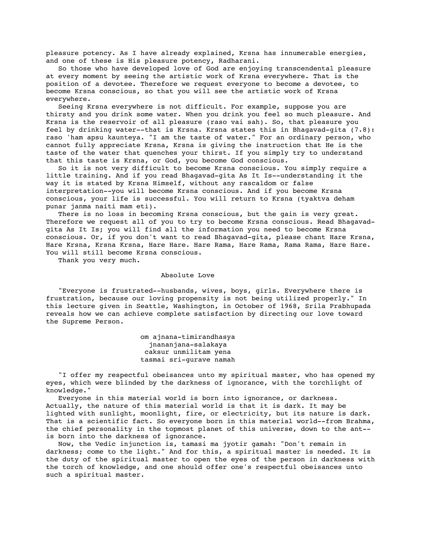pleasure potency. As I have already explained, Krsna has innumerable energies, and one of these is His pleasure potency, Radharani.

 So those who have developed love of God are enjoying transcendental pleasure at every moment by seeing the artistic work of Krsna everywhere. That is the position of a devotee. Therefore we request everyone to become a devotee, to become Krsna conscious, so that you will see the artistic work of Krsna everywhere.

 Seeing Krsna everywhere is not difficult. For example, suppose you are thirsty and you drink some water. When you drink you feel so much pleasure. And Krsna is the reservoir of all pleasure (raso vai sah). So, that pleasure you feel by drinking water--that is Krsna. Krsna states this in Bhagavad-gita (7.8): raso 'ham apsu kaunteya. "I am the taste of water." For an ordinary person, who cannot fully appreciate Krsna, Krsna is giving the instruction that He is the taste of the water that quenches your thirst. If you simply try to understand that this taste is Krsna, or God, you become God conscious.

 So it is not very difficult to become Krsna conscious. You simply require a little training. And if you read Bhagavad-gita As It Is--understanding it the way it is stated by Krsna Himself, without any rascaldom or false interpretation--you will become Krsna conscious. And if you become Krsna conscious, your life is successful. You will return to Krsna (tyaktva deham punar janma naiti mam eti).

 There is no loss in becoming Krsna conscious, but the gain is very great. Therefore we request all of you to try to become Krsna conscious. Read Bhagavadgita As It Is; you will find all the information you need to become Krsna conscious. Or, if you don't want to read Bhagavad-gita, please chant Hare Krsna, Hare Krsna, Krsna Krsna, Hare Hare. Hare Rama, Hare Rama, Rama Rama, Hare Hare. You will still become Krsna conscious.

Thank you very much.

#### Absolute Love

 "Everyone is frustrated--husbands, wives, boys, girls. Everywhere there is frustration, because our loving propensity is not being utilized properly." In this lecture given in Seattle, Washington, in October of 1968, Srila Prabhupada reveals how we can achieve complete satisfaction by directing our love toward the Supreme Person.

> om ajnana-timirandhasya jnananjana-salakaya caksur unmilitam yena tasmai sri-gurave namah

 "I offer my respectful obeisances unto my spiritual master, who has opened my eyes, which were blinded by the darkness of ignorance, with the torchlight of knowledge."

 Everyone in this material world is born into ignorance, or darkness. Actually, the nature of this material world is that it is dark. It may be lighted with sunlight, moonlight, fire, or electricity, but its nature is dark. That is a scientific fact. So everyone born in this material world--from Brahma, the chief personality in the topmost planet of this universe, down to the ant- is born into the darkness of ignorance.

 Now, the Vedic injunction is, tamasi ma jyotir gamah: "Don't remain in darkness; come to the light." And for this, a spiritual master is needed. It is the duty of the spiritual master to open the eyes of the person in darkness with the torch of knowledge, and one should offer one's respectful obeisances unto such a spiritual master.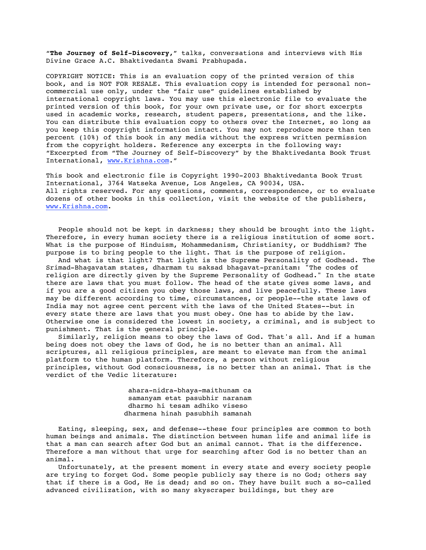"**The Journey of Self-Discovery,**" talks, conversations and interviews with His Divine Grace A.C. Bhaktivedanta Swami Prabhupada.

COPYRIGHT NOTICE: This is an evaluation copy of the printed version of this book, and is NOT FOR RESALE. This evaluation copy is intended for personal noncommercial use only, under the "fair use" guidelines established by international copyright laws. You may use this electronic file to evaluate the printed version of this book, for your own private use, or for short excerpts used in academic works, research, student papers, presentations, and the like. You can distribute this evaluation copy to others over the Internet, so long as you keep this copyright information intact. You may not reproduce more than ten percent (10%) of this book in any media without the express written permission from the copyright holders. Reference any excerpts in the following way: "Excerpted from "The Journey of Self-Discovery" by the Bhaktivedanta Book Trust International, www.Krishna.com."

This book and electronic file is Copyright 1990-2003 Bhaktivedanta Book Trust International, 3764 Watseka Avenue, Los Angeles, CA 90034, USA. All rights reserved. For any questions, comments, correspondence, or to evaluate dozens of other books in this collection, visit the website of the publishers, www.Krishna.com.

 People should not be kept in darkness; they should be brought into the light. Therefore, in every human society there is a religious institution of some sort. What is the purpose of Hinduism, Mohammedanism, Christianity, or Buddhism? The purpose is to bring people to the light. That is the purpose of religion.

 And what is that light? That light is the Supreme Personality of Godhead. The Srimad-Bhagavatam states, dharmam tu saksad bhagavat-pranitam: "The codes of religion are directly given by the Supreme Personality of Godhead." In the state there are laws that you must follow. The head of the state gives some laws, and if you are a good citizen you obey those laws, and live peacefully. These laws may be different according to time, circumstances, or people--the state laws of India may not agree cent percent with the laws of the United States--but in every state there are laws that you must obey. One has to abide by the law. Otherwise one is considered the lowest in society, a criminal, and is subject to punishment. That is the general principle.

 Similarly, religion means to obey the laws of God. That's all. And if a human being does not obey the laws of God, he is no better than an animal. All scriptures, all religious principles, are meant to elevate man from the animal platform to the human platform. Therefore, a person without religious principles, without God consciousness, is no better than an animal. That is the verdict of the Vedic literature:

> ahara-nidra-bhaya-maithunam ca samanyam etat pasubhir naranam dharmo hi tesam adhiko viseso dharmena hinah pasubhih samanah

 Eating, sleeping, sex, and defense--these four principles are common to both human beings and animals. The distinction between human life and animal life is that a man can search after God but an animal cannot. That is the difference. Therefore a man without that urge for searching after God is no better than an animal.

 Unfortunately, at the present moment in every state and every society people are trying to forget God. Some people publicly say there is no God; others say that if there is a God, He is dead; and so on. They have built such a so-called advanced civilization, with so many skyscraper buildings, but they are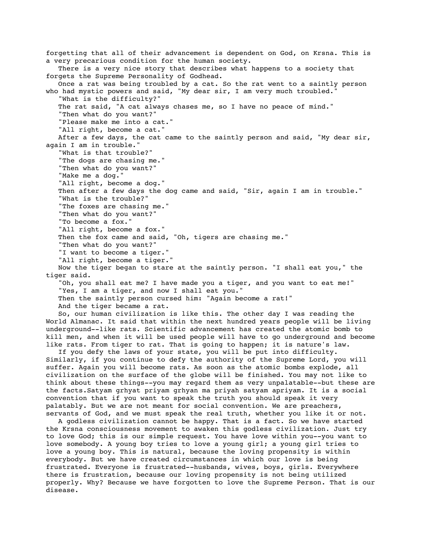forgetting that all of their advancement is dependent on God, on Krsna. This is a very precarious condition for the human society. There is a very nice story that describes what happens to a society that forgets the Supreme Personality of Godhead. Once a rat was being troubled by a cat. So the rat went to a saintly person who had mystic powers and said, "My dear sir, I am very much troubled." "What is the difficulty?" The rat said, "A cat always chases me, so I have no peace of mind." "Then what do you want?" "Please make me into a cat." "All right, become a cat." After a few days, the cat came to the saintly person and said, "My dear sir, again I am in trouble." "What is that trouble?" "The dogs are chasing me." "Then what do you want?" "Make me a dog." "All right, become a dog." Then after a few days the dog came and said, "Sir, again I am in trouble." "What is the trouble?" "The foxes are chasing me." "Then what do you want?" "To become a fox." "All right, become a fox." Then the fox came and said, "Oh, tigers are chasing me." "Then what do you want?" "I want to become a tiger." "All right, become a tiger." Now the tiger began to stare at the saintly person. "I shall eat you," the tiger said. "Oh, you shall eat me? I have made you a tiger, and you want to eat me!" "Yes, I am a tiger, and now I shall eat you." Then the saintly person cursed him: "Again become a rat!" And the tiger became a rat. So, our human civilization is like this. The other day I was reading the World Almanac. It said that within the next hundred years people will be living underground--like rats. Scientific advancement has created the atomic bomb to

like rats. From tiger to rat. That is going to happen; it is nature's law. If you defy the laws of your state, you will be put into difficulty. Similarly, if you continue to defy the authority of the Supreme Lord, you will suffer. Again you will become rats. As soon as the atomic bombs explode, all civilization on the surface of the globe will be finished. You may not like to think about these things--you may regard them as very unpalatable--but these are the facts.Satyam grhyat priyam grhyan ma priyah satyam apriyam. It is a social convention that if you want to speak the truth you should speak it very palatably. But we are not meant for social convention. We are preachers, servants of God, and we must speak the real truth, whether you like it or not.

kill men, and when it will be used people will have to go underground and become

 A godless civilization cannot be happy. That is a fact. So we have started the Krsna consciousness movement to awaken this godless civilization. Just try to love God; this is our simple request. You have love within you--you want to love somebody. A young boy tries to love a young girl; a young girl tries to love a young boy. This is natural, because the loving propensity is within everybody. But we have created circumstances in which our love is being frustrated. Everyone is frustrated--husbands, wives, boys, girls. Everywhere there is frustration, because our loving propensity is not being utilized properly. Why? Because we have forgotten to love the Supreme Person. That is our disease.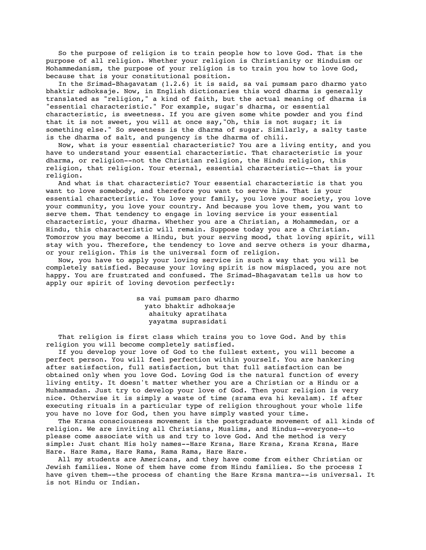So the purpose of religion is to train people how to love God. That is the purpose of all religion. Whether your religion is Christianity or Hinduism or Mohammedanism, the purpose of your religion is to train you how to love God, because that is your constitutional position.

 In the Srimad-Bhagavatam (1.2.6) it is said, sa vai pumsam paro dharmo yato bhaktir adhoksaje. Now, in English dictionaries this word dharma is generally translated as "religion," a kind of faith, but the actual meaning of dharma is "essential characteristic." For example, sugar's dharma, or essential characteristic, is sweetness. If you are given some white powder and you find that it is not sweet, you will at once say,"Oh, this is not sugar; it is something else." So sweetness is the dharma of sugar. Similarly, a salty taste is the dharma of salt, and pungency is the dharma of chili.

 Now, what is your essential characteristic? You are a living entity, and you have to understand your essential characteristic. That characteristic is your dharma, or religion--not the Christian religion, the Hindu religion, this religion, that religion. Your eternal, essential characteristic--that is your religion.

 And what is that characteristic? Your essential characteristic is that you want to love somebody, and therefore you want to serve him. That is your essential characteristic. You love your family, you love your society, you love your community, you love your country. And because you love them, you want to serve them. That tendency to engage in loving service is your essential characteristic, your dharma. Whether you are a Christian, a Mohammedan, or a Hindu, this characteristic will remain. Suppose today you are a Christian. Tomorrow you may become a Hindu, but your serving mood, that loving spirit, will stay with you. Therefore, the tendency to love and serve others is your dharma, or your religion. This is the universal form of religion.

 Now, you have to apply your loving service in such a way that you will be completely satisfied. Because your loving spirit is now misplaced, you are not happy. You are frustrated and confused. The Srimad-Bhagavatam tells us how to apply our spirit of loving devotion perfectly:

> sa vai pumsam paro dharmo yato bhaktir adhoksaje ahaituky apratihata yayatma suprasidati

 That religion is first class which trains you to love God. And by this religion you will become completely satisfied.

 If you develop your love of God to the fullest extent, you will become a perfect person. You will feel perfection within yourself. You are hankering after satisfaction, full satisfaction, but that full satisfaction can be obtained only when you love God. Loving God is the natural function of every living entity. It doesn't matter whether you are a Christian or a Hindu or a Muhammadan. Just try to develop your love of God. Then your religion is very nice. Otherwise it is simply a waste of time (srama eva hi kevalam). If after executing rituals in a particular type of religion throughout your whole life you have no love for God, then you have simply wasted your time.

 The Krsna consciousness movement is the postgraduate movement of all kinds of religion. We are inviting all Christians, Muslims, and Hindus--everyone--to please come associate with us and try to love God. And the method is very simple: Just chant His holy names--Hare Krsna, Hare Krsna, Krsna Krsna, Hare Hare. Hare Rama, Hare Rama, Rama Rama, Hare Hare.

 All my students are Americans, and they have come from either Christian or Jewish families. None of them have come from Hindu families. So the process I have given them--the process of chanting the Hare Krsna mantra--is universal. It is not Hindu or Indian.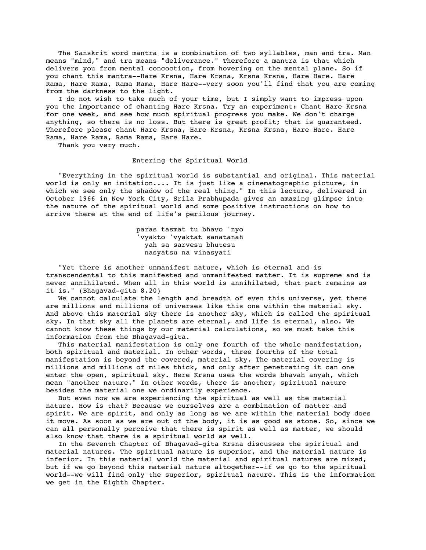The Sanskrit word mantra is a combination of two syllables, man and tra. Man means "mind," and tra means "deliverance." Therefore a mantra is that which delivers you from mental concoction, from hovering on the mental plane. So if you chant this mantra--Hare Krsna, Hare Krsna, Krsna Krsna, Hare Hare. Hare Rama, Hare Rama, Rama Rama, Hare Hare--very soon you'll find that you are coming from the darkness to the light.

 I do not wish to take much of your time, but I simply want to impress upon you the importance of chanting Hare Krsna. Try an experiment: Chant Hare Krsna for one week, and see how much spiritual progress you make. We don't charge anything, so there is no loss. But there is great profit; that is guaranteed. Therefore please chant Hare Krsna, Hare Krsna, Krsna Krsna, Hare Hare. Hare Rama, Hare Rama, Rama Rama, Hare Hare.

Thank you very much.

# Entering the Spiritual World

 "Everything in the spiritual world is substantial and original. This material world is only an imitation.... It is just like a cinematographic picture, in which we see only the shadow of the real thing." In this lecture, delivered in October 1966 in New York City, Srila Prabhupada gives an amazing glimpse into the nature of the spiritual world and some positive instructions on how to arrive there at the end of life's perilous journey.

> paras tasmat tu bhavo 'nyo 'vyakto 'vyaktat sanatanah yah sa sarvesu bhutesu nasyatsu na vinasyati

 "Yet there is another unmanifest nature, which is eternal and is transcendental to this manifested and unmanifested matter. It is supreme and is never annihilated. When all in this world is annihilated, that part remains as it is." (Bhagavad-gita 8.20)

 We cannot calculate the length and breadth of even this universe, yet there are millions and millions of universes like this one within the material sky. And above this material sky there is another sky, which is called the spiritual sky. In that sky all the planets are eternal, and life is eternal, also. We cannot know these things by our material calculations, so we must take this information from the Bhagavad-gita.

 This material manifestation is only one fourth of the whole manifestation, both spiritual and material. In other words, three fourths of the total manifestation is beyond the covered, material sky. The material covering is millions and millions of miles thick, and only after penetrating it can one enter the open, spiritual sky. Here Krsna uses the words bhavah anyah, which mean "another nature." In other words, there is another, spiritual nature besides the material one we ordinarily experience.

 But even now we are experiencing the spiritual as well as the material nature. How is that? Because we ourselves are a combination of matter and spirit. We are spirit, and only as long as we are within the material body does it move. As soon as we are out of the body, it is as good as stone. So, since we can all personally perceive that there is spirit as well as matter, we should also know that there is a spiritual world as well.

 In the Seventh Chapter of Bhagavad-gita Krsna discusses the spiritual and material natures. The spiritual nature is superior, and the material nature is inferior. In this material world the material and spiritual natures are mixed, but if we go beyond this material nature altogether--if we go to the spiritual world--we will find only the superior, spiritual nature. This is the information we get in the Eighth Chapter.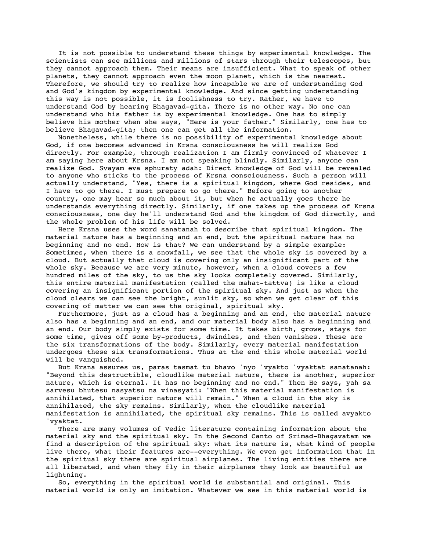It is not possible to understand these things by experimental knowledge. The scientists can see millions and millions of stars through their telescopes, but they cannot approach them. Their means are insufficient. What to speak of other planets, they cannot approach even the moon planet, which is the nearest. Therefore, we should try to realize how incapable we are of understanding God and God's kingdom by experimental knowledge. And since getting understanding this way is not possible, it is foolishness to try. Rather, we have to understand God by hearing Bhagavad-gita. There is no other way. No one can understand who his father is by experimental knowledge. One has to simply believe his mother when she says, "Here is your father." Similarly, one has to believe Bhagavad-gita; then one can get all the information.

 Nonetheless, while there is no possibility of experimental knowledge about God, if one becomes advanced in Krsna consciousness he will realize God directly. For example, through realization I am firmly convinced of whatever I am saying here about Krsna. I am not speaking blindly. Similarly, anyone can realize God. Svayam eva sphuraty adah: Direct knowledge of God will be revealed to anyone who sticks to the process of Krsna consciousness. Such a person will actually understand, "Yes, there is a spiritual kingdom, where God resides, and I have to go there. I must prepare to go there." Before going to another country, one may hear so much about it, but when he actually goes there he understands everything directly. Similarly, if one takes up the process of Krsna consciousness, one day he'll understand God and the kingdom of God directly, and the whole problem of his life will be solved.

 Here Krsna uses the word sanatanah to describe that spiritual kingdom. The material nature has a beginning and an end, but the spiritual nature has no beginning and no end. How is that? We can understand by a simple example: Sometimes, when there is a snowfall, we see that the whole sky is covered by a cloud. But actually that cloud is covering only an insignificant part of the whole sky. Because we are very minute, however, when a cloud covers a few hundred miles of the sky, to us the sky looks completely covered. Similarly, this entire material manifestation (called the mahat-tattva) is like a cloud covering an insignificant portion of the spiritual sky. And just as when the cloud clears we can see the bright, sunlit sky, so when we get clear of this covering of matter we can see the original, spiritual sky.

 Furthermore, just as a cloud has a beginning and an end, the material nature also has a beginning and an end, and our material body also has a beginning and an end. Our body simply exists for some time. It takes birth, grows, stays for some time, gives off some by-products, dwindles, and then vanishes. These are the six transformations of the body. Similarly, every material manifestation undergoes these six transformations. Thus at the end this whole material world will be vanquished.

 But Krsna assures us, paras tasmat tu bhavo 'nyo 'vyakto 'vyaktat sanatanah: "Beyond this destructible, cloudlike material nature, there is another, superior nature, which is eternal. It has no beginning and no end." Then He says, yah sa sarvesu bhutesu nasyatsu na vinasyati: "When this material manifestation is annihilated, that superior nature will remain." When a cloud in the sky is annihilated, the sky remains. Similarly, when the cloudlike material manifestation is annihilated, the spiritual sky remains. This is called avyakto 'vyaktat.

 There are many volumes of Vedic literature containing information about the material sky and the spiritual sky. In the Second Canto of Srimad-Bhagavatam we find a description of the spiritual sky: what its nature is, what kind of people live there, what their features are--everything. We even get information that in the spiritual sky there are spiritual airplanes. The living entities there are all liberated, and when they fly in their airplanes they look as beautiful as lightning.

 So, everything in the spiritual world is substantial and original. This material world is only an imitation. Whatever we see in this material world is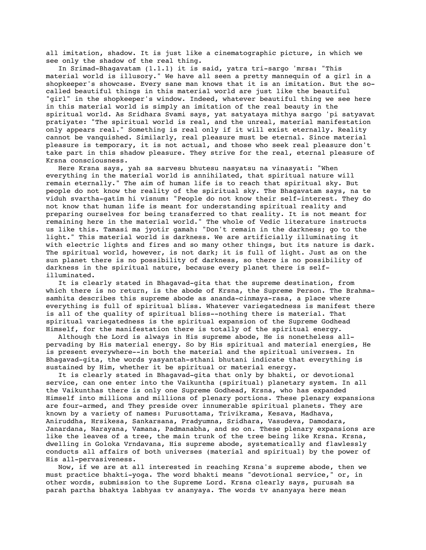all imitation, shadow. It is just like a cinematographic picture, in which we see only the shadow of the real thing.

 In Srimad-Bhagavatam (1.1.1) it is said, yatra tri-sargo 'mrsa: "This material world is illusory." We have all seen a pretty mannequin of a girl in a shopkeeper's showcase. Every sane man knows that it is an imitation. But the socalled beautiful things in this material world are just like the beautiful "girl" in the shopkeeper's window. Indeed, whatever beautiful thing we see here in this material world is simply an imitation of the real beauty in the spiritual world. As Sridhara Svami says, yat satyataya mithya sargo 'pi satyavat pratiyate: "The spiritual world is real, and the unreal, material manifestation only appears real." Something is real only if it will exist eternally. Reality cannot be vanquished. Similarly, real pleasure must be eternal. Since material pleasure is temporary, it is not actual, and those who seek real pleasure don't take part in this shadow pleasure. They strive for the real, eternal pleasure of Krsna consciousness.

 Here Krsna says, yah sa sarvesu bhutesu nasyatsu na vinasyati: "When everything in the material world is annihilated, that spiritual nature will remain eternally." The aim of human life is to reach that spiritual sky. But people do not know the reality of the spiritual sky. The Bhagavatam says, na te viduh svartha-gatim hi visnum: "People do not know their self-interest. They do not know that human life is meant for understanding spiritual reality and preparing ourselves for being transferred to that reality. It is not meant for remaining here in the material world." The whole of Vedic literature instructs us like this. Tamasi ma jyotir gamah: "Don't remain in the darkness; go to the light." This material world is darkness. We are artificially illuminating it with electric lights and fires and so many other things, but its nature is dark. The spiritual world, however, is not dark; it is full of light. Just as on the sun planet there is no possibility of darkness, so there is no possibility of darkness in the spiritual nature, because every planet there is selfilluminated.

 It is clearly stated in Bhagavad-gita that the supreme destination, from which there is no return, is the abode of Krsna, the Supreme Person. The Brahmasamhita describes this supreme abode as ananda-cinmaya-rasa, a place where everything is full of spiritual bliss. Whatever variegatedness is manifest there is all of the quality of spiritual bliss--nothing there is material. That spiritual variegatedness is the spiritual expansion of the Supreme Godhead Himself, for the manifestation there is totally of the spiritual energy.

 Although the Lord is always in His supreme abode, He is nonetheless allpervading by His material energy. So by His spiritual and material energies, He is present everywhere--in both the material and the spiritual universes. In Bhagavad-gita, the words yasyantah-sthani bhutani indicate that everything is sustained by Him, whether it be spiritual or material energy.

 It is clearly stated in Bhagavad-gita that only by bhakti, or devotional service, can one enter into the Vaikuntha (spiritual) planetary system. In all the Vaikunthas there is only one Supreme Godhead, Krsna, who has expanded Himself into millions and millions of plenary portions. These plenary expansions are four-armed, and They preside over innumerable spiritual planets. They are known by a variety of names: Purusottama, Trivikrama, Kesava, Madhava, Aniruddha, Hrsikesa, Sankarsana, Pradyumna, Sridhara, Vasudeva, Damodara, Janardana, Narayana, Vamana, Padmanabha, and so on. These plenary expansions are like the leaves of a tree, the main trunk of the tree being like Krsna. Krsna, dwelling in Goloka Vrndavana, His supreme abode, systematically and flawlessly conducts all affairs of both universes (material and spiritual) by the power of His all-pervasiveness.

 Now, if we are at all interested in reaching Krsna's supreme abode, then we must practice bhakti-yoga. The word bhakti means "devotional service," or, in other words, submission to the Supreme Lord. Krsna clearly says, purusah sa parah partha bhaktya labhyas tv ananyaya. The words tv ananyaya here mean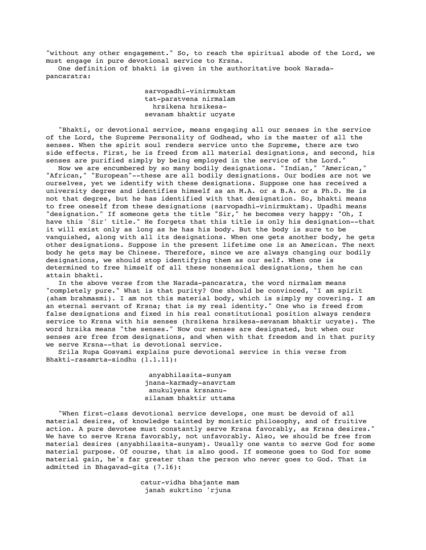"without any other engagement." So, to reach the spiritual abode of the Lord, we must engage in pure devotional service to Krsna.

 One definition of bhakti is given in the authoritative book Naradapancaratra:

> sarvopadhi-vinirmuktam tat-paratvena nirmalam hrsikena hrsikesa sevanam bhaktir ucyate

 "Bhakti, or devotional service, means engaging all our senses in the service of the Lord, the Supreme Personality of Godhead, who is the master of all the senses. When the spirit soul renders service unto the Supreme, there are two side effects. First, he is freed from all material designations, and second, his senses are purified simply by being employed in the service of the Lord."

 Now we are encumbered by so many bodily designations. "Indian," "American," "African," "European"--these are all bodily designations. Our bodies are not we ourselves, yet we identify with these designations. Suppose one has received a university degree and identifies himself as an M.A. or a B.A. or a Ph.D. He is not that degree, but he has identified with that designation. So, bhakti means to free oneself from these designations (sarvopadhi-vinirmuktam). Upadhi means "designation." If someone gets the title "Sir," he becomes very happy: "Oh, I have this 'Sir' title." He forgets that this title is only his designation--that it will exist only as long as he has his body. But the body is sure to be vanquished, along with all its designations. When one gets another body, he gets other designations. Suppose in the present lifetime one is an American. The next body he gets may be Chinese. Therefore, since we are always changing our bodily designations, we should stop identifying them as our self. When one is determined to free himself of all these nonsensical designations, then he can attain bhakti.

 In the above verse from the Narada-pancaratra, the word nirmalam means "completely pure." What is that purity? One should be convinced, "I am spirit (aham brahmasmi). I am not this material body, which is simply my covering. I am an eternal servant of Krsna; that is my real identity." One who is freed from false designations and fixed in his real constitutional position always renders service to Krsna with his senses (hrsikena hrsikesa-sevanam bhaktir ucyate). The word hrsika means "the senses." Now our senses are designated, but when our senses are free from designations, and when with that freedom and in that purity we serve Krsna--that is devotional service.

 Srila Rupa Gosvami explains pure devotional service in this verse from Bhakti-rasamrta-sindhu (1.1.11):

> anyabhilasita-sunyam jnana-karmady-anavrtam anukulyena krsnanu silanam bhaktir uttama

 "When first-class devotional service develops, one must be devoid of all material desires, of knowledge tainted by monistic philosophy, and of fruitive action. A pure devotee must constantly serve Krsna favorably, as Krsna desires." We have to serve Krsna favorably, not unfavorably. Also, we should be free from material desires (anyabhilasita-sunyam). Usually one wants to serve God for some material purpose. Of course, that is also good. If someone goes to God for some material gain, he's far greater than the person who never goes to God. That is admitted in Bhagavad-gita (7.16):

> catur-vidha bhajante mam janah sukrtino 'rjuna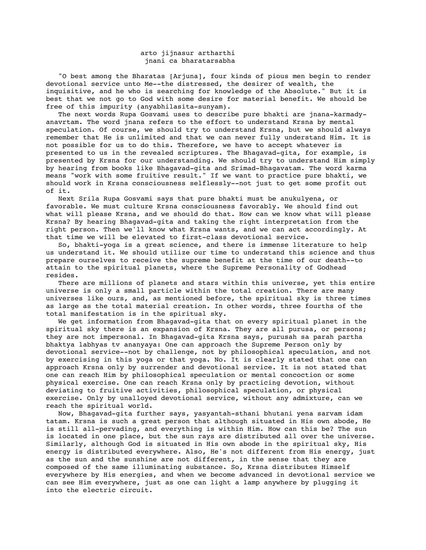arto jijnasur artharthi jnani ca bharatarsabha

 "O best among the Bharatas [Arjuna], four kinds of pious men begin to render devotional service unto Me--the distressed, the desirer of wealth, the inquisitive, and he who is searching for knowledge of the Absolute." But it is best that we not go to God with some desire for material benefit. We should be free of this impurity (anyabhilasita-sunyam).

 The next words Rupa Gosvami uses to describe pure bhakti are jnana-karmadyanavrtam. The word jnana refers to the effort to understand Krsna by mental speculation. Of course, we should try to understand Krsna, but we should always remember that He is unlimited and that we can never fully understand Him. It is not possible for us to do this. Therefore, we have to accept whatever is presented to us in the revealed scriptures. The Bhagavad-gita, for example, is presented by Krsna for our understanding. We should try to understand Him simply by hearing from books like Bhagavad-gita and Srimad-Bhagavatam. The word karma means "work with some fruitive result." If we want to practice pure bhakti, we should work in Krsna consciousness selflessly--not just to get some profit out of it.

 Next Srila Rupa Gosvami says that pure bhakti must be anukulyena, or favorable. We must culture Krsna consciousness favorably. We should find out what will please Krsna, and we should do that. How can we know what will please Krsna? By hearing Bhagavad-gita and taking the right interpretation from the right person. Then we'll know what Krsna wants, and we can act accordingly. At that time we will be elevated to first-class devotional service.

 So, bhakti-yoga is a great science, and there is immense literature to help us understand it. We should utilize our time to understand this science and thus prepare ourselves to receive the supreme benefit at the time of our death--to attain to the spiritual planets, where the Supreme Personality of Godhead resides.

 There are millions of planets and stars within this universe, yet this entire universe is only a small particle within the total creation. There are many universes like ours, and, as mentioned before, the spiritual sky is three times as large as the total material creation. In other words, three fourths of the total manifestation is in the spiritual sky.

 We get information from Bhagavad-gita that on every spiritual planet in the spiritual sky there is an expansion of Krsna. They are all purusa, or persons; they are not impersonal. In Bhagavad-gita Krsna says, purusah sa parah partha bhaktya labhyas tv ananyaya: One can approach the Supreme Person only by devotional service--not by challenge, not by philosophical speculation, and not by exercising in this yoga or that yoga. No. It is clearly stated that one can approach Krsna only by surrender and devotional service. It is not stated that one can reach Him by philosophical speculation or mental concoction or some physical exercise. One can reach Krsna only by practicing devotion, without deviating to fruitive activities, philosophical speculation, or physical exercise. Only by unalloyed devotional service, without any admixture, can we reach the spiritual world.

 Now, Bhagavad-gita further says, yasyantah-sthani bhutani yena sarvam idam tatam. Krsna is such a great person that although situated in His own abode, He is still all-pervading, and everything is within Him. How can this be? The sun is located in one place, but the sun rays are distributed all over the universe. Similarly, although God is situated in His own abode in the spiritual sky, His energy is distributed everywhere. Also, He's not different from His energy, just as the sun and the sunshine are not different, in the sense that they are composed of the same illuminating substance. So, Krsna distributes Himself everywhere by His energies, and when we become advanced in devotional service we can see Him everywhere, just as one can light a lamp anywhere by plugging it into the electric circuit.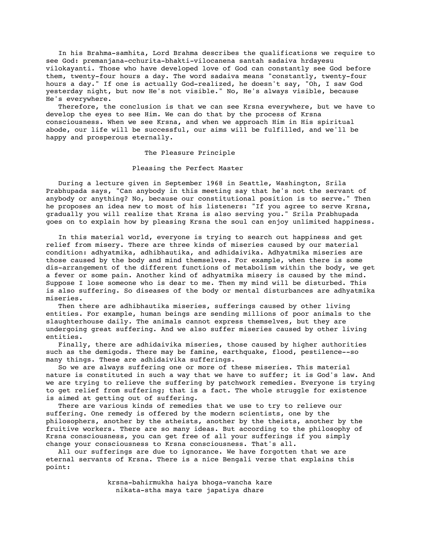In his Brahma-samhita, Lord Brahma describes the qualifications we require to see God: premanjana-cchurita-bhakti-vilocanena santah sadaiva hrdayesu vilokayanti. Those who have developed love of God can constantly see God before them, twenty-four hours a day. The word sadaiva means "constantly, twenty-four hours a day." If one is actually God-realized, he doesn't say, "Oh, I saw God yesterday night, but now He's not visible." No, He's always visible, because He's everywhere.

 Therefore, the conclusion is that we can see Krsna everywhere, but we have to develop the eyes to see Him. We can do that by the process of Krsna consciousness. When we see Krsna, and when we approach Him in His spiritual abode, our life will be successful, our aims will be fulfilled, and we'll be happy and prosperous eternally.

### The Pleasure Principle

### Pleasing the Perfect Master

 During a lecture given in September 1968 in Seattle, Washington, Srila Prabhupada says, "Can anybody in this meeting say that he's not the servant of anybody or anything? No, because our constitutional position is to serve." Then he proposes an idea new to most of his listeners: "If you agree to serve Krsna, gradually you will realize that Krsna is also serving you." Srila Prabhupada goes on to explain how by pleasing Krsna the soul can enjoy unlimited happiness.

 In this material world, everyone is trying to search out happiness and get relief from misery. There are three kinds of miseries caused by our material condition: adhyatmika, adhibhautika, and adhidaivika. Adhyatmika miseries are those caused by the body and mind themselves. For example, when there is some dis-arrangement of the different functions of metabolism within the body, we get a fever or some pain. Another kind of adhyatmika misery is caused by the mind. Suppose I lose someone who is dear to me. Then my mind will be disturbed. This is also suffering. So diseases of the body or mental disturbances are adhyatmika miseries.

 Then there are adhibhautika miseries, sufferings caused by other living entities. For example, human beings are sending millions of poor animals to the slaughterhouse daily. The animals cannot express themselves, but they are undergoing great suffering. And we also suffer miseries caused by other living entities.

 Finally, there are adhidaivika miseries, those caused by higher authorities such as the demigods. There may be famine, earthquake, flood, pestilence--so many things. These are adhidaivika sufferings.

 So we are always suffering one or more of these miseries. This material nature is constituted in such a way that we have to suffer; it is God's law. And we are trying to relieve the suffering by patchwork remedies. Everyone is trying to get relief from suffering; that is a fact. The whole struggle for existence is aimed at getting out of suffering.

 There are various kinds of remedies that we use to try to relieve our suffering. One remedy is offered by the modern scientists, one by the philosophers, another by the atheists, another by the theists, another by the fruitive workers. There are so many ideas. But according to the philosophy of Krsna consciousness, you can get free of all your sufferings if you simply change your consciousness to Krsna consciousness. That's all.

 All our sufferings are due to ignorance. We have forgotten that we are eternal servants of Krsna. There is a nice Bengali verse that explains this point:

> krsna-bahirmukha haiya bhoga-vancha kare nikata-stha maya tare japatiya dhare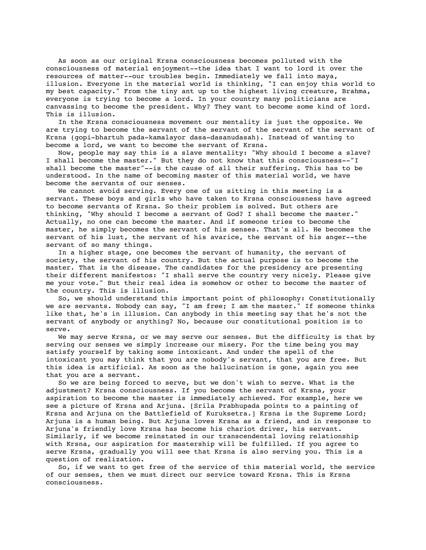As soon as our original Krsna consciousness becomes polluted with the consciousness of material enjoyment--the idea that I want to lord it over the resources of matter--our troubles begin. Immediately we fall into maya, illusion. Everyone in the material world is thinking, "I can enjoy this world to my best capacity." From the tiny ant up to the highest living creature, Brahma, everyone is trying to become a lord. In your country many politicians are canvassing to become the president. Why? They want to become some kind of lord. This is illusion.

 In the Krsna consciousness movement our mentality is just the opposite. We are trying to become the servant of the servant of the servant of the servant of Krsna (gopi-bhartuh pada-kamalayor dasa-dasanudasah). Instead of wanting to become a lord, we want to become the servant of Krsna.

 Now, people may say this is a slave mentality: "Why should I become a slave? I shall become the master." But they do not know that this consciousness--"I shall become the master"--is the cause of all their suffering. This has to be understood. In the name of becoming master of this material world, we have become the servants of our senses.

 We cannot avoid serving. Every one of us sitting in this meeting is a servant. These boys and girls who have taken to Krsna consciousness have agreed to become servants of Krsna. So their problem is solved. But others are thinking, "Why should I become a servant of God? I shall become the master." Actually, no one can become the master. And if someone tries to become the master, he simply becomes the servant of his senses. That's all. He becomes the servant of his lust, the servant of his avarice, the servant of his anger--the servant of so many things.

 In a higher stage, one becomes the servant of humanity, the servant of society, the servant of his country. But the actual purpose is to become the master. That is the disease. The candidates for the presidency are presenting their different manifestos: "I shall serve the country very nicely. Please give me your vote." But their real idea is somehow or other to become the master of the country. This is illusion.

 So, we should understand this important point of philosophy: Constitutionally we are servants. Nobody can say, "I am free; I am the master." If someone thinks like that, he's in illusion. Can anybody in this meeting say that he's not the servant of anybody or anything? No, because our constitutional position is to serve.

 We may serve Krsna, or we may serve our senses. But the difficulty is that by serving our senses we simply increase our misery. For the time being you may satisfy yourself by taking some intoxicant. And under the spell of the intoxicant you may think that you are nobody's servant, that you are free. But this idea is artificial. As soon as the hallucination is gone, again you see that you are a servant.

 So we are being forced to serve, but we don't wish to serve. What is the adjustment? Krsna consciousness. If you become the servant of Krsna, your aspiration to become the master is immediately achieved. For example, here we see a picture of Krsna and Arjuna. [Srila Prabhupada points to a painting of Krsna and Arjuna on the Battlefield of Kuruksetra.] Krsna is the Supreme Lord; Arjuna is a human being. But Arjuna loves Krsna as a friend, and in response to Arjuna's friendly love Krsna has become his chariot driver, his servant. Similarly, if we become reinstated in our transcendental loving relationship with Krsna, our aspiration for mastership will be fulfilled. If you agree to serve Krsna, gradually you will see that Krsna is also serving you. This is a question of realization.

 So, if we want to get free of the service of this material world, the service of our senses, then we must direct our service toward Krsna. This is Krsna consciousness.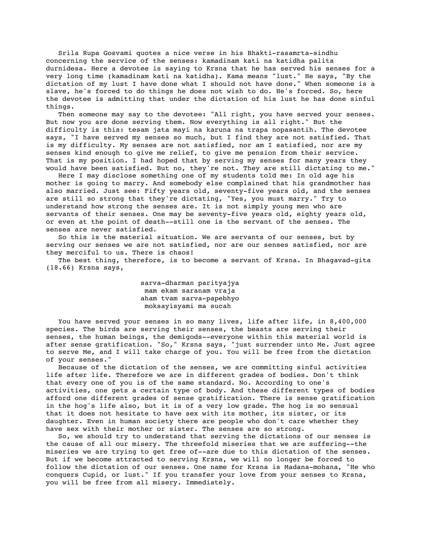Srila Rupa Gosvami quotes a nice verse in his Bhakti-rasamrta-sindhu concerning the service of the senses: kamadinam kati na katidha palita durnidesa. Here a devotee is saying to Krsna that he has served his senses for a very long time (kamadinam kati na katidha). Kama means "lust." He says, "By the dictation of my lust I have done what I should not have done." When someone is a slave, he's forced to do things he does not wish to do. He's forced. So, here the devotee is admitting that under the dictation of his lust he has done sinful things.

 Then someone may say to the devotee: "All right, you have served your senses. But now you are done serving them. Now everything is all right." But the difficulty is this: tesam jata mayi na karuna na trapa nopasantih. The devotee says, "I have served my senses so much, but I find they are not satisfied. That is my difficulty. My senses are not satisfied, nor am I satisfied, nor are my senses kind enough to give me relief, to give me pension from their service. That is my position. I had hoped that by serving my senses for many years they would have been satisfied. But no, they're not. They are still dictating to me."

 Here I may disclose something one of my students told me: In old age his mother is going to marry. And somebody else complained that his grandmother has also married. Just see: Fifty years old, seventy-five years old, and the senses are still so strong that they're dictating, "Yes, you must marry." Try to understand how strong the senses are. It is not simply young men who are servants of their senses. One may be seventy-five years old, eighty years old, or even at the point of death--still one is the servant of the senses. The senses are never satisfied.

 So this is the material situation. We are servants of our senses, but by serving our senses we are not satisfied, nor are our senses satisfied, nor are they merciful to us. There is chaos!

 The best thing, therefore, is to become a servant of Krsna. In Bhagavad-gita (18.66) Krsna says,

> sarva-dharman parityajya mam ekam saranam vraja aham tvam sarva-papebhyo moksayisyami ma sucah

 You have served your senses in so many lives, life after life, in 8,400,000 species. The birds are serving their senses, the beasts are serving their senses, the human beings, the demigods--everyone within this material world is after sense gratification. "So," Krsna says, "just surrender unto Me. Just agree to serve Me, and I will take charge of you. You will be free from the dictation of your senses."

 Because of the dictation of the senses, we are committing sinful activities life after life. Therefore we are in different grades of bodies. Don't think that every one of you is of the same standard. No. According to one's activities, one gets a certain type of body. And these different types of bodies afford one different grades of sense gratification. There is sense gratification in the hog's life also, but it is of a very low grade. The hog is so sensual that it does not hesitate to have sex with its mother, its sister, or its daughter. Even in human society there are people who don't care whether they have sex with their mother or sister. The senses are so strong.

 So, we should try to understand that serving the dictations of our senses is the cause of all our misery. The threefold miseries that we are suffering--the miseries we are trying to get free of--are due to this dictation of the senses. But if we become attracted to serving Krsna, we will no longer be forced to follow the dictation of our senses. One name for Krsna is Madana-mohana, "He who conquers Cupid, or lust." If you transfer your love from your senses to Krsna, you will be free from all misery. Immediately.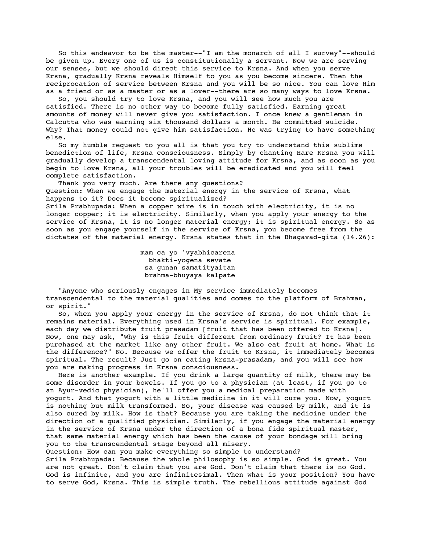So this endeavor to be the master--"I am the monarch of all I survey"--should be given up. Every one of us is constitutionally a servant. Now we are serving our senses, but we should direct this service to Krsna. And when you serve Krsna, gradually Krsna reveals Himself to you as you become sincere. Then the reciprocation of service between Krsna and you will be so nice. You can love Him as a friend or as a master or as a lover--there are so many ways to love Krsna.

 So, you should try to love Krsna, and you will see how much you are satisfied. There is no other way to become fully satisfied. Earning great amounts of money will never give you satisfaction. I once knew a gentleman in Calcutta who was earning six thousand dollars a month. He committed suicide. Why? That money could not give him satisfaction. He was trying to have something else.

 So my humble request to you all is that you try to understand this sublime benediction of life, Krsna consciousness. Simply by chanting Hare Krsna you will gradually develop a transcendental loving attitude for Krsna, and as soon as you begin to love Krsna, all your troubles will be eradicated and you will feel complete satisfaction.

 Thank you very much. Are there any questions? Question: When we engage the material energy in the service of Krsna, what happens to it? Does it become spiritualized?

Srila Prabhupada: When a copper wire is in touch with electricity, it is no longer copper; it is electricity. Similarly, when you apply your energy to the service of Krsna, it is no longer material energy; it is spiritual energy. So as soon as you engage yourself in the service of Krsna, you become free from the dictates of the material energy. Krsna states that in the Bhagavad-gita (14.26):

> mam ca yo 'vyabhicarena bhakti-yogena sevate sa gunan samatityaitan brahma-bhuyaya kalpate

 "Anyone who seriously engages in My service immediately becomes transcendental to the material qualities and comes to the platform of Brahman, or spirit."

 So, when you apply your energy in the service of Krsna, do not think that it remains material. Everything used in Krsna's service is spiritual. For example, each day we distribute fruit prasadam [fruit that has been offered to Krsna]. Now, one may ask, "Why is this fruit different from ordinary fruit? It has been purchased at the market like any other fruit. We also eat fruit at home. What is the difference?" No. Because we offer the fruit to Krsna, it immediately becomes spiritual. The result? Just go on eating krsna-prasadam, and you will see how you are making progress in Krsna consciousness.

 Here is another example. If you drink a large quantity of milk, there may be some disorder in your bowels. If you go to a physician (at least, if you go to an Ayur-vedic physician), he'll offer you a medical preparation made with yogurt. And that yogurt with a little medicine in it will cure you. Now, yogurt is nothing but milk transformed. So, your disease was caused by milk, and it is also cured by milk. How is that? Because you are taking the medicine under the direction of a qualified physician. Similarly, if you engage the material energy in the service of Krsna under the direction of a bona fide spiritual master, that same material energy which has been the cause of your bondage will bring you to the transcendental stage beyond all misery.

Question: How can you make everything so simple to understand? Srila Prabhupada: Because the whole philosophy is so simple. God is great. You are not great. Don't claim that you are God. Don't claim that there is no God. God is infinite, and you are infinitesimal. Then what is your position? You have to serve God, Krsna. This is simple truth. The rebellious attitude against God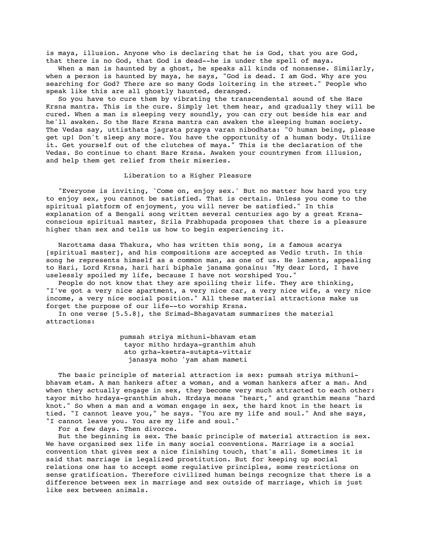is maya, illusion. Anyone who is declaring that he is God, that you are God, that there is no God, that God is dead--he is under the spell of maya.

When a man is haunted by a ghost, he speaks all kinds of nonsense. Similarly, when a person is haunted by maya, he says, "God is dead. I am God. Why are you searching for God? There are so many Gods loitering in the street." People who speak like this are all ghostly haunted, deranged.

 So you have to cure them by vibrating the transcendental sound of the Hare Krsna mantra. This is the cure. Simply let them hear, and gradually they will be cured. When a man is sleeping very soundly, you can cry out beside his ear and he'll awaken. So the Hare Krsna mantra can awaken the sleeping human society. The Vedas say, uttisthata jagrata prapya varan nibodhata: "O human being, please get up! Don't sleep any more. You have the opportunity of a human body. Utilize it. Get yourself out of the clutches of maya." This is the declaration of the Vedas. So continue to chant Hare Krsna. Awaken your countrymen from illusion, and help them get relief from their miseries.

#### Liberation to a Higher Pleasure

 "Everyone is inviting, 'Come on, enjoy sex.' But no matter how hard you try to enjoy sex, you cannot be satisfied. That is certain. Unless you come to the spiritual platform of enjoyment, you will never be satisfied." In this explanation of a Bengali song written several centuries ago by a great Krsnaconscious spiritual master, Srila Prabhupada proposes that there is a pleasure higher than sex and tells us how to begin experiencing it.

 Narottama dasa Thakura, who has written this song, is a famous acarya [spiritual master], and his compositions are accepted as Vedic truth. In this song he represents himself as a common man, as one of us. He laments, appealing to Hari, Lord Krsna, hari hari biphale janama gonainu: "My dear Lord, I have uselessly spoiled my life, because I have not worshiped You."

 People do not know that they are spoiling their life. They are thinking, "I've got a very nice apartment, a very nice car, a very nice wife, a very nice income, a very nice social position." All these material attractions make us forget the purpose of our life--to worship Krsna.

 In one verse [5.5.8], the Srimad-Bhagavatam summarizes the material attractions:

> pumsah striya mithuni-bhavam etam tayor mitho hrdaya-granthim ahuh ato grha-ksetra-sutapta-vittair janasya moho 'yam aham mameti

 The basic principle of material attraction is sex: pumsah striya mithunibhavam etam. A man hankers after a woman, and a woman hankers after a man. And when they actually engage in sex, they become very much attracted to each other: tayor mitho hrdaya-granthim ahuh. Hrdaya means "heart," and granthim means "hard knot." So when a man and a woman engage in sex, the hard knot in the heart is tied. "I cannot leave you," he says. "You are my life and soul." And she says, "I cannot leave you. You are my life and soul."

For a few days. Then divorce.

 But the beginning is sex. The basic principle of material attraction is sex. We have organized sex life in many social conventions. Marriage is a social convention that gives sex a nice finishing touch, that's all. Sometimes it is said that marriage is legalized prostitution. But for keeping up social relations one has to accept some regulative principles, some restrictions on sense gratification. Therefore civilized human beings recognize that there is a difference between sex in marriage and sex outside of marriage, which is just like sex between animals.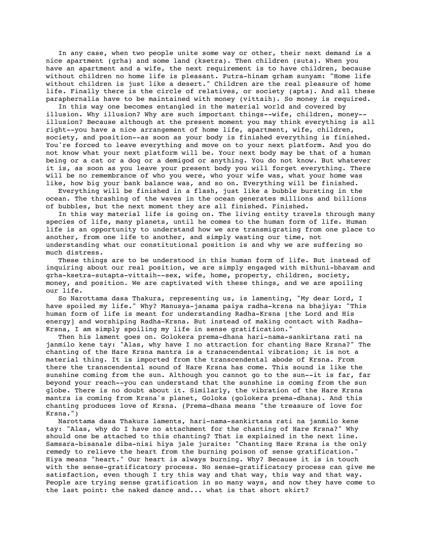In any case, when two people unite some way or other, their next demand is a nice apartment (grha) and some land (ksetra). Then children (suta). When you have an apartment and a wife, the next requirement is to have children, because without children no home life is pleasant. Putra-hinam grham sunyam: "Home life without children is just like a desert." Children are the real pleasure of home life. Finally there is the circle of relatives, or society (apta). And all these paraphernalia have to be maintained with money (vittaih). So money is required.

 In this way one becomes entangled in the material world and covered by illusion. Why illusion? Why are such important things--wife, children, money- illusion? Because although at the present moment you may think everything is all right--you have a nice arrangement of home life, apartment, wife, children, society, and position--as soon as your body is finished everything is finished. You're forced to leave everything and move on to your next platform. And you do not know what your next platform will be. Your next body may be that of a human being or a cat or a dog or a demigod or anything. You do not know. But whatever it is, as soon as you leave your present body you will forget everything. There will be no remembrance of who you were, who your wife was, what your home was like, how big your bank balance was, and so on. Everything will be finished.

 Everything will be finished in a flash, just like a bubble bursting in the ocean. The thrashing of the waves in the ocean generates millions and billions of bubbles, but the next moment they are all finished. Finished.

 In this way material life is going on. The living entity travels through many species of life, many planets, until he comes to the human form of life. Human life is an opportunity to understand how we are transmigrating from one place to another, from one life to another, and simply wasting our time, not understanding what our constitutional position is and why we are suffering so much distress.

 These things are to be understood in this human form of life. But instead of inquiring about our real position, we are simply engaged with mithuni-bhavam and grha-ksetra-sutapta-vittaih--sex, wife, home, property, children, society, money, and position. We are captivated with these things, and we are spoiling our life.

 So Narottama dasa Thakura, representing us, is lamenting, "My dear Lord, I have spoiled my life." Why? Manusya-janama paiya radha-krsna na bhajiya: "This human form of life is meant for understanding Radha-Krsna [the Lord and His energy] and worshiping Radha-Krsna. But instead of making contact with Radha-Krsna, I am simply spoiling my life in sense gratification."

 Then his lament goes on. Golokera prema-dhana hari-nama-sankirtana rati na janmilo kene tay: "Alas, why have I no attraction for chanting Hare Krsna?" The chanting of the Hare Krsna mantra is a transcendental vibration; it is not a material thing. It is imported from the transcendental abode of Krsna. From there the transcendental sound of Hare Krsna has come. This sound is like the sunshine coming from the sun. Although you cannot go to the sun--it is far, far beyond your reach--you can understand that the sunshine is coming from the sun globe. There is no doubt about it. Similarly, the vibration of the Hare Krsna mantra is coming from Krsna's planet, Goloka (golokera prema-dhana). And this chanting produces love of Krsna. (Prema-dhana means "the treasure of love for Krsna.")

 Narottama dasa Thakura laments, hari-nama-sankirtana rati na janmilo kene tay: "Alas, why do I have no attachment for the chanting of Hare Krsna?" Why should one be attached to this chanting? That is explained in the next line. Samsara-bisanale diba-nisi hiya jale juraite: "Chanting Hare Krsna is the only remedy to relieve the heart from the burning poison of sense gratification." Hiya means "heart." Our heart is always burning. Why? Because it is in touch with the sense-gratificatory process. No sense-gratificatory process can give me satisfaction, even though I try this way and that way, this way and that way. People are trying sense gratification in so many ways, and now they have come to the last point: the naked dance and... what is that short skirt?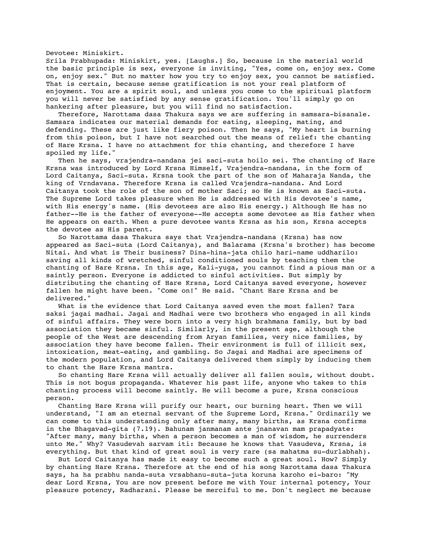#### Devotee: Miniskirt.

Srila Prabhupada: Miniskirt, yes. [Laughs.] So, because in the material world the basic principle is sex, everyone is inviting, "Yes, come on, enjoy sex. Come on, enjoy sex." But no matter how you try to enjoy sex, you cannot be satisfied. That is certain, because sense gratification is not your real platform of enjoyment. You are a spirit soul, and unless you come to the spiritual platform you will never be satisfied by any sense gratification. You'll simply go on hankering after pleasure, but you will find no satisfaction.

 Therefore, Narottama dasa Thakura says we are suffering in samsara-bisanale. Samsara indicates our material demands for eating, sleeping, mating, and defending. These are just like fiery poison. Then he says, "My heart is burning from this poison, but I have not searched out the means of relief: the chanting of Hare Krsna. I have no attachment for this chanting, and therefore I have spoiled my life."

 Then he says, vrajendra-nandana jei saci-suta hoilo sei. The chanting of Hare Krsna was introduced by Lord Krsna Himself, Vrajendra-nandana, in the form of Lord Caitanya, Saci-suta. Krsna took the part of the son of Maharaja Nanda, the king of Vrndavana. Therefore Krsna is called Vrajendra-nandana. And Lord Caitanya took the role of the son of mother Saci; so He is known as Saci-suta. The Supreme Lord takes pleasure when He is addressed with His devotee's name, with His energy's name. (His devotees are also His energy.) Although He has no father--He is the father of everyone--He accepts some devotee as His father when He appears on earth. When a pure devotee wants Krsna as his son, Krsna accepts the devotee as His parent.

 So Narottama dasa Thakura says that Vrajendra-nandana (Krsna) has now appeared as Saci-suta (Lord Caitanya), and Balarama (Krsna's brother) has become Nitai. And what is Their business? Dina-hina-jata chilo hari-name uddharilo: saving all kinds of wretched, sinful conditioned souls by teaching them the chanting of Hare Krsna. In this age, Kali-yuga, you cannot find a pious man or a saintly person. Everyone is addicted to sinful activities. But simply by distributing the chanting of Hare Krsna, Lord Caitanya saved everyone, however fallen he might have been. "Come on!" He said. "Chant Hare Krsna and be delivered."

 What is the evidence that Lord Caitanya saved even the most fallen? Tara saksi jagai madhai. Jagai and Madhai were two brothers who engaged in all kinds of sinful affairs. They were born into a very high brahmana family, but by bad association they became sinful. Similarly, in the present age, although the people of the West are descending from Aryan families, very nice families, by association they have become fallen. Their environment is full of illicit sex, intoxication, meat-eating, and gambling. So Jagai and Madhai are specimens of the modern population, and Lord Caitanya delivered them simply by inducing them to chant the Hare Krsna mantra.

 So chanting Hare Krsna will actually deliver all fallen souls, without doubt. This is not bogus propaganda. Whatever his past life, anyone who takes to this chanting process will become saintly. He will become a pure, Krsna conscious person.

 Chanting Hare Krsna will purify our heart, our burning heart. Then we will understand, "I am an eternal servant of the Supreme Lord, Krsna." Ordinarily we can come to this understanding only after many, many births, as Krsna confirms in the Bhagavad-gita (7.19). Bahunam janmanam ante jnanavan mam prapadyate: "After many, many births, when a person becomes a man of wisdom, he surrenders unto Me." Why? Vasudevah sarvam iti: Because he knows that Vasudeva, Krsna, is everything. But that kind of great soul is very rare (sa mahatma su-durlabhah).

 But Lord Caitanya has made it easy to become such a great soul. How? Simply by chanting Hare Krsna. Therefore at the end of his song Narottama dasa Thakura says, ha ha prabhu nanda-suta vrsabhanu-suta-juta koruna karoho ei-baro: "My dear Lord Krsna, You are now present before me with Your internal potency, Your pleasure potency, Radharani. Please be merciful to me. Don't neglect me because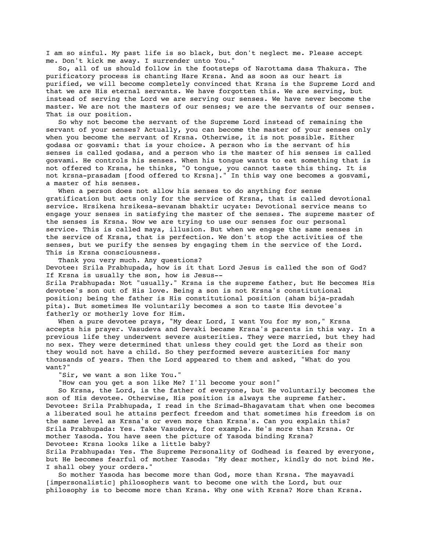I am so sinful. My past life is so black, but don't neglect me. Please accept me. Don't kick me away. I surrender unto You."

 So, all of us should follow in the footsteps of Narottama dasa Thakura. The purificatory process is chanting Hare Krsna. And as soon as our heart is purified, we will become completely convinced that Krsna is the Supreme Lord and that we are His eternal servants. We have forgotten this. We are serving, but instead of serving the Lord we are serving our senses. We have never become the master. We are not the masters of our senses; we are the servants of our senses. That is our position.

 So why not become the servant of the Supreme Lord instead of remaining the servant of your senses? Actually, you can become the master of your senses only when you become the servant of Krsna. Otherwise, it is not possible. Either godasa or gosvami: that is your choice. A person who is the servant of his senses is called godasa, and a person who is the master of his senses is called gosvami. He controls his senses. When his tongue wants to eat something that is not offered to Krsna, he thinks, "O tongue, you cannot taste this thing. It is not krsna-prasadam [food offered to Krsna]." In this way one becomes a gosvami, a master of his senses.

 When a person does not allow his senses to do anything for sense gratification but acts only for the service of Krsna, that is called devotional service. Hrsikena hrsikesa-sevanam bhaktir ucyate: Devotional service means to engage your senses in satisfying the master of the senses. The supreme master of the senses is Krsna. Now we are trying to use our senses for our personal service. This is called maya, illusion. But when we engage the same senses in the service of Krsna, that is perfection. We don't stop the activities of the senses, but we purify the senses by engaging them in the service of the Lord. This is Krsna consciousness.

Devotee: Srila Prabhupada, how is it that Lord Jesus is called the son of God? If Krsna is usually the son, how is Jesus--

Srila Prabhupada: Not "usually." Krsna is the supreme father, but He becomes His devotee's son out of His love. Being a son is not Krsna's constitutional position; being the father is His constitutional position (aham bija-pradah pita). But sometimes He voluntarily becomes a son to taste His devotee's fatherly or motherly love for Him.

When a pure devotee prays, "My dear Lord, I want You for my son," Krsna accepts his prayer. Vasudeva and Devaki became Krsna's parents in this way. In a previous life they underwent severe austerities. They were married, but they had no sex. They were determined that unless they could get the Lord as their son they would not have a child. So they performed severe austerities for many thousands of years. Then the Lord appeared to them and asked, "What do you want?"

"Sir, we want a son like You."

Thank you very much. Any questions?

"How can you get a son like Me? I'll become your son!"

 So Krsna, the Lord, is the father of everyone, but He voluntarily becomes the son of His devotee. Otherwise, His position is always the supreme father. Devotee: Srila Prabhupada, I read in the Srimad-Bhagavatam that when one becomes a liberated soul he attains perfect freedom and that sometimes his freedom is on the same level as Krsna's or even more than Krsna's. Can you explain this? Srila Prabhupada: Yes. Take Vasudeva, for example. He's more than Krsna. Or mother Yasoda. You have seen the picture of Yasoda binding Krsna? Devotee: Krsna looks like a little baby?

Srila Prabhupada: Yes. The Supreme Personality of Godhead is feared by everyone, but He becomes fearful of mother Yasoda: "My dear mother, kindly do not bind Me. I shall obey your orders."

 So mother Yasoda has become more than God, more than Krsna. The mayavadi [impersonalistic] philosophers want to become one with the Lord, but our philosophy is to become more than Krsna. Why one with Krsna? More than Krsna.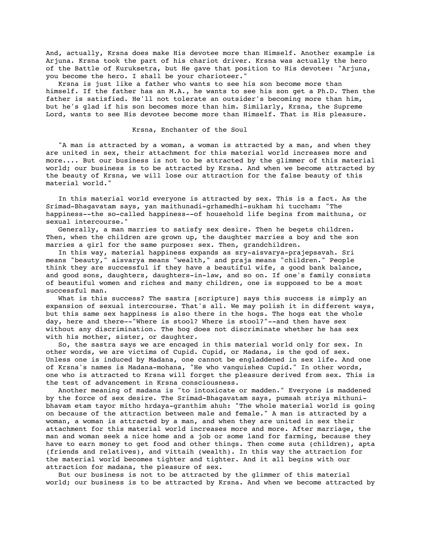And, actually, Krsna does make His devotee more than Himself. Another example is Arjuna. Krsna took the part of his chariot driver. Krsna was actually the hero of the Battle of Kuruksetra, but He gave that position to His devotee: "Arjuna, you become the hero. I shall be your charioteer."

 Krsna is just like a father who wants to see his son become more than himself. If the father has an M.A., he wants to see his son get a Ph.D. Then the father is satisfied. He'll not tolerate an outsider's becoming more than him, but he's glad if his son becomes more than him. Similarly, Krsna, the Supreme Lord, wants to see His devotee become more than Himself. That is His pleasure.

#### Krsna, Enchanter of the Soul

 "A man is attracted by a woman, a woman is attracted by a man, and when they are united in sex, their attachment for this material world increases more and more.... But our business is not to be attracted by the glimmer of this material world; our business is to be attracted by Krsna. And when we become attracted by the beauty of Krsna, we will lose our attraction for the false beauty of this material world."

 In this material world everyone is attracted by sex. This is a fact. As the Srimad-Bhagavatam says, yan maithunadi-grhamedhi-sukham hi tuccham: "The happiness--the so-called happiness--of household life begins from maithuna, or sexual intercourse."

 Generally, a man marries to satisfy sex desire. Then he begets children. Then, when the children are grown up, the daughter marries a boy and the son marries a girl for the same purpose: sex. Then, grandchildren.

 In this way, material happiness expands as sry-aisvarya-prajepsavah. Sri means "beauty," aisvarya means "wealth," and praja means "children." People think they are successful if they have a beautiful wife, a good bank balance, and good sons, daughters, daughters-in-law, and so on. If one's family consists of beautiful women and riches and many children, one is supposed to be a most successful man.

 What is this success? The sastra [scripture] says this success is simply an expansion of sexual intercourse. That's all. We may polish it in different ways, but this same sex happiness is also there in the hogs. The hogs eat the whole day, here and there--"Where is stool? Where is stool?"--and then have sex without any discrimination. The hog does not discriminate whether he has sex with his mother, sister, or daughter.

 So, the sastra says we are encaged in this material world only for sex. In other words, we are victims of Cupid. Cupid, or Madana, is the god of sex. Unless one is induced by Madana, one cannot be engladdened in sex life. And one of Krsna's names is Madana-mohana, "He who vanquishes Cupid." In other words, one who is attracted to Krsna will forget the pleasure derived from sex. This is the test of advancement in Krsna consciousness.

 Another meaning of madana is "to intoxicate or madden." Everyone is maddened by the force of sex desire. The Srimad-Bhagavatam says, pumsah striya mithunibhavam etam tayor mitho hrdaya-granthim ahuh: "The whole material world is going on because of the attraction between male and female." A man is attracted by a woman, a woman is attracted by a man, and when they are united in sex their attachment for this material world increases more and more. After marriage, the man and woman seek a nice home and a job or some land for farming, because they have to earn money to get food and other things. Then come suta (children), apta (friends and relatives), and vittaih (wealth). In this way the attraction for the material world becomes tighter and tighter. And it all begins with our attraction for madana, the pleasure of sex.

 But our business is not to be attracted by the glimmer of this material world; our business is to be attracted by Krsna. And when we become attracted by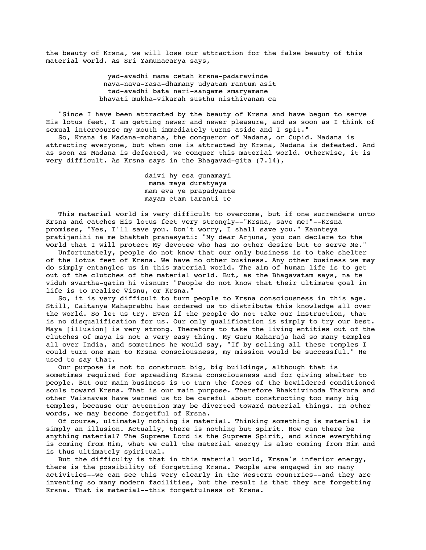the beauty of Krsna, we will lose our attraction for the false beauty of this material world. As Sri Yamunacarya says,

> yad-avadhi mama cetah krsna-padaravinde nava-nava-rasa-dhamany udyatam rantum asit tad-avadhi bata nari-sangame smaryamane bhavati mukha-vikarah susthu nisthivanam ca

 "Since I have been attracted by the beauty of Krsna and have begun to serve His lotus feet, I am getting newer and newer pleasure, and as soon as I think of sexual intercourse my mouth immediately turns aside and I spit."

 So, Krsna is Madana-mohana, the conqueror of Madana, or Cupid. Madana is attracting everyone, but when one is attracted by Krsna, Madana is defeated. And as soon as Madana is defeated, we conquer this material world. Otherwise, it is very difficult. As Krsna says in the Bhagavad-gita (7.14),

> daivi hy esa gunamayi mama maya duratyaya mam eva ye prapadyante mayam etam taranti te

 This material world is very difficult to overcome, but if one surrenders unto Krsna and catches His lotus feet very strongly--"Krsna, save me!"--Krsna promises, "Yes, I'll save you. Don't worry, I shall save you." Kaunteya pratijanihi na me bhaktah pranasyati: "My dear Arjuna, you can declare to the world that I will protect My devotee who has no other desire but to serve Me."

 Unfortunately, people do not know that our only business is to take shelter of the lotus feet of Krsna. We have no other business. Any other business we may do simply entangles us in this material world. The aim of human life is to get out of the clutches of the material world. But, as the Bhagavatam says, na te viduh svartha-gatim hi visnum: "People do not know that their ultimate goal in life is to realize Visnu, or Krsna."

 So, it is very difficult to turn people to Krsna consciousness in this age. Still, Caitanya Mahaprabhu has ordered us to distribute this knowledge all over the world. So let us try. Even if the people do not take our instruction, that is no disqualification for us. Our only qualification is simply to try our best. Maya [illusion] is very strong. Therefore to take the living entities out of the clutches of maya is not a very easy thing. My Guru Maharaja had so many temples all over India, and sometimes he would say, "If by selling all these temples I could turn one man to Krsna consciousness, my mission would be successful." He used to say that.

 Our purpose is not to construct big, big buildings, although that is sometimes required for spreading Krsna consciousness and for giving shelter to people. But our main business is to turn the faces of the bewildered conditioned souls toward Krsna. That is our main purpose. Therefore Bhaktivinoda Thakura and other Vaisnavas have warned us to be careful about constructing too many big temples, because our attention may be diverted toward material things. In other words, we may become forgetful of Krsna.

 Of course, ultimately nothing is material. Thinking something is material is simply an illusion. Actually, there is nothing but spirit. How can there be anything material? The Supreme Lord is the Supreme Spirit, and since everything is coming from Him, what we call the material energy is also coming from Him and is thus ultimately spiritual.

 But the difficulty is that in this material world, Krsna's inferior energy, there is the possibility of forgetting Krsna. People are engaged in so many activities--we can see this very clearly in the Western countries--and they are inventing so many modern facilities, but the result is that they are forgetting Krsna. That is material--this forgetfulness of Krsna.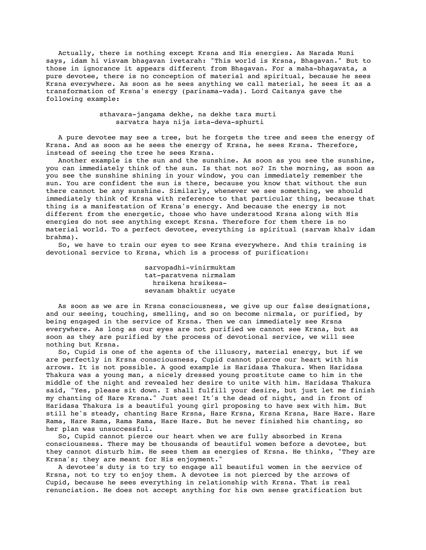Actually, there is nothing except Krsna and His energies. As Narada Muni says, idam hi visvam bhagavan ivetarah: "This world is Krsna, Bhagavan." But to those in ignorance it appears different from Bhagavan. For a maha-bhagavata, a pure devotee, there is no conception of material and spiritual, because he sees Krsna everywhere. As soon as he sees anything we call material, he sees it as a transformation of Krsna's energy (parinama-vada). Lord Caitanya gave the following example:

> sthavara-jangama dekhe, na dekhe tara murti sarvatra haya nija ista-deva-sphurti

 A pure devotee may see a tree, but he forgets the tree and sees the energy of Krsna. And as soon as he sees the energy of Krsna, he sees Krsna. Therefore, instead of seeing the tree he sees Krsna.

 Another example is the sun and the sunshine. As soon as you see the sunshine, you can immediately think of the sun. Is that not so? In the morning, as soon as you see the sunshine shining in your window, you can immediately remember the sun. You are confident the sun is there, because you know that without the sun there cannot be any sunshine. Similarly, whenever we see something, we should immediately think of Krsna with reference to that particular thing, because that thing is a manifestation of Krsna's energy. And because the energy is not different from the energetic, those who have understood Krsna along with His energies do not see anything except Krsna. Therefore for them there is no material world. To a perfect devotee, everything is spiritual (sarvam khalv idam brahma).

 So, we have to train our eyes to see Krsna everywhere. And this training is devotional service to Krsna, which is a process of purification:

> sarvopadhi-vinirmuktam tat-paratvena nirmalam hrsikena hrsikesa sevanam bhaktir ucyate

 As soon as we are in Krsna consciousness, we give up our false designations, and our seeing, touching, smelling, and so on become nirmala, or purified, by being engaged in the service of Krsna. Then we can immediately see Krsna everywhere. As long as our eyes are not purified we cannot see Krsna, but as soon as they are purified by the process of devotional service, we will see nothing but Krsna.

 So, Cupid is one of the agents of the illusory, material energy, but if we are perfectly in Krsna consciousness, Cupid cannot pierce our heart with his arrows. It is not possible. A good example is Haridasa Thakura. When Haridasa Thakura was a young man, a nicely dressed young prostitute came to him in the middle of the night and revealed her desire to unite with him. Haridasa Thakura said, "Yes, please sit down. I shall fulfill your desire, but just let me finish my chanting of Hare Krsna." Just see! It's the dead of night, and in front of Haridasa Thakura is a beautiful young girl proposing to have sex with him. But still he's steady, chanting Hare Krsna, Hare Krsna, Krsna Krsna, Hare Hare. Hare Rama, Hare Rama, Rama Rama, Hare Hare. But he never finished his chanting, so her plan was unsuccessful.

 So, Cupid cannot pierce our heart when we are fully absorbed in Krsna consciousness. There may be thousands of beautiful women before a devotee, but they cannot disturb him. He sees them as energies of Krsna. He thinks, "They are Krsna's; they are meant for His enjoyment."

 A devotee's duty is to try to engage all beautiful women in the service of Krsna, not to try to enjoy them. A devotee is not pierced by the arrows of Cupid, because he sees everything in relationship with Krsna. That is real renunciation. He does not accept anything for his own sense gratification but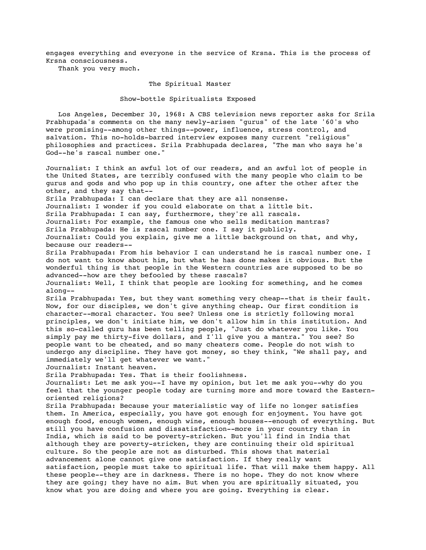engages everything and everyone in the service of Krsna. This is the process of Krsna consciousness.

Thank you very much.

#### The Spiritual Master

#### Show-bottle Spiritualists Exposed

 Los Angeles, December 30, 1968: A CBS television news reporter asks for Srila Prabhupada's comments on the many newly-arisen "gurus" of the late '60's who were promising--among other things--power, influence, stress control, and salvation. This no-holds-barred interview exposes many current "religious" philosophies and practices. Srila Prabhupada declares, "The man who says he's God--he's rascal number one."

Journalist: I think an awful lot of our readers, and an awful lot of people in the United States, are terribly confused with the many people who claim to be gurus and gods and who pop up in this country, one after the other after the other, and they say that-- Srila Prabhupada: I can declare that they are all nonsense. Journalist: I wonder if you could elaborate on that a little bit. Srila Prabhupada: I can say, furthermore, they're all rascals. Journalist: For example, the famous one who sells meditation mantras? Srila Prabhupada: He is rascal number one. I say it publicly. Journalist: Could you explain, give me a little background on that, and why, because our readers-- Srila Prabhupada: From his behavior I can understand he is rascal number one. I do not want to know about him, but what he has done makes it obvious. But the wonderful thing is that people in the Western countries are supposed to be so advanced--how are they befooled by these rascals? Journalist: Well, I think that people are looking for something, and he comes along-- Srila Prabhupada: Yes, but they want something very cheap--that is their fault. Now, for our disciples, we don't give anything cheap. Our first condition is character--moral character. You see? Unless one is strictly following moral principles, we don't initiate him, we don't allow him in this institution. And this so-called guru has been telling people, "Just do whatever you like. You simply pay me thirty-five dollars, and I'll give you a mantra." You see? So people want to be cheated, and so many cheaters come. People do not wish to undergo any discipline. They have got money, so they think, "We shall pay, and immediately we'll get whatever we want." Journalist: Instant heaven. Srila Prabhupada: Yes. That is their foolishness. Journalist: Let me ask you--I have my opinion, but let me ask you--why do you feel that the younger people today are turning more and more toward the Easternoriented religions? Srila Prabhupada: Because your materialistic way of life no longer satisfies them. In America, especially, you have got enough for enjoyment. You have got enough food, enough women, enough wine, enough houses--enough of everything. But still you have confusion and dissatisfaction--more in your country than in India, which is said to be poverty-stricken. But you'll find in India that although they are poverty-stricken, they are continuing their old spiritual culture. So the people are not as disturbed. This shows that material advancement alone cannot give one satisfaction. If they really want satisfaction, people must take to spiritual life. That will make them happy. All these people--they are in darkness. There is no hope. They do not know where they are going; they have no aim. But when you are spiritually situated, you know what you are doing and where you are going. Everything is clear.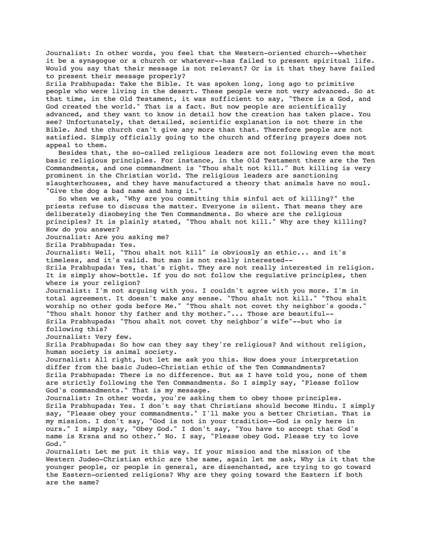Journalist: In other words, you feel that the Western-oriented church--whether it be a synagogue or a church or whatever--has failed to present spiritual life. Would you say that their message is not relevant? Or is it that they have failed to present their message properly?

Srila Prabhupada: Take the Bible. It was spoken long, long ago to primitive people who were living in the desert. These people were not very advanced. So at that time, in the Old Testament, it was sufficient to say, "There is a God, and God created the world." That is a fact. But now people are scientifically advanced, and they want to know in detail how the creation has taken place. You see? Unfortunately, that detailed, scientific explanation is not there in the Bible. And the church can't give any more than that. Therefore people are not satisfied. Simply officially going to the church and offering prayers does not appeal to them.

 Besides that, the so-called religious leaders are not following even the most basic religious principles. For instance, in the Old Testament there are the Ten Commandments, and one commandment is "Thou shalt not kill." But killing is very prominent in the Christian world. The religious leaders are sanctioning slaughterhouses, and they have manufactured a theory that animals have no soul. "Give the dog a bad name and hang it."

 So when we ask, "Why are you committing this sinful act of killing?" the priests refuse to discuss the matter. Everyone is silent. That means they are deliberately disobeying the Ten Commandments. So where are the religious principles? It is plainly stated, "Thou shalt not kill." Why are they killing? How do you answer?

Journalist: Are you asking me?

Srila Prabhupada: Yes.

Journalist: Well, "Thou shalt not kill" is obviously an ethic... and it's timeless, and it's valid. But man is not really interested-- Srila Prabhupada: Yes, that's right. They are not really interested in religion. It is simply show-bottle. If you do not follow the regulative principles, then where is your religion?

Journalist: I'm not arguing with you. I couldn't agree with you more. I'm in total agreement. It doesn't make any sense. "Thou shalt not kill." "Thou shalt worship no other gods before Me." "Thou shalt not covet thy neighbor's goods." "Thou shalt honor thy father and thy mother."... Those are beautiful-- Srila Prabhupada: "Thou shalt not covet thy neighbor's wife"--but who is following this?

Journalist: Very few.

Srila Prabhupada: So how can they say they're religious? And without religion, human society is animal society.

Journalist: All right, but let me ask you this. How does your interpretation differ from the basic Judeo-Christian ethic of the Ten Commandments? Srila Prabhupada: There is no difference. But as I have told you, none of them are strictly following the Ten Commandments. So I simply say, "Please follow God's commandments." That is my message.

Journalist: In other words, you're asking them to obey those principles. Srila Prabhupada: Yes. I don't say that Christians should become Hindu. I simply say, "Please obey your commandments." I'll make you a better Christian. That is my mission. I don't say, "God is not in your tradition--God is only here in ours." I simply say, "Obey God." I don't say, "You have to accept that God's name is Krsna and no other." No. I say, "Please obey God. Please try to love God."

Journalist: Let me put it this way. If your mission and the mission of the Western Judeo-Christian ethic are the same, again let me ask, Why is it that the younger people, or people in general, are disenchanted, are trying to go toward the Eastern-oriented religions? Why are they going toward the Eastern if both are the same?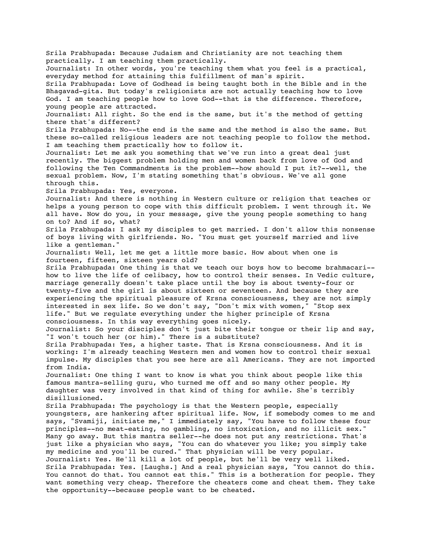Srila Prabhupada: Because Judaism and Christianity are not teaching them practically. I am teaching them practically. Journalist: In other words, you're teaching them what you feel is a practical, everyday method for attaining this fulfillment of man's spirit. Srila Prabhupada: Love of Godhead is being taught both in the Bible and in the Bhagavad-gita. But today's religionists are not actually teaching how to love God. I am teaching people how to love God--that is the difference. Therefore, young people are attracted. Journalist: All right. So the end is the same, but it's the method of getting there that's different? Srila Prabhupada: No--the end is the same and the method is also the same. But these so-called religious leaders are not teaching people to follow the method. I am teaching them practically how to follow it. Journalist: Let me ask you something that we've run into a great deal just recently. The biggest problem holding men and women back from love of God and following the Ten Commandments is the problem--how should I put it?--well, the sexual problem. Now, I'm stating something that's obvious. We've all gone through this. Srila Prabhupada: Yes, everyone. Journalist: And there is nothing in Western culture or religion that teaches or helps a young person to cope with this difficult problem. I went through it. We all have. Now do you, in your message, give the young people something to hang on to? And if so, what? Srila Prabhupada: I ask my disciples to get married. I don't allow this nonsense of boys living with girlfriends. No. "You must get yourself married and live like a gentleman." Journalist: Well, let me get a little more basic. How about when one is fourteen, fifteen, sixteen years old? Srila Prabhupada: One thing is that we teach our boys how to become brahmacari- how to live the life of celibacy, how to control their senses. In Vedic culture, marriage generally doesn't take place until the boy is about twenty-four or twenty-five and the girl is about sixteen or seventeen. And because they are experiencing the spiritual pleasure of Krsna consciousness, they are not simply interested in sex life. So we don't say, "Don't mix with women," "Stop sex life." But we regulate everything under the higher principle of Krsna consciousness. In this way everything goes nicely. Journalist: So your disciples don't just bite their tongue or their lip and say, "I won't touch her (or him)." There is a substitute? Srila Prabhupada: Yes, a higher taste. That is Krsna consciousness. And it is working: I'm already teaching Western men and women how to control their sexual impulse. My disciples that you see here are all Americans. They are not imported from India. Journalist: One thing I want to know is what you think about people like this famous mantra-selling guru, who turned me off and so many other people. My daughter was very involved in that kind of thing for awhile. She's terribly disillusioned. Srila Prabhupada: The psychology is that the Western people, especially youngsters, are hankering after spiritual life. Now, if somebody comes to me and says, "Svamiji, initiate me," I immediately say, "You have to follow these four principles--no meat-eating, no gambling, no intoxication, and no illicit sex." Many go away. But this mantra seller--he does not put any restrictions. That's just like a physician who says, "You can do whatever you like; you simply take my medicine and you'll be cured." That physician will be very popular. Journalist: Yes. He'll kill a lot of people, but he'll be very well liked. Srila Prabhupada: Yes. [Laughs.] And a real physician says, "You cannot do this. You cannot do that. You cannot eat this." This is a botheration for people. They want something very cheap. Therefore the cheaters come and cheat them. They take the opportunity--because people want to be cheated.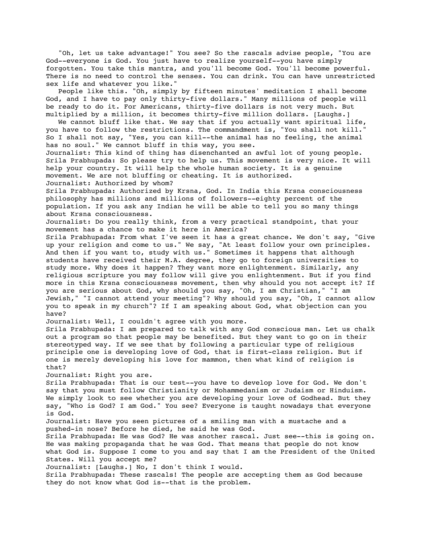"Oh, let us take advantage!" You see? So the rascals advise people, "You are God--everyone is God. You just have to realize yourself--you have simply forgotten. You take this mantra, and you'll become God. You'll become powerful. There is no need to control the senses. You can drink. You can have unrestricted sex life and whatever you like."

 People like this. "Oh, simply by fifteen minutes' meditation I shall become God, and I have to pay only thirty-five dollars." Many millions of people will be ready to do it. For Americans, thirty-five dollars is not very much. But multiplied by a million, it becomes thirty-five million dollars. [Laughs.]

We cannot bluff like that. We say that if you actually want spiritual life, you have to follow the restrictions. The commandment is, "You shall not kill." So I shall not say, "Yes, you can kill--the animal has no feeling, the animal has no soul." We cannot bluff in this way, you see.

Journalist: This kind of thing has disenchanted an awful lot of young people. Srila Prabhupada: So please try to help us. This movement is very nice. It will help your country. It will help the whole human society. It is a genuine movement. We are not bluffing or cheating. It is authorized. Journalist: Authorized by whom?

Srila Prabhupada: Authorized by Krsna, God. In India this Krsna consciousness philosophy has millions and millions of followers--eighty percent of the population. If you ask any Indian he will be able to tell you so many things about Krsna consciousness.

Journalist: Do you really think, from a very practical standpoint, that your movement has a chance to make it here in America?

Srila Prabhupada: From what I've seen it has a great chance. We don't say, "Give up your religion and come to us." We say, "At least follow your own principles. And then if you want to, study with us." Sometimes it happens that although students have received their M.A. degree, they go to foreign universities to study more. Why does it happen? They want more enlightenment. Similarly, any religious scripture you may follow will give you enlightenment. But if you find more in this Krsna consciousness movement, then why should you not accept it? If you are serious about God, why should you say, "Oh, I am Christian," "I am Jewish," "I cannot attend your meeting"? Why should you say, "Oh, I cannot allow you to speak in my church"? If I am speaking about God, what objection can you have?

Journalist: Well, I couldn't agree with you more.

Srila Prabhupada: I am prepared to talk with any God conscious man. Let us chalk out a program so that people may be benefited. But they want to go on in their stereotyped way. If we see that by following a particular type of religious principle one is developing love of God, that is first-class religion. But if one is merely developing his love for mammon, then what kind of religion is that?

Journalist: Right you are.

Srila Prabhupada: That is our test--you have to develop love for God. We don't say that you must follow Christianity or Mohammedanism or Judaism or Hinduism. We simply look to see whether you are developing your love of Godhead. But they say, "Who is God? I am God." You see? Everyone is taught nowadays that everyone is God.

Journalist: Have you seen pictures of a smiling man with a mustache and a pushed-in nose? Before he died, he said he was God.

Srila Prabhupada: He was God? He was another rascal. Just see--this is going on. He was making propaganda that he was God. That means that people do not know what God is. Suppose I come to you and say that I am the President of the United States. Will you accept me?

Journalist: [Laughs.] No, I don't think I would.

Srila Prabhupada: These rascals! The people are accepting them as God because they do not know what God is--that is the problem.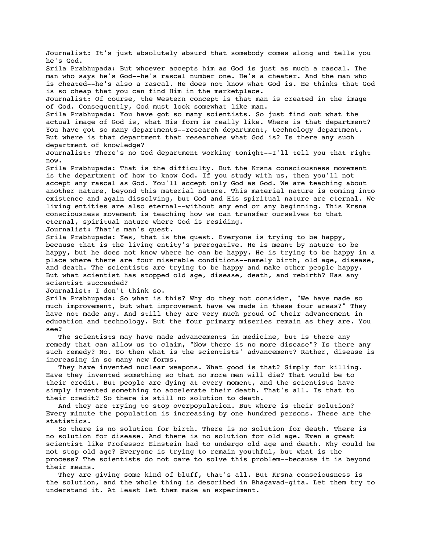Journalist: It's just absolutely absurd that somebody comes along and tells you he's God.

Srila Prabhupada: But whoever accepts him as God is just as much a rascal. The man who says he's God--he's rascal number one. He's a cheater. And the man who is cheated--he's also a rascal. He does not know what God is. He thinks that God is so cheap that you can find Him in the marketplace.

Journalist: Of course, the Western concept is that man is created in the image of God. Consequently, God must look somewhat like man.

Srila Prabhupada: You have got so many scientists. So just find out what the actual image of God is, what His form is really like. Where is that department? You have got so many departments--research department, technology department. But where is that department that researches what God is? Is there any such department of knowledge?

Journalist: There's no God department working tonight--I'll tell you that right now.

Srila Prabhupada: That is the difficulty. But the Krsna consciousness movement is the department of how to know God. If you study with us, then you'll not accept any rascal as God. You'll accept only God as God. We are teaching about another nature, beyond this material nature. This material nature is coming into existence and again dissolving, but God and His spiritual nature are eternal. We living entities are also eternal--without any end or any beginning. This Krsna consciousness movement is teaching how we can transfer ourselves to that eternal, spiritual nature where God is residing.

Journalist: That's man's quest.

Srila Prabhupada: Yes, that is the quest. Everyone is trying to be happy, because that is the living entity's prerogative. He is meant by nature to be happy, but he does not know where he can be happy. He is trying to be happy in a place where there are four miserable conditions--namely birth, old age, disease, and death. The scientists are trying to be happy and make other people happy. But what scientist has stopped old age, disease, death, and rebirth? Has any scientist succeeded?

Journalist: I don't think so.

Srila Prabhupada: So what is this? Why do they not consider, "We have made so much improvement, but what improvement have we made in these four areas?" They have not made any. And still they are very much proud of their advancement in education and technology. But the four primary miseries remain as they are. You see?

 The scientists may have made advancements in medicine, but is there any remedy that can allow us to claim, "Now there is no more disease"? Is there any such remedy? No. So then what is the scientists' advancement? Rather, disease is increasing in so many new forms.

 They have invented nuclear weapons. What good is that? Simply for killing. Have they invented something so that no more men will die? That would be to their credit. But people are dying at every moment, and the scientists have simply invented something to accelerate their death. That's all. Is that to their credit? So there is still no solution to death.

 And they are trying to stop overpopulation. But where is their solution? Every minute the population is increasing by one hundred persons. These are the statistics.

 So there is no solution for birth. There is no solution for death. There is no solution for disease. And there is no solution for old age. Even a great scientist like Professor Einstein had to undergo old age and death. Why could he not stop old age? Everyone is trying to remain youthful, but what is the process? The scientists do not care to solve this problem--because it is beyond their means.

 They are giving some kind of bluff, that's all. But Krsna consciousness is the solution, and the whole thing is described in Bhagavad-gita. Let them try to understand it. At least let them make an experiment.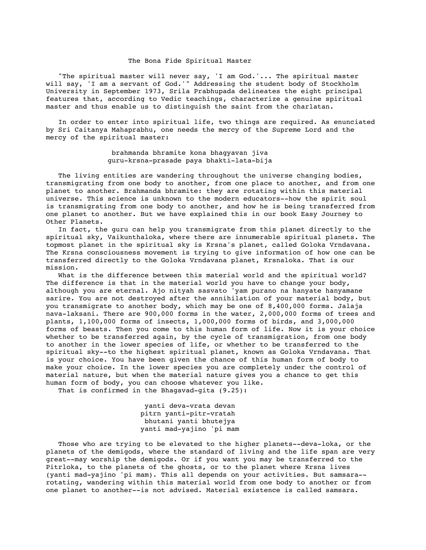# The Bona Fide Spiritual Master

 "The spiritual master will never say, 'I am God.'... The spiritual master will say, 'I am a servant of God.'" Addressing the student body of Stockholm University in September 1973, Srila Prabhupada delineates the eight principal features that, according to Vedic teachings, characterize a genuine spiritual master and thus enable us to distinguish the saint from the charlatan.

 In order to enter into spiritual life, two things are required. As enunciated by Sri Caitanya Mahaprabhu, one needs the mercy of the Supreme Lord and the mercy of the spiritual master:

> brahmanda bhramite kona bhagyavan jiva guru-krsna-prasade paya bhakti-lata-bija

 The living entities are wandering throughout the universe changing bodies, transmigrating from one body to another, from one place to another, and from one planet to another. Brahmanda bhramite: they are rotating within this material universe. This science is unknown to the modern educators--how the spirit soul is transmigrating from one body to another, and how he is being transferred from one planet to another. But we have explained this in our book Easy Journey to Other Planets.

 In fact, the guru can help you transmigrate from this planet directly to the spiritual sky, Vaikunthaloka, where there are innumerable spiritual planets. The topmost planet in the spiritual sky is Krsna's planet, called Goloka Vrndavana. The Krsna consciousness movement is trying to give information of how one can be transferred directly to the Goloka Vrndavana planet, Krsnaloka. That is our mission.

 What is the difference between this material world and the spiritual world? The difference is that in the material world you have to change your body, although you are eternal. Ajo nityah sasvato 'yam purano na hanyate hanyamane sarire. You are not destroyed after the annihilation of your material body, but you transmigrate to another body, which may be one of 8,400,000 forms. Jalaja nava-laksani. There are 900,000 forms in the water, 2,000,000 forms of trees and plants, 1,100,000 forms of insects, 1,000,000 forms of birds, and 3,000,000 forms of beasts. Then you come to this human form of life. Now it is your choice whether to be transferred again, by the cycle of transmigration, from one body to another in the lower species of life, or whether to be transferred to the spiritual sky--to the highest spiritual planet, known as Goloka Vrndavana. That is your choice. You have been given the chance of this human form of body to make your choice. In the lower species you are completely under the control of material nature, but when the material nature gives you a chance to get this human form of body, you can choose whatever you like.

That is confirmed in the Bhagavad-gita (9.25):

 yanti deva-vrata devan pitrn yanti-pitr-vratah bhutani yanti bhutejya yanti mad-yajino 'pi mam

 Those who are trying to be elevated to the higher planets--deva-loka, or the planets of the demigods, where the standard of living and the life span are very great--may worship the demigods. Or if you want you may be transferred to the Pitrloka, to the planets of the ghosts, or to the planet where Krsna lives (yanti mad-yajino 'pi mam). This all depends on your activities. But samsara- rotating, wandering within this material world from one body to another or from one planet to another--is not advised. Material existence is called samsara.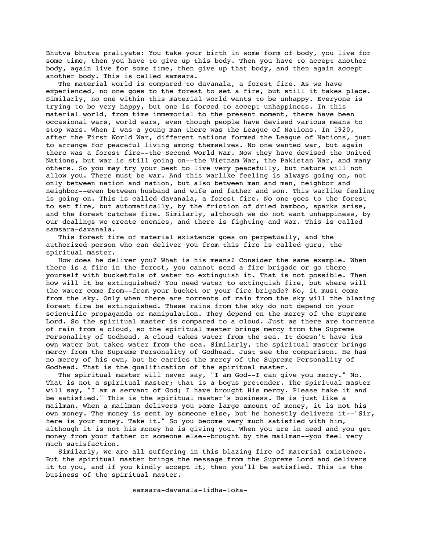Bhutva bhutva praliyate: You take your birth in some form of body, you live for some time, then you have to give up this body. Then you have to accept another body, again live for some time, then give up that body, and then again accept another body. This is called samsara.

 The material world is compared to davanala, a forest fire. As we have experienced, no one goes to the forest to set a fire, but still it takes place. Similarly, no one within this material world wants to be unhappy. Everyone is trying to be very happy, but one is forced to accept unhappiness. In this material world, from time immemorial to the present moment, there have been occasional wars, world wars, even though people have devised various means to stop wars. When I was a young man there was the League of Nations. In 1920, after the First World War, different nations formed the League of Nations, just to arrange for peaceful living among themselves. No one wanted war, but again there was a forest fire--the Second World War. Now they have devised the United Nations, but war is still going on--the Vietnam War, the Pakistan War, and many others. So you may try your best to live very peacefully, but nature will not allow you. There must be war. And this warlike feeling is always going on, not only between nation and nation, but also between man and man, neighbor and neighbor--even between husband and wife and father and son. This warlike feeling is going on. This is called davanala, a forest fire. No one goes to the forest to set fire, but automatically, by the friction of dried bamboo, sparks arise, and the forest catches fire. Similarly, although we do not want unhappiness, by our dealings we create enemies, and there is fighting and war. This is called samsara-davanala.

 This forest fire of material existence goes on perpetually, and the authorized person who can deliver you from this fire is called guru, the spiritual master.

 How does he deliver you? What is his means? Consider the same example. When there is a fire in the forest, you cannot send a fire brigade or go there yourself with bucketfuls of water to extinguish it. That is not possible. Then how will it be extinguished? You need water to extinguish fire, but where will the water come from--from your bucket or your fire brigade? No, it must come from the sky. Only when there are torrents of rain from the sky will the blazing forest fire be extinguished. These rains from the sky do not depend on your scientific propaganda or manipulation. They depend on the mercy of the Supreme Lord. So the spiritual master is compared to a cloud. Just as there are torrents of rain from a cloud, so the spiritual master brings mercy from the Supreme Personality of Godhead. A cloud takes water from the sea. It doesn't have its own water but takes water from the sea. Similarly, the spiritual master brings mercy from the Supreme Personality of Godhead. Just see the comparison. He has no mercy of his own, but he carries the mercy of the Supreme Personality of Godhead. That is the qualification of the spiritual master.

 The spiritual master will never say, "I am God--I can give you mercy." No. That is not a spiritual master; that is a boqus pretender. The spiritual master will say, "I am a servant of God; I have brought His mercy. Please take it and be satisfied." This is the spiritual master's business. He is just like a mailman. When a mailman delivers you some large amount of money, it is not his own money. The money is sent by someone else, but he honestly delivers it--"Sir, here is your money. Take it." So you become very much satisfied with him, although it is not his money he is giving you. When you are in need and you get money from your father or someone else--brought by the mailman--you feel very much satisfaction.

 Similarly, we are all suffering in this blazing fire of material existence. But the spiritual master brings the message from the Supreme Lord and delivers it to you, and if you kindly accept it, then you'll be satisfied. This is the business of the spiritual master.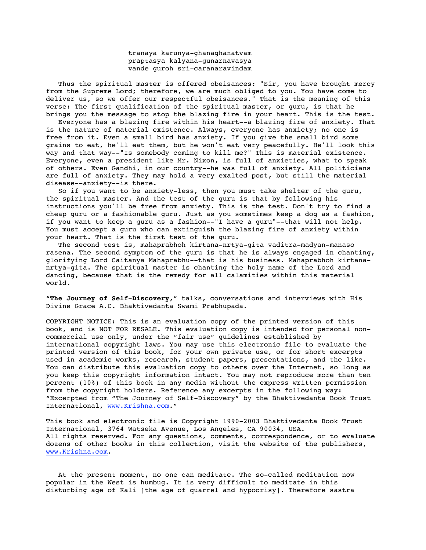tranaya karunya-ghanaghanatvam praptasya kalyana-gunarnavasya vande guroh sri-caranaravindam

Thus the spiritual master is offered obeisances: "Sir, you have brought mercy from the Supreme Lord; therefore, we are much obliged to you. You have come to deliver us, so we offer our respectful obeisances." That is the meaning of this verse: The first qualification of the spiritual master, or guru, is that he brings you the message to stop the blazing fire in your heart. This is the test.

 Everyone has a blazing fire within his heart--a blazing fire of anxiety. That is the nature of material existence. Always, everyone has anxiety; no one is free from it. Even a small bird has anxiety. If you give the small bird some grains to eat, he'll eat them, but he won't eat very peacefully. He'll look this way and that way--"Is somebody coming to kill me?" This is material existence. Everyone, even a president like Mr. Nixon, is full of anxieties, what to speak of others. Even Gandhi, in our country--he was full of anxiety. All politicians are full of anxiety. They may hold a very exalted post, but still the material disease--anxiety--is there.

 So if you want to be anxiety-less, then you must take shelter of the guru, the spiritual master. And the test of the guru is that by following his instructions you'll be free from anxiety. This is the test. Don't try to find a cheap guru or a fashionable guru. Just as you sometimes keep a dog as a fashion, if you want to keep a guru as a fashion--"I have a guru"--that will not help. You must accept a guru who can extinguish the blazing fire of anxiety within your heart. That is the first test of the guru.

 The second test is, mahaprabhoh kirtana-nrtya-gita vaditra-madyan-manaso rasena. The second symptom of the guru is that he is always engaged in chanting, glorifying Lord Caitanya Mahaprabhu--that is his business. Mahaprabhoh kirtananrtya-gita. The spiritual master is chanting the holy name of the Lord and dancing, because that is the remedy for all calamities within this material world.

"**The Journey of Self-Discovery,**" talks, conversations and interviews with His Divine Grace A.C. Bhaktivedanta Swami Prabhupada.

COPYRIGHT NOTICE: This is an evaluation copy of the printed version of this book, and is NOT FOR RESALE. This evaluation copy is intended for personal noncommercial use only, under the "fair use" guidelines established by international copyright laws. You may use this electronic file to evaluate the printed version of this book, for your own private use, or for short excerpts used in academic works, research, student papers, presentations, and the like. You can distribute this evaluation copy to others over the Internet, so long as you keep this copyright information intact. You may not reproduce more than ten percent (10%) of this book in any media without the express written permission from the copyright holders. Reference any excerpts in the following way: "Excerpted from "The Journey of Self-Discovery" by the Bhaktivedanta Book Trust International, www.Krishna.com."

This book and electronic file is Copyright 1990-2003 Bhaktivedanta Book Trust International, 3764 Watseka Avenue, Los Angeles, CA 90034, USA. All rights reserved. For any questions, comments, correspondence, or to evaluate dozens of other books in this collection, visit the website of the publishers, www.Krishna.com.

 At the present moment, no one can meditate. The so-called meditation now popular in the West is humbug. It is very difficult to meditate in this disturbing age of Kali [the age of quarrel and hypocrisy]. Therefore sastra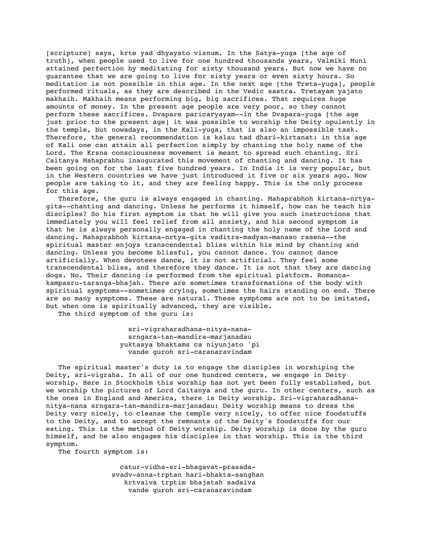[scripture] says, krte yad dhyayato visnum. In the Satya-yuga [the age of truth], when people used to live for one hundred thousands years, Valmiki Muni attained perfection by meditating for sixty thousand years. But now we have no guarantee that we are going to live for sixty years or even sixty hours. So meditation is not possible in this age. In the next age [the Treta-yuga], people performed rituals, as they are described in the Vedic sastra. Tretayam yajato makhaih. Makhaih means performing big, big sacrifices. That requires huge amounts of money. In the present age people are very poor, so they cannot perform these sacrifices. Dvapare paricaryayam--in the Dvapara-yuga [the age just prior to the present age] it was possible to worship the Deity opulently in the temple, but nowadays, in the Kali-yuga, that is also an impossible task. Therefore, the general recommendation is kalau tad dhari-kirtanat: in this age of Kali one can attain all perfection simply by chanting the holy name of the Lord. The Krsna consciousness movement is meant to spread such chanting. Sri Caitanya Mahaprabhu inaugurated this movement of chanting and dancing. It has been going on for the last five hundred years. In India it is very popular, but in the Western countries we have just introduced it five or six years ago. Now people are taking to it, and they are feeling happy. This is the only process for this age.

 Therefore, the guru is always engaged in chanting. Mahaprabhoh kirtana-nrtyagita--chanting and dancing. Unless he performs it himself, how can he teach his disciples? So his first symptom is that he will give you such instructions that immediately you will feel relief from all anxiety, and his second symptom is that he is always personally engaged in chanting the holy name of the Lord and dancing. Mahaprabhoh kirtana-nrtya-gita vaditra-madyan-manaso rasena--the spiritual master enjoys transcendental bliss within his mind by chanting and dancing. Unless you become blissful, you cannot dance. You cannot dance artificially. When devotees dance, it is not artificial. They feel some transcendental bliss, and therefore they dance. It is not that they are dancing dogs. No. Their dancing is performed from the spiritual platform. Romancakampasru-taranga-bhajah. There are sometimes transformations of the body with spiritual symptoms--sometimes crying, sometimes the hairs standing on end. There are so many symptoms. These are natural. These symptoms are not to be imitated, but when one is spiritually advanced, they are visible.

The third symptom of the guru is:

 sri-vigraharadhana-nitya-nana srngara-tan-mandira-marjanadau yuktasya bhaktams ca niyunjato 'pi vande guroh sri-caranaravindam

 The spiritual master's duty is to engage the disciples in worshiping the Deity, sri-vigraha. In all of our one hundred centers, we engage in Deity worship. Here in Stockholm this worship has not yet been fully established, but we worship the pictures of Lord Caitanya and the guru. In other centers, such as the ones in England and America, there is Deity worship. Sri-vigraharadhananitya-nana srngara-tan-mandira-marjanadau: Deity worship means to dress the Deity very nicely, to cleanse the temple very nicely, to offer nice foodstuffs to the Deity, and to accept the remnants of the Deity's foodstuffs for our eating. This is the method of Deity worship. Deity worship is done by the guru himself, and he also engages his disciples in that worship. This is the third symptom.

The fourth symptom is:

 catur-vidha-sri-bhagavat-prasada svadv-anna-trptan hari-bhakta-sanghan krtvaiva trptim bhajatah sadaiva vande guroh sri-caranaravindam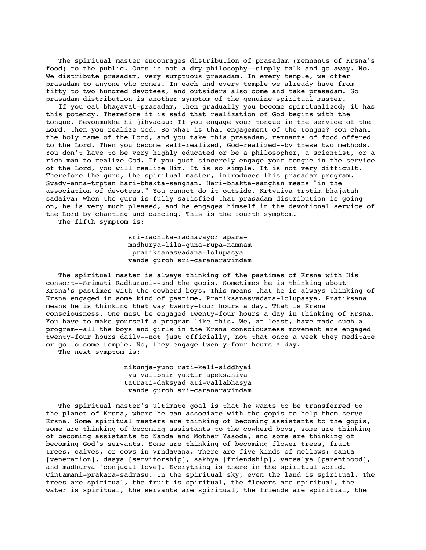The spiritual master encourages distribution of prasadam (remnants of Krsna's food) to the public. Ours is not a dry philosophy--simply talk and go away. No. We distribute prasadam, very sumptuous prasadam. In every temple, we offer prasadam to anyone who comes. In each and every temple we already have from fifty to two hundred devotees, and outsiders also come and take prasadam. So prasadam distribution is another symptom of the genuine spiritual master.

 If you eat bhagavat-prasadam, then gradually you become spiritualized; it has this potency. Therefore it is said that realization of God begins with the tongue. Sevonmukhe hi jihvadau: If you engage your tongue in the service of the Lord, then you realize God. So what is that engagement of the tongue? You chant the holy name of the Lord, and you take this prasadam, remnants of food offered to the Lord. Then you become self-realized, God-realized--by these two methods. You don't have to be very highly educated or be a philosopher, a scientist, or a rich man to realize God. If you just sincerely engage your tongue in the service of the Lord, you will realize Him. It is so simple. It is not very difficult. Therefore the quru, the spiritual master, introduces this prasadam program. Svadv-anna-trptan hari-bhakta-sanghan. Hari-bhakta-sanghan means "in the association of devotees." You cannot do it outside. Krtvaiva trptim bhajatah sadaiva: When the guru is fully satisfied that prasadam distribution is going on, he is very much pleased, and he engages himself in the devotional service of the Lord by chanting and dancing. This is the fourth symptom.

The fifth symptom is:

 sri-radhika-madhavayor apara madhurya-lila-guna-rupa-namnam pratiksanasvadana-lolupasya vande guroh sri-caranaravindam

 The spiritual master is always thinking of the pastimes of Krsna with His consort--Srimati Radharani--and the gopis. Sometimes he is thinking about Krsna's pastimes with the cowherd boys. This means that he is always thinking of Krsna engaged in some kind of pastime. Pratiksanasvadana-lolupasya. Pratiksana means he is thinking that way twenty-four hours a day. That is Krsna consciousness. One must be engaged twenty-four hours a day in thinking of Krsna. You have to make yourself a program like this. We, at least, have made such a program--all the boys and girls in the Krsna consciousness movement are engaged twenty-four hours daily--not just officially, not that once a week they meditate or go to some temple. No, they engage twenty-four hours a day.

The next symptom is:

 nikunja-yuno rati-keli-siddhyai ya yalibhir yuktir apeksaniya tatrati-daksyad ati-vallabhasya vande guroh sri-caranaravindam

 The spiritual master's ultimate goal is that he wants to be transferred to the planet of Krsna, where he can associate with the gopis to help them serve Krsna. Some spiritual masters are thinking of becoming assistants to the gopis, some are thinking of becoming assistants to the cowherd boys, some are thinking of becoming assistants to Nanda and Mother Yasoda, and some are thinking of becoming God's servants. Some are thinking of becoming flower trees, fruit trees, calves, or cows in Vrndavana. There are five kinds of mellows: santa [veneration], dasya [servitorship], sakhya [friendship], vatsalya [parenthood], and madhurya [conjugal love]. Everything is there in the spiritual world. Cintamani-prakara-sadmasu. In the spiritual sky, even the land is spiritual. The trees are spiritual, the fruit is spiritual, the flowers are spiritual, the water is spiritual, the servants are spiritual, the friends are spiritual, the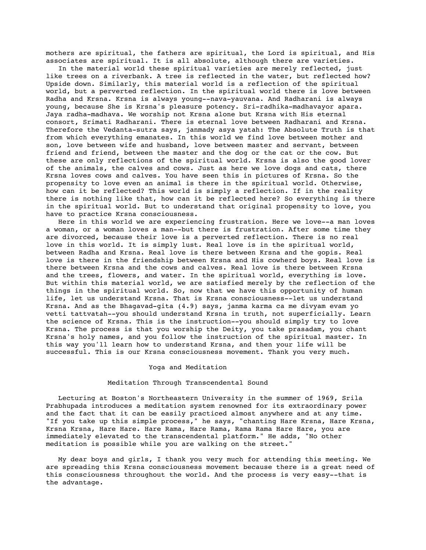mothers are spiritual, the fathers are spiritual, the Lord is spiritual, and His associates are spiritual. It is all absolute, although there are varieties.

 In the material world these spiritual varieties are merely reflected, just like trees on a riverbank. A tree is reflected in the water, but reflected how? Upside down. Similarly, this material world is a reflection of the spiritual world, but a perverted reflection. In the spiritual world there is love between Radha and Krsna. Krsna is always young--nava-yauvana. And Radharani is always young, because She is Krsna's pleasure potency. Sri-radhika-madhavayor apara. Jaya radha-madhava. We worship not Krsna alone but Krsna with His eternal consort, Srimati Radharani. There is eternal love between Radharani and Krsna. Therefore the Vedanta-sutra says, janmady asya yatah: The Absolute Truth is that from which everything emanates. In this world we find love between mother and son, love between wife and husband, love between master and servant, between friend and friend, between the master and the dog or the cat or the cow. But these are only reflections of the spiritual world. Krsna is also the good lover of the animals, the calves and cows. Just as here we love dogs and cats, there Krsna loves cows and calves. You have seen this in pictures of Krsna. So the propensity to love even an animal is there in the spiritual world. Otherwise, how can it be reflected? This world is simply a reflection. If in the reality there is nothing like that, how can it be reflected here? So everything is there in the spiritual world. But to understand that original propensity to love, you have to practice Krsna consciousness.

 Here in this world we are experiencing frustration. Here we love--a man loves a woman, or a woman loves a man--but there is frustration. After some time they are divorced, because their love is a perverted reflection. There is no real love in this world. It is simply lust. Real love is in the spiritual world, between Radha and Krsna. Real love is there between Krsna and the gopis. Real love is there in the friendship between Krsna and His cowherd boys. Real love is there between Krsna and the cows and calves. Real love is there between Krsna and the trees, flowers, and water. In the spiritual world, everything is love. But within this material world, we are satisfied merely by the reflection of the things in the spiritual world. So, now that we have this opportunity of human life, let us understand Krsna. That is Krsna consciousness--let us understand Krsna. And as the Bhagavad-gita (4.9) says, janma karma ca me divyam evam yo vetti tattvatah--you should understand Krsna in truth, not superficially. Learn the science of Krsna. This is the instruction--you should simply try to love Krsna. The process is that you worship the Deity, you take prasadam, you chant Krsna's holy names, and you follow the instruction of the spiritual master. In this way you'll learn how to understand Krsna, and then your life will be successful. This is our Krsna consciousness movement. Thank you very much.

#### Yoga and Meditation

# Meditation Through Transcendental Sound

 Lecturing at Boston's Northeastern University in the summer of 1969, Srila Prabhupada introduces a meditation system renowned for its extraordinary power and the fact that it can be easily practiced almost anywhere and at any time. "If you take up this simple process," he says, "chanting Hare Krsna, Hare Krsna, Krsna Krsna, Hare Hare. Hare Rama, Hare Rama, Rama Rama Hare Hare, you are immediately elevated to the transcendental platform." He adds, "No other meditation is possible while you are walking on the street."

 My dear boys and girls, I thank you very much for attending this meeting. We are spreading this Krsna consciousness movement because there is a great need of this consciousness throughout the world. And the process is very easy--that is the advantage.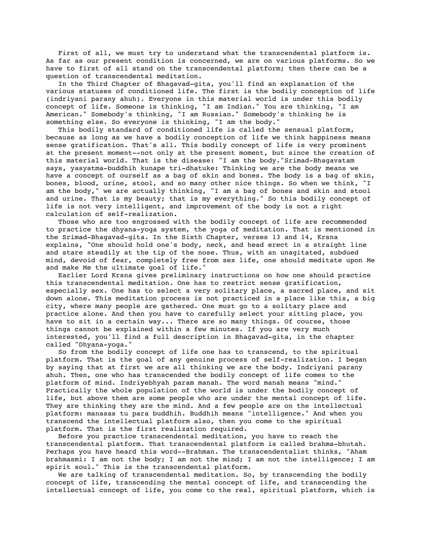First of all, we must try to understand what the transcendental platform is. As far as our present condition is concerned, we are on various platforms. So we have to first of all stand on the transcendental platform; then there can be a question of transcendental meditation.

 In the Third Chapter of Bhagavad-gita, you'll find an explanation of the various statuses of conditioned life. The first is the bodily conception of life (indriyani parany ahuh). Everyone in this material world is under this bodily concept of life. Someone is thinking, "I am Indian." You are thinking, "I am American." Somebody's thinking, "I am Russian." Somebody's thinking he is something else. So everyone is thinking, "I am the body."

 This bodily standard of conditioned life is called the sensual platform, because as long as we have a bodily conception of life we think happiness means sense gratification. That's all. This bodily concept of life is very prominent at the present moment--not only at the present moment, but since the creation of this material world. That is the disease: "I am the body."Srimad-Bhagavatam says, yasyatma-buddhih kunape tri-dhatuke: Thinking we are the body means we have a concept of ourself as a bag of skin and bones. The body is a bag of skin, bones, blood, urine, stool, and so many other nice things. So when we think, "I am the body," we are actually thinking, "I am a bag of bones and skin and stool and urine. That is my beauty; that is my everything." So this bodily concept of life is not very intelligent, and improvement of the body is not a right calculation of self-realization.

 Those who are too engrossed with the bodily concept of life are recommended to practice the dhyana-yoga system, the yoga of meditation. That is mentioned in the Srimad-Bhagavad-gita. In the Sixth Chapter, verses 13 and 14, Krsna explains, "One should hold one's body, neck, and head erect in a straight line and stare steadily at the tip of the nose. Thus, with an unagitated, subdued mind, devoid of fear, completely free from sex life, one should meditate upon Me and make Me the ultimate goal of life."

 Earlier Lord Krsna gives preliminary instructions on how one should practice this transcendental meditation. One has to restrict sense gratification, especially sex. One has to select a very solitary place, a sacred place, and sit down alone. This meditation process is not practiced in a place like this, a big city, where many people are gathered. One must go to a solitary place and practice alone. And then you have to carefully select your sitting place, you have to sit in a certain way... There are so many things. Of course, those things cannot be explained within a few minutes. If you are very much interested, you'll find a full description in Bhagavad-gita, in the chapter called "Dhyana-yoga."

 So from the bodily concept of life one has to transcend, to the spiritual platform. That is the goal of any genuine process of self-realization. I began by saying that at first we are all thinking we are the body. Indriyani parany ahuh. Then, one who has transcended the bodily concept of life comes to the platform of mind. Indriyebhyah param manah. The word manah means "mind." Practically the whole population of the world is under the bodily concept of life, but above them are some people who are under the mental concept of life. They are thinking they are the mind. And a few people are on the intellectual platform: manasas tu para buddhih. Buddhih means "intelligence." And when you transcend the intellectual platform also, then you come to the spiritual platform. That is the first realization required.

 Before you practice transcendental meditation, you have to reach the transcendental platform. That transcendental platform is called brahma-bhutah. Perhaps you have heard this word--Brahman. The transcendentalist thinks, "Aham brahmasmi: I am not the body; I am not the mind; I am not the intelligence; I am spirit soul." This is the transcendental platform.

 We are talking of transcendental meditation. So, by transcending the bodily concept of life, transcending the mental concept of life, and transcending the intellectual concept of life, you come to the real, spiritual platform, which is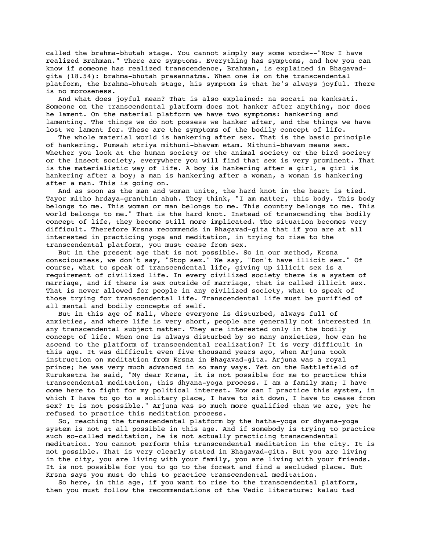called the brahma-bhutah stage. You cannot simply say some words--"Now I have realized Brahman." There are symptoms. Everything has symptoms, and how you can know if someone has realized transcendence, Brahman, is explained in Bhagavadgita (18.54): brahma-bhutah prasannatma. When one is on the transcendental platform, the brahma-bhutah stage, his symptom is that he's always joyful. There is no moroseness.

 And what does joyful mean? That is also explained: na socati na kanksati. Someone on the transcendental platform does not hanker after anything, nor does he lament. On the material platform we have two symptoms: hankering and lamenting. The things we do not possess we hanker after, and the things we have lost we lament for. These are the symptoms of the bodily concept of life.

 The whole material world is hankering after sex. That is the basic principle of hankering. Pumsah striya mithuni-bhavam etam. Mithuni-bhavam means sex. Whether you look at the human society or the animal society or the bird society or the insect society, everywhere you will find that sex is very prominent. That is the materialistic way of life. A boy is hankering after a girl, a girl is hankering after a boy; a man is hankering after a woman, a woman is hankering after a man. This is going on.

 And as soon as the man and woman unite, the hard knot in the heart is tied. Tayor mitho hrdaya-granthim ahuh. They think, "I am matter, this body. This body belongs to me. This woman or man belongs to me. This country belongs to me. This world belongs to me." That is the hard knot. Instead of transcending the bodily concept of life, they become still more implicated. The situation becomes very difficult. Therefore Krsna recommends in Bhagavad-gita that if you are at all interested in practicing yoga and meditation, in trying to rise to the transcendental platform, you must cease from sex.

 But in the present age that is not possible. So in our method, Krsna consciousness, we don't say, "Stop sex." We say, "Don't have illicit sex." Of course, what to speak of transcendental life, giving up illicit sex is a requirement of civilized life. In every civilized society there is a system of marriage, and if there is sex outside of marriage, that is called illicit sex. That is never allowed for people in any civilized society, what to speak of those trying for transcendental life. Transcendental life must be purified of all mental and bodily concepts of self.

 But in this age of Kali, where everyone is disturbed, always full of anxieties, and where life is very short, people are generally not interested in any transcendental subject matter. They are interested only in the bodily concept of life. When one is always disturbed by so many anxieties, how can he ascend to the platform of transcendental realization? It is very difficult in this age. It was difficult even five thousand years ago, when Arjuna took instruction on meditation from Krsna in Bhagavad-gita. Arjuna was a royal prince; he was very much advanced in so many ways. Yet on the Battlefield of Kuruksetra he said, "My dear Krsna, it is not possible for me to practice this transcendental meditation, this dhyana-yoga process. I am a family man; I have come here to fight for my political interest. How can I practice this system, in which I have to go to a solitary place, I have to sit down, I have to cease from sex? It is not possible." Arjuna was so much more qualified than we are, yet he refused to practice this meditation process.

 So, reaching the transcendental platform by the hatha-yoga or dhyana-yoga system is not at all possible in this age. And if somebody is trying to practice such so-called meditation, he is not actually practicing transcendental meditation. You cannot perform this transcendental meditation in the city. It is not possible. That is very clearly stated in Bhagavad-gita. But you are living in the city, you are living with your family, you are living with your friends. It is not possible for you to go to the forest and find a secluded place. But Krsna says you must do this to practice transcendental meditation.

 So here, in this age, if you want to rise to the transcendental platform, then you must follow the recommendations of the Vedic literature: kalau tad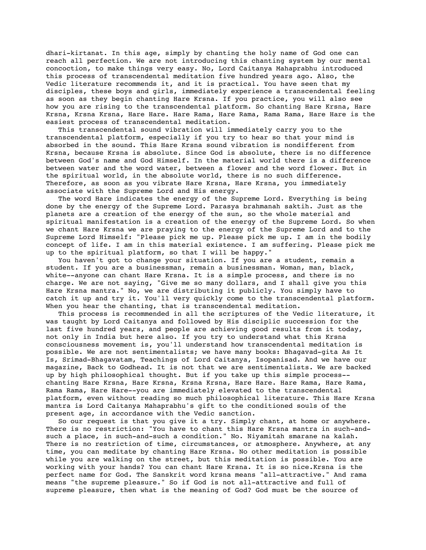dhari-kirtanat. In this age, simply by chanting the holy name of God one can reach all perfection. We are not introducing this chanting system by our mental concoction, to make things very easy. No, Lord Caitanya Mahaprabhu introduced this process of transcendental meditation five hundred years ago. Also, the Vedic literature recommends it, and it is practical. You have seen that my disciples, these boys and girls, immediately experience a transcendental feeling as soon as they begin chanting Hare Krsna. If you practice, you will also see how you are rising to the transcendental platform. So chanting Hare Krsna, Hare Krsna, Krsna Krsna, Hare Hare. Hare Rama, Hare Rama, Rama Rama, Hare Hare is the easiest process of transcendental meditation.

 This transcendental sound vibration will immediately carry you to the transcendental platform, especially if you try to hear so that your mind is absorbed in the sound. This Hare Krsna sound vibration is nondifferent from Krsna, because Krsna is absolute. Since God is absolute, there is no difference between God's name and God Himself. In the material world there is a difference between water and the word water, between a flower and the word flower. But in the spiritual world, in the absolute world, there is no such difference. Therefore, as soon as you vibrate Hare Krsna, Hare Krsna, you immediately associate with the Supreme Lord and His energy.

 The word Hare indicates the energy of the Supreme Lord. Everything is being done by the energy of the Supreme Lord. Parasya brahmanah saktih. Just as the planets are a creation of the energy of the sun, so the whole material and spiritual manifestation is a creation of the energy of the Supreme Lord. So when we chant Hare Krsna we are praying to the energy of the Supreme Lord and to the Supreme Lord Himself: "Please pick me up. Please pick me up. I am in the bodily concept of life. I am in this material existence. I am suffering. Please pick me up to the spiritual platform, so that I will be happy."

 You haven't got to change your situation. If you are a student, remain a student. If you are a businessman, remain a businessman. Woman, man, black, white--anyone can chant Hare Krsna. It is a simple process, and there is no charge. We are not saying, "Give me so many dollars, and I shall give you this Hare Krsna mantra." No, we are distributing it publicly. You simply have to catch it up and try it. You'll very quickly come to the transcendental platform. When you hear the chanting, that is transcendental meditation.

 This process is recommended in all the scriptures of the Vedic literature, it was taught by Lord Caitanya and followed by His disciplic succession for the last five hundred years, and people are achieving good results from it today, not only in India but here also. If you try to understand what this Krsna consciousness movement is, you'll understand how transcendental meditation is possible. We are not sentimentalists; we have many books: Bhagavad-gita As It Is, Srimad-Bhagavatam, Teachings of Lord Caitanya, Isopanisad. And we have our magazine, Back to Godhead. It is not that we are sentimentalists. We are backed up by high philosophical thought. But if you take up this simple process- chanting Hare Krsna, Hare Krsna, Krsna Krsna, Hare Hare. Hare Rama, Hare Rama, Rama Rama, Hare Hare--you are immediately elevated to the transcendental platform, even without reading so much philosophical literature. This Hare Krsna mantra is Lord Caitanya Mahaprabhu's gift to the conditioned souls of the present age, in accordance with the Vedic sanction.

 So our request is that you give it a try. Simply chant, at home or anywhere. There is no restriction: "You have to chant this Hare Krsna mantra in such-andsuch a place, in such-and-such a condition." No. Niyamitah smarane na kalah. There is no restriction of time, circumstances, or atmosphere. Anywhere, at any time, you can meditate by chanting Hare Krsna. No other meditation is possible while you are walking on the street, but this meditation is possible. You are working with your hands? You can chant Hare Krsna. It is so nice.Krsna is the perfect name for God. The Sanskrit word krsna means "all-attractive." And rama means "the supreme pleasure." So if God is not all-attractive and full of supreme pleasure, then what is the meaning of God? God must be the source of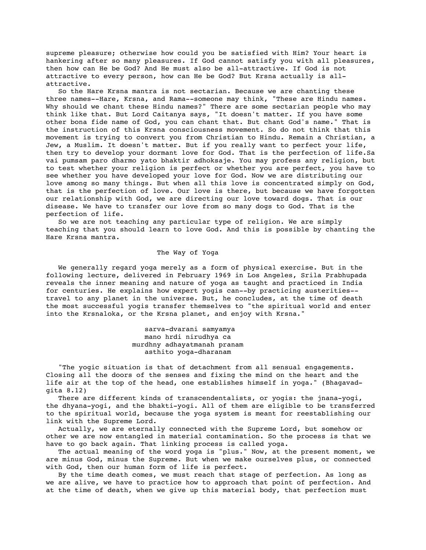supreme pleasure; otherwise how could you be satisfied with Him? Your heart is hankering after so many pleasures. If God cannot satisfy you with all pleasures, then how can He be God? And He must also be all-attractive. If God is not attractive to every person, how can He be God? But Krsna actually is allattractive.

 So the Hare Krsna mantra is not sectarian. Because we are chanting these three names--Hare, Krsna, and Rama--someone may think, "These are Hindu names. Why should we chant these Hindu names?" There are some sectarian people who may think like that. But Lord Caitanya says, "It doesn't matter. If you have some other bona fide name of God, you can chant that. But chant God's name." That is the instruction of this Krsna consciousness movement. So do not think that this movement is trying to convert you from Christian to Hindu. Remain a Christian, a Jew, a Muslim. It doesn't matter. But if you really want to perfect your life, then try to develop your dormant love for God. That is the perfection of life.Sa vai pumsam paro dharmo yato bhaktir adhoksaje. You may profess any religion, but to test whether your religion is perfect or whether you are perfect, you have to see whether you have developed your love for God. Now we are distributing our love among so many things. But when all this love is concentrated simply on God, that is the perfection of love. Our love is there, but because we have forgotten our relationship with God, we are directing our love toward dogs. That is our disease. We have to transfer our love from so many dogs to God. That is the perfection of life.

 So we are not teaching any particular type of religion. We are simply teaching that you should learn to love God. And this is possible by chanting the Hare Krsna mantra.

## The Way of Yoga

 We generally regard yoga merely as a form of physical exercise. But in the following lecture, delivered in February 1969 in Los Angeles, Srila Prabhupada reveals the inner meaning and nature of yoga as taught and practiced in India for centuries. He explains how expert yogis can--by practicing austerities- travel to any planet in the universe. But, he concludes, at the time of death the most successful yogis transfer themselves to "the spiritual world and enter into the Krsnaloka, or the Krsna planet, and enjoy with Krsna."

> sarva-dvarani samyamya mano hrdi nirudhya ca murdhny adhayatmanah pranam asthito yoga-dharanam

 "The yogic situation is that of detachment from all sensual engagements. Closing all the doors of the senses and fixing the mind on the heart and the life air at the top of the head, one establishes himself in yoga." (Bhagavadgita 8.12)

There are different kinds of transcendentalists, or yogis: the jnana-yogi, the dhyana-yogi, and the bhakti-yogi. All of them are eligible to be transferred to the spiritual world, because the yoga system is meant for reestablishing our link with the Supreme Lord.

 Actually, we are eternally connected with the Supreme Lord, but somehow or other we are now entangled in material contamination. So the process is that we have to go back again. That linking process is called yoga.

 The actual meaning of the word yoga is "plus." Now, at the present moment, we are minus God, minus the Supreme. But when we make ourselves plus, or connected with God, then our human form of life is perfect.

 By the time death comes, we must reach that stage of perfection. As long as we are alive, we have to practice how to approach that point of perfection. And at the time of death, when we give up this material body, that perfection must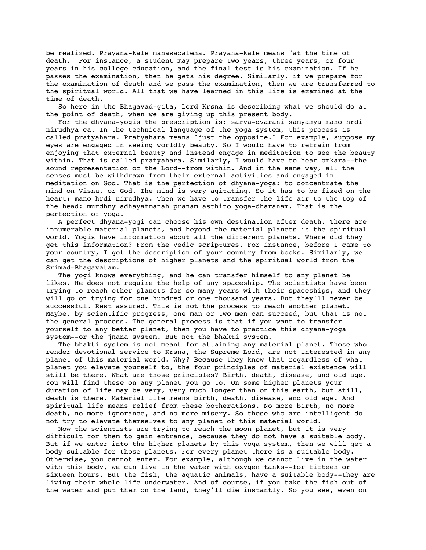be realized. Prayana-kale manasacalena. Prayana-kale means "at the time of death." For instance, a student may prepare two years, three years, or four years in his college education, and the final test is his examination. If he passes the examination, then he gets his degree. Similarly, if we prepare for the examination of death and we pass the examination, then we are transferred to the spiritual world. All that we have learned in this life is examined at the time of death.

 So here in the Bhagavad-gita, Lord Krsna is describing what we should do at the point of death, when we are giving up this present body.

 For the dhyana-yogis the prescription is: sarva-dvarani samyamya mano hrdi nirudhya ca. In the technical language of the yoga system, this process is called pratyahara. Pratyahara means "just the opposite." For example, suppose my eyes are engaged in seeing worldly beauty. So I would have to refrain from enjoying that external beauty and instead engage in meditation to see the beauty within. That is called pratyahara. Similarly, I would have to hear omkara--the sound representation of the Lord--from within. And in the same way, all the senses must be withdrawn from their external activities and engaged in meditation on God. That is the perfection of dhyana-yoga: to concentrate the mind on Visnu, or God. The mind is very agitating. So it has to be fixed on the heart: mano hrdi nirudhya. Then we have to transfer the life air to the top of the head: murdhny adhayatmanah pranam asthito yoga-dharanam. That is the perfection of yoga.

 A perfect dhyana-yogi can choose his own destination after death. There are innumerable material planets, and beyond the material planets is the spiritual world. Yogis have information about all the different planets. Where did they get this information? From the Vedic scriptures. For instance, before I came to your country, I got the description of your country from books. Similarly, we can get the descriptions of higher planets and the spiritual world from the Srimad-Bhagavatam.

 The yogi knows everything, and he can transfer himself to any planet he likes. He does not require the help of any spaceship. The scientists have been trying to reach other planets for so many years with their spaceships, and they will go on trying for one hundred or one thousand years. But they'll never be successful. Rest assured. This is not the process to reach another planet. Maybe, by scientific progress, one man or two men can succeed, but that is not the general process. The general process is that if you want to transfer yourself to any better planet, then you have to practice this dhyana-yoga system--or the jnana system. But not the bhakti system.

 The bhakti system is not meant for attaining any material planet. Those who render devotional service to Krsna, the Supreme Lord, are not interested in any planet of this material world. Why? Because they know that regardless of what planet you elevate yourself to, the four principles of material existence will still be there. What are those principles? Birth, death, disease, and old age. You will find these on any planet you go to. On some higher planets your duration of life may be very, very much longer than on this earth, but still, death is there. Material life means birth, death, disease, and old age. And spiritual life means relief from these botherations. No more birth, no more death, no more ignorance, and no more misery. So those who are intelligent do not try to elevate themselves to any planet of this material world.

 Now the scientists are trying to reach the moon planet, but it is very difficult for them to gain entrance, because they do not have a suitable body. But if we enter into the higher planets by this yoga system, then we will get a body suitable for those planets. For every planet there is a suitable body. Otherwise, you cannot enter. For example, although we cannot live in the water with this body, we can live in the water with oxygen tanks--for fifteen or sixteen hours. But the fish, the aquatic animals, have a suitable body--they are living their whole life underwater. And of course, if you take the fish out of the water and put them on the land, they'll die instantly. So you see, even on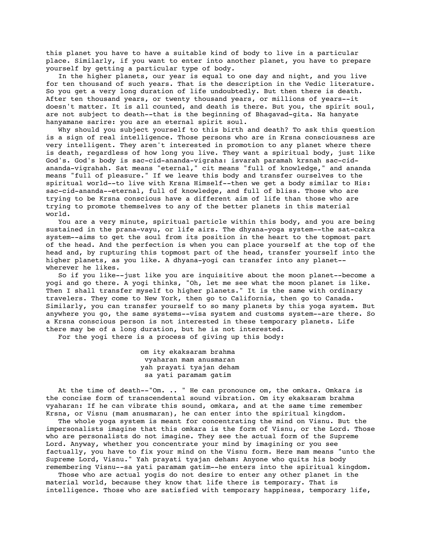this planet you have to have a suitable kind of body to live in a particular place. Similarly, if you want to enter into another planet, you have to prepare yourself by getting a particular type of body.

 In the higher planets, our year is equal to one day and night, and you live for ten thousand of such years. That is the description in the Vedic literature. So you get a very long duration of life undoubtedly. But then there is death. After ten thousand years, or twenty thousand years, or millions of years--it doesn't matter. It is all counted, and death is there. But you, the spirit soul, are not subject to death--that is the beginning of Bhagavad-gita. Na hanyate hanyamane sarire: you are an eternal spirit soul.

 Why should you subject yourself to this birth and death? To ask this question is a sign of real intelligence. Those persons who are in Krsna consciousness are very intelligent. They aren't interested in promotion to any planet where there is death, regardless of how long you live. They want a spiritual body, just like God's. God's body is sac-cid-ananda-vigraha: isvarah paramah krsnah sac-cidananda-vigrahah. Sat means "eternal," cit means "full of knowledge," and ananda means "full of pleasure." If we leave this body and transfer ourselves to the spiritual world--to live with Krsna Himself--then we get a body similar to His: sac-cid-ananda--eternal, full of knowledge, and full of bliss. Those who are trying to be Krsna conscious have a different aim of life than those who are trying to promote themselves to any of the better planets in this material world.

 You are a very minute, spiritual particle within this body, and you are being sustained in the prana-vayu, or life airs. The dhyana-yoga system--the sat-cakra system--aims to get the soul from its position in the heart to the topmost part of the head. And the perfection is when you can place yourself at the top of the head and, by rupturing this topmost part of the head, transfer yourself into the higher planets, as you like. A dhyana-yogi can transfer into any planet- wherever he likes.

 So if you like--just like you are inquisitive about the moon planet--become a yogi and go there. A yogi thinks, "Oh, let me see what the moon planet is like. Then I shall transfer myself to higher planets." It is the same with ordinary travelers. They come to New York, then go to California, then go to Canada. Similarly, you can transfer yourself to so many planets by this yoga system. But anywhere you go, the same systems--visa system and customs system--are there. So a Krsna conscious person is not interested in these temporary planets. Life there may be of a long duration, but he is not interested.

For the yogi there is a process of giving up this body:

 om ity ekaksaram brahma vyaharan mam anusmaran yah prayati tyajan deham sa yati paramam gatim

At the time of death--"Om. .. " He can pronounce om, the omkara. Omkara is the concise form of transcendental sound vibration. Om ity ekaksaram brahma vyaharan: If he can vibrate this sound, omkara, and at the same time remember Krsna, or Visnu (mam anusmaran), he can enter into the spiritual kingdom.

 The whole yoga system is meant for concentrating the mind on Visnu. But the impersonalists imagine that this omkara is the form of Visnu, or the Lord. Those who are personalists do not imagine. They see the actual form of the Supreme Lord. Anyway, whether you concentrate your mind by imagining or you see factually, you have to fix your mind on the Visnu form. Here mam means "unto the Supreme Lord, Visnu." Yah prayati tyajan deham: Anyone who quits his body remembering Visnu--sa yati paramam gatim--he enters into the spiritual kingdom.

 Those who are actual yogis do not desire to enter any other planet in the material world, because they know that life there is temporary. That is intelligence. Those who are satisfied with temporary happiness, temporary life,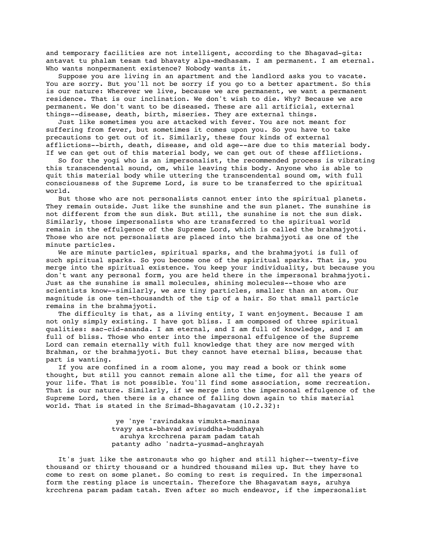and temporary facilities are not intelligent, according to the Bhagavad-gita: antavat tu phalam tesam tad bhavaty alpa-medhasam. I am permanent. I am eternal. Who wants nonpermanent existence? Nobody wants it.

 Suppose you are living in an apartment and the landlord asks you to vacate. You are sorry. But you'll not be sorry if you go to a better apartment. So this is our nature: Wherever we live, because we are permanent, we want a permanent residence. That is our inclination. We don't wish to die. Why? Because we are permanent. We don't want to be diseased. These are all artificial, external things--disease, death, birth, miseries. They are external things.

 Just like sometimes you are attacked with fever. You are not meant for suffering from fever, but sometimes it comes upon you. So you have to take precautions to get out of it. Similarly, these four kinds of external afflictions--birth, death, disease, and old age--are due to this material body. If we can get out of this material body, we can get out of these afflictions.

 So for the yogi who is an impersonalist, the recommended process is vibrating this transcendental sound, om, while leaving this body. Anyone who is able to quit this material body while uttering the transcendental sound om, with full consciousness of the Supreme Lord, is sure to be transferred to the spiritual world.

 But those who are not personalists cannot enter into the spiritual planets. They remain outside. Just like the sunshine and the sun planet. The sunshine is not different from the sun disk. But still, the sunshine is not the sun disk. Similarly, those impersonalists who are transferred to the spiritual world remain in the effulgence of the Supreme Lord, which is called the brahmajyoti. Those who are not personalists are placed into the brahmajyoti as one of the minute particles.

 We are minute particles, spiritual sparks, and the brahmajyoti is full of such spiritual sparks. So you become one of the spiritual sparks. That is, you merge into the spiritual existence. You keep your individuality, but because you don't want any personal form, you are held there in the impersonal brahmajyoti. Just as the sunshine is small molecules, shining molecules--those who are scientists know--similarly, we are tiny particles, smaller than an atom. Our magnitude is one ten-thousandth of the tip of a hair. So that small particle remains in the brahmajyoti.

 The difficulty is that, as a living entity, I want enjoyment. Because I am not only simply existing. I have got bliss. I am composed of three spiritual qualities: sac-cid-ananda. I am eternal, and I am full of knowledge, and I am full of bliss. Those who enter into the impersonal effulgence of the Supreme Lord can remain eternally with full knowledge that they are now merged with Brahman, or the brahmajyoti. But they cannot have eternal bliss, because that part is wanting.

 If you are confined in a room alone, you may read a book or think some thought, but still you cannot remain alone all the time, for all the years of your life. That is not possible. You'll find some association, some recreation. That is our nature. Similarly, if we merge into the impersonal effulgence of the Supreme Lord, then there is a chance of falling down again to this material world. That is stated in the Srimad-Bhagavatam (10.2.32):

> ye 'nye 'ravindaksa vimukta-maninas tvayy asta-bhavad avisuddha-buddhayah aruhya krcchrena param padam tatah patanty adho 'nadrta-yusmad-anghrayah

 It's just like the astronauts who go higher and still higher--twenty-five thousand or thirty thousand or a hundred thousand miles up. But they have to come to rest on some planet. So coming to rest is required. In the impersonal form the resting place is uncertain. Therefore the Bhagavatam says, aruhya krcchrena param padam tatah. Even after so much endeavor, if the impersonalist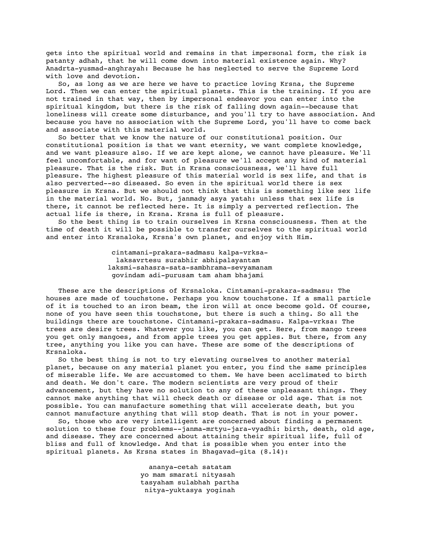gets into the spiritual world and remains in that impersonal form, the risk is patanty adhah, that he will come down into material existence again. Why? Anadrta-yusmad-anghrayah: Because he has neglected to serve the Supreme Lord with love and devotion.

 So, as long as we are here we have to practice loving Krsna, the Supreme Lord. Then we can enter the spiritual planets. This is the training. If you are not trained in that way, then by impersonal endeavor you can enter into the spiritual kingdom, but there is the risk of falling down again--because that loneliness will create some disturbance, and you'll try to have association. And because you have no association with the Supreme Lord, you'll have to come back and associate with this material world.

 So better that we know the nature of our constitutional position. Our constitutional position is that we want eternity, we want complete knowledge, and we want pleasure also. If we are kept alone, we cannot have pleasure. We'll feel uncomfortable, and for want of pleasure we'll accept any kind of material pleasure. That is the risk. But in Krsna consciousness, we'll have full pleasure. The highest pleasure of this material world is sex life, and that is also perverted--so diseased. So even in the spiritual world there is sex pleasure in Krsna. But we should not think that this is something like sex life in the material world. No. But, janmady asya yatah: unless that sex life is there, it cannot be reflected here. It is simply a perverted reflection. The actual life is there, in Krsna. Krsna is full of pleasure.

 So the best thing is to train ourselves in Krsna consciousness. Then at the time of death it will be possible to transfer ourselves to the spiritual world and enter into Krsnaloka, Krsna's own planet, and enjoy with Him.

> cintamani-prakara-sadmasu kalpa-vrksa laksavrtesu surabhir abhipalayantam laksmi-sahasra-sata-sambhrama-sevyamanam govindam adi-purusam tam aham bhajami

 These are the descriptions of Krsnaloka. Cintamani-prakara-sadmasu: The houses are made of touchstone. Perhaps you know touchstone. If a small particle of it is touched to an iron beam, the iron will at once become gold. Of course, none of you have seen this touchstone, but there is such a thing. So all the buildings there are touchstone. Cintamani-prakara-sadmasu. Kalpa-vrksa: The trees are desire trees. Whatever you like, you can get. Here, from mango trees you get only mangoes, and from apple trees you get apples. But there, from any tree, anything you like you can have. These are some of the descriptions of Krsnaloka.

 So the best thing is not to try elevating ourselves to another material planet, because on any material planet you enter, you find the same principles of miserable life. We are accustomed to them. We have been acclimated to birth and death. We don't care. The modern scientists are very proud of their advancement, but they have no solution to any of these unpleasant things. They cannot make anything that will check death or disease or old age. That is not possible. You can manufacture something that will accelerate death, but you cannot manufacture anything that will stop death. That is not in your power.

 So, those who are very intelligent are concerned about finding a permanent solution to these four problems--janma-mrtyu-jara-vyadhi: birth, death, old age, and disease. They are concerned about attaining their spiritual life, full of bliss and full of knowledge. And that is possible when you enter into the spiritual planets. As Krsna states in Bhagavad-gita (8.14):

> ananya-cetah satatam yo mam smarati nityasah tasyaham sulabhah partha nitya-yuktasya yoginah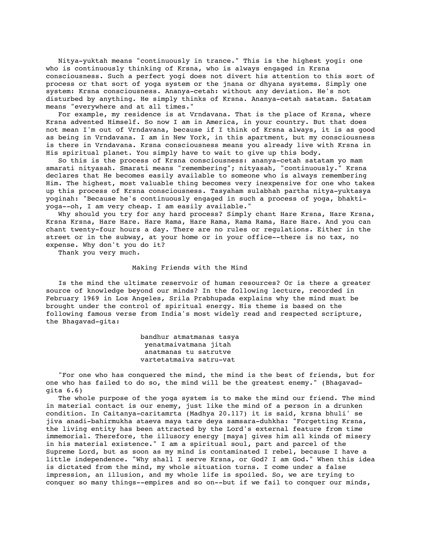Nitya-yuktah means "continuously in trance." This is the highest yogi: one who is continuously thinking of Krsna, who is always engaged in Krsna consciousness. Such a perfect yogi does not divert his attention to this sort of process or that sort of yoga system or the jnana or dhyana systems. Simply one system: Krsna consciousness. Ananya-cetah: without any deviation. He's not disturbed by anything. He simply thinks of Krsna. Ananya-cetah satatam. Satatam means "everywhere and at all times."

 For example, my residence is at Vrndavana. That is the place of Krsna, where Krsna advented Himself. So now I am in America, in your country. But that does not mean I'm out of Vrndavana, because if I think of Krsna always, it is as good as being in Vrndavana. I am in New York, in this apartment, but my consciousness is there in Vrndavana. Krsna consciousness means you already live with Krsna in His spiritual planet. You simply have to wait to give up this body.

 So this is the process of Krsna consciousness: ananya-cetah satatam yo mam smarati nityasah. Smarati means "remembering"; nityasah, "continuously." Krsna declares that He becomes easily available to someone who is always remembering Him. The highest, most valuable thing becomes very inexpensive for one who takes up this process of Krsna consciousness. Tasyaham sulabhah partha nitya-yuktasya yoginah: "Because he's continuously engaged in such a process of yoga, bhaktiyoga--oh, I am very cheap. I am easily available."

Why should you try for any hard process? Simply chant Hare Krsna, Hare Krsna, Krsna Krsna, Hare Hare. Hare Rama, Hare Rama, Rama Rama, Hare Hare. And you can chant twenty-four hours a day. There are no rules or regulations. Either in the street or in the subway, at your home or in your office--there is no tax, no expense. Why don't you do it?

Thank you very much.

#### Making Friends with the Mind

 Is the mind the ultimate reservoir of human resources? Or is there a greater source of knowledge beyond our minds? In the following lecture, recorded in February 1969 in Los Angeles, Srila Prabhupada explains why the mind must be brought under the control of spiritual energy. His theme is based on the following famous verse from India's most widely read and respected scripture, the Bhagavad-gita:

> bandhur atmatmanas tasya yenatmaivatmana jitah anatmanas tu satrutve vartetatmaiva satru-vat

 "For one who has conquered the mind, the mind is the best of friends, but for one who has failed to do so, the mind will be the greatest enemy." (Bhagavadgita 6.6)

 The whole purpose of the yoga system is to make the mind our friend. The mind in material contact is our enemy, just like the mind of a person in a drunken condition. In Caitanya-caritamrta (Madhya 20.117) it is said, krsna bhuli' se jiva anadi-bahirmukha ataeva maya tare deya samsara-duhkha: "Forgetting Krsna, the living entity has been attracted by the Lord's external feature from time immemorial. Therefore, the illusory energy [maya] gives him all kinds of misery in his material existence." I am a spiritual soul, part and parcel of the Supreme Lord, but as soon as my mind is contaminated I rebel, because I have a little independence. "Why shall I serve Krsna, or God? I am God." When this idea is dictated from the mind, my whole situation turns. I come under a false impression, an illusion, and my whole life is spoiled. So, we are trying to conquer so many things--empires and so on--but if we fail to conquer our minds,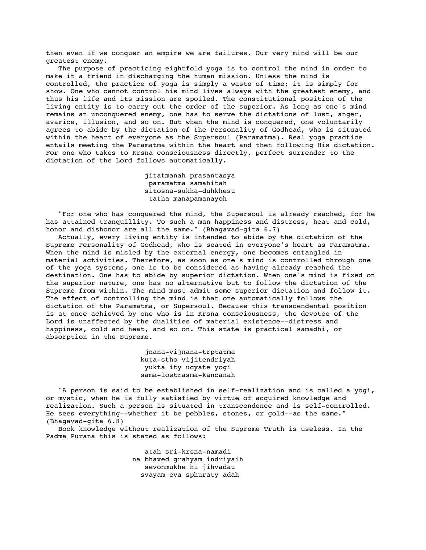then even if we conquer an empire we are failures. Our very mind will be our greatest enemy.

 The purpose of practicing eightfold yoga is to control the mind in order to make it a friend in discharging the human mission. Unless the mind is controlled, the practice of yoga is simply a waste of time; it is simply for show. One who cannot control his mind lives always with the greatest enemy, and thus his life and its mission are spoiled. The constitutional position of the living entity is to carry out the order of the superior. As long as one's mind remains an unconquered enemy, one has to serve the dictations of lust, anger, avarice, illusion, and so on. But when the mind is conquered, one voluntarily agrees to abide by the dictation of the Personality of Godhead, who is situated within the heart of everyone as the Supersoul (Paramatma). Real yoga practice entails meeting the Paramatma within the heart and then following His dictation. For one who takes to Krsna consciousness directly, perfect surrender to the dictation of the Lord follows automatically.

> jitatmanah prasantasya paramatma samahitah sitosna-sukha-duhkhesu tatha manapamanayoh

 "For one who has conquered the mind, the Supersoul is already reached, for he has attained tranquillity. To such a man happiness and distress, heat and cold, honor and dishonor are all the same." (Bhagavad-gita 6.7)

 Actually, every living entity is intended to abide by the dictation of the Supreme Personality of Godhead, who is seated in everyone's heart as Paramatma. When the mind is misled by the external energy, one becomes entangled in material activities. Therefore, as soon as one's mind is controlled through one of the yoga systems, one is to be considered as having already reached the destination. One has to abide by superior dictation. When one's mind is fixed on the superior nature, one has no alternative but to follow the dictation of the Supreme from within. The mind must admit some superior dictation and follow it. The effect of controlling the mind is that one automatically follows the dictation of the Paramatma, or Supersoul. Because this transcendental position is at once achieved by one who is in Krsna consciousness, the devotee of the Lord is unaffected by the dualities of material existence--distress and happiness, cold and heat, and so on. This state is practical samadhi, or absorption in the Supreme.

> jnana-vijnana-trptatma kuta-stho vijitendriyah yukta ity ucyate yogi sama-lostrasma-kancanah

 "A person is said to be established in self-realization and is called a yogi, or mystic, when he is fully satisfied by virtue of acquired knowledge and realization. Such a person is situated in transcendence and is self-controlled. He sees everything--whether it be pebbles, stones, or gold--as the same." (Bhagavad-gita 6.8)

 Book knowledge without realization of the Supreme Truth is useless. In the Padma Purana this is stated as follows:

> atah sri-krsna-namadi na bhaved grahyam indriyaih sevonmukhe hi jihvadau svayam eva sphuraty adah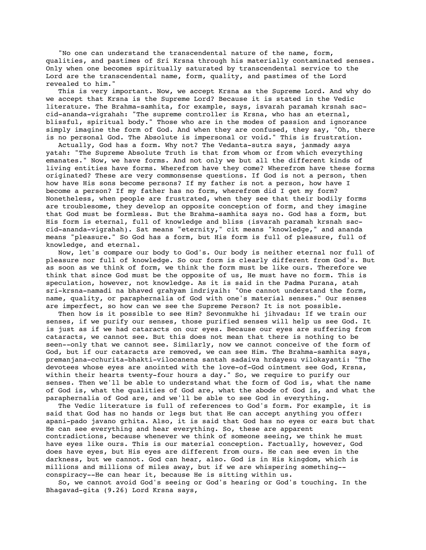"No one can understand the transcendental nature of the name, form, qualities, and pastimes of Sri Krsna through his materially contaminated senses. Only when one becomes spiritually saturated by transcendental service to the Lord are the transcendental name, form, quality, and pastimes of the Lord revealed to him."

 This is very important. Now, we accept Krsna as the Supreme Lord. And why do we accept that Krsna is the Supreme Lord? Because it is stated in the Vedic literature. The Brahma-samhita, for example, says, isvarah paramah krsnah saccid-ananda-vigrahah: "The supreme controller is Krsna, who has an eternal, blissful, spiritual body." Those who are in the modes of passion and ignorance simply imagine the form of God. And when they are confused, they say, "Oh, there is no personal God. The Absolute is impersonal or void." This is frustration.

 Actually, God has a form. Why not? The Vedanta-sutra says, janmady asya yatah: "The Supreme Absolute Truth is that from whom or from which everything emanates." Now, we have forms. And not only we but all the different kinds of living entities have forms. Wherefrom have they come? Wherefrom have these forms originated? These are very commonsense questions. If God is not a person, then how have His sons become persons? If my father is not a person, how have I become a person? If my father has no form, wherefrom did I get my form? Nonetheless, when people are frustrated, when they see that their bodily forms are troublesome, they develop an opposite conception of form, and they imagine that God must be formless. But the Brahma-samhita says no. God has a form, but His form is eternal, full of knowledge and bliss (isvarah paramah krsnah saccid-ananda-vigrahah). Sat means "eternity," cit means "knowledge," and ananda means "pleasure." So God has a form, but His form is full of pleasure, full of knowledge, and eternal.

 Now, let's compare our body to God's. Our body is neither eternal nor full of pleasure nor full of knowledge. So our form is clearly different from God's. But as soon as we think of form, we think the form must be like ours. Therefore we think that since God must be the opposite of us, He must have no form. This is speculation, however, not knowledge. As it is said in the Padma Purana, atah sri-krsna-namadi na bhaved grahyam indriyaih: "One cannot understand the form, name, quality, or paraphernalia of God with one's material senses." Our senses are imperfect, so how can we see the Supreme Person? It is not possible.

 Then how is it possible to see Him? Sevonmukhe hi jihvadau: If we train our senses, if we purify our senses, those purified senses will help us see God. It is just as if we had cataracts on our eyes. Because our eyes are suffering from cataracts, we cannot see. But this does not mean that there is nothing to be seen--only that we cannot see. Similarly, now we cannot conceive of the form of God, but if our cataracts are removed, we can see Him. The Brahma-samhita says, premanjana-cchurita-bhakti-vilocanena santah sadaiva hrdayesu vilokayanti: "The devotees whose eyes are anointed with the love-of-God ointment see God, Krsna, within their hearts twenty-four hours a day." So, we require to purify our senses. Then we'll be able to understand what the form of God is, what the name of God is, what the qualities of God are, what the abode of God is, and what the paraphernalia of God are, and we'll be able to see God in everything.

 The Vedic literature is full of references to God's form. For example, it is said that God has no hands or legs but that He can accept anything you offer: apani-pado javano grhita. Also, it is said that God has no eyes or ears but that He can see everything and hear everything. So, these are apparent contradictions, because whenever we think of someone seeing, we think he must have eyes like ours. This is our material conception. Factually, however, God does have eyes, but His eyes are different from ours. He can see even in the darkness, but we cannot. God can hear, also. God is in His kingdom, which is millions and millions of miles away, but if we are whispering something- conspiracy--He can hear it, because He is sitting within us.

 So, we cannot avoid God's seeing or God's hearing or God's touching. In the Bhagavad-gita (9.26) Lord Krsna says,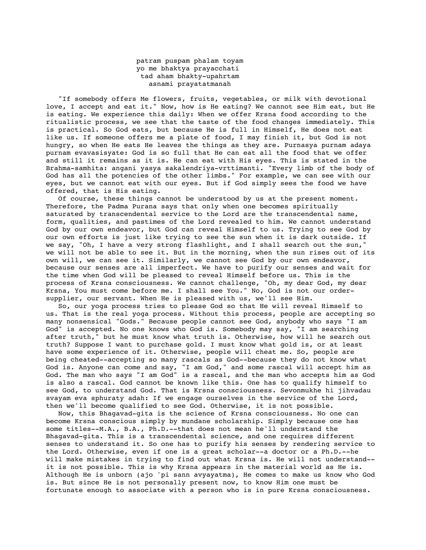patram puspam phalam toyam yo me bhaktya prayacchati tad aham bhakty-upahrtam asnami prayatatmanah

 "If somebody offers Me flowers, fruits, vegetables, or milk with devotional love, I accept and eat it." Now, how is He eating? We cannot see Him eat, but He is eating. We experience this daily: When we offer Krsna food according to the ritualistic process, we see that the taste of the food changes immediately. This is practical. So God eats, but because He is full in Himself, He does not eat like us. If someone offers me a plate of food, I may finish it, but God is not hungry, so when He eats He leaves the things as they are. Purnasya purnam adaya purnam evavasisyate: God is so full that He can eat all the food that we offer and still it remains as it is. He can eat with His eyes. This is stated in the Brahma-samhita: angani yasya sakalendriya-vrttimanti. "Every limb of the body of God has all the potencies of the other limbs." For example, we can see with our eyes, but we cannot eat with our eyes. But if God simply sees the food we have offered, that is His eating.

 Of course, these things cannot be understood by us at the present moment. Therefore, the Padma Purana says that only when one becomes spiritually saturated by transcendental service to the Lord are the transcendental name, form, qualities, and pastimes of the Lord revealed to him. We cannot understand God by our own endeavor, but God can reveal Himself to us. Trying to see God by our own efforts is just like trying to see the sun when it is dark outside. If we say, "Oh, I have a very strong flashlight, and I shall search out the sun," we will not be able to see it. But in the morning, when the sun rises out of its own will, we can see it. Similarly, we cannot see God by our own endeavor, because our senses are all imperfect. We have to purify our senses and wait for the time when God will be pleased to reveal Himself before us. This is the process of Krsna consciousness. We cannot challenge, "Oh, my dear God, my dear Krsna, You must come before me. I shall see You." No, God is not our ordersupplier, our servant. When He is pleased with us, we'll see Him.

 So, our yoga process tries to please God so that He will reveal Himself to us. That is the real yoga process. Without this process, people are accepting so many nonsensical "Gods." Because people cannot see God, anybody who says "I am God" is accepted. No one knows who God is. Somebody may say, "I am searching after truth," but he must know what truth is. Otherwise, how will he search out truth? Suppose I want to purchase gold. I must know what gold is, or at least have some experience of it. Otherwise, people will cheat me. So, people are being cheated--accepting so many rascals as God--because they do not know what God is. Anyone can come and say, "I am God," and some rascal will accept him as God. The man who says "I am God" is a rascal, and the man who accepts him as God is also a rascal. God cannot be known like this. One has to qualify himself to see God, to understand God. That is Krsna consciousness. Sevonmukhe hi jihvadau svayam eva sphuraty adah: If we engage ourselves in the service of the Lord, then we'll become qualified to see God. Otherwise, it is not possible.

 Now, this Bhagavad-gita is the science of Krsna consciousness. No one can become Krsna conscious simply by mundane scholarship. Simply because one has some titles--M.A., B.A., Ph.D.--that does not mean he'll understand the Bhagavad-gita. This is a transcendental science, and one requires different senses to understand it. So one has to purify his senses by rendering service to the Lord. Otherwise, even if one is a great scholar--a doctor or a Ph.D.--he will make mistakes in trying to find out what Krsna is. He will not understand- it is not possible. This is why Krsna appears in the material world as He is. Although He is unborn (ajo 'pi sann avyayatma), He comes to make us know who God is. But since He is not personally present now, to know Him one must be fortunate enough to associate with a person who is in pure Krsna consciousness.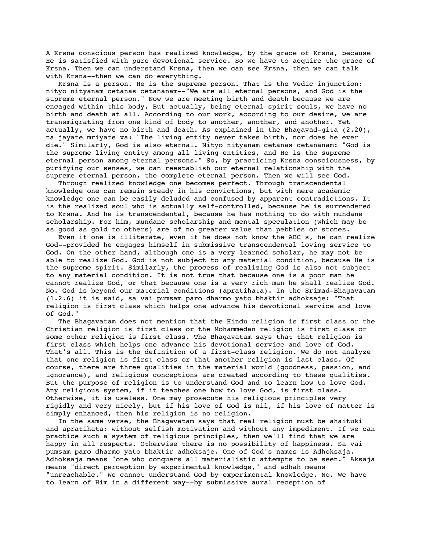A Krsna conscious person has realized knowledge, by the grace of Krsna, because He is satisfied with pure devotional service. So we have to acquire the grace of Krsna. Then we can understand Krsna, then we can see Krsna, then we can talk with Krsna--then we can do everything.

 Krsna is a person. He is the supreme person. That is the Vedic injunction: nityo nityanam cetanas cetananam--"We are all eternal persons, and God is the supreme eternal person." Now we are meeting birth and death because we are encaged within this body. But actually, being eternal spirit souls, we have no birth and death at all. According to our work, according to our desire, we are transmigrating from one kind of body to another, another, and another. Yet actually, we have no birth and death. As explained in the Bhagavad-gita (2.20), na jayate mriyate va: "The living entity never takes birth, nor does he ever die." Similarly, God is also eternal. Nityo nityanam cetanas cetananam: "God is the supreme living entity among all living entities, and He is the supreme eternal person among eternal persons." So, by practicing Krsna consciousness, by purifying our senses, we can reestablish our eternal relationship with the supreme eternal person, the complete eternal person. Then we will see God.

 Through realized knowledge one becomes perfect. Through transcendental knowledge one can remain steady in his convictions, but with mere academic knowledge one can be easily deluded and confused by apparent contradictions. It is the realized soul who is actually self-controlled, because he is surrendered to Krsna. And he is transcendental, because he has nothing to do with mundane scholarship. For him, mundane scholarship and mental speculation (which may be as good as gold to others) are of no greater value than pebbles or stones.

 Even if one is illiterate, even if he does not know the ABC's, he can realize God--provided he engages himself in submissive transcendental loving service to God. On the other hand, although one is a very learned scholar, he may not be able to realize God. God is not subject to any material condition, because He is the supreme spirit. Similarly, the process of realizing God is also not subject to any material condition. It is not true that because one is a poor man he cannot realize God, or that because one is a very rich man he shall realize God. No. God is beyond our material conditions (apratihata). In the Srimad-Bhagavatam (1.2.6) it is said, sa vai pumsam paro dharmo yato bhaktir adhoksaje: "That religion is first class which helps one advance his devotional service and love of God."

 The Bhagavatam does not mention that the Hindu religion is first class or the Christian religion is first class or the Mohammedan religion is first class or some other religion is first class. The Bhagavatam says that that religion is first class which helps one advance his devotional service and love of God. That's all. This is the definition of a first-class religion. We do not analyze that one religion is first class or that another religion is last class. Of course, there are three qualities in the material world (goodness, passion, and ignorance), and religious conceptions are created according to these qualities. But the purpose of religion is to understand God and to learn how to love God. Any religious system, if it teaches one how to love God, is first class. Otherwise, it is useless. One may prosecute his religious principles very rigidly and very nicely, but if his love of God is nil, if his love of matter is simply enhanced, then his religion is no religion.

 In the same verse, the Bhagavatam says that real religion must be ahaituki and apratihata: without selfish motivation and without any impediment. If we can practice such a system of religious principles, then we'll find that we are happy in all respects. Otherwise there is no possibility of happiness. Sa vai pumsam paro dharmo yato bhaktir adhoksaje. One of God's names is Adhoksaja. Adhoksaja means "one who conquers all materialistic attempts to be seen." Aksaja means "direct perception by experimental knowledge," and adhah means "unreachable." We cannot understand God by experimental knowledge. No. We have to learn of Him in a different way--by submissive aural reception of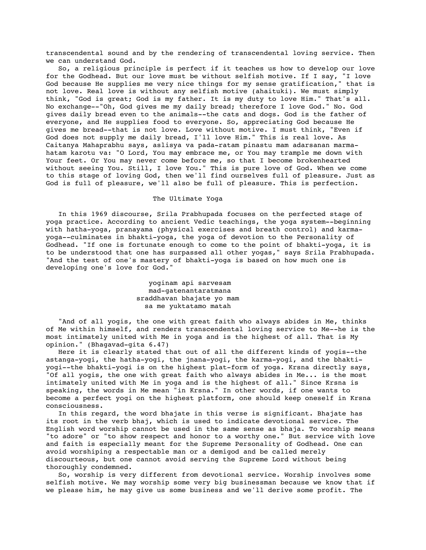transcendental sound and by the rendering of transcendental loving service. Then we can understand God.

 So, a religious principle is perfect if it teaches us how to develop our love for the Godhead. But our love must be without selfish motive. If I say, "I love God because He supplies me very nice things for my sense gratification," that is not love. Real love is without any selfish motive (ahaituki). We must simply think, "God is great; God is my father. It is my duty to love Him." That's all. No exchange--"Oh, God gives me my daily bread; therefore I love God." No. God gives daily bread even to the animals--the cats and dogs. God is the father of everyone, and He supplies food to everyone. So, appreciating God because He gives me bread--that is not love. Love without motive. I must think, "Even if God does not supply me daily bread, I'll love Him." This is real love. As Caitanya Mahaprabhu says, aslisya va pada-ratam pinastu mam adarsanan marmahatam karotu va: "O Lord, You may embrace me, or You may trample me down with Your feet. Or You may never come before me, so that I become brokenhearted without seeing You. Still, I love You." This is pure love of God. When we come to this stage of loving God, then we'll find ourselves full of pleasure. Just as God is full of pleasure, we'll also be full of pleasure. This is perfection.

## The Ultimate Yoga

 In this 1969 discourse, Srila Prabhupada focuses on the perfected stage of yoga practice. According to ancient Vedic teachings, the yoga system--beginning with hatha-yoga, pranayama (physical exercises and breath control) and karmayoga--culminates in bhakti-yoga, the yoga of devotion to the Personality of Godhead. "If one is fortunate enough to come to the point of bhakti-yoga, it is to be understood that one has surpassed all other yogas," says Srila Prabhupada. "And the test of one's mastery of bhakti-yoga is based on how much one is developing one's love for God."

> yoginam api sarvesam mad-gatenantaratmana sraddhavan bhajate yo mam sa me yuktatamo matah

"And of all yogis, the one with great faith who always abides in Me, thinks of Me within himself, and renders transcendental loving service to Me--he is the most intimately united with Me in yoga and is the highest of all. That is My opinion." (Bhagavad-gita 6.47)

 Here it is clearly stated that out of all the different kinds of yogis--the astanga-yogi, the hatha-yogi, the jnana-yogi, the karma-yogi, and the bhaktiyogi--the bhakti-yogi is on the highest plat-form of yoga. Krsna directly says, "Of all yogis, the one with great faith who always abides in Me... is the most intimately united with Me in yoga and is the highest of all." Since Krsna is speaking, the words in Me mean "in Krsna." In other words, if one wants to become a perfect yogi on the highest platform, one should keep oneself in Krsna consciousness.

 In this regard, the word bhajate in this verse is significant. Bhajate has its root in the verb bhaj, which is used to indicate devotional service. The English word worship cannot be used in the same sense as bhaja. To worship means "to adore" or "to show respect and honor to a worthy one." But service with love and faith is especially meant for the Supreme Personality of Godhead. One can avoid worshiping a respectable man or a demigod and be called merely discourteous, but one cannot avoid serving the Supreme Lord without being thoroughly condemned.

 So, worship is very different from devotional service. Worship involves some selfish motive. We may worship some very big businessman because we know that if we please him, he may give us some business and we'll derive some profit. The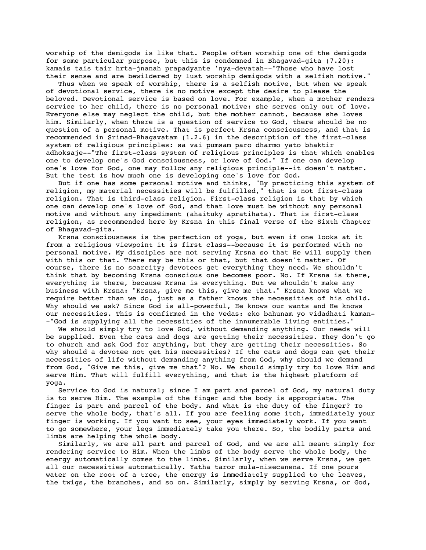worship of the demigods is like that. People often worship one of the demigods for some particular purpose, but this is condemned in Bhagavad-gita (7.20): kamais tais tair hrta-jnanah prapadyante 'nya-devatah--"Those who have lost their sense and are bewildered by lust worship demigods with a selfish motive."

 Thus when we speak of worship, there is a selfish motive, but when we speak of devotional service, there is no motive except the desire to please the beloved. Devotional service is based on love. For example, when a mother renders service to her child, there is no personal motive: she serves only out of love. Everyone else may neglect the child, but the mother cannot, because she loves him. Similarly, when there is a question of service to God, there should be no question of a personal motive. That is perfect Krsna consciousness, and that is recommended in Srimad-Bhagavatam (1.2.6) in the description of the first-class system of religious principles: sa vai pumsam paro dharmo yato bhaktir adhoksaje--"The first-class system of religious principles is that which enables one to develop one's God consciousness, or love of God." If one can develop one's love for God, one may follow any religious principle--it doesn't matter. But the test is how much one is developing one's love for God.

 But if one has some personal motive and thinks, "By practicing this system of religion, my material necessities will be fulfilled," that is not first-class religion. That is third-class religion. First-class religion is that by which one can develop one's love of God, and that love must be without any personal motive and without any impediment (ahaituky apratihata). That is first-class religion, as recommended here by Krsna in this final verse of the Sixth Chapter of Bhagavad-gita.

 Krsna consciousness is the perfection of yoga, but even if one looks at it from a religious viewpoint it is first class--because it is performed with no personal motive. My disciples are not serving Krsna so that He will supply them with this or that. There may be this or that, but that doesn't matter. Of course, there is no scarcity; devotees get everything they need. We shouldn't think that by becoming Krsna conscious one becomes poor. No. If Krsna is there, everything is there, because Krsna is everything. But we shouldn't make any business with Krsna: "Krsna, give me this, give me that." Krsna knows what we require better than we do, just as a father knows the necessities of his child. Why should we ask? Since God is all-powerful, He knows our wants and He knows our necessities. This is confirmed in the Vedas: eko bahunam yo vidadhati kaman- -"God is supplying all the necessities of the innumerable living entities."

 We should simply try to love God, without demanding anything. Our needs will be supplied. Even the cats and dogs are getting their necessities. They don't go to church and ask God for anything, but they are getting their necessities. So why should a devotee not get his necessities? If the cats and dogs can get their necessities of life without demanding anything from God, why should we demand from God, "Give me this, give me that"? No. We should simply try to love Him and serve Him. That will fulfill everything, and that is the highest platform of yoga.

 Service to God is natural; since I am part and parcel of God, my natural duty is to serve Him. The example of the finger and the body is appropriate. The finger is part and parcel of the body. And what is the duty of the finger? To serve the whole body, that's all. If you are feeling some itch, immediately your finger is working. If you want to see, your eyes immediately work. If you want to go somewhere, your legs immediately take you there. So, the bodily parts and limbs are helping the whole body.

 Similarly, we are all part and parcel of God, and we are all meant simply for rendering service to Him. When the limbs of the body serve the whole body, the energy automatically comes to the limbs. Similarly, when we serve Krsna, we get all our necessities automatically. Yatha taror mula-nisecanena. If one pours water on the root of a tree, the energy is immediately supplied to the leaves, the twigs, the branches, and so on. Similarly, simply by serving Krsna, or God,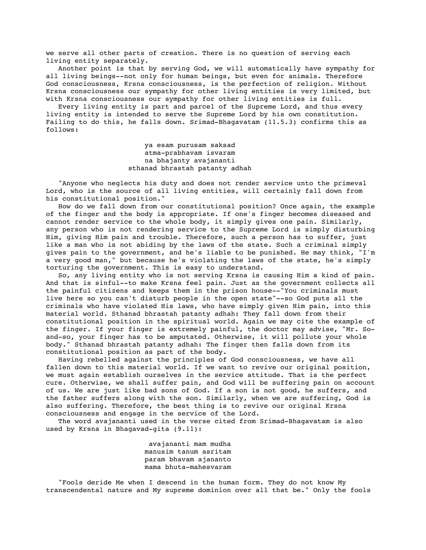we serve all other parts of creation. There is no question of serving each living entity separately.

 Another point is that by serving God, we will automatically have sympathy for all living beings--not only for human beings, but even for animals. Therefore God consciousness, Krsna consciousness, is the perfection of religion. Without Krsna consciousness our sympathy for other living entities is very limited, but with Krsna consciousness our sympathy for other living entities is full.

 Every living entity is part and parcel of the Supreme Lord, and thus every living entity is intended to serve the Supreme Lord by his own constitution. Failing to do this, he falls down. Srimad-Bhagavatam (11.5.3) confirms this as follows:

> ya esam purusam saksad atma-prabhavam isvaram na bhajanty avajananti sthanad bhrastah patanty adhah

 "Anyone who neglects his duty and does not render service unto the primeval Lord, who is the source of all living entities, will certainly fall down from his constitutional position."

 How do we fall down from our constitutional position? Once again, the example of the finger and the body is appropriate. If one's finger becomes diseased and cannot render service to the whole body, it simply gives one pain. Similarly, any person who is not rendering service to the Supreme Lord is simply disturbing Him, giving Him pain and trouble. Therefore, such a person has to suffer, just like a man who is not abiding by the laws of the state. Such a criminal simply gives pain to the government, and he's liable to be punished. He may think, "I'm a very good man," but because he's violating the laws of the state, he's simply torturing the government. This is easy to understand.

 So, any living entity who is not serving Krsna is causing Him a kind of pain. And that is sinful--to make Krsna feel pain. Just as the government collects all the painful citizens and keeps them in the prison house--"You criminals must live here so you can't disturb people in the open state"--so God puts all the criminals who have violated His laws, who have simply given Him pain, into this material world. Sthanad bhrastah patanty adhah: They fall down from their constitutional position in the spiritual world. Again we may cite the example of the finger. If your finger is extremely painful, the doctor may advise, "Mr. Soand-so, your finger has to be amputated. Otherwise, it will pollute your whole body." Sthanad bhrastah patanty adhah: The finger then falls down from its constitutional position as part of the body.

 Having rebelled against the principles of God consciousness, we have all fallen down to this material world. If we want to revive our original position, we must again establish ourselves in the service attitude. That is the perfect cure. Otherwise, we shall suffer pain, and God will be suffering pain on account of us. We are just like bad sons of God. If a son is not good, he suffers, and the father suffers along with the son. Similarly, when we are suffering, God is also suffering. Therefore, the best thing is to revive our original Krsna consciousness and engage in the service of the Lord.

The word avajananti used in the verse cited from Srimad-Bhagavatam is also

used by Krsna in Bhagavad-gita (9.11):

 avajananti mam mudha manusim tanum asritam param bhavam ajananto mama bhuta-mahesvaram

 "Fools deride Me when I descend in the human form. They do not know My transcendental nature and My supreme dominion over all that be." Only the fools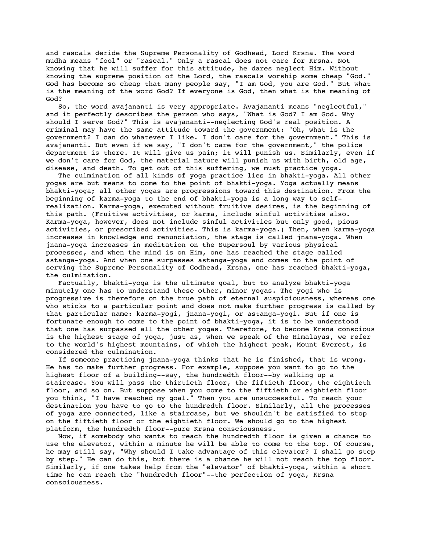and rascals deride the Supreme Personality of Godhead, Lord Krsna. The word mudha means "fool" or "rascal." Only a rascal does not care for Krsna. Not knowing that he will suffer for this attitude, he dares neglect Him. Without knowing the supreme position of the Lord, the rascals worship some cheap "God." God has become so cheap that many people say, "I am God, you are God." But what is the meaning of the word God? If everyone is God, then what is the meaning of God?

 So, the word avajananti is very appropriate. Avajananti means "neglectful," and it perfectly describes the person who says, "What is God? I am God. Why should I serve God?" This is avajananti--neglecting God's real position. A criminal may have the same attitude toward the government: "Oh, what is the government? I can do whatever I like. I don't care for the government." This is avajananti. But even if we say, "I don't care for the government," the police department is there. It will give us pain; it will punish us. Similarly, even if we don't care for God, the material nature will punish us with birth, old age, disease, and death. To get out of this suffering, we must practice yoga.

 The culmination of all kinds of yoga practice lies in bhakti-yoga. All other yogas are but means to come to the point of bhakti-yoga. Yoga actually means bhakti-yoga; all other yogas are progressions toward this destination. From the beginning of karma-yoga to the end of bhakti-yoga is a long way to selfrealization. Karma-yoga, executed without fruitive desires, is the beginning of this path. (Fruitive activities, or karma, include sinful activities also. Karma-yoga, however, does not include sinful activities but only good, pious activities, or prescribed activities. This is karma-yoga.) Then, when karma-yoga increases in knowledge and renunciation, the stage is called jnana-yoga. When jnana-yoga increases in meditation on the Supersoul by various physical processes, and when the mind is on Him, one has reached the stage called astanga-yoga. And when one surpasses astanga-yoga and comes to the point of serving the Supreme Personality of Godhead, Krsna, one has reached bhakti-yoga, the culmination.

 Factually, bhakti-yoga is the ultimate goal, but to analyze bhakti-yoga minutely one has to understand these other, minor yogas. The yogi who is progressive is therefore on the true path of eternal auspiciousness, whereas one who sticks to a particular point and does not make further progress is called by that particular name: karma-yogi, jnana-yogi, or astanga-yogi. But if one is fortunate enough to come to the point of bhakti-yoga, it is to be understood that one has surpassed all the other yogas. Therefore, to become Krsna conscious is the highest stage of yoga, just as, when we speak of the Himalayas, we refer to the world's highest mountains, of which the highest peak, Mount Everest, is considered the culmination.

 If someone practicing jnana-yoga thinks that he is finished, that is wrong. He has to make further progress. For example, suppose you want to go to the highest floor of a building--say, the hundredth floor--by walking up a staircase. You will pass the thirtieth floor, the fiftieth floor, the eightieth floor, and so on. But suppose when you come to the fiftieth or eightieth floor you think, "I have reached my goal." Then you are unsuccessful. To reach your destination you have to go to the hundredth floor. Similarly, all the processes of yoga are connected, like a staircase, but we shouldn't be satisfied to stop on the fiftieth floor or the eightieth floor. We should go to the highest platform, the hundredth floor--pure Krsna consciousness.

 Now, if somebody who wants to reach the hundredth floor is given a chance to use the elevator, within a minute he will be able to come to the top. Of course, he may still say, "Why should I take advantage of this elevator? I shall go step by step." He can do this, but there is a chance he will not reach the top floor. Similarly, if one takes help from the "elevator" of bhakti-yoga, within a short time he can reach the "hundredth floor"--the perfection of yoga, Krsna consciousness.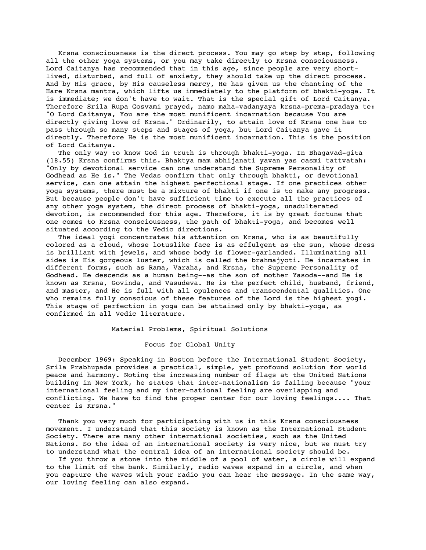Krsna consciousness is the direct process. You may go step by step, following all the other yoga systems, or you may take directly to Krsna consciousness. Lord Caitanya has recommended that in this age, since people are very shortlived, disturbed, and full of anxiety, they should take up the direct process. And by His grace, by His causeless mercy, He has given us the chanting of the Hare Krsna mantra, which lifts us immediately to the platform of bhakti-yoga. It is immediate; we don't have to wait. That is the special gift of Lord Caitanya. Therefore Srila Rupa Gosvami prayed, namo maha-vadanyaya krsna-prema-pradaya te: "O Lord Caitanya, You are the most munificent incarnation because You are directly giving love of Krsna." Ordinarily, to attain love of Krsna one has to pass through so many steps and stages of yoga, but Lord Caitanya gave it directly. Therefore He is the most munificent incarnation. This is the position of Lord Caitanya.

 The only way to know God in truth is through bhakti-yoga. In Bhagavad-gita (18.55) Krsna confirms this. Bhaktya mam abhijanati yavan yas casmi tattvatah: "Only by devotional service can one understand the Supreme Personality of Godhead as He is." The Vedas confirm that only through bhakti, or devotional service, can one attain the highest perfectional stage. If one practices other yoga systems, there must be a mixture of bhakti if one is to make any progress. But because people don't have sufficient time to execute all the practices of any other yoga system, the direct process of bhakti-yoga, unadulterated devotion, is recommended for this age. Therefore, it is by great fortune that one comes to Krsna consciousness, the path of bhakti-yoga, and becomes well situated according to the Vedic directions.

 The ideal yogi concentrates his attention on Krsna, who is as beautifully colored as a cloud, whose lotuslike face is as effulgent as the sun, whose dress is brilliant with jewels, and whose body is flower-garlanded. Illuminating all sides is His gorgeous luster, which is called the brahmajyoti. He incarnates in different forms, such as Rama, Varaha, and Krsna, the Supreme Personality of Godhead. He descends as a human being--as the son of mother Yasoda--and He is known as Krsna, Govinda, and Vasudeva. He is the perfect child, husband, friend, and master, and He is full with all opulences and transcendental qualities. One who remains fully conscious of these features of the Lord is the highest yogi. This stage of perfection in yoga can be attained only by bhakti-yoga, as confirmed in all Vedic literature.

# Material Problems, Spiritual Solutions

#### Focus for Global Unity

 December 1969: Speaking in Boston before the International Student Society, Srila Prabhupada provides a practical, simple, yet profound solution for world peace and harmony. Noting the increasing number of flags at the United Nations building in New York, he states that inter-nationalism is failing because "your international feeling and my inter-national feeling are overlapping and conflicting. We have to find the proper center for our loving feelings.... That center is Krsna."

 Thank you very much for participating with us in this Krsna consciousness movement. I understand that this society is known as the International Student Society. There are many other international societies, such as the United Nations. So the idea of an international society is very nice, but we must try to understand what the central idea of an international society should be.

 If you throw a stone into the middle of a pool of water, a circle will expand to the limit of the bank. Similarly, radio waves expand in a circle, and when you capture the waves with your radio you can hear the message. In the same way, our loving feeling can also expand.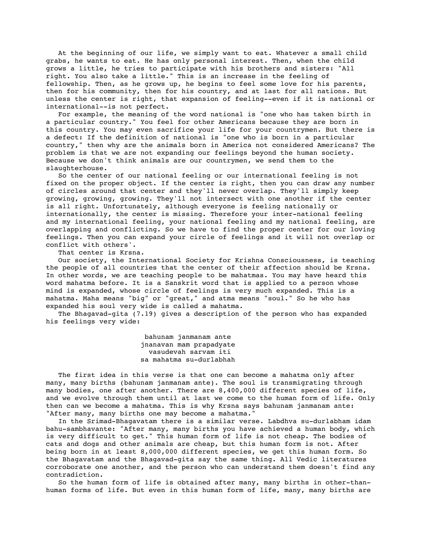At the beginning of our life, we simply want to eat. Whatever a small child grabs, he wants to eat. He has only personal interest. Then, when the child grows a little, he tries to participate with his brothers and sisters: "All right. You also take a little." This is an increase in the feeling of fellowship. Then, as he grows up, he begins to feel some love for his parents, then for his community, then for his country, and at last for all nations. But unless the center is right, that expansion of feeling--even if it is national or international--is not perfect.

 For example, the meaning of the word national is "one who has taken birth in a particular country." You feel for other Americans because they are born in this country. You may even sacrifice your life for your countrymen. But there is a defect: If the definition of national is "one who is born in a particular country," then why are the animals born in America not considered Americans? The problem is that we are not expanding our feelings beyond the human society. Because we don't think animals are our countrymen, we send them to the slaughterhouse.

 So the center of our national feeling or our international feeling is not fixed on the proper object. If the center is right, then you can draw any number of circles around that center and they'll never overlap. They'll simply keep growing, growing, growing. They'll not intersect with one another if the center is all right. Unfortunately, although everyone is feeling nationally or internationally, the center is missing. Therefore your inter-national feeling and my international feeling, your national feeling and my national feeling, are overlapping and conflicting. So we have to find the proper center for our loving feelings. Then you can expand your circle of feelings and it will not overlap or conflict with others'.

That center is Krsna.

 Our society, the International Society for Krishna Consciousness, is teaching the people of all countries that the center of their affection should be Krsna. In other words, we are teaching people to be mahatmas. You may have heard this word mahatma before. It is a Sanskrit word that is applied to a person whose mind is expanded, whose circle of feelings is very much expanded. This is a mahatma. Maha means "big" or "great," and atma means "soul." So he who has expanded his soul very wide is called a mahatma.

 The Bhagavad-gita (7.19) gives a description of the person who has expanded his feelings very wide:

> bahunam janmanam ante jnanavan mam prapadyate vasudevah sarvam iti sa mahatma su-durlabhah

 The first idea in this verse is that one can become a mahatma only after many, many births (bahunam janmanam ante). The soul is transmigrating through many bodies, one after another. There are 8,400,000 different species of life, and we evolve through them until at last we come to the human form of life. Only then can we become a mahatma. This is why Krsna says bahunam janmanam ante: "After many, many births one may become a mahatma."

 In the Srimad-Bhagavatam there is a similar verse. Labdhva su-durlabham idam bahu-sambhavante: "After many, many births you have achieved a human body, which is very difficult to get." This human form of life is not cheap. The bodies of cats and dogs and other animals are cheap, but this human form is not. After being born in at least 8,000,000 different species, we get this human form. So the Bhagavatam and the Bhagavad-gita say the same thing. All Vedic literatures corroborate one another, and the person who can understand them doesn't find any contradiction.

 So the human form of life is obtained after many, many births in other-thanhuman forms of life. But even in this human form of life, many, many births are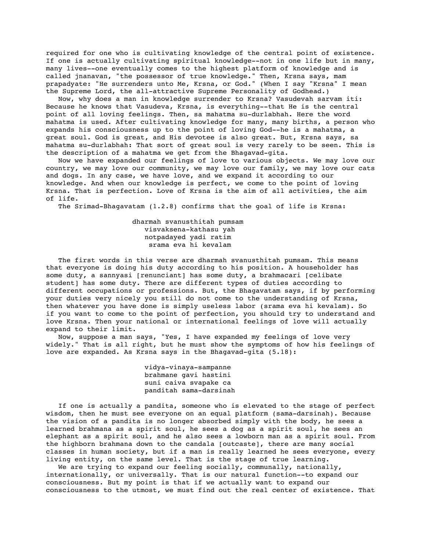required for one who is cultivating knowledge of the central point of existence. If one is actually cultivating spiritual knowledge--not in one life but in many, many lives--one eventually comes to the highest platform of knowledge and is called jnanavan, "the possessor of true knowledge." Then, Krsna says, mam prapadyate: "He surrenders unto Me, Krsna, or God." (When I say "Krsna" I mean the Supreme Lord, the all-attractive Supreme Personality of Godhead.)

 Now, why does a man in knowledge surrender to Krsna? Vasudevah sarvam iti: Because he knows that Vasudeva, Krsna, is everything--that He is the central point of all loving feelings. Then, sa mahatma su-durlabhah. Here the word mahatma is used. After cultivating knowledge for many, many births, a person who expands his consciousness up to the point of loving God--he is a mahatma, a great soul. God is great, and His devotee is also great. But, Krsna says, sa mahatma su-durlabhah: That sort of great soul is very rarely to be seen. This is the description of a mahatma we get from the Bhagavad-gita.

 Now we have expanded our feelings of love to various objects. We may love our country, we may love our community, we may love our family, we may love our cats and dogs. In any case, we have love, and we expand it according to our knowledge. And when our knowledge is perfect, we come to the point of loving Krsna. That is perfection. Love of Krsna is the aim of all activities, the aim of life.

The Srimad-Bhagavatam (1.2.8) confirms that the goal of life is Krsna:

 dharmah svanusthitah pumsam visvaksena-kathasu yah notpadayed yadi ratim srama eva hi kevalam

 The first words in this verse are dharmah svanusthitah pumsam. This means that everyone is doing his duty according to his position. A householder has some duty, a sannyasi [renunciant] has some duty, a brahmacari [celibate student] has some duty. There are different types of duties according to different occupations or professions. But, the Bhagavatam says, if by performing your duties very nicely you still do not come to the understanding of Krsna, then whatever you have done is simply useless labor (srama eva hi kevalam). So if you want to come to the point of perfection, you should try to understand and love Krsna. Then your national or international feelings of love will actually expand to their limit.

 Now, suppose a man says, "Yes, I have expanded my feelings of love very widely." That is all right, but he must show the symptoms of how his feelings of love are expanded. As Krsna says in the Bhagavad-gita (5.18):

> vidya-vinaya-sampanne brahmane gavi hastini suni caiva svapake ca panditah sama-darsinah

 If one is actually a pandita, someone who is elevated to the stage of perfect wisdom, then he must see everyone on an equal platform (sama-darsinah). Because the vision of a pandita is no longer absorbed simply with the body, he sees a learned brahmana as a spirit soul, he sees a dog as a spirit soul, he sees an elephant as a spirit soul, and he also sees a lowborn man as a spirit soul. From the highborn brahmana down to the candala [outcaste], there are many social classes in human society, but if a man is really learned he sees everyone, every living entity, on the same level. That is the stage of true learning.

We are trying to expand our feeling socially, communally, nationally, internationally, or universally. That is our natural function--to expand our consciousness. But my point is that if we actually want to expand our consciousness to the utmost, we must find out the real center of existence. That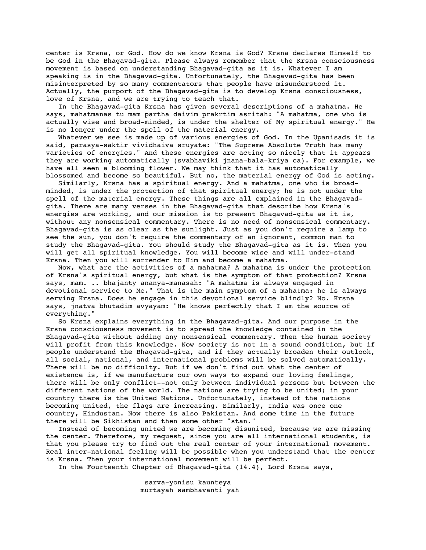center is Krsna, or God. How do we know Krsna is God? Krsna declares Himself to be God in the Bhagavad-gita. Please always remember that the Krsna consciousness movement is based on understanding Bhagavad-gita as it is. Whatever I am speaking is in the Bhagavad-gita. Unfortunately, the Bhagavad-gita has been misinterpreted by so many commentators that people have misunderstood it. Actually, the purport of the Bhagavad-gita is to develop Krsna consciousness, love of Krsna, and we are trying to teach that.

 In the Bhagavad-gita Krsna has given several descriptions of a mahatma. He says, mahatmanas tu mam partha daivim prakrtim asritah: "A mahatma, one who is actually wise and broad-minded, is under the shelter of My spiritual energy." He is no longer under the spell of the material energy.

 Whatever we see is made up of various energies of God. In the Upanisads it is said, parasya-saktir vividhaiva sruyate: "The Supreme Absolute Truth has many varieties of energies." And these energies are acting so nicely that it appears they are working automatically (svabhaviki jnana-bala-kriya ca). For example, we have all seen a blooming flower. We may think that it has automatically blossomed and become so beautiful. But no, the material energy of God is acting.

 Similarly, Krsna has a spiritual energy. And a mahatma, one who is broadminded, is under the protection of that spiritual energy; he is not under the spell of the material energy. These things are all explained in the Bhagavadgita. There are many verses in the Bhagavad-gita that describe how Krsna's energies are working, and our mission is to present Bhagavad-gita as it is, without any nonsensical commentary. There is no need of nonsensical commentary. Bhagavad-gita is as clear as the sunlight. Just as you don't require a lamp to see the sun, you don't require the commentary of an ignorant, common man to study the Bhagavad-gita. You should study the Bhagavad-gita as it is. Then you will get all spiritual knowledge. You will become wise and will under-stand Krsna. Then you will surrender to Him and become a mahatma.

 Now, what are the activities of a mahatma? A mahatma is under the protection of Krsna's spiritual energy, but what is the symptom of that protection? Krsna says, mam. .. bhajanty ananya-manasah: "A mahatma is always engaged in devotional service to Me." That is the main symptom of a mahatma: he is always serving Krsna. Does he engage in this devotional service blindly? No. Krsna says, jnatva bhutadim avyayam: "He knows perfectly that I am the source of everything."

 So Krsna explains everything in the Bhagavad-gita. And our purpose in the Krsna consciousness movement is to spread the knowledge contained in the Bhagavad-gita without adding any nonsensical commentary. Then the human society will profit from this knowledge. Now society is not in a sound condition, but if people understand the Bhagavad-gita, and if they actually broaden their outlook, all social, national, and international problems will be solved automatically. There will be no difficulty. But if we don't find out what the center of existence is, if we manufacture our own ways to expand our loving feelings, there will be only conflict--not only between individual persons but between the different nations of the world. The nations are trying to be united; in your country there is the United Nations. Unfortunately, instead of the nations becoming united, the flags are increasing. Similarly, India was once one country, Hindustan. Now there is also Pakistan. And some time in the future there will be Sikhistan and then some other "stan."

 Instead of becoming united we are becoming disunited, because we are missing the center. Therefore, my request, since you are all international students, is that you please try to find out the real center of your international movement. Real inter-national feeling will be possible when you understand that the center is Krsna. Then your international movement will be perfect.

In the Fourteenth Chapter of Bhagavad-gita (14.4), Lord Krsna says,

 sarva-yonisu kaunteya murtayah sambhavanti yah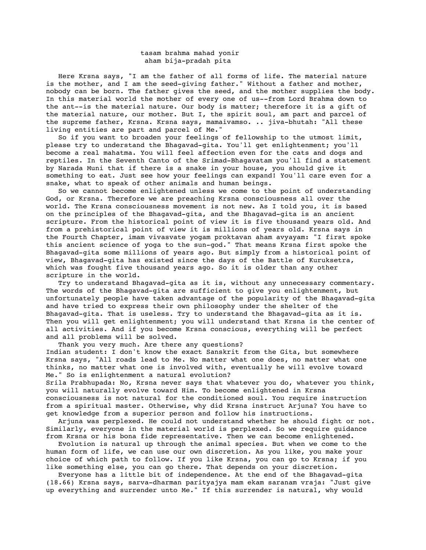tasam brahma mahad yonir aham bija-pradah pita

 Here Krsna says, "I am the father of all forms of life. The material nature is the mother, and I am the seed-giving father." Without a father and mother, nobody can be born. The father gives the seed, and the mother supplies the body. In this material world the mother of every one of us--from Lord Brahma down to the ant--is the material nature. Our body is matter; therefore it is a gift of the material nature, our mother. But I, the spirit soul, am part and parcel of the supreme father, Krsna. Krsna says, mamaivamso. .. jiva-bhutah: "All these living entities are part and parcel of Me."

 So if you want to broaden your feelings of fellowship to the utmost limit, please try to understand the Bhagavad-gita. You'll get enlightenment; you'll become a real mahatma. You will feel affection even for the cats and dogs and reptiles. In the Seventh Canto of the Srimad-Bhagavatam you'll find a statement by Narada Muni that if there is a snake in your house, you should give it something to eat. Just see how your feelings can expand! You'll care even for a snake, what to speak of other animals and human beings.

 So we cannot become enlightened unless we come to the point of understanding God, or Krsna. Therefore we are preaching Krsna consciousness all over the world. The Krsna consciousness movement is not new. As I told you, it is based on the principles of the Bhagavad-gita, and the Bhagavad-gita is an ancient scripture. From the historical point of view it is five thousand years old. And from a prehistorical point of view it is millions of years old. Krsna says in the Fourth Chapter, imam vivasvate yogam proktavan aham avyayam: "I first spoke this ancient science of yoga to the sun-god." That means Krsna first spoke the Bhagavad-gita some millions of years ago. But simply from a historical point of view, Bhagavad-gita has existed since the days of the Battle of Kuruksetra, which was fought five thousand years ago. So it is older than any other scripture in the world.

 Try to understand Bhagavad-gita as it is, without any unnecessary commentary. The words of the Bhagavad-gita are sufficient to give you enlightenment, but unfortunately people have taken advantage of the popularity of the Bhagavad-gita and have tried to express their own philosophy under the shelter of the Bhagavad-gita. That is useless. Try to understand the Bhagavad-gita as it is. Then you will get enlightenment; you will understand that Krsna is the center of all activities. And if you become Krsna conscious, everything will be perfect and all problems will be solved.

 Thank you very much. Are there any questions? Indian student: I don't know the exact Sanskrit from the Gita, but somewhere Krsna says, "All roads lead to Me. No matter what one does, no matter what one thinks, no matter what one is involved with, eventually he will evolve toward Me." So is enlightenment a natural evolution?

Srila Prabhupada: No, Krsna never says that whatever you do, whatever you think, you will naturally evolve toward Him. To become enlightened in Krsna consciousness is not natural for the conditioned soul. You require instruction from a spiritual master. Otherwise, why did Krsna instruct Arjuna? You have to get knowledge from a superior person and follow his instructions.

 Arjuna was perplexed. He could not understand whether he should fight or not. Similarly, everyone in the material world is perplexed. So we require guidance from Krsna or his bona fide representative. Then we can become enlightened.

 Evolution is natural up through the animal species. But when we come to the human form of life, we can use our own discretion. As you like, you make your choice of which path to follow. If you like Krsna, you can go to Krsna; if you like something else, you can go there. That depends on your discretion.

 Everyone has a little bit of independence. At the end of the Bhagavad-gita (18.66) Krsna says, sarva-dharman parityajya mam ekam saranam vraja: "Just give up everything and surrender unto Me." If this surrender is natural, why would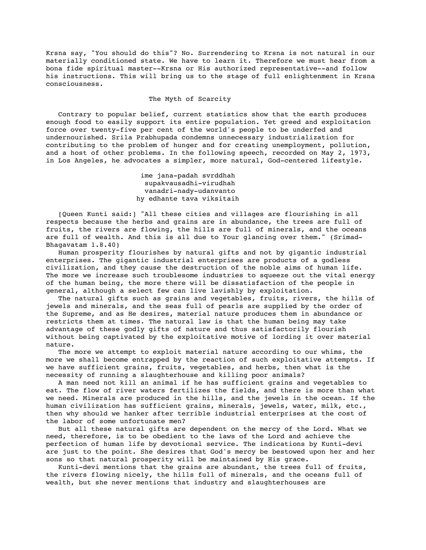Krsna say, "You should do this"? No. Surrendering to Krsna is not natural in our materially conditioned state. We have to learn it. Therefore we must hear from a bona fide spiritual master--Krsna or His authorized representative--and follow his instructions. This will bring us to the stage of full enlightenment in Krsna consciousness.

#### The Myth of Scarcity

 Contrary to popular belief, current statistics show that the earth produces enough food to easily support its entire population. Yet greed and exploitation force over twenty-five per cent of the world's people to be underfed and undernourished. Srila Prabhupada condemns unnecessary industrialization for contributing to the problem of hunger and for creating unemployment, pollution, and a host of other problems. In the following speech, recorded on May 2, 1973, in Los Angeles, he advocates a simpler, more natural, God-centered lifestyle.

> ime jana-padah svrddhah supakvausadhi-virudhah vanadri-nady-udanvanto hy edhante tava viksitaih

 [Queen Kunti said:] "All these cities and villages are flourishing in all respects because the herbs and grains are in abundance, the trees are full of fruits, the rivers are flowing, the hills are full of minerals, and the oceans are full of wealth. And this is all due to Your glancing over them." (Srimad-Bhagavatam 1.8.40)

 Human prosperity flourishes by natural gifts and not by gigantic industrial enterprises. The gigantic industrial enterprises are products of a godless civilization, and they cause the destruction of the noble aims of human life. The more we increase such troublesome industries to squeeze out the vital energy of the human being, the more there will be dissatisfaction of the people in general, although a select few can live lavishly by exploitation.

 The natural gifts such as grains and vegetables, fruits, rivers, the hills of jewels and minerals, and the seas full of pearls are supplied by the order of the Supreme, and as He desires, material nature produces them in abundance or restricts them at times. The natural law is that the human being may take advantage of these godly gifts of nature and thus satisfactorily flourish without being captivated by the exploitative motive of lording it over material nature.

 The more we attempt to exploit material nature according to our whims, the more we shall become entrapped by the reaction of such exploitative attempts. If we have sufficient grains, fruits, vegetables, and herbs, then what is the necessity of running a slaughterhouse and killing poor animals?

 A man need not kill an animal if he has sufficient grains and vegetables to eat. The flow of river waters fertilizes the fields, and there is more than what we need. Minerals are produced in the hills, and the jewels in the ocean. If the human civilization has sufficient grains, minerals, jewels, water, milk, etc., then why should we hanker after terrible industrial enterprises at the cost of the labor of some unfortunate men?

 But all these natural gifts are dependent on the mercy of the Lord. What we need, therefore, is to be obedient to the laws of the Lord and achieve the perfection of human life by devotional service. The indications by Kunti-devi are just to the point. She desires that God's mercy be bestowed upon her and her sons so that natural prosperity will be maintained by His grace.

 Kunti-devi mentions that the grains are abundant, the trees full of fruits, the rivers flowing nicely, the hills full of minerals, and the oceans full of wealth, but she never mentions that industry and slaughterhouses are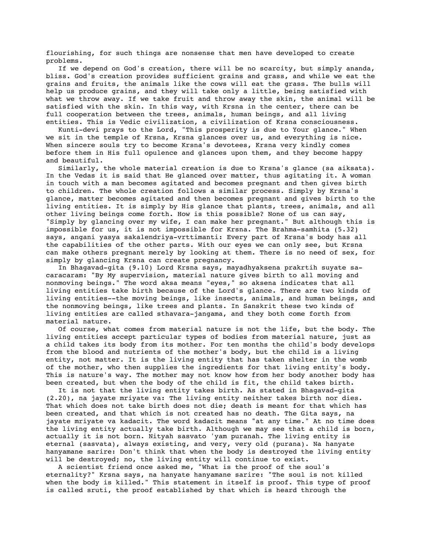flourishing, for such things are nonsense that men have developed to create problems.

 If we depend on God's creation, there will be no scarcity, but simply ananda, bliss. God's creation provides sufficient grains and grass, and while we eat the grains and fruits, the animals like the cows will eat the grass. The bulls will help us produce grains, and they will take only a little, being satisfied with what we throw away. If we take fruit and throw away the skin, the animal will be satisfied with the skin. In this way, with Krsna in the center, there can be full cooperation between the trees, animals, human beings, and all living entities. This is Vedic civilization, a civilization of Krsna consciousness.

 Kunti-devi prays to the Lord, "This prosperity is due to Your glance." When we sit in the temple of Krsna, Krsna glances over us, and everything is nice. When sincere souls try to become Krsna's devotees, Krsna very kindly comes before them in His full opulence and glances upon them, and they become happy and beautiful.

 Similarly, the whole material creation is due to Krsna's glance (sa aiksata). In the Vedas it is said that He glanced over matter, thus agitating it. A woman in touch with a man becomes agitated and becomes pregnant and then gives birth to children. The whole creation follows a similar process. Simply by Krsna's glance, matter becomes agitated and then becomes pregnant and gives birth to the living entities. It is simply by His glance that plants, trees, animals, and all other living beings come forth. How is this possible? None of us can say, "Simply by glancing over my wife, I can make her pregnant." But although this is impossible for us, it is not impossible for Krsna. The Brahma-samhita (5.32) says, angani yasya sakalendriya-vrttimanti: Every part of Krsna's body has all the capabilities of the other parts. With our eyes we can only see, but Krsna can make others pregnant merely by looking at them. There is no need of sex, for simply by glancing Krsna can create pregnancy.

 In Bhagavad-gita (9.10) Lord Krsna says, mayadhyaksena prakrtih suyate sacaracaram: "By My supervision, material nature gives birth to all moving and nonmoving beings." The word aksa means "eyes," so aksena indicates that all living entities take birth because of the Lord's glance. There are two kinds of living entities--the moving beings, like insects, animals, and human beings, and the nonmoving beings, like trees and plants. In Sanskrit these two kinds of living entities are called sthavara-jangama, and they both come forth from material nature.

 Of course, what comes from material nature is not the life, but the body. The living entities accept particular types of bodies from material nature, just as a child takes its body from its mother. For ten months the child's body develops from the blood and nutrients of the mother's body, but the child is a living entity, not matter. It is the living entity that has taken shelter in the womb of the mother, who then supplies the ingredients for that living entity's body. This is nature's way. The mother may not know how from her body another body has been created, but when the body of the child is fit, the child takes birth.

 It is not that the living entity takes birth. As stated in Bhagavad-gita (2.20), na jayate mriyate va: The living entity neither takes birth nor dies. That which does not take birth does not die; death is meant for that which has been created, and that which is not created has no death. The Gita says, na jayate mriyate va kadacit. The word kadacit means "at any time." At no time does the living entity actually take birth. Although we may see that a child is born, actually it is not born. Nityah sasvato 'yam puranah. The living entity is eternal (sasvata), always existing, and very, very old (purana). Na hanyate hanyamane sarire: Don't think that when the body is destroyed the living entity will be destroyed; no, the living entity will continue to exist.

 A scientist friend once asked me, "What is the proof of the soul's eternality?" Krsna says, na hanyate hanyamane sarire: "The soul is not killed when the body is killed." This statement in itself is proof. This type of proof is called sruti, the proof established by that which is heard through the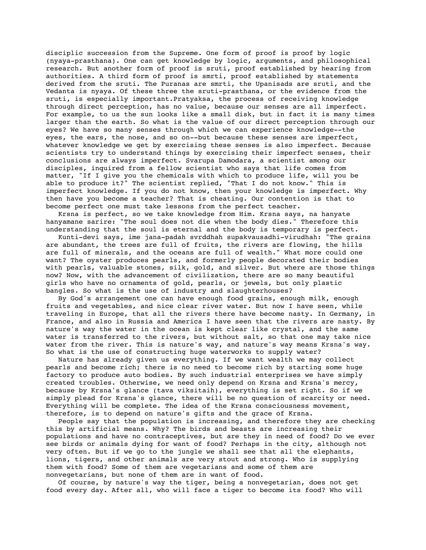disciplic succession from the Supreme. One form of proof is proof by logic (nyaya-prasthana). One can get knowledge by logic, arguments, and philosophical research. But another form of proof is sruti, proof established by hearing from authorities. A third form of proof is smrti, proof established by statements derived from the sruti. The Puranas are smrti, the Upanisads are sruti, and the Vedanta is nyaya. Of these three the sruti-prasthana, or the evidence from the sruti, is especially important.Pratyaksa, the process of receiving knowledge through direct perception, has no value, because our senses are all imperfect. For example, to us the sun looks like a small disk, but in fact it is many times larger than the earth. So what is the value of our direct perception through our eyes? We have so many senses through which we can experience knowledge--the eyes, the ears, the nose, and so on--but because these senses are imperfect, whatever knowledge we get by exercising these senses is also imperfect. Because scientists try to understand things by exercising their imperfect senses, their conclusions are always imperfect. Svarupa Damodara, a scientist among our disciples, inquired from a fellow scientist who says that life comes from matter, "If I give you the chemicals with which to produce life, will you be able to produce it?" The scientist replied, "That I do not know." This is imperfect knowledge. If you do not know, then your knowledge is imperfect. Why then have you become a teacher? That is cheating. Our contention is that to become perfect one must take lessons from the perfect teacher.

 Krsna is perfect, so we take knowledge from Him. Krsna says, na hanyate hanyamane sarire: "The soul does not die when the body dies." Therefore this understanding that the soul is eternal and the body is temporary is perfect.

 Kunti-devi says, ime jana-padah svrddhah supakvausadhi-virudhah: "The grains are abundant, the trees are full of fruits, the rivers are flowing, the hills are full of minerals, and the oceans are full of wealth." What more could one want? The oyster produces pearls, and formerly people decorated their bodies with pearls, valuable stones, silk, gold, and silver. But where are those things now? Now, with the advancement of civilization, there are so many beautiful girls who have no ornaments of gold, pearls, or jewels, but only plastic bangles. So what is the use of industry and slaughterhouses?

 By God's arrangement one can have enough food grains, enough milk, enough fruits and vegetables, and nice clear river water. But now I have seen, while traveling in Europe, that all the rivers there have become nasty. In Germany, in France, and also in Russia and America I have seen that the rivers are nasty. By nature's way the water in the ocean is kept clear like crystal, and the same water is transferred to the rivers, but without salt, so that one may take nice water from the river. This is nature's way, and nature's way means Krsna's way. So what is the use of constructing huge waterworks to supply water?

 Nature has already given us everything. If we want wealth we may collect pearls and become rich; there is no need to become rich by starting some huge factory to produce auto bodies. By such industrial enterprises we have simply created troubles. Otherwise, we need only depend on Krsna and Krsna's mercy, because by Krsna's glance (tava viksitaih), everything is set right. So if we simply plead for Krsna's glance, there will be no question of scarcity or need. Everything will be complete. The idea of the Krsna consciousness movement, therefore, is to depend on nature's gifts and the grace of Krsna.

 People say that the population is increasing, and therefore they are checking this by artificial means. Why? The birds and beasts are increasing their populations and have no contraceptives, but are they in need of food? Do we ever see birds or animals dying for want of food? Perhaps in the city, although not very often. But if we go to the jungle we shall see that all the elephants, lions, tigers, and other animals are very stout and strong. Who is supplying them with food? Some of them are vegetarians and some of them are nonvegetarians, but none of them are in want of food.

 Of course, by nature's way the tiger, being a nonvegetarian, does not get food every day. After all, who will face a tiger to become its food? Who will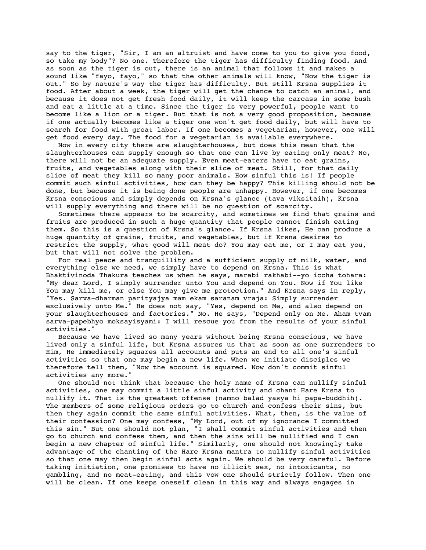say to the tiger, "Sir, I am an altruist and have come to you to give you food, so take my body"? No one. Therefore the tiger has difficulty finding food. And as soon as the tiger is out, there is an animal that follows it and makes a sound like "fayo, fayo," so that the other animals will know, "Now the tiger is out." So by nature's way the tiger has difficulty. But still Krsna supplies it food. After about a week, the tiger will get the chance to catch an animal, and because it does not get fresh food daily, it will keep the carcass in some bush and eat a little at a time. Since the tiger is very powerful, people want to become like a lion or a tiger. But that is not a very good proposition, because if one actually becomes like a tiger one won't get food daily, but will have to search for food with great labor. If one becomes a vegetarian, however, one will get food every day. The food for a vegetarian is available everywhere.

 Now in every city there are slaughterhouses, but does this mean that the slaughterhouses can supply enough so that one can live by eating only meat? No, there will not be an adequate supply. Even meat-eaters have to eat grains, fruits, and vegetables along with their slice of meat. Still, for that daily slice of meat they kill so many poor animals. How sinful this is! If people commit such sinful activities, how can they be happy? This killing should not be done, but because it is being done people are unhappy. However, if one becomes Krsna conscious and simply depends on Krsna's glance (tava viksitaih), Krsna will supply everything and there will be no question of scarcity.

 Sometimes there appears to be scarcity, and sometimes we find that grains and fruits are produced in such a huge quantity that people cannot finish eating them. So this is a question of Krsna's glance. If Krsna likes, He can produce a huge quantity of grains, fruits, and vegetables, but if Krsna desires to restrict the supply, what good will meat do? You may eat me, or I may eat you, but that will not solve the problem.

 For real peace and tranquillity and a sufficient supply of milk, water, and everything else we need, we simply have to depend on Krsna. This is what Bhaktivinoda Thakura teaches us when he says, marabi rakhabi--yo iccha tohara: "My dear Lord, I simply surrender unto You and depend on You. Now if You like You may kill me, or else You may give me protection." And Krsna says in reply, "Yes. Sarva-dharman parityajya mam ekam saranam vraja: Simply surrender exclusively unto Me." He does not say, "Yes, depend on Me, and also depend on your slaughterhouses and factories." No. He says, "Depend only on Me. Aham tvam sarva-papebhyo moksayisyami: I will rescue you from the results of your sinful activities."

 Because we have lived so many years without being Krsna conscious, we have lived only a sinful life, but Krsna assures us that as soon as one surrenders to Him, He immediately squares all accounts and puts an end to all one's sinful activities so that one may begin a new life. When we initiate disciples we therefore tell them, "Now the account is squared. Now don't commit sinful activities any more."

 One should not think that because the holy name of Krsna can nullify sinful activities, one may commit a little sinful activity and chant Hare Krsna to nullify it. That is the greatest offense (namno balad yasya hi papa-buddhih). The members of some religious orders go to church and confess their sins, but then they again commit the same sinful activities. What, then, is the value of their confession? One may confess, "My Lord, out of my ignorance I committed this sin." But one should not plan, "I shall commit sinful activities and then go to church and confess them, and then the sins will be nullified and I can begin a new chapter of sinful life." Similarly, one should not knowingly take advantage of the chanting of the Hare Krsna mantra to nullify sinful activities so that one may then begin sinful acts again. We should be very careful. Before taking initiation, one promises to have no illicit sex, no intoxicants, no gambling, and no meat-eating, and this vow one should strictly follow. Then one will be clean. If one keeps oneself clean in this way and always engages in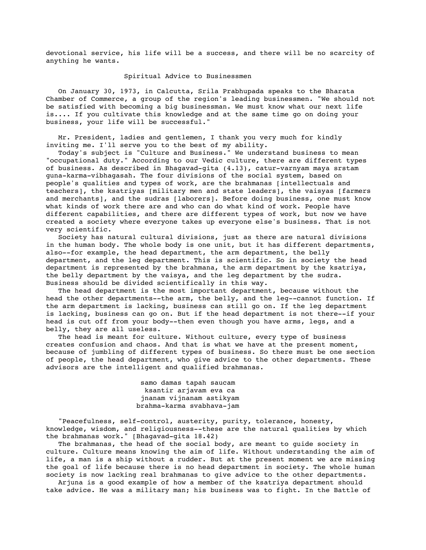devotional service, his life will be a success, and there will be no scarcity of anything he wants.

## Spiritual Advice to Businessmen

 On January 30, 1973, in Calcutta, Srila Prabhupada speaks to the Bharata Chamber of Commerce, a group of the region's leading businessmen. "We should not be satisfied with becoming a big businessman. We must know what our next life is.... If you cultivate this knowledge and at the same time go on doing your business, your life will be successful."

 Mr. President, ladies and gentlemen, I thank you very much for kindly inviting me. I'll serve you to the best of my ability.

 Today's subject is "Culture and Business." We understand business to mean "occupational duty." According to our Vedic culture, there are different types of business. As described in Bhagavad-gita (4.13), catur-varnyam maya srstam guna-karma-vibhagasah. The four divisions of the social system, based on people's qualities and types of work, are the brahmanas [intellectuals and teachers], the ksatriyas [military men and state leaders], the vaisyas [farmers and merchants], and the sudras [laborers]. Before doing business, one must know what kinds of work there are and who can do what kind of work. People have different capabilities, and there are different types of work, but now we have created a society where everyone takes up everyone else's business. That is not very scientific.

 Society has natural cultural divisions, just as there are natural divisions in the human body. The whole body is one unit, but it has different departments, also--for example, the head department, the arm department, the belly department, and the leg department. This is scientific. So in society the head department is represented by the brahmana, the arm department by the ksatriya, the belly department by the vaisya, and the leg department by the sudra. Business should be divided scientifically in this way.

 The head department is the most important department, because without the head the other departments--the arm, the belly, and the leg--cannot function. If the arm department is lacking, business can still go on. If the leg department is lacking, business can go on. But if the head department is not there--if your head is cut off from your body--then even though you have arms, legs, and a belly, they are all useless.

 The head is meant for culture. Without culture, every type of business creates confusion and chaos. And that is what we have at the present moment, because of jumbling of different types of business. So there must be one section of people, the head department, who give advice to the other departments. These advisors are the intelligent and qualified brahmanas.

> samo damas tapah saucam ksantir arjavam eva ca jnanam vijnanam astikyam brahma-karma svabhava-jam

 "Peacefulness, self-control, austerity, purity, tolerance, honesty, knowledge, wisdom, and religiousness--these are the natural qualities by which the brahmanas work." [Bhagavad-gita 18.42)

 The brahmanas, the head of the social body, are meant to guide society in culture. Culture means knowing the aim of life. Without understanding the aim of life, a man is a ship without a rudder. But at the present moment we are missing the goal of life because there is no head department in society. The whole human society is now lacking real brahmanas to give advice to the other departments.

 Arjuna is a good example of how a member of the ksatriya department should take advice. He was a military man; his business was to fight. In the Battle of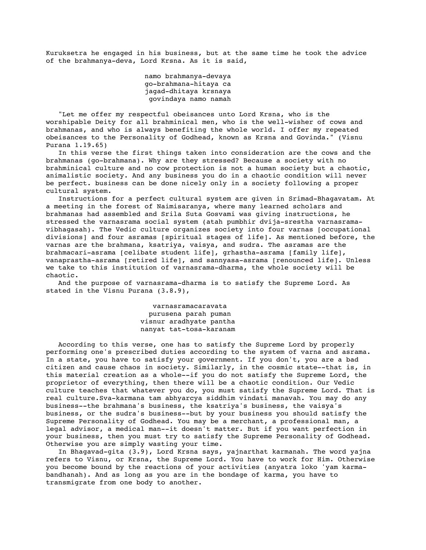Kuruksetra he engaged in his business, but at the same time he took the advice of the brahmanya-deva, Lord Krsna. As it is said,

> namo brahmanya-devaya go-brahmana-hitaya ca jagad-dhitaya krsnaya govindaya namo namah

 "Let me offer my respectful obeisances unto Lord Krsna, who is the worshipable Deity for all brahminical men, who is the well-wisher of cows and brahmanas, and who is always benefiting the whole world. I offer my repeated obeisances to the Personality of Godhead, known as Krsna and Govinda." (Visnu Purana 1.19.65)

 In this verse the first things taken into consideration are the cows and the brahmanas (go-brahmana). Why are they stressed? Because a society with no brahminical culture and no cow protection is not a human society but a chaotic, animalistic society. And any business you do in a chaotic condition will never be perfect. business can be done nicely only in a society following a proper cultural system.

 Instructions for a perfect cultural system are given in Srimad-Bhagavatam. At a meeting in the forest of Naimisaranya, where many learned scholars and brahmanas had assembled and Srila Suta Gosvami was giving instructions, he stressed the varnasrama social system (atah pumbhir dvija-srestha varnasramavibhagasah). The Vedic culture organizes society into four varnas [occupational divisions] and four asramas [spiritual stages of life]. As mentioned before, the varnas are the brahmana, ksatriya, vaisya, and sudra. The asramas are the brahmacari-asrama [celibate student life], grhastha-asrama [family life], vanaprastha-asrama [retired life], and sannyasa-asrama [renounced life]. Unless we take to this institution of varnasrama-dharma, the whole society will be chaotic.

 And the purpose of varnasrama-dharma is to satisfy the Supreme Lord. As stated in the Visnu Purana (3.8.9),

> varnasramacaravata purusena parah puman visnur aradhyate pantha nanyat tat-tosa-karanam

 According to this verse, one has to satisfy the Supreme Lord by properly performing one's prescribed duties according to the system of varna and asrama. In a state, you have to satisfy your government. If you don't, you are a bad citizen and cause chaos in society. Similarly, in the cosmic state--that is, in this material creation as a whole--if you do not satisfy the Supreme Lord, the proprietor of everything, then there will be a chaotic condition. Our Vedic culture teaches that whatever you do, you must satisfy the Supreme Lord. That is real culture.Sva-karmana tam abhyarcya siddhim vindati manavah. You may do any business--the brahmana's business, the ksatriya's business, the vaisya's business, or the sudra's business--but by your business you should satisfy the Supreme Personality of Godhead. You may be a merchant, a professional man, a legal advisor, a medical man--it doesn't matter. But if you want perfection in your business, then you must try to satisfy the Supreme Personality of Godhead. Otherwise you are simply wasting your time.

 In Bhagavad-gita (3.9), Lord Krsna says, yajnarthat karmanah. The word yajna refers to Visnu, or Krsna, the Supreme Lord. You have to work for Him. Otherwise you become bound by the reactions of your activities (anyatra loko 'yam karmabandhanah). And as long as you are in the bondage of karma, you have to transmigrate from one body to another.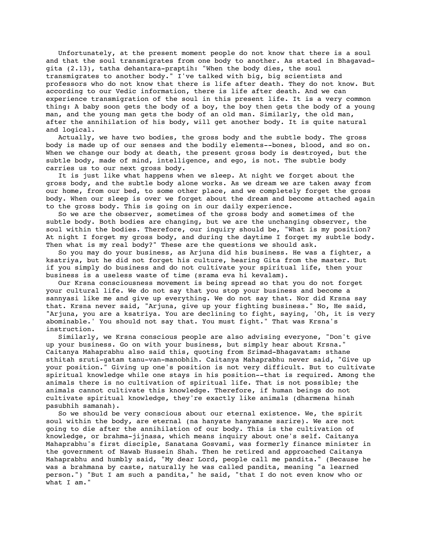Unfortunately, at the present moment people do not know that there is a soul and that the soul transmigrates from one body to another. As stated in Bhagavadgita (2.13), tatha dehantara-praptih: "When the body dies, the soul transmigrates to another body." I've talked with big, big scientists and professors who do not know that there is life after death. They do not know. But according to our Vedic information, there is life after death. And we can experience transmigration of the soul in this present life. It is a very common thing: A baby soon gets the body of a boy, the boy then gets the body of a young man, and the young man gets the body of an old man. Similarly, the old man, after the annihilation of his body, will get another body. It is quite natural and logical.

 Actually, we have two bodies, the gross body and the subtle body. The gross body is made up of our senses and the bodily elements--bones, blood, and so on. When we change our body at death, the present gross body is destroyed, but the subtle body, made of mind, intelligence, and ego, is not. The subtle body carries us to our next gross body.

 It is just like what happens when we sleep. At night we forget about the gross body, and the subtle body alone works. As we dream we are taken away from our home, from our bed, to some other place, and we completely forget the gross body. When our sleep is over we forget about the dream and become attached again to the gross body. This is going on in our daily experience.

 So we are the observer, sometimes of the gross body and sometimes of the subtle body. Both bodies are changing, but we are the unchanging observer, the soul within the bodies. Therefore, our inquiry should be, "What is my position? At night I forget my gross body, and during the daytime I forget my subtle body. Then what is my real body?" These are the questions we should ask.

 So you may do your business, as Arjuna did his business. He was a fighter, a ksatriya, but he did not forget his culture, hearing Gita from the master. But if you simply do business and do not cultivate your spiritual life, then your business is a useless waste of time (srama eva hi kevalam).

 Our Krsna consciousness movement is being spread so that you do not forget your cultural life. We do not say that you stop your business and become a sannyasi like me and give up everything. We do not say that. Nor did Krsna say that. Krsna never said, "Arjuna, give up your fighting business." No, He said, "Arjuna, you are a ksatriya. You are declining to fight, saying, 'Oh, it is very abominable.' You should not say that. You must fight." That was Krsna's instruction.

 Similarly, we Krsna conscious people are also advising everyone, "Don't give up your business. Go on with your business, but simply hear about Krsna." Caitanya Mahaprabhu also said this, quoting from Srimad-Bhagavatam: sthane sthitah sruti-gatam tanu-van-manobhih. Caitanya Mahaprabhu never said, "Give up your position." Giving up one's position is not very difficult. But to cultivate spiritual knowledge while one stays in his position--that is required. Among the animals there is no cultivation of spiritual life. That is not possible; the animals cannot cultivate this knowledge. Therefore, if human beings do not cultivate spiritual knowledge, they're exactly like animals (dharmena hinah pasubhih samanah).

 So we should be very conscious about our eternal existence. We, the spirit soul within the body, are eternal (na hanyate hanyamane sarire). We are not going to die after the annihilation of our body. This is the cultivation of knowledge, or brahma-jijnasa, which means inquiry about one's self. Caitanya Mahaprabhu's first disciple, Sanatana Gosvami, was formerly finance minister in the government of Nawab Hussein Shah. Then he retired and approached Caitanya Mahaprabhu and humbly said, "My dear Lord, people call me pandita." (Because he was a brahmana by caste, naturally he was called pandita, meaning "a learned person.") "But I am such a pandita," he said, "that I do not even know who or what I am."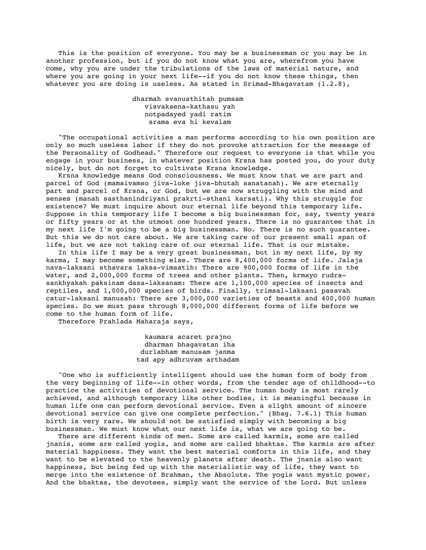This is the position of everyone. You may be a businessman or you may be in another profession, but if you do not know what you are, wherefrom you have come, why you are under the tribulations of the laws of material nature, and where you are going in your next life--if you do not know these things, then whatever you are doing is useless. As stated in Srimad-Bhagavatam  $(1.2.8)$ ,

> dharmah svanusthitah pumsam visvaksena-kathasu yah notpadayed yadi ratim srama eva hi kevalam

 "The occupational activities a man performs according to his own position are only so much useless labor if they do not provoke attraction for the message of the Personality of Godhead." Therefore our request to everyone is that while you engage in your business, in whatever position Krsna has posted you, do your duty nicely, but do not forget to cultivate Krsna knowledge.

 Krsna knowledge means God consciousness. We must know that we are part and parcel of God (mamaivamso jiva-loke jiva-bhutah sanatanah). We are eternally part and parcel of Krsna, or God, but we are now struggling with the mind and senses (manah sasthanindriyani prakrti-sthani karsati). Why this struggle for existence? We must inquire about our eternal life beyond this temporary life. Suppose in this temporary life I become a big businessman for, say, twenty years or fifty years or at the utmost one hundred years. There is no guarantee that in my next life I'm going to be a big businessman. No. There is no such guarantee. But this we do not care about. We are taking care of our present small span of life, but we are not taking care of our eternal life. That is our mistake.

 In this life I may be a very great businessman, but in my next life, by my karma, I may become something else. There are 8,400,000 forms of life. Jalaja nava-laksani sthavara laksa-vimsatih: There are 900,000 forms of life in the water, and 2,000,000 forms of trees and other plants. Then, krmayo rudrasankhyakah paksinam dasa-laksanam: There are 1,100,000 species of insects and reptiles, and 1,000,000 species of birds. Finally, trimsal-laksani pasavah catur-laksani manusah: There are 3,000,000 varieties of beasts and 400,000 human species. So we must pass through 8,000,000 different forms of life before we come to the human form of life.

Therefore Prahlada Maharaja says,

 kaumara acaret prajno dharman bhagavatan iha durlabham manusam janma tad apy adhruvam arthadam

 "One who is sufficiently intelligent should use the human form of body from the very beginning of life--in other words, from the tender age of childhood--to practice the activities of devotional service. The human body is most rarely achieved, and although temporary like other bodies, it is meaningful because in human life one can perform devotional service. Even a slight amount of sincere devotional service can give one complete perfection." (Bhag. 7.6.1) This human birth is very rare. We should not be satisfied simply with becoming a big businessman. We must know what our next life is, what we are going to be.

 There are different kinds of men. Some are called karmis, some are called jnanis, some are called yogis, and some are called bhaktas. The karmis are after material happiness. They want the best material comforts in this life, and they want to be elevated to the heavenly planets after death. The jnanis also want happiness, but being fed up with the materialistic way of life, they want to merge into the existence of Brahman, the Absolute. The yogis want mystic power. And the bhaktas, the devotees, simply want the service of the Lord. But unless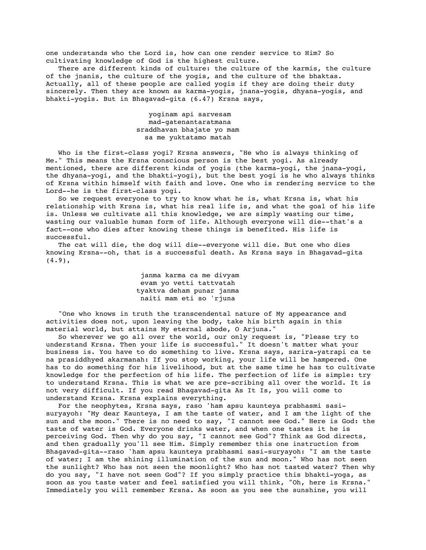one understands who the Lord is, how can one render service to Him? So cultivating knowledge of God is the highest culture.

 There are different kinds of culture: the culture of the karmis, the culture of the jnanis, the culture of the yogis, and the culture of the bhaktas. Actually, all of these people are called yogis if they are doing their duty sincerely. Then they are known as karma-yogis, jnana-yogis, dhyana-yogis, and bhakti-yogis. But in Bhagavad-gita (6.47) Krsna says,

> yoginam api sarvesam mad-gatenantaratmana sraddhavan bhajate yo mam sa me yuktatamo matah

 Who is the first-class yogi? Krsna answers, "He who is always thinking of Me." This means the Krsna conscious person is the best yogi. As already mentioned, there are different kinds of yogis (the karma-yogi, the jnana-yogi, the dhyana-yogi, and the bhakti-yogi), but the best yogi is he who always thinks of Krsna within himself with faith and love. One who is rendering service to the Lord--he is the first-class yogi.

 So we request everyone to try to know what he is, what Krsna is, what his relationship with Krsna is, what his real life is, and what the goal of his life is. Unless we cultivate all this knowledge, we are simply wasting our time, wasting our valuable human form of life. Although everyone will die--that's a fact--one who dies after knowing these things is benefited. His life is successful.

 The cat will die, the dog will die--everyone will die. But one who dies knowing Krsna--oh, that is a successful death. As Krsna says in Bhagavad-gita  $(4.9)$ ,

> janma karma ca me divyam evam yo vetti tattvatah tyaktva deham punar janma naiti mam eti so 'rjuna

 "One who knows in truth the transcendental nature of My appearance and activities does not, upon leaving the body, take his birth again in this material world, but attains My eternal abode, O Arjuna."

 So wherever we go all over the world, our only request is, "Please try to understand Krsna. Then your life is successful." It doesn't matter what your business is. You have to do something to live. Krsna says, sarira-yatrapi ca te na prasiddhyed akarmanah: If you stop working, your life will be hampered. One has to do something for his livelihood, but at the same time he has to cultivate knowledge for the perfection of his life. The perfection of life is simple: try to understand Krsna. This is what we are pre-scribing all over the world. It is not very difficult. If you read Bhagavad-gita As It Is, you will come to understand Krsna. Krsna explains everything.

 For the neophytes, Krsna says, raso 'ham apsu kaunteya prabhasmi sasisuryayoh: "My dear Kaunteya, I am the taste of water, and I am the light of the sun and the moon." There is no need to say, "I cannot see God." Here is God: the taste of water is God. Everyone drinks water, and when one tastes it he is perceiving God. Then why do you say, "I cannot see God"? Think as God directs, and then gradually you'll see Him. Simply remember this one instruction from Bhagavad-gita--raso 'ham apsu kaunteya prabhasmi sasi-suryayoh: "I am the taste of water; I am the shining illumination of the sun and moon." Who has not seen the sunlight? Who has not seen the moonlight? Who has not tasted water? Then why do you say, "I have not seen God"? If you simply practice this bhakti-yoga, as soon as you taste water and feel satisfied you will think, "Oh, here is Krsna." Immediately you will remember Krsna. As soon as you see the sunshine, you will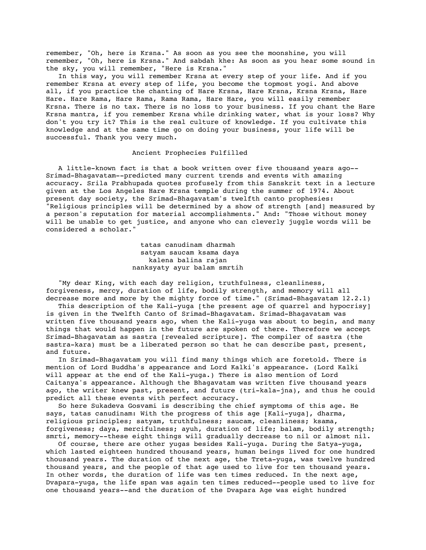remember, "Oh, here is Krsna." As soon as you see the moonshine, you will remember, "Oh, here is Krsna." And sabdah khe: As soon as you hear some sound in the sky, you will remember, "Here is Krsna."

 In this way, you will remember Krsna at every step of your life. And if you remember Krsna at every step of life, you become the topmost yogi. And above all, if you practice the chanting of Hare Krsna, Hare Krsna, Krsna Krsna, Hare Hare. Hare Rama, Hare Rama, Rama Rama, Hare Hare, you will easily remember Krsna. There is no tax. There is no loss to your business. If you chant the Hare Krsna mantra, if you remember Krsna while drinking water, what is your loss? Why don't you try it? This is the real culture of knowledge. If you cultivate this knowledge and at the same time go on doing your business, your life will be successful. Thank you very much.

## Ancient Prophecies Fulfilled

 A little-known fact is that a book written over five thousand years ago-- Srimad-Bhagavatam--predicted many current trends and events with amazing accuracy. Srila Prabhupada quotes profusely from this Sanskrit text in a lecture given at the Los Angeles Hare Krsna temple during the summer of 1974. About present day society, the Srimad-Bhagavatam's twelfth canto prophesies: "Religious principles will be determined by a show of strength [and] measured by a person's reputation for material accomplishments." And: "Those without money will be unable to get justice, and anyone who can cleverly juggle words will be considered a scholar."

> tatas canudinam dharmah satyam saucam ksama daya kalena balina rajan nanksyaty ayur balam smrtih

 "My dear King, with each day religion, truthfulness, cleanliness, forgiveness, mercy, duration of life, bodily strength, and memory will all decrease more and more by the mighty force of time." (Srimad-Bhagavatam 12.2.1)

This description of the Kali-yuga [the present age of quarrel and hypocrisy] is given in the Twelfth Canto of Srimad-Bhagavatam. Srimad-Bhagavatam was written five thousand years ago, when the Kali-yuga was about to begin, and many things that would happen in the future are spoken of there. Therefore we accept Srimad-Bhagavatam as sastra [revealed scripture]. The compiler of sastra (the sastra-kara) must be a liberated person so that he can describe past, present, and future.

 In Srimad-Bhagavatam you will find many things which are foretold. There is mention of Lord Buddha's appearance and Lord Kalki's appearance. (Lord Kalki will appear at the end of the Kali-yuga.) There is also mention of Lord Caitanya's appearance. Although the Bhagavatam was written five thousand years ago, the writer knew past, present, and future (tri-kala-jna), and thus he could predict all these events with perfect accuracy.

 So here Sukadeva Gosvami is describing the chief symptoms of this age. He says, tatas canudinam: With the progress of this age [Kali-yuga], dharma, religious principles; satyam, truthfulness; saucam, cleanliness; ksama, forgiveness; daya, mercifulness; ayuh, duration of life; balam, bodily strength; smrti, memory--these eight things will gradually decrease to nil or almost nil.

 Of course, there are other yugas besides Kali-yuga. During the Satya-yuga, which lasted eighteen hundred thousand years, human beings lived for one hundred thousand years. The duration of the next age, the Treta-yuga, was twelve hundred thousand years, and the people of that age used to live for ten thousand years. In other words, the duration of life was ten times reduced. In the next age, Dvapara-yuga, the life span was again ten times reduced--people used to live for one thousand years--and the duration of the Dvapara Age was eight hundred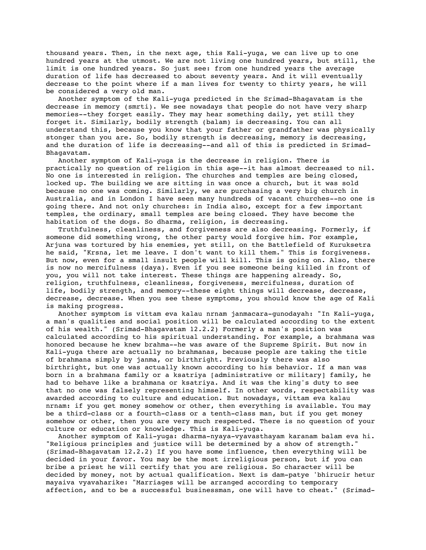thousand years. Then, in the next age, this Kali-yuga, we can live up to one hundred years at the utmost. We are not living one hundred years, but still, the limit is one hundred years. So just see: from one hundred years the average duration of life has decreased to about seventy years. And it will eventually decrease to the point where if a man lives for twenty to thirty years, he will be considered a very old man.

 Another symptom of the Kali-yuga predicted in the Srimad-Bhagavatam is the decrease in memory (smrti). We see nowadays that people do not have very sharp memories--they forget easily. They may hear something daily, yet still they forget it. Similarly, bodily strength (balam) is decreasing. You can all understand this, because you know that your father or grandfather was physically stonger than you are. So, bodily strength is decreasing, memory is decreasing, and the duration of life is decreasing--and all of this is predicted in Srimad-Bhagavatam.

 Another symptom of Kali-yuga is the decrease in religion. There is practically no question of religion in this age--it has almost decreased to nil. No one is interested in religion. The churches and temples are being closed, locked up. The building we are sitting in was once a church, but it was sold because no one was coming. Similarly, we are purchasing a very big church in Australia, and in London I have seen many hundreds of vacant churches--no one is going there. And not only churches: in India also, except for a few important temples, the ordinary, small temples are being closed. They have become the habitation of the dogs. So dharma, religion, is decreasing.

 Truthfulness, cleanliness, and forgiveness are also decreasing. Formerly, if someone did something wrong, the other party would forgive him. For example, Arjuna was tortured by his enemies, yet still, on the Battlefield of Kuruksetra he said, "Krsna, let me leave. I don't want to kill them." This is forgiveness. But now, even for a small insult people will kill. This is going on. Also, there is now no mercifulness (daya). Even if you see someone being killed in front of you, you will not take interest. These things are happening already. So, religion, truthfulness, cleanliness, forgiveness, mercifulness, duration of life, bodily strength, and memory--these eight things will decrease, decrease, decrease, decrease. When you see these symptoms, you should know the age of Kali is making progress.

 Another symptom is vittam eva kalau nrnam janmacara-gunodayah: "In Kali-yuga, a man's qualities and social position will be calculated according to the extent of his wealth." (Srimad-Bhagavatam 12.2.2) Formerly a man's position was calculated according to his spiritual understanding. For example, a brahmana was honored because he knew brahma--he was aware of the Supreme Spirit. But now in Kali-yuga there are actually no brahmanas, because people are taking the title of brahmana simply by janma, or birthright. Previously there was also birthright, but one was actually known according to his behavior. If a man was born in a brahmana family or a ksatriya [administrative or military] family, he had to behave like a brahmana or ksatriya. And it was the king's duty to see that no one was falsely representing himself. In other words, respectability was awarded according to culture and education. But nowadays, vittam eva kalau nrnam: if you get money somehow or other, then everything is available. You may be a third-class or a fourth-class or a tenth-class man, but if you get money somehow or other, then you are very much respected. There is no question of your culture or education or knowledge. This is Kali-yuga.

 Another symptom of Kali-yuga: dharma-nyaya-vyavasthayam karanam balam eva hi. "Religious principles and justice will be determined by a show of strength." (Srimad-Bhagavatam 12.2.2) If you have some influence, then everything will be decided in your favor. You may be the most irreligious person, but if you can bribe a priest he will certify that you are religious. So character will be decided by money, not by actual qualification. Next is dam-patye 'bhirucir hetur mayaiva vyavaharike: "Marriages will be arranged according to temporary affection, and to be a successful businessman, one will have to cheat." (Srimad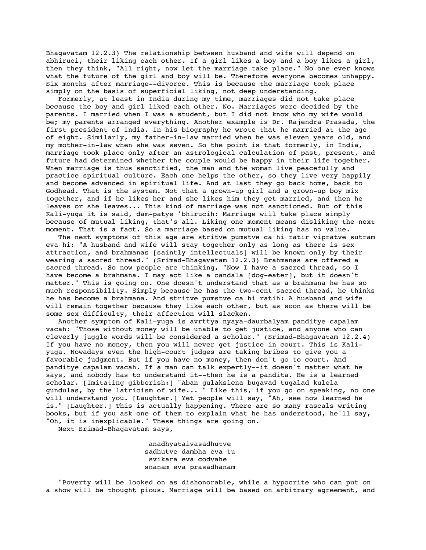Bhagavatam 12.2.3) The relationship between husband and wife will depend on abhiruci, their liking each other. If a girl likes a boy and a boy likes a girl, then they think, "All right, now let the marriage take place." No one ever knows what the future of the girl and boy will be. Therefore everyone becomes unhappy. Six months after marriage--divorce. This is because the marriage took place simply on the basis of superficial liking, not deep understanding.

 Formerly, at least in India during my time, marriages did not take place because the boy and girl liked each other. No. Marriages were decided by the parents. I married when I was a student, but I did not know who my wife would be; my parents arranged everything. Another example is Dr. Rajendra Prasada, the first president of India. In his biography he wrote that he married at the age of eight. Similarly, my father-in-law married when he was eleven years old, and my mother-in-law when she was seven. So the point is that formerly, in India, marriage took place only after an astrological calculation of past, present, and future had determined whether the couple would be happy in their life together. When marriage is thus sanctified, the man and the woman live peacefully and practice spiritual culture. Each one helps the other, so they live very happily and become advanced in spiritual life. And at last they go back home, back to Godhead. That is the system. Not that a grown-up girl and a grown-up boy mix together, and if he likes her and she likes him they get married, and then he leaves or she leaves... This kind of marriage was not sanctioned. But of this Kali-yuga it is said, dam-patye 'bhirucih: Marriage will take place simply because of mutual liking, that's all. Liking one moment means disliking the next moment. That is a fact. So a marriage based on mutual liking has no value.

 The next symptoms of this age are stritve pumstve ca hi ratir vipratve sutram eva hi: "A husband and wife will stay together only as long as there is sex attraction, and brahmanas [saintly intellectuals] will be known only by their wearing a sacred thread." (Srimad-Bhagavatam 12.2.3) Brahmanas are offered a sacred thread. So now people are thinking, "Now I have a sacred thread, so I have become a brahmana. I may act like a candala [dog-eater], but it doesn't matter." This is going on. One doesn't understand that as a brahmana he has so much responsibility. Simply because he has the two-cent sacred thread, he thinks he has become a brahmana. And stritve pumstve ca hi ratih: A husband and wife will remain together because they like each other, but as soon as there will be some sex difficulty, their affection will slacken.

 Another symptom of Kali-yuga is avrttya nyaya-daurbalyam panditye capalam vacah: "Those without money will be unable to get justice, and anyone who can cleverly juggle words will be considered a scholar." (Srimad-Bhagavatam 12.2.4) If you have no money, then you will never get justice in court. This is Kaliyuga. Nowadays even the high-court judges are taking bribes to give you a favorable judgment. But if you have no money, then don't go to court. And panditye capalam vacah. If a man can talk expertly--it doesn't matter what he says, and nobody has to understand it--then he is a pandita. He is a learned scholar. [Imitating gibberish:] "Aban gulakslena bugavad tugalad kulela gundulas, by the latricism of wife... " Like this, if you go on speaking, no one will understand you. [Laughter.] Yet people will say, "Ah, see how learned he is." [Laughter.] This is actually happening. There are so many rascals writing books, but if you ask one of them to explain what he has understood, he'll say, "Oh, it is inexplicable." These things are going on.

Next Srimad-Bhagavatam says,

 anadhyataivasadhutve sadhutve dambha eva tu svikara eva codvahe snanam eva prasadhanam

 "Poverty will be looked on as dishonorable, while a hypocrite who can put on a show will be thought pious. Marriage will be based on arbitrary agreement, and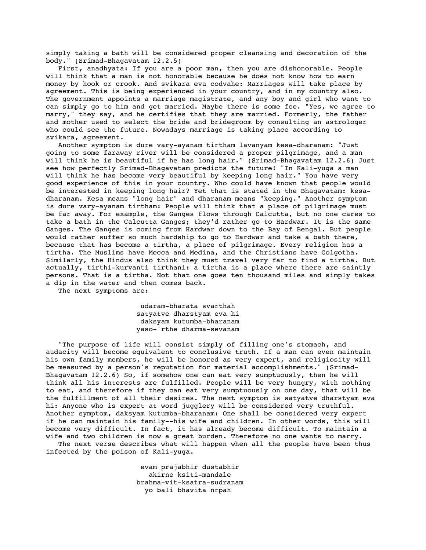simply taking a bath will be considered proper cleansing and decoration of the body." [Srimad-Bhagavatam 12.2.5)

 First, anadhyata: If you are a poor man, then you are dishonorable. People will think that a man is not honorable because he does not know how to earn money by hook or crook. And svikara eva codvahe: Marriages will take place by agreement. This is being experienced in your country, and in my country also. The government appoints a marriage magistrate, and any boy and girl who want to can simply go to him and get married. Maybe there is some fee. "Yes, we agree to marry," they say, and he certifies that they are married. Formerly, the father and mother used to select the bride and bridegroom by consulting an astrologer who could see the future. Nowadays marriage is taking place according to svikara, agreement.

 Another symptom is dure vary-ayanam tirtham lavanyam kesa-dharanam: "Just going to some faraway river will be considered a proper pilgrimage, and a man will think he is beautiful if he has long hair." (Srimad-Bhagavatam 12.2.6) Just see how perfectly Srimad-Bhagavatam predicts the future! "In Kali-yuga a man will think he has become very beautiful by keeping long hair." You have very good experience of this in your country. Who could have known that people would be interested in keeping long hair? Yet that is stated in the Bhagavatam: kesadharanam. Kesa means "long hair" and dharanam means "keeping." Another symptom is dure vary-ayanam tirtham: People will think that a place of pilgrimage must be far away. For example, the Ganges flows through Calcutta, but no one cares to take a bath in the Calcutta Ganges; they'd rather go to Hardwar. It is the same Ganges. The Ganges is coming from Hardwar down to the Bay of Bengal. But people would rather suffer so much hardship to go to Hardwar and take a bath there, because that has become a tirtha, a place of pilgrimage. Every religion has a tirtha. The Muslims have Mecca and Medina, and the Christians have Golgotha. Similarly, the Hindus also think they must travel very far to find a tirtha. But actually, tirthi-kurvanti tirthani: a tirtha is a place where there are saintly persons. That is a tirtha. Not that one goes ten thousand miles and simply takes a dip in the water and then comes back.

The next symptoms are:

 udaram-bharata svarthah satyatve dharstyam eva hi daksyam kutumba-bharanam yaso-'rthe dharma-sevanam

 "The purpose of life will consist simply of filling one's stomach, and audacity will become equivalent to conclusive truth. If a man can even maintain his own family members, he will be honored as very expert, and religiosity will be measured by a person's reputation for material accomplishments." (Srimad-Bhagavatam 12.2.6) So, if somehow one can eat very sumptuously, then he will think all his interests are fulfilled. People will be very hungry, with nothing to eat, and therefore if they can eat very sumptuously on one day, that will be the fulfillment of all their desires. The next symptom is satyatve dharstyam eva hi: Anyone who is expert at word jugglery will be considered very truthful. Another symptom, daksyam kutumba-bharanam: One shall be considered very expert if he can maintain his family--his wife and children. In other words, this will become very difficult. In fact, it has already become difficult. To maintain a wife and two children is now a great burden. Therefore no one wants to marry.

 The next verse describes what will happen when all the people have been thus infected by the poison of Kali-yuga.

> evam prajabhir dustabhir akirne ksiti-mandale brahma-vit-ksatra-sudranam yo bali bhavita nrpah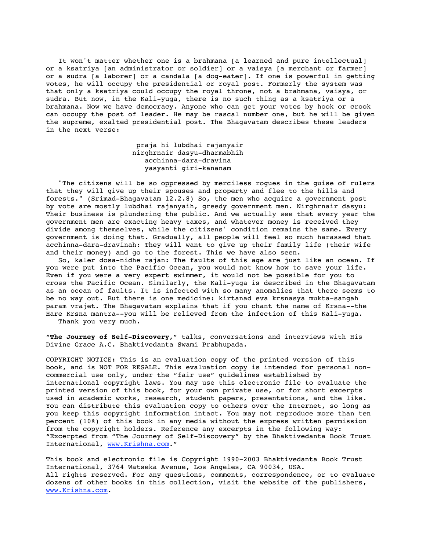It won't matter whether one is a brahmana [a learned and pure intellectual] or a ksatriya [an administrator or soldier] or a vaisya [a merchant or farmer] or a sudra [a laborer] or a candala [a dog-eater]. If one is powerful in getting votes, he will occupy the presidential or royal post. Formerly the system was that only a ksatriya could occupy the royal throne, not a brahmana, vaisya, or sudra. But now, in the Kali-yuga, there is no such thing as a ksatriya or a brahmana. Now we have democracy. Anyone who can get your votes by hook or crook can occupy the post of leader. He may be rascal number one, but he will be given the supreme, exalted presidential post. The Bhagavatam describes these leaders in the next verse:

## praja hi lubdhai rajanyair nirghrnair dasyu-dharmabhih acchinna-dara-dravina yasyanti giri-kananam

 "The citizens will be so oppressed by merciless rogues in the guise of rulers that they will give up their spouses and property and flee to the hills and forests." (Srimad-Bhagavatam 12.2.8) So, the men who acquire a government post by vote are mostly lubdhai rajanyaih, greedy government men. Nirghrnair dasyu: Their business is plundering the public. And we actually see that every year the government men are exacting heavy taxes, and whatever money is received they divide among themselves, while the citizens' condition remains the same. Every government is doing that. Gradually, all people will feel so much harassed that acchinna-dara-dravinah: They will want to give up their family life (their wife and their money) and go to the forest. This we have also seen.

 So, kaler dosa-nidhe rajan: The faults of this age are just like an ocean. If you were put into the Pacific Ocean, you would not know how to save your life. Even if you were a very expert swimmer, it would not be possible for you to cross the Pacific Ocean. Similarly, the Kali-yuga is described in the Bhagavatam as an ocean of faults. It is infected with so many anomalies that there seems to be no way out. But there is one medicine: kirtanad eva krsnasya mukta-sangah param vrajet. The Bhagavatam explains that if you chant the name of Krsna--the Hare Krsna mantra--you will be relieved from the infection of this Kali-yuga.

Thank you very much.

"**The Journey of Self-Discovery,**" talks, conversations and interviews with His Divine Grace A.C. Bhaktivedanta Swami Prabhupada.

COPYRIGHT NOTICE: This is an evaluation copy of the printed version of this book, and is NOT FOR RESALE. This evaluation copy is intended for personal noncommercial use only, under the "fair use" guidelines established by international copyright laws. You may use this electronic file to evaluate the printed version of this book, for your own private use, or for short excerpts used in academic works, research, student papers, presentations, and the like. You can distribute this evaluation copy to others over the Internet, so long as you keep this copyright information intact. You may not reproduce more than ten percent (10%) of this book in any media without the express written permission from the copyright holders. Reference any excerpts in the following way: "Excerpted from "The Journey of Self-Discovery" by the Bhaktivedanta Book Trust International, www.Krishna.com."

This book and electronic file is Copyright 1990-2003 Bhaktivedanta Book Trust International, 3764 Watseka Avenue, Los Angeles, CA 90034, USA. All rights reserved. For any questions, comments, correspondence, or to evaluate dozens of other books in this collection, visit the website of the publishers, www.Krishna.com.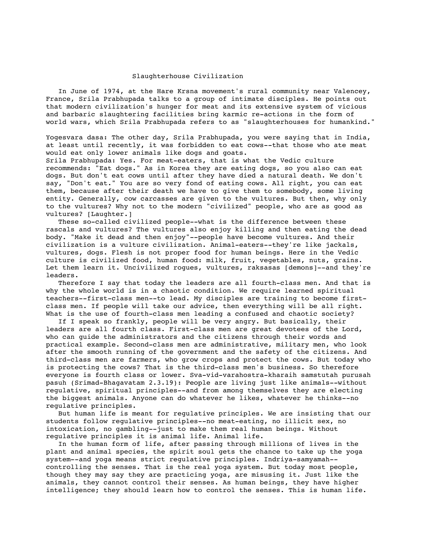#### Slaughterhouse Civilization

 In June of 1974, at the Hare Krsna movement's rural community near Valencey, France, Srila Prabhupada talks to a group of intimate disciples. He points out that modern civilization's hunger for meat and its extensive system of vicious and barbaric slaughtering facilities bring karmic re-actions in the form of world wars, which Srila Prabhupada refers to as "slaughterhouses for humankind."

Yogesvara dasa: The other day, Srila Prabhupada, you were saying that in India, at least until recently, it was forbidden to eat cows--that those who ate meat would eat only lower animals like dogs and goats.

Srila Prabhupada: Yes. For meat-eaters, that is what the Vedic culture recommends: "Eat dogs." As in Korea they are eating dogs, so you also can eat dogs. But don't eat cows until after they have died a natural death. We don't say, "Don't eat." You are so very fond of eating cows. All right, you can eat them, because after their death we have to give them to somebody, some living entity. Generally, cow carcasses are given to the vultures. But then, why only to the vultures? Why not to the modern "civilized" people, who are as good as vultures? [Laughter.]

 These so-called civilized people--what is the difference between these rascals and vultures? The vultures also enjoy killing and then eating the dead body. "Make it dead and then enjoy"--people have become vultures. And their civilization is a vulture civilization. Animal-eaters--they're like jackals, vultures, dogs. Flesh is not proper food for human beings. Here in the Vedic culture is civilized food, human food: milk, fruit, vegetables, nuts, grains. Let them learn it. Uncivilized rogues, vultures, raksasas [demons]--and they're leaders.

 Therefore I say that today the leaders are all fourth-class men. And that is why the whole world is in a chaotic condition. We require learned spiritual teachers--first-class men--to lead. My disciples are training to become firstclass men. If people will take our advice, then everything will be all right. What is the use of fourth-class men leading a confused and chaotic society?

 If I speak so frankly, people will be very angry. But basically, their leaders are all fourth class. First-class men are great devotees of the Lord, who can guide the administrators and the citizens through their words and practical example. Second-class men are administrative, military men, who look after the smooth running of the government and the safety of the citizens. And third-class men are farmers, who grow crops and protect the cows. But today who is protecting the cows? That is the third-class men's business. So therefore everyone is fourth class or lower. Sva-vid-varahostra-kharaih samstutah purusah pasuh (Srimad-Bhagavatam 2.3.19): People are living just like animals--without regulative, spiritual principles--and from among themselves they are electing the biggest animals. Anyone can do whatever he likes, whatever he thinks--no regulative principles.

 But human life is meant for regulative principles. We are insisting that our students follow regulative principles--no meat-eating, no illicit sex, no intoxication, no gambling--just to make them real human beings. Without regulative principles it is animal life. Animal life.

 In the human form of life, after passing through millions of lives in the plant and animal species, the spirit soul gets the chance to take up the yoga system--and yoga means strict regulative principles. Indriya-samyamah- controlling the senses. That is the real yoga system. But today most people, though they may say they are practicing yoga, are misusing it. Just like the animals, they cannot control their senses. As human beings, they have higher intelligence; they should learn how to control the senses. This is human life.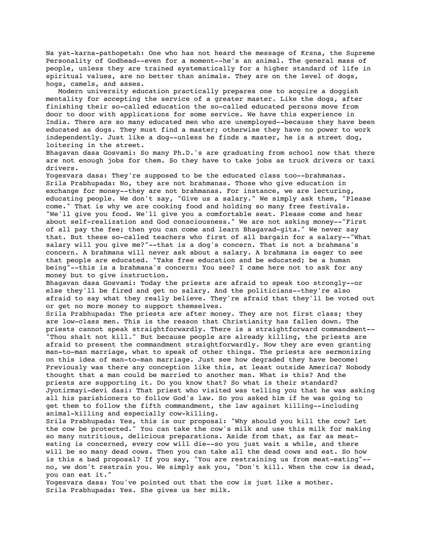Na yat-karna-pathopetah: One who has not heard the message of Krsna, the Supreme Personality of Godhead--even for a moment--he's an animal. The general mass of people, unless they are trained systematically for a higher standard of life in spiritual values, are no better than animals. They are on the level of dogs, hogs, camels, and asses.

 Modern university education practically prepares one to acquire a doggish mentality for accepting the service of a greater master. Like the dogs, after finishing their so-called education the so-called educated persons move from door to door with applications for some service. We have this experience in India. There are so many educated men who are unemployed--because they have been educated as dogs. They must find a master; otherwise they have no power to work independently. Just like a dog--unless he finds a master, he is a street dog, loitering in the street.

Bhagavan dasa Gosvami: So many Ph.D.'s are graduating from school now that there are not enough jobs for them. So they have to take jobs as truck drivers or taxi drivers.

Yogesvara dasa: They're supposed to be the educated class too--brahmanas. Srila Prabhupada: No, they are not brahmanas. Those who give education in exchange for money--they are not brahmanas. For instance, we are lecturing, educating people. We don't say, "Give us a salary." We simply ask them, "Please come." That is why we are cooking food and holding so many free festivals. "We'll give you food. We'll give you a comfortable seat. Please come and hear about self-realization and God consciousness." We are not asking money--"First of all pay the fee; then you can come and learn Bhagavad-gita." We never say that. But these so-called teachers who first of all bargain for a salary--"What salary will you give me?"--that is a dog's concern. That is not a brahmana's concern. A brahmana will never ask about a salary. A brahmana is eager to see that people are educated. "Take free education and be educated; be a human being"--this is a brahmana's concern: You see? I came here not to ask for any money but to give instruction.

Bhagavan dasa Gosvami: Today the priests are afraid to speak too strongly--or else they'll be fired and get no salary. And the politicians--they're also afraid to say what they really believe. They're afraid that they'll be voted out or get no more money to support themselves.

Srila Prabhupada: The priests are after money. They are not first class; they are low-class men. This is the reason that Christianity has fallen down. The priests cannot speak straightforwardly. There is a straightforward commandment-- "Thou shalt not kill." But because people are already killing, the priests are afraid to present the commandment straightforwardly. Now they are even granting man-to-man marriage, what to speak of other things. The priests are sermonizing on this idea of man-to-man marriage. Just see how degraded they have become! Previously was there any conception like this, at least outside America? Nobody thought that a man could be married to another man. What is this? And the priests are supporting it. Do you know that? So what is their standard? Jyotirmayi-devi dasi: That priest who visited was telling you that he was asking all his parishioners to follow God's law. So you asked him if he was going to get them to follow the fifth commandment, the law against killing--including animal-killing and especially cow-killing.

Srila Prabhupada: Yes, this is our proposal: "Why should you kill the cow? Let the cow be protected." You can take the cow's milk and use this milk for making so many nutritious, delicious preparations. Aside from that, as far as meateating is concerned, every cow will die--so you just wait a while, and there will be so many dead cows. Then you can take all the dead cows and eat. So how is this a bad proposal? If you say, "You are restraining us from meat-eating"- no, we don't restrain you. We simply ask you, "Don't kill. When the cow is dead, you can eat it."

Yogesvara dasa: You've pointed out that the cow is just like a mother. Srila Prabhupada: Yes. She gives us her milk.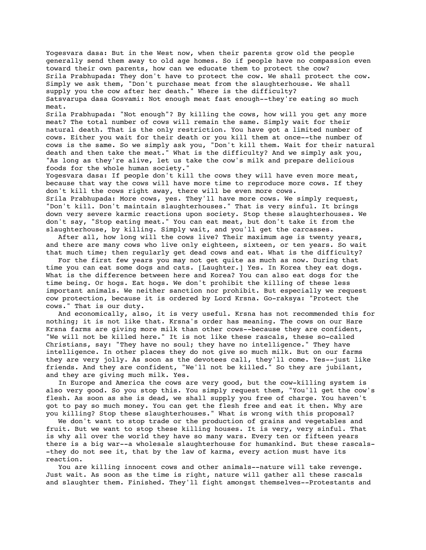Yogesvara dasa: But in the West now, when their parents grow old the people generally send them away to old age homes. So if people have no compassion even toward their own parents, how can we educate them to protect the cow? Srila Prabhupada: They don't have to protect the cow. We shall protect the cow. Simply we ask them, "Don't purchase meat from the slaughterhouse. We shall supply you the cow after her death." Where is the difficulty? Satsvarupa dasa Gosvami: Not enough meat fast enough--they're eating so much meat.

Srila Prabhupada: "Not enough"? By killing the cows, how will you get any more meat? The total number of cows will remain the same. Simply wait for their natural death. That is the only restriction. You have got a limited number of cows. Either you wait for their death or you kill them at once--the number of cows is the same. So we simply ask you, "Don't kill them. Wait for their natural death and then take the meat." What is the difficulty? And we simply ask you, "As long as they're alive, let us take the cow's milk and prepare delicious foods for the whole human society."

Yogesvara dasa: If people don't kill the cows they will have even more meat, because that way the cows will have more time to reproduce more cows. If they don't kill the cows right away, there will be even more cows.

Srila Prabhupada: More cows, yes. They'll have more cows. We simply request, "Don't kill. Don't maintain slaughterhouses." That is very sinful. It brings down very severe karmic reactions upon society. Stop these slaughterhouses. We don't say, "Stop eating meat." You can eat meat, but don't take it from the slaughterhouse, by killing. Simply wait, and you'll get the carcasses.

After all, how long will the cows live? Their maximum age is twenty years, and there are many cows who live only eighteen, sixteen, or ten years. So wait that much time; then regularly get dead cows and eat. What is the difficulty?

 For the first few years you may not get quite as much as now. During that time you can eat some dogs and cats. [Laughter.] Yes. In Korea they eat dogs. What is the difference between here and Korea? You can also eat dogs for the time being. Or hogs. Eat hogs. We don't prohibit the killing of these less important animals. We neither sanction nor prohibit. But especially we request cow protection, because it is ordered by Lord Krsna. Go-raksya: "Protect the cows." That is our duty.

 And economically, also, it is very useful. Krsna has not recommended this for nothing; it is not like that. Krsna's order has meaning. The cows on our Hare Krsna farms are giving more milk than other cows--because they are confident, "We will not be killed here." It is not like these rascals, these so-called Christians, say: "They have no soul; they have no intelligence." They have intelligence. In other places they do not give so much milk. But on our farms they are very jolly. As soon as the devotees call, they'll come. Yes--just like friends. And they are confident, "We'll not be killed." So they are jubilant, and they are giving much milk. Yes.

 In Europe and America the cows are very good, but the cow-killing system is also very good. So you stop this. You simply request them, "You'll get the cow's flesh. As soon as she is dead, we shall supply you free of charge. You haven't got to pay so much money. You can get the flesh free and eat it then. Why are you killing? Stop these slaughterhouses." What is wrong with this proposal?

 We don't want to stop trade or the production of grains and vegetables and fruit. But we want to stop these killing houses. It is very, very sinful. That is why all over the world they have so many wars. Every ten or fifteen years there is a big war--a wholesale slaughterhouse for humankind. But these rascals- -they do not see it, that by the law of karma, every action must have its reaction.

 You are killing innocent cows and other animals--nature will take revenge. Just wait. As soon as the time is right, nature will gather all these rascals and slaughter them. Finished. They'll fight amongst themselves--Protestants and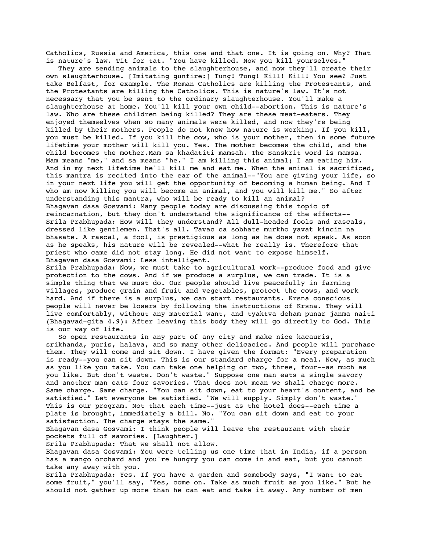Catholics, Russia and America, this one and that one. It is going on. Why? That is nature's law. Tit for tat. "You have killed. Now you kill yourselves."

 They are sending animals to the slaughterhouse, and now they'll create their own slaughterhouse. [Imitating gunfire:] Tung! Tung! Kill! Kill! You see? Just take Belfast, for example. The Roman Catholics are killing the Protestants, and the Protestants are killing the Catholics. This is nature's law. It's not necessary that you be sent to the ordinary slaughterhouse. You'll make a slaughterhouse at home. You'll kill your own child--abortion. This is nature's law. Who are these children being killed? They are these meat-eaters. They enjoyed themselves when so many animals were killed, and now they're being killed by their mothers. People do not know how nature is working. If you kill, you must be killed. If you kill the cow, who is your mother, then in some future lifetime your mother will kill you. Yes. The mother becomes the child, and the child becomes the mother.Mam sa khadatiti mamsah. The Sanskrit word is mamsa. Mam means "me," and sa means "he." I am killing this animal; I am eating him. And in my next lifetime he'll kill me and eat me. When the animal is sacrificed, this mantra is recited into the ear of the animal--"You are giving your life, so in your next life you will get the opportunity of becoming a human being. And I who am now killing you will become an animal, and you will kill me." So after understanding this mantra, who will be ready to kill an animal? Bhagavan dasa Gosvami: Many people today are discussing this topic of reincarnation, but they don't understand the significance of the effects-- Srila Prabhupada: How will they understand? All dull-headed fools and rascals, dressed like gentlemen. That's all. Tavac ca sobhate murkho yavat kincin na bhasate. A rascal, a fool, is prestigious as long as he does not speak. As soon as he speaks, his nature will be revealed--what he really is. Therefore that priest who came did not stay long. He did not want to expose himself. Bhagavan dasa Gosvami: Less intelligent.

Srila Prabhupada: Now, we must take to agricultural work--produce food and give protection to the cows. And if we produce a surplus, we can trade. It is a simple thing that we must do. Our people should live peacefully in farming villages, produce grain and fruit and vegetables, protect the cows, and work hard. And if there is a surplus, we can start restaurants. Krsna conscious people will never be losers by following the instructions of Krsna. They will live comfortably, without any material want, and tyaktva deham punar janma naiti (Bhagavad-gita 4.9): After leaving this body they will go directly to God. This is our way of life.

 So open restaurants in any part of any city and make nice kacauris, srikhanda, puris, halava, and so many other delicacies. And people will purchase them. They will come and sit down. I have given the format: "Every preparation is ready--you can sit down. This is our standard charge for a meal. Now, as much as you like you take. You can take one helping or two, three, four--as much as you like. But don't waste. Don't waste." Suppose one man eats a single savory and another man eats four savories. That does not mean we shall charge more. Same charge. Same charge. "You can sit down, eat to your heart's content, and be satisfied." Let everyone be satisfied. "We will supply. Simply don't waste." This is our program. Not that each time--just as the hotel does--each time a plate is brought, immediately a bill. No. "You can sit down and eat to your satisfaction. The charge stays the same."

Bhagavan dasa Gosvami: I think people will leave the restaurant with their pockets full of savories. [Laughter.]

Srila Prabhupada: That we shall not allow.

Bhagavan dasa Gosvami: You were telling us one time that in India, if a person has a mango orchard and you're hungry you can come in and eat, but you cannot take any away with you.

Srila Prabhupada: Yes. If you have a garden and somebody says, "I want to eat some fruit," you'll say, "Yes, come on. Take as much fruit as you like." But he should not gather up more than he can eat and take it away. Any number of men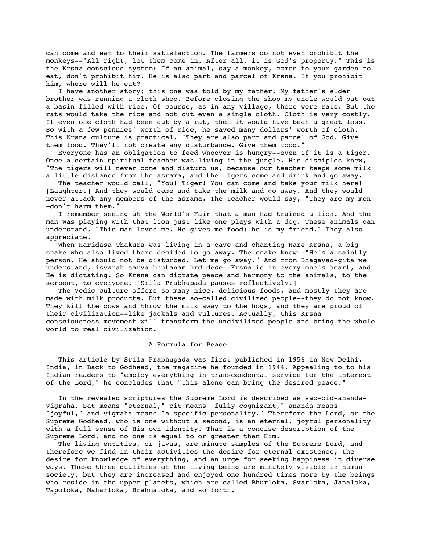can come and eat to their satisfaction. The farmers do not even prohibit the monkeys--"All right, let them come in. After all, it is God's property." This is the Krsna conscious system: If an animal, say a monkey, comes to your garden to eat, don't prohibit him. He is also part and parcel of Krsna. If you prohibit him, where will he eat?

 I have another story; this one was told by my father. My father's elder brother was running a cloth shop. Before closing the shop my uncle would put out a basin filled with rice. Of course, as in any village, there were rats. But the rats would take the rice and not cut even a single cloth. Cloth is very costly. If even one cloth had been cut by a rat, then it would have been a great loss. So with a few pennies' worth of rice, he saved many dollars' worth of cloth. This Krsna culture is practical. "They are also part and parcel of God. Give them food. They'll not create any disturbance. Give them food."

 Everyone has an obligation to feed whoever is hungry--even if it is a tiger. Once a certain spiritual teacher was living in the jungle. His disciples knew, "The tigers will never come and disturb us, because our teacher keeps some milk a little distance from the asrama, and the tigers come and drink and go away."

 The teacher would call, "You! Tiger! You can come and take your milk here!" [Laughter.] And they would come and take the milk and go away. And they would never attack any members of the asrama. The teacher would say, "They are my men- -don't harm them."

 I remember seeing at the World's Fair that a man had trained a lion. And the man was playing with that lion just like one plays with a dog. These animals can understand, "This man loves me. He gives me food; he is my friend." They also appreciate.

 When Haridasa Thakura was living in a cave and chanting Hare Krsna, a big snake who also lived there decided to go away. The snake knew--"He's a saintly person. He should not be disturbed. Let me go away." And from Bhagavad-gita we understand, isvarah sarva-bhutanam hrd-dese--Krsna is in every-one's heart, and He is dictating. So Krsna can dictate peace and harmony to the animals, to the serpent, to everyone. [Srila Prabhupada pauses reflectively.]

 The Vedic culture offers so many nice, delicious foods, and mostly they are made with milk products. But these so-called civilized people--they do not know. They kill the cows and throw the milk away to the hogs, and they are proud of their civilization--like jackals and vultures. Actually, this Krsna consciousness movement will transform the uncivilized people and bring the whole world to real civilization.

## A Formula for Peace

 This article by Srila Prabhupada was first published in 1956 in New Delhi, India, in Back to Godhead, the magazine he founded in 1944. Appealing to to his Indian readers to "employ everything in transcendental service for the interest of the Lord," he concludes that "this alone can bring the desired peace."

 In the revealed scriptures the Supreme Lord is described as sac-cid-anandavigraha. Sat means "eternal," cit means "fully cognizant," ananda means "joyful," and vigraha means "a specific personality." Therefore the Lord, or the Supreme Godhead, who is one without a second, is an eternal, joyful personality with a full sense of His own identity. That is a concise description of the Supreme Lord, and no one is equal to or greater than Him.

 The living entities, or jivas, are minute samples of the Supreme Lord, and therefore we find in their activities the desire for eternal existence, the desire for knowledge of everything, and an urge for seeking happiness in diverse ways. These three qualities of the living being are minutely visible in human society, but they are increased and enjoyed one hundred times more by the beings who reside in the upper planets, which are called Bhurloka, Svarloka, Janaloka, Tapoloka, Maharloka, Brahmaloka, and so forth.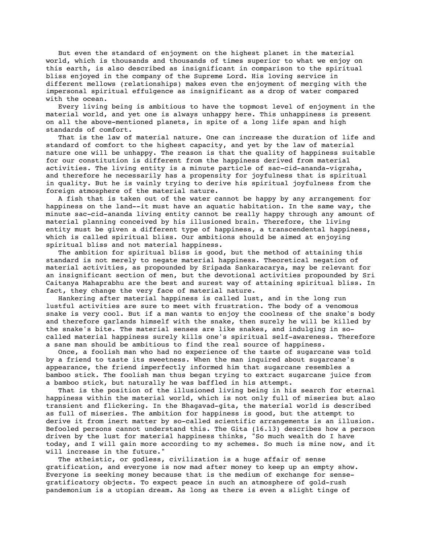But even the standard of enjoyment on the highest planet in the material world, which is thousands and thousands of times superior to what we enjoy on this earth, is also described as insignificant in comparison to the spiritual bliss enjoyed in the company of the Supreme Lord. His loving service in different mellows (relationships) makes even the enjoyment of merging with the impersonal spiritual effulgence as insignificant as a drop of water compared with the ocean.

 Every living being is ambitious to have the topmost level of enjoyment in the material world, and yet one is always unhappy here. This unhappiness is present on all the above-mentioned planets, in spite of a long life span and high standards of comfort.

 That is the law of material nature. One can increase the duration of life and standard of comfort to the highest capacity, and yet by the law of material nature one will be unhappy. The reason is that the quality of happiness suitable for our constitution is different from the happiness derived from material activities. The living entity is a minute particle of sac-cid-ananda-vigraha, and therefore he necessarily has a propensity for joyfulness that is spiritual in quality. But he is vainly trying to derive his spiritual joyfulness from the foreign atmosphere of the material nature.

 A fish that is taken out of the water cannot be happy by any arrangement for happiness on the land--it must have an aquatic habitation. In the same way, the minute sac-cid-ananda living entity cannot be really happy through any amount of material planning conceived by his illusioned brain. Therefore, the living entity must be given a different type of happiness, a transcendental happiness, which is called spiritual bliss. Our ambitions should be aimed at enjoying spiritual bliss and not material happiness.

 The ambition for spiritual bliss is good, but the method of attaining this standard is not merely to negate material happiness. Theoretical negation of material activities, as propounded by Sripada Sankaracarya, may be relevant for an insignificant section of men, but the devotional activities propounded by Sri Caitanya Mahaprabhu are the best and surest way of attaining spiritual bliss. In fact, they change the very face of material nature.

 Hankering after material happiness is called lust, and in the long run lustful activities are sure to meet with frustration. The body of a venomous snake is very cool. But if a man wants to enjoy the coolness of the snake's body and therefore garlands himself with the snake, then surely he will be killed by the snake's bite. The material senses are like snakes, and indulging in socalled material happiness surely kills one's spiritual self-awareness. Therefore a sane man should be ambitious to find the real source of happiness.

 Once, a foolish man who had no experience of the taste of sugarcane was told by a friend to taste its sweetness. When the man inquired about sugarcane's appearance, the friend imperfectly informed him that sugarcane resembles a bamboo stick. The foolish man thus began trying to extract sugarcane juice from a bamboo stick, but naturally he was baffled in his attempt.

 That is the position of the illusioned living being in his search for eternal happiness within the material world, which is not only full of miseries but also transient and flickering. In the Bhagavad-gita, the material world is described as full of miseries. The ambition for happiness is good, but the attempt to derive it from inert matter by so-called scientific arrangements is an illusion. Befooled persons cannot understand this. The Gita (16.13) describes how a person driven by the lust for material happiness thinks, "So much wealth do I have today, and I will gain more according to my schemes. So much is mine now, and it will increase in the future."

 The atheistic, or godless, civilization is a huge affair of sense gratification, and everyone is now mad after money to keep up an empty show. Everyone is seeking money because that is the medium of exchange for sensegratificatory objects. To expect peace in such an atmosphere of gold-rush pandemonium is a utopian dream. As long as there is even a slight tinge of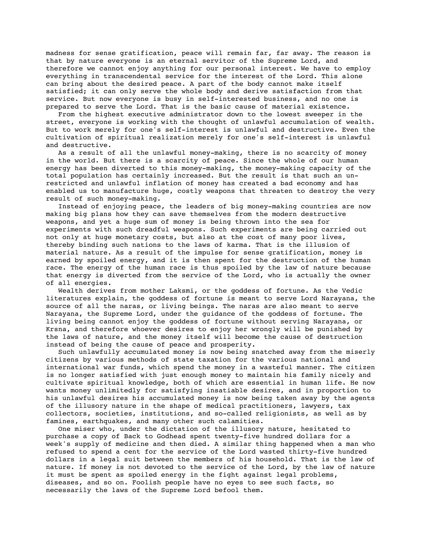madness for sense gratification, peace will remain far, far away. The reason is that by nature everyone is an eternal servitor of the Supreme Lord, and therefore we cannot enjoy anything for our personal interest. We have to employ everything in transcendental service for the interest of the Lord. This alone can bring about the desired peace. A part of the body cannot make itself satisfied; it can only serve the whole body and derive satisfaction from that service. But now everyone is busy in self-interested business, and no one is prepared to serve the Lord. That is the basic cause of material existence.

 From the highest executive administrator down to the lowest sweeper in the street, everyone is working with the thought of unlawful accumulation of wealth. But to work merely for one's self-interest is unlawful and destructive. Even the cultivation of spiritual realization merely for one's self-interest is unlawful and destructive.

 As a result of all the unlawful money-making, there is no scarcity of money in the world. But there is a scarcity of peace. Since the whole of our human energy has been diverted to this money-making, the money-making capacity of the total population has certainly increased. But the result is that such an unrestricted and unlawful inflation of money has created a bad economy and has enabled us to manufacture huge, costly weapons that threaten to destroy the very result of such money-making.

 Instead of enjoying peace, the leaders of big money-making countries are now making big plans how they can save themselves from the modern destructive weapons, and yet a huge sum of money is being thrown into the sea for experiments with such dreadful weapons. Such experiments are being carried out not only at huge monetary costs, but also at the cost of many poor lives, thereby binding such nations to the laws of karma. That is the illusion of material nature. As a result of the impulse for sense gratification, money is earned by spoiled energy, and it is then spent for the destruction of the human race. The energy of the human race is thus spoiled by the law of nature because that energy is diverted from the service of the Lord, who is actually the owner of all energies.

 Wealth derives from mother Laksmi, or the goddess of fortune. As the Vedic literatures explain, the goddess of fortune is meant to serve Lord Narayana, the source of all the naras, or living beings. The naras are also meant to serve Narayana, the Supreme Lord, under the guidance of the goddess of fortune. The living being cannot enjoy the goddess of fortune without serving Narayana, or Krsna, and therefore whoever desires to enjoy her wrongly will be punished by the laws of nature, and the money itself will become the cause of destruction instead of being the cause of peace and prosperity.

 Such unlawfully accumulated money is now being snatched away from the miserly citizens by various methods of state taxation for the various national and international war funds, which spend the money in a wasteful manner. The citizen is no longer satisfied with just enough money to maintain his family nicely and cultivate spiritual knowledge, both of which are essential in human life. He now wants money unlimitedly for satisfying insatiable desires, and in proportion to his unlawful desires his accumulated money is now being taken away by the agents of the illusory nature in the shape of medical practitioners, lawyers, tax collectors, societies, institutions, and so-called religionists, as well as by famines, earthquakes, and many other such calamities.

 One miser who, under the dictation of the illusory nature, hesitated to purchase a copy of Back to Godhead spent twenty-five hundred dollars for a week's supply of medicine and then died. A similar thing happened when a man who refused to spend a cent for the service of the Lord wasted thirty-five hundred dollars in a legal suit between the members of his household. That is the law of nature. If money is not devoted to the service of the Lord, by the law of nature it must be spent as spoiled energy in the fight against legal problems, diseases, and so on. Foolish people have no eyes to see such facts, so necessarily the laws of the Supreme Lord befool them.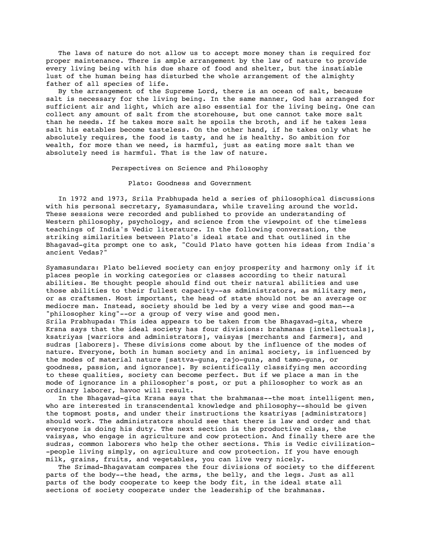The laws of nature do not allow us to accept more money than is required for proper maintenance. There is ample arrangement by the law of nature to provide every living being with his due share of food and shelter, but the insatiable lust of the human being has disturbed the whole arrangement of the almighty father of all species of life.

 By the arrangement of the Supreme Lord, there is an ocean of salt, because salt is necessary for the living being. In the same manner, God has arranged for sufficient air and light, which are also essential for the living being. One can collect any amount of salt from the storehouse, but one cannot take more salt than he needs. If he takes more salt he spoils the broth, and if he takes less salt his eatables become tasteless. On the other hand, if he takes only what he absolutely requires, the food is tasty, and he is healthy. So ambition for wealth, for more than we need, is harmful, just as eating more salt than we absolutely need is harmful. That is the law of nature.

#### Perspectives on Science and Philosophy

## Plato: Goodness and Government

 In 1972 and 1973, Srila Prabhupada held a series of philosophical discussions with his personal secretary, Syamasundara, while traveling around the world. These sessions were recorded and published to provide an understanding of Western philosophy, psychology, and science from the viewpoint of the timeless teachings of India's Vedic literature. In the following conversation, the striking similarities between Plato's ideal state and that outlined in the Bhagavad-gita prompt one to ask, "Could Plato have gotten his ideas from India's ancient Vedas?"

Syamasundara: Plato believed society can enjoy prosperity and harmony only if it places people in working categories or classes according to their natural abilities. He thought people should find out their natural abilities and use those abilities to their fullest capacity--as administrators, as military men, or as craftsmen. Most important, the head of state should not be an average or mediocre man. Instead, society should be led by a very wise and good man--a "philosopher king"--or a group of very wise and good men. Srila Prabhupada: This idea appears to be taken from the Bhagavad-gita, where Krsna says that the ideal society has four divisions: brahmanas [intellectuals], ksatriyas [warriors and administrators], vaisyas [merchants and farmers], and sudras [laborers]. These divisions come about by the influence of the modes of nature. Everyone, both in human society and in animal society, is influenced by the modes of material nature [sattva-guna, rajo-guna, and tamo-guna, or goodness, passion, and ignorance]. By scientifically classifying men according to these qualities, society can become perfect. But if we place a man in the mode of ignorance in a philosopher's post, or put a philosopher to work as an ordinary laborer, havoc will result.

 In the Bhagavad-gita Krsna says that the brahmanas--the most intelligent men, who are interested in transcendental knowledge and philosophy--should be given the topmost posts, and under their instructions the ksatriyas [administrators] should work. The administrators should see that there is law and order and that everyone is doing his duty. The next section is the productive class, the vaisyas, who engage in agriculture and cow protection. And finally there are the sudras, common laborers who help the other sections. This is Vedic civilization- -people living simply, on agriculture and cow protection. If you have enough milk, grains, fruits, and vegetables, you can live very nicely.

 The Srimad-Bhagavatam compares the four divisions of society to the different parts of the body--the head, the arms, the belly, and the legs. Just as all parts of the body cooperate to keep the body fit, in the ideal state all sections of society cooperate under the leadership of the brahmanas.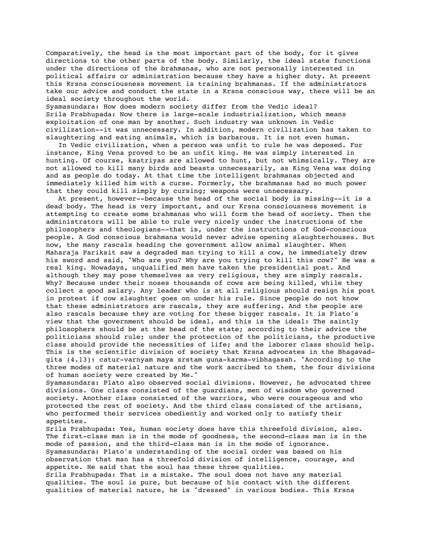Comparatively, the head is the most important part of the body, for it gives directions to the other parts of the body. Similarly, the ideal state functions under the directions of the brahmanas, who are not personally interested in political affairs or administration because they have a higher duty. At present this Krsna consciousness movement is training brahmanas. If the administrators take our advice and conduct the state in a Krsna conscious way, there will be an ideal society throughout the world.

Syamasundara: How does modern society differ from the Vedic ideal? Srila Prabhupada: Now there is large-scale industrialization, which means exploitation of one man by another. Such industry was unknown in Vedic civilization--it was unnecessary. In addition, modern civilization has taken to slaughtering and eating animals, which is barbarous. It is not even human.

 In Vedic civilization, when a person was unfit to rule he was deposed. For instance, King Vena proved to be an unfit king. He was simply interested in hunting. Of course, ksatriyas are allowed to hunt, but not whimsically. They are not allowed to kill many birds and beasts unnecessarily, as King Vena was doing and as people do today. At that time the intelligent brahmanas objected and immediately killed him with a curse. Formerly, the brahmanas had so much power that they could kill simply by cursing; weapons were unnecessary.

 At present, however--because the head of the social body is missing--it is a dead body. The head is very important, and our Krsna consciousness movement is attempting to create some brahmanas who will form the head of society. Then the administrators will be able to rule very nicely under the instructions of the philosophers and theologians--that is, under the instructions of God-conscious people. A God conscious brahmana would never advise opening slaughterhouses. But now, the many rascals heading the government allow animal slaughter. When Maharaja Pariksit saw a degraded man trying to kill a cow, he immediately drew his sword and said, "Who are you? Why are you trying to kill this cow?" He was a real king. Nowadays, unqualified men have taken the presidential post. And although they may pose themselves as very religious, they are simply rascals. Why? Because under their noses thousands of cows are being killed, while they collect a good salary. Any leader who is at all religious should resign his post in protest if cow slaughter goes on under his rule. Since people do not know that these administrators are rascals, they are suffering. And the people are also rascals because they are voting for these bigger rascals. It is Plato's view that the government should be ideal, and this is the ideal: The saintly philosophers should be at the head of the state; according to their advice the politicians should rule; under the protection of the politicians, the productive class should provide the necessities of life; and the laborer class should help. This is the scientific division of society that Krsna advocates in the Bhagavadgita (4.13): catur-varnyam maya srstam guna-karma-vibhagasah. "According to the three modes of material nature and the work ascribed to them, the four divisions of human society were created by Me."

Syamasundara: Plato also observed social divisions. However, he advocated three divisions. One class consisted of the guardians, men of wisdom who governed society. Another class consisted of the warriors, who were courageous and who protected the rest of society. And the third class consisted of the artisans, who performed their services obediently and worked only to satisfy their appetites.

Srila Prabhupada: Yes, human society does have this threefold division, also. The first-class man is in the mode of goodness, the second-class man is in the mode of passion, and the third-class man is in the mode of ignorance. Syamasundara: Plato's understanding of the social order was based on his observation that man has a threefold division of intelligence, courage, and appetite. He said that the soul has these three qualities.

Srila Prabhupada: That is a mistake. The soul does not have any material qualities. The soul is pure, but because of his contact with the different qualities of material nature, he is "dressed" in various bodies. This Krsna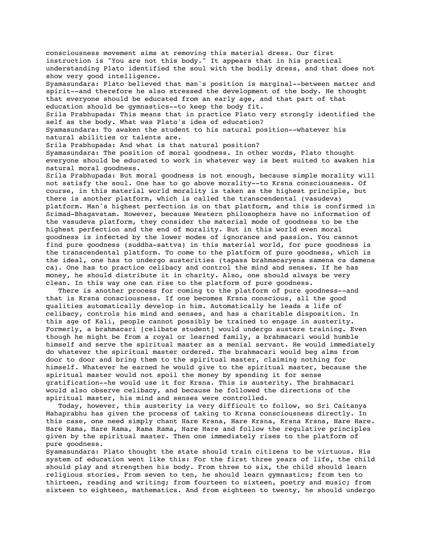consciousness movement aims at removing this material dress. Our first instruction is "You are not this body." It appears that in his practical understanding Plato identified the soul with the bodily dress, and that does not show very good intelligence.

Syamasundara: Plato believed that man's position is marginal--between matter and spirit--and therefore he also stressed the development of the body. He thought that everyone should be educated from an early age, and that part of that education should be gymnastics--to keep the body fit.

Srila Prabhupada: This means that in practice Plato very strongly identified the self as the body. What was Plato's idea of education?

Syamasundara: To awaken the student to his natural position--whatever his natural abilities or talents are.

Srila Prabhupada: And what is that natural position?

Syamasundara: The position of moral goodness. In other words, Plato thought everyone should be educated to work in whatever way is best suited to awaken his natural moral goodness.

Srila Prabhupada: But moral goodness is not enough, because simple morality will not satisfy the soul. One has to go above morality--to Krsna consciousness. Of course, in this material world morality is taken as the highest principle, but there is another platform, which is called the transcendental (vasudeva) platform. Man's highest perfection is on that platform, and this is confirmed in Srimad-Bhagavatam. However, because Western philosophers have no information of the vasudeva platform, they consider the material mode of goodness to be the highest perfection and the end of morality. But in this world even moral goodness is infected by the lower modes of ignorance and passion. You cannot find pure goodness (suddha-sattva) in this material world, for pure goodness is the transcendental platform. To come to the platform of pure goodness, which is the ideal, one has to undergo austerities (tapasa brahmacaryena samena ca damena ca). One has to practice celibacy and control the mind and senses. If he has money, he should distribute it in charity. Also, one should always be very clean. In this way one can rise to the platform of pure goodness.

 There is another process for coming to the platform of pure goodness--and that is Krsna consciousness. If one becomes Krsna conscious, all the good qualities automatically develop in him. Automatically he leads a life of celibacy, controls his mind and senses, and has a charitable disposition. In this age of Kali, people cannot possibly be trained to engage in austerity. Formerly, a brahmacari [celibate student] would undergo austere training. Even though he might be from a royal or learned family, a brahmacari would humble himself and serve the spiritual master as a menial servant. He would immediately do whatever the spiritual master ordered. The brahmacari would beg alms from door to door and bring them to the spiritual master, claiming nothing for himself. Whatever he earned he would give to the spiritual master, because the spiritual master would not spoil the money by spending it for sense gratification--he would use it for Krsna. This is austerity. The brahmacari would also observe celibacy, and because he followed the directions of the spiritual master, his mind and senses were controlled.

 Today, however, this austerity is very difficult to follow, so Sri Caitanya Mahaprabhu has given the process of taking to Krsna consciousness directly. In this case, one need simply chant Hare Krsna, Hare Krsna, Krsna Krsna, Hare Hare. Hare Rama, Hare Rama, Rama Rama, Hare Hare and follow the regulative principles given by the spiritual master. Then one immediately rises to the platform of pure goodness.

Syamasundara: Plato thought the state should train citizens to be virtuous. His system of education went like this: For the first three years of life, the child should play and strengthen his body. From three to six, the child should learn religious stories. From seven to ten, he should learn gymnastics; from ten to thirteen, reading and writing; from fourteen to sixteen, poetry and music; from sixteen to eighteen, mathematics. And from eighteen to twenty, he should undergo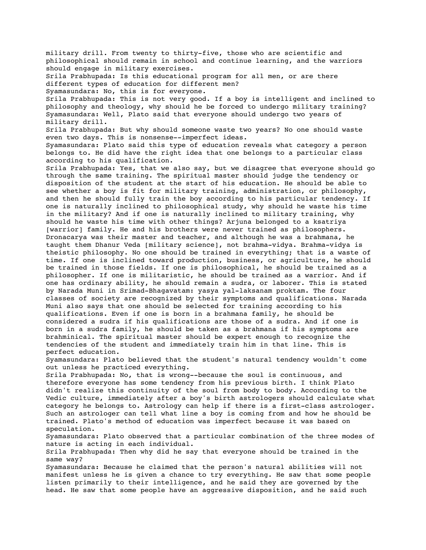military drill. From twenty to thirty-five, those who are scientific and philosophical should remain in school and continue learning, and the warriors should engage in military exercises. Srila Prabhupada: Is this educational program for all men, or are there different types of education for different men? Syamasundara: No, this is for everyone. Srila Prabhupada: This is not very good. If a boy is intelligent and inclined to philosophy and theology, why should he be forced to undergo military training? Syamasundara: Well, Plato said that everyone should undergo two years of military drill. Srila Prabhupada: But why should someone waste two years? No one should waste even two days. This is nonsense--imperfect ideas. Syamasundara: Plato said this type of education reveals what category a person belongs to. He did have the right idea that one belongs to a particular class according to his qualification. Srila Prabhupada: Yes, that we also say, but we disagree that everyone should go through the same training. The spiritual master should judge the tendency or disposition of the student at the start of his education. He should be able to see whether a boy is fit for military training, administration, or philosophy, and then he should fully train the boy according to his particular tendency. If one is naturally inclined to philosophical study, why should he waste his time in the military? And if one is naturally inclined to military training, why should he waste his time with other things? Arjuna belonged to a ksatriya [warrior] family. He and his brothers were never trained as philosophers. Dronacarya was their master and teacher, and although he was a brahmana, he taught them Dhanur Veda [military science], not brahma-vidya. Brahma-vidya is theistic philosophy. No one should be trained in everything; that is a waste of time. If one is inclined toward production, business, or agriculture, he should be trained in those fields. If one is philosophical, he should be trained as a philosopher. If one is militaristic, he should be trained as a warrior. And if one has ordinary ability, he should remain a sudra, or laborer. This is stated by Narada Muni in Srimad-Bhagavatam: yasya yal-laksanam proktam. The four classes of society are recognized by their symptoms and qualifications. Narada Muni also says that one should be selected for training according to his qualifications. Even if one is born in a brahmana family, he should be considered a sudra if his qualifications are those of a sudra. And if one is born in a sudra family, he should be taken as a brahmana if his symptoms are brahminical. The spiritual master should be expert enough to recognize the tendencies of the student and immediately train him in that line. This is perfect education. Syamasundara: Plato believed that the student's natural tendency wouldn't come out unless he practiced everything. Srila Prabhupada: No, that is wrong--because the soul is continuous, and therefore everyone has some tendency from his previous birth. I think Plato didn't realize this continuity of the soul from body to body. According to the Vedic culture, immediately after a boy's birth astrologers should calculate what category he belongs to. Astrology can help if there is a first-class astrologer. Such an astrologer can tell what line a boy is coming from and how he should be trained. Plato's method of education was imperfect because it was based on

speculation.

Syamasundara: Plato observed that a particular combination of the three modes of nature is acting in each individual.

Srila Prabhupada: Then why did he say that everyone should be trained in the same way?

Syamasundara: Because he claimed that the person's natural abilities will not manifest unless he is given a chance to try everything. He saw that some people listen primarily to their intelligence, and he said they are governed by the head. He saw that some people have an aggressive disposition, and he said such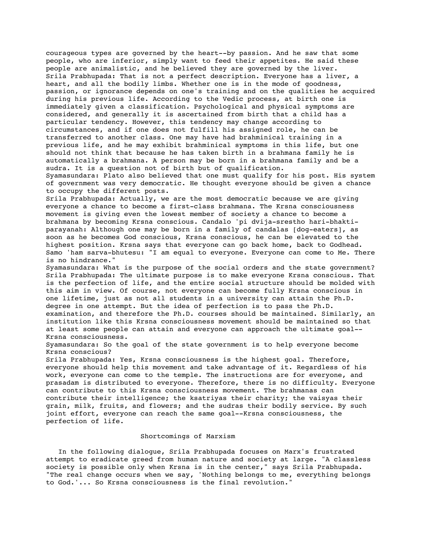courageous types are governed by the heart--by passion. And he saw that some people, who are inferior, simply want to feed their appetites. He said these people are animalistic, and he believed they are governed by the liver. Srila Prabhupada: That is not a perfect description. Everyone has a liver, a heart, and all the bodily limbs. Whether one is in the mode of goodness, passion, or ignorance depends on one's training and on the qualities he acquired during his previous life. According to the Vedic process, at birth one is immediately given a classification. Psychological and physical symptoms are considered, and generally it is ascertained from birth that a child has a particular tendency. However, this tendency may change according to circumstances, and if one does not fulfill his assigned role, he can be transferred to another class. One may have had brahminical training in a previous life, and he may exhibit brahminical symptoms in this life, but one should not think that because he has taken birth in a brahmana family he is automatically a brahmana. A person may be born in a brahmana family and be a sudra. It is a question not of birth but of qualification. Syamasundara: Plato also believed that one must qualify for his post. His system of government was very democratic. He thought everyone should be given a chance to occupy the different posts. Srila Prabhupada: Actually, we are the most democratic because we are giving everyone a chance to become a first-class brahmana. The Krsna consciousness movement is giving even the lowest member of society a chance to become a brahmana by becoming Krsna conscious. Candalo 'pi dvija-srestho hari-bhaktiparayanah: Although one may be born in a family of candalas [dog-eaters], as soon as he becomes God conscious, Krsna conscious, he can be elevated to the highest position. Krsna says that everyone can go back home, back to Godhead. Samo 'ham sarva-bhutesu: "I am equal to everyone. Everyone can come to Me. There is no hindrance." Syamasundara: What is the purpose of the social orders and the state government? Srila Prabhupada: The ultimate purpose is to make everyone Krsna conscious. That is the perfection of life, and the entire social structure should be molded with this aim in view. Of course, not everyone can become fully Krsna conscious in one lifetime, just as not all students in a university can attain the Ph.D. degree in one attempt. But the idea of perfection is to pass the Ph.D. examination, and therefore the Ph.D. courses should be maintained. Similarly, an institution like this Krsna consciousness movement should be maintained so that at least some people can attain and everyone can approach the ultimate goal-- Krsna consciousness. Syamasundara: So the goal of the state government is to help everyone become Krsna conscious? Srila Prabhupada: Yes, Krsna consciousness is the highest goal. Therefore, everyone should help this movement and take advantage of it. Regardless of his work, everyone can come to the temple. The instructions are for everyone, and prasadam is distributed to everyone. Therefore, there is no difficulty. Everyone can contribute to this Krsna consciousness movement. The brahmanas can

contribute their intelligence; the ksatriyas their charity; the vaisyas their grain, milk, fruits, and flowers; and the sudras their bodily service. By such joint effort, everyone can reach the same goal--Krsna consciousness, the perfection of life.

# Shortcomings of Marxism

 In the following dialogue, Srila Prabhupada focuses on Marx's frustrated attempt to eradicate greed from human nature and society at large. "A classless society is possible only when Krsna is in the center," says Srila Prabhupada. "The real change occurs when we say, 'Nothing belongs to me, everything belongs to God.'... So Krsna consciousness is the final revolution."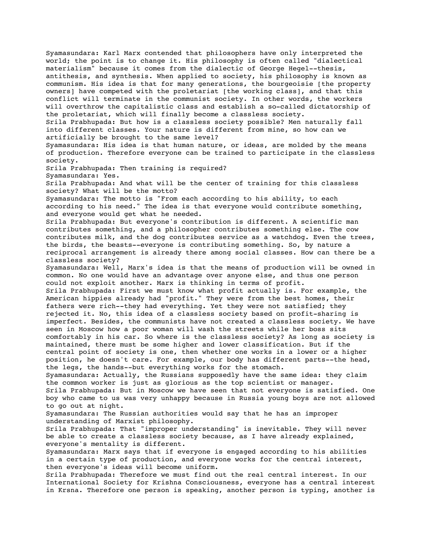Syamasundara: Karl Marx contended that philosophers have only interpreted the world; the point is to change it. His philosophy is often called "dialectical materialism" because it comes from the dialectic of George Hegel--thesis, antithesis, and synthesis. When applied to society, his philosophy is known as communism. His idea is that for many generations, the bourgeoisie [the property owners] have competed with the proletariat [the working class], and that this conflict will terminate in the communist society. In other words, the workers will overthrow the capitalistic class and establish a so-called dictatorship of the proletariat, which will finally become a classless society. Srila Prabhupada: But how is a classless society possible? Men naturally fall into different classes. Your nature is different from mine, so how can we artificially be brought to the same level? Syamasundara: His idea is that human nature, or ideas, are molded by the means of production. Therefore everyone can be trained to participate in the classless society. Srila Prabhupada: Then training is required? Syamasundara: Yes. Srila Prabhupada: And what will be the center of training for this classless society? What will be the motto? Syamasundara: The motto is "From each according to his ability, to each according to his need." The idea is that everyone would contribute something, and everyone would get what he needed. Srila Prabhupada: But everyone's contribution is different. A scientific man contributes something, and a philosopher contributes something else. The cow contributes milk, and the dog contributes service as a watchdog. Even the trees, the birds, the beasts--everyone is contributing something. So, by nature a reciprocal arrangement is already there among social classes. How can there be a classless society? Syamasundara: Well, Marx's idea is that the means of production will be owned in common. No one would have an advantage over anyone else, and thus one person could not exploit another. Marx is thinking in terms of profit. Srila Prabhupada: First we must know what profit actually is. For example, the American hippies already had "profit." They were from the best homes, their fathers were rich--they had everything. Yet they were not satisfied; they rejected it. No, this idea of a classless society based on profit-sharing is imperfect. Besides, the communists have not created a classless society. We have seen in Moscow how a poor woman will wash the streets while her boss sits comfortably in his car. So where is the classless society? As long as society is maintained, there must be some higher and lower classification. But if the central point of society is one, then whether one works in a lower or a higher position, he doesn't care. For example, our body has different parts--the head, the legs, the hands--but everything works for the stomach. Syamasundara: Actually, the Russians supposedly have the same idea: they claim the common worker is just as glorious as the top scientist or manager. Srila Prabhupada: But in Moscow we have seen that not everyone is satisfied. One boy who came to us was very unhappy because in Russia young boys are not allowed to go out at night. Syamasundara: The Russian authorities would say that he has an improper understanding of Marxist philosophy. Srila Prabhupada: That "improper understanding" is inevitable. They will never be able to create a classless society because, as I have already explained, everyone's mentality is different. Syamasundara: Marx says that if everyone is engaged according to his abilities in a certain type of production, and everyone works for the central interest, then everyone's ideas will become uniform. Srila Prabhupada: Therefore we must find out the real central interest. In our International Society for Krishna Consciousness, everyone has a central interest in Krsna. Therefore one person is speaking, another person is typing, another is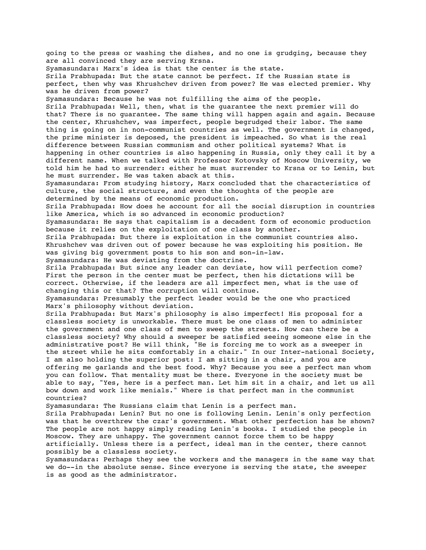going to the press or washing the dishes, and no one is grudging, because they are all convinced they are serving Krsna. Syamasundara: Marx's idea is that the center is the state. Srila Prabhupada: But the state cannot be perfect. If the Russian state is perfect, then why was Khrushchev driven from power? He was elected premier. Why was he driven from power? Syamasundara: Because he was not fulfilling the aims of the people. Srila Prabhupada: Well, then, what is the guarantee the next premier will do that? There is no guarantee. The same thing will happen again and again. Because the center, Khrushchev, was imperfect, people begrudged their labor. The same thing is going on in non-communist countries as well. The government is changed, the prime minister is deposed, the president is impeached. So what is the real difference between Russian communism and other political systems? What is happening in other countries is also happening in Russia, only they call it by a different name. When we talked with Professor Kotovsky of Moscow University, we told him he had to surrender: either he must surrender to Krsna or to Lenin, but he must surrender. He was taken aback at this. Syamasundara: From studying history, Marx concluded that the characteristics of culture, the social structure, and even the thoughts of the people are determined by the means of economic production. Srila Prabhupada: How does he account for all the social disruption in countries like America, which is so advanced in economic production? Syamasundara: He says that capitalism is a decadent form of economic production because it relies on the exploitation of one class by another. Srila Prabhupada: But there is exploitation in the communist countries also. Khrushchev was driven out of power because he was exploiting his position. He was giving big government posts to his son and son-in-law. Syamasundara: He was deviating from the doctrine. Srila Prabhupada: But since any leader can deviate, how will perfection come? First the person in the center must be perfect, then his dictations will be correct. Otherwise, if the leaders are all imperfect men, what is the use of changing this or that? The corruption will continue. Syamasundara: Presumably the perfect leader would be the one who practiced Marx's philosophy without deviation. Srila Prabhupada: But Marx's philosophy is also imperfect! His proposal for a classless society is unworkable. There must be one class of men to administer the government and one class of men to sweep the streets. How can there be a classless society? Why should a sweeper be satisfied seeing someone else in the administrative post? He will think, "He is forcing me to work as a sweeper in the street while he sits comfortably in a chair." In our Inter-national Society, I am also holding the superior post: I am sitting in a chair, and you are offering me garlands and the best food. Why? Because you see a perfect man whom you can follow. That mentality must be there. Everyone in the society must be able to say, "Yes, here is a perfect man. Let him sit in a chair, and let us all bow down and work like menials." Where is that perfect man in the communist countries? Syamasundara: The Russians claim that Lenin is a perfect man. Srila Prabhupada: Lenin? But no one is following Lenin. Lenin's only perfection was that he overthrew the czar's government. What other perfection has he shown? The people are not happy simply reading Lenin's books. I studied the people in Moscow. They are unhappy. The government cannot force them to be happy artificially. Unless there is a perfect, ideal man in the center, there cannot possibly be a classless society. Syamasundara: Perhaps they see the workers and the managers in the same way that we do--in the absolute sense. Since everyone is serving the state, the sweeper is as good as the administrator.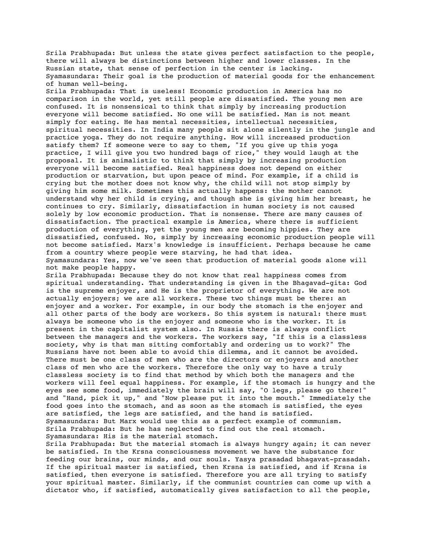Srila Prabhupada: But unless the state gives perfect satisfaction to the people, there will always be distinctions between higher and lower classes. In the Russian state, that sense of perfection in the center is lacking. Syamasundara: Their goal is the production of material goods for the enhancement of human well-being.

Srila Prabhupada: That is useless! Economic production in America has no comparison in the world, yet still people are dissatisfied. The young men are confused. It is nonsensical to think that simply by increasing production everyone will become satisfied. No one will be satisfied. Man is not meant simply for eating. He has mental necessities, intellectual necessities, spiritual necessities. In India many people sit alone silently in the jungle and practice yoga. They do not require anything. How will increased production satisfy them? If someone were to say to them, "If you give up this yoga practice, I will give you two hundred bags of rice," they would laugh at the proposal. It is animalistic to think that simply by increasing production everyone will become satisfied. Real happiness does not depend on either production or starvation, but upon peace of mind. For example, if a child is crying but the mother does not know why, the child will not stop simply by giving him some milk. Sometimes this actually happens: the mother cannot understand why her child is crying, and though she is giving him her breast, he continues to cry. Similarly, dissatisfaction in human society is not caused solely by low economic production. That is nonsense. There are many causes of dissatisfaction. The practical example is America, where there is sufficient production of everything, yet the young men are becoming hippies. They are dissatisfied, confused. No, simply by increasing economic production people will not become satisfied. Marx's knowledge is insufficient. Perhaps because he came from a country where people were starving, he had that idea. Syamasundara: Yes, now we've seen that production of material goods alone will not make people happy.

Srila Prabhupada: Because they do not know that real happiness comes from spiritual understanding. That understanding is given in the Bhagavad-gita: God is the supreme enjoyer, and He is the proprietor of everything. We are not actually enjoyers; we are all workers. These two things must be there: an enjoyer and a worker. For example, in our body the stomach is the enjoyer and all other parts of the body are workers. So this system is natural: there must always be someone who is the enjoyer and someone who is the worker. It is present in the capitalist system also. In Russia there is always conflict between the managers and the workers. The workers say, "If this is a classless society, why is that man sitting comfortably and ordering us to work?" The Russians have not been able to avoid this dilemma, and it cannot be avoided. There must be one class of men who are the directors or enjoyers and another class of men who are the workers. Therefore the only way to have a truly classless society is to find that method by which both the managers and the workers will feel equal happiness. For example, if the stomach is hungry and the eyes see some food, immediately the brain will say, "O legs, please go there!" and "Hand, pick it up," and "Now please put it into the mouth." Immediately the food goes into the stomach, and as soon as the stomach is satisfied, the eyes are satisfied, the legs are satisfied, and the hand is satisfied. Syamasundara: But Marx would use this as a perfect example of communism. Srila Prabhupada: But he has neglected to find out the real stomach. Syamasundara: His is the material stomach.

Srila Prabhupada: But the material stomach is always hungry again; it can never be satisfied. In the Krsna consciousness movement we have the substance for feeding our brains, our minds, and our souls. Yasya prasadad bhagavat-prasadah. If the spiritual master is satisfied, then Krsna is satisfied, and if Krsna is satisfied, then everyone is satisfied. Therefore you are all trying to satisfy your spiritual master. Similarly, if the communist countries can come up with a dictator who, if satisfied, automatically gives satisfaction to all the people,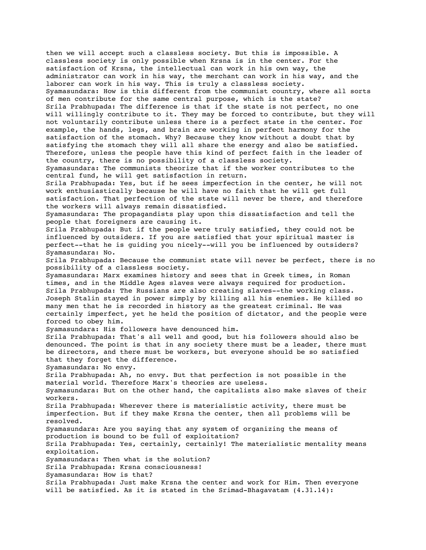then we will accept such a classless society. But this is impossible. A classless society is only possible when Krsna is in the center. For the satisfaction of Krsna, the intellectual can work in his own way, the administrator can work in his way, the merchant can work in his way, and the laborer can work in his way. This is truly a classless society. Syamasundara: How is this different from the communist country, where all sorts of men contribute for the same central purpose, which is the state? Srila Prabhupada: The difference is that if the state is not perfect, no one will willingly contribute to it. They may be forced to contribute, but they will not voluntarily contribute unless there is a perfect state in the center. For example, the hands, legs, and brain are working in perfect harmony for the satisfaction of the stomach. Why? Because they know without a doubt that by satisfying the stomach they will all share the energy and also be satisfied. Therefore, unless the people have this kind of perfect faith in the leader of the country, there is no possibility of a classless society. Syamasundara: The communists theorize that if the worker contributes to the central fund, he will get satisfaction in return. Srila Prabhupada: Yes, but if he sees imperfection in the center, he will not work enthusiastically because he will have no faith that he will get full satisfaction. That perfection of the state will never be there, and therefore the workers will always remain dissatisfied. Syamasundara: The propagandists play upon this dissatisfaction and tell the people that foreigners are causing it. Srila Prabhupada: But if the people were truly satisfied, they could not be influenced by outsiders. If you are satisfied that your spiritual master is perfect--that he is guiding you nicely--will you be influenced by outsiders? Syamasundara: No. Srila Prabhupada: Because the communist state will never be perfect, there is no possibility of a classless society. Syamasundara: Marx examines history and sees that in Greek times, in Roman times, and in the Middle Ages slaves were always required for production. Srila Prabhupada: The Russians are also creating slaves--the working class. Joseph Stalin stayed in power simply by killing all his enemies. He killed so many men that he is recorded in history as the greatest criminal. He was certainly imperfect, yet he held the position of dictator, and the people were forced to obey him. Syamasundara: His followers have denounced him. Srila Prabhupada: That's all well and good, but his followers should also be denounced. The point is that in any society there must be a leader, there must be directors, and there must be workers, but everyone should be so satisfied that they forget the difference. Syamasundara: No envy. Srila Prabhupada: Ah, no envy. But that perfection is not possible in the material world. Therefore Marx's theories are useless. Syamasundara: But on the other hand, the capitalists also make slaves of their workers. Srila Prabhupada: Wherever there is materialistic activity, there must be imperfection. But if they make Krsna the center, then all problems will be resolved. Syamasundara: Are you saying that any system of organizing the means of production is bound to be full of exploitation? Srila Prabhupada: Yes, certainly, certainly! The materialistic mentality means exploitation. Syamasundara: Then what is the solution? Srila Prabhupada: Krsna consciousness! Syamasundara: How is that? Srila Prabhupada: Just make Krsna the center and work for Him. Then everyone will be satisfied. As it is stated in the Srimad-Bhagavatam  $(4.31.14)$ :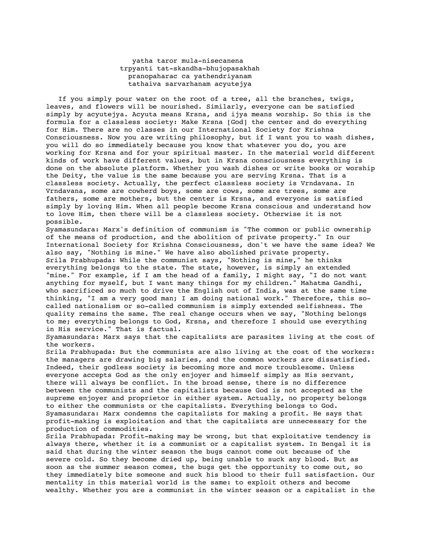yatha taror mula-nisecanena trpyanti tat-skandha-bhujopasakhah pranopaharac ca yathendriyanam tathaiva sarvarhanam acyutejya

 If you simply pour water on the root of a tree, all the branches, twigs, leaves, and flowers will be nourished. Similarly, everyone can be satisfied simply by acyutejya. Acyuta means Krsna, and ijya means worship. So this is the formula for a classless society: Make Krsna [God] the center and do everything for Him. There are no classes in our International Society for Krishna Consciousness. Now you are writing philosophy, but if I want you to wash dishes, you will do so immediately because you know that whatever you do, you are working for Krsna and for your spiritual master. In the material world different kinds of work have different values, but in Krsna consciousness everything is done on the absolute platform. Whether you wash dishes or write books or worship the Deity, the value is the same because you are serving Krsna. That is a classless society. Actually, the perfect classless society is Vrndavana. In Vrndavana, some are cowherd boys, some are cows, some are trees, some are fathers, some are mothers, but the center is Krsna, and everyone is satisfied simply by loving Him. When all people become Krsna conscious and understand how to love Him, then there will be a classless society. Otherwise it is not possible.

Syamasundara: Marx's definition of communism is "The common or public ownership of the means of production, and the abolition of private property." In our International Society for Krishna Consciousness, don't we have the same idea? We also say, "Nothing is mine." We have also abolished private property. Srila Prabhupada: While the communist says, "Nothing is mine," he thinks everything belongs to the state. The state, however, is simply an extended "mine." For example, if I am the head of a family, I might say, "I do not want anything for myself, but I want many things for my children." Mahatma Gandhi, who sacrificed so much to drive the English out of India, was at the same time thinking, "I am a very good man; I am doing national work." Therefore, this socalled nationalism or so-called communism is simply extended selfishness. The quality remains the same. The real change occurs when we say, "Nothing belongs to me; everything belongs to God, Krsna, and therefore I should use everything in His service." That is factual.

Syamasundara: Marx says that the capitalists are parasites living at the cost of the workers.

Srila Prabhupada: But the communists are also living at the cost of the workers: the managers are drawing big salaries, and the common workers are dissatisfied. Indeed, their godless society is becoming more and more troublesome. Unless everyone accepts God as the only enjoyer and himself simply as His servant, there will always be conflict. In the broad sense, there is no difference between the communists and the capitalists because God is not accepted as the supreme enjoyer and proprietor in either system. Actually, no property belongs to either the communists or the capitalists. Everything belongs to God. Syamasundara: Marx condemns the capitalists for making a profit. He says that profit-making is exploitation and that the capitalists are unnecessary for the production of commodities.

Srila Prabhupada: Profit-making may be wrong, but that exploitative tendency is always there, whether it is a communist or a capitalist system. In Bengal it is said that during the winter season the bugs cannot come out because of the severe cold. So they become dried up, being unable to suck any blood. But as soon as the summer season comes, the bugs get the opportunity to come out, so they immediately bite someone and suck his blood to their full satisfaction. Our mentality in this material world is the same: to exploit others and become wealthy. Whether you are a communist in the winter season or a capitalist in the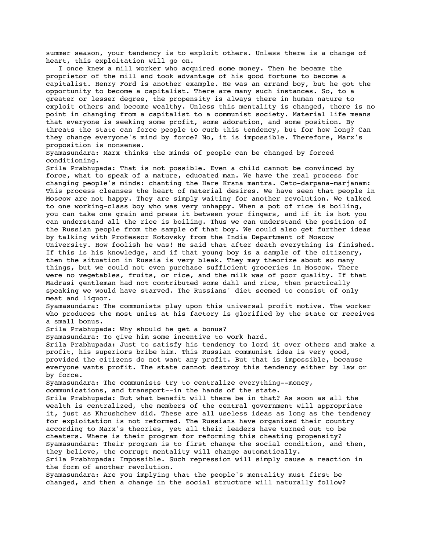summer season, your tendency is to exploit others. Unless there is a change of heart, this exploitation will go on.

 I once knew a mill worker who acquired some money. Then he became the proprietor of the mill and took advantage of his good fortune to become a capitalist. Henry Ford is another example. He was an errand boy, but he got the opportunity to become a capitalist. There are many such instances. So, to a greater or lesser degree, the propensity is always there in human nature to exploit others and become wealthy. Unless this mentality is changed, there is no point in changing from a capitalist to a communist society. Material life means that everyone is seeking some profit, some adoration, and some position. By threats the state can force people to curb this tendency, but for how long? Can they change everyone's mind by force? No, it is impossible. Therefore, Marx's proposition is nonsense.

Syamasundara: Marx thinks the minds of people can be changed by forced conditioning.

Srila Prabhupada: That is not possible. Even a child cannot be convinced by force, what to speak of a mature, educated man. We have the real process for changing people's minds: chanting the Hare Krsna mantra. Ceto-darpana-marjanam: This process cleanses the heart of material desires. We have seen that people in Moscow are not happy. They are simply waiting for another revolution. We talked to one working-class boy who was very unhappy. When a pot of rice is boiling, you can take one grain and press it between your fingers, and if it is hot you can understand all the rice is boiling. Thus we can understand the position of the Russian people from the sample of that boy. We could also get further ideas by talking with Professor Kotovsky from the India Department of Moscow University. How foolish he was! He said that after death everything is finished. If this is his knowledge, and if that young boy is a sample of the citizenry, then the situation in Russia is very bleak. They may theorize about so many things, but we could not even purchase sufficient groceries in Moscow. There were no vegetables, fruits, or rice, and the milk was of poor quality. If that Madrasi gentleman had not contributed some dahl and rice, then practically speaking we would have starved. The Russians' diet seemed to consist of only meat and liquor.

Syamasundara: The communists play upon this universal profit motive. The worker who produces the most units at his factory is glorified by the state or receives a small bonus.

Srila Prabhupada: Why should he get a bonus?

Syamasundara: To give him some incentive to work hard.

Srila Prabhupada: Just to satisfy his tendency to lord it over others and make a profit, his superiors bribe him. This Russian communist idea is very good, provided the citizens do not want any profit. But that is impossible, because everyone wants profit. The state cannot destroy this tendency either by law or by force.

Syamasundara: The communists try to centralize everything--money, communications, and transport--in the hands of the state.

Srila Prabhupada: But what benefit will there be in that? As soon as all the wealth is centralized, the members of the central government will appropriate it, just as Khrushchev did. These are all useless ideas as long as the tendency for exploitation is not reformed. The Russians have organized their country according to Marx's theories, yet all their leaders have turned out to be cheaters. Where is their program for reforming this cheating propensity? Syamasundara: Their program is to first change the social condition, and then, they believe, the corrupt mentality will change automatically. Srila Prabhupada: Impossible. Such repression will simply cause a reaction in

the form of another revolution.

Syamasundara: Are you implying that the people's mentality must first be changed, and then a change in the social structure will naturally follow?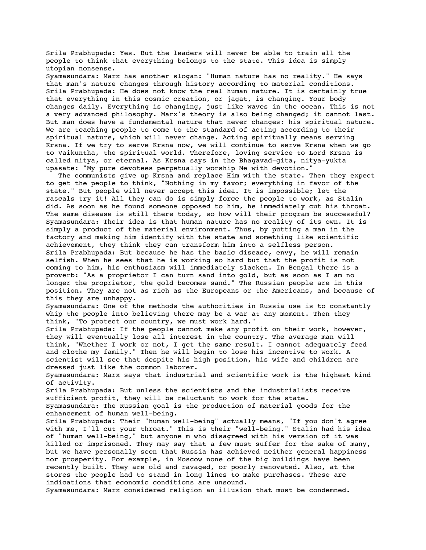Srila Prabhupada: Yes. But the leaders will never be able to train all the people to think that everything belongs to the state. This idea is simply utopian nonsense.

Syamasundara: Marx has another slogan: "Human nature has no reality." He says that man's nature changes through history according to material conditions. Srila Prabhupada: He does not know the real human nature. It is certainly true that everything in this cosmic creation, or jagat, is changing. Your body changes daily. Everything is changing, just like waves in the ocean. This is not a very advanced philosophy. Marx's theory is also being changed; it cannot last. But man does have a fundamental nature that never changes: his spiritual nature. We are teaching people to come to the standard of acting according to their spiritual nature, which will never change. Acting spiritually means serving Krsna. If we try to serve Krsna now, we will continue to serve Krsna when we go to Vaikuntha, the spiritual world. Therefore, loving service to Lord Krsna is called nitya, or eternal. As Krsna says in the Bhagavad-gita, nitya-yukta upasate: "My pure devotees perpetually worship Me with devotion."

 The communists give up Krsna and replace Him with the state. Then they expect to get the people to think, "Nothing in my favor; everything in favor of the state." But people will never accept this idea. It is impossible; let the rascals try it! All they can do is simply force the people to work, as Stalin did. As soon as he found someone opposed to him, he immediately cut his throat. The same disease is still there today, so how will their program be successful? Syamasundara: Their idea is that human nature has no reality of its own. It is simply a product of the material environment. Thus, by putting a man in the factory and making him identify with the state and something like scientific achievement, they think they can transform him into a selfless person. Srila Prabhupada: But because he has the basic disease, envy, he will remain selfish. When he sees that he is working so hard but that the profit is not coming to him, his enthusiasm will immediately slacken. In Bengal there is a proverb: "As a proprietor I can turn sand into gold, but as soon as I am no longer the proprietor, the gold becomes sand." The Russian people are in this position. They are not as rich as the Europeans or the Americans, and because of this they are unhappy.

Syamasundara: One of the methods the authorities in Russia use is to constantly whip the people into believing there may be a war at any moment. Then they think, "To protect our country, we must work hard."

Srila Prabhupada: If the people cannot make any profit on their work, however, they will eventually lose all interest in the country. The average man will think, "Whether I work or not, I get the same result. I cannot adequately feed and clothe my family." Then he will begin to lose his incentive to work. A scientist will see that despite his high position, his wife and children are dressed just like the common laborer.

Syamasundara: Marx says that industrial and scientific work is the highest kind of activity.

Srila Prabhupada: But unless the scientists and the industrialists receive sufficient profit, they will be reluctant to work for the state. Syamasundara: The Russian goal is the production of material goods for the enhancement of human well-being.

Srila Prabhupada: Their "human well-being" actually means, "If you don't agree with me, I'll cut your throat." This is their "well-being." Stalin had his idea of "human well-being," but anyone m who disagreed with his version of it was killed or imprisoned. They may say that a few must suffer for the sake of many, but we have personally seen that Russia has achieved neither general happiness nor prosperity. For example, in Moscow none of the big buildings have been recently built. They are old and ravaged, or poorly renovated. Also, at the stores the people had to stand in long lines to make purchases. These are indications that economic conditions are unsound.

Syamasundara: Marx considered religion an illusion that must be condemned.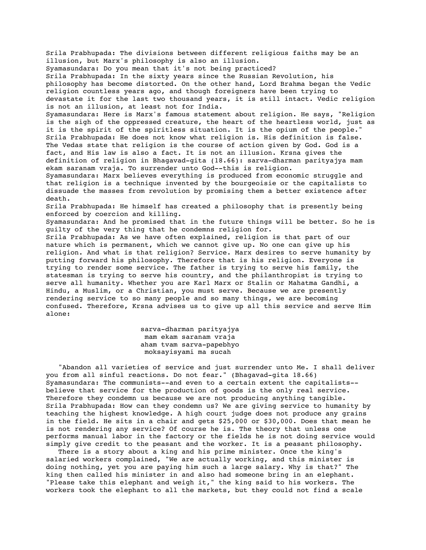Srila Prabhupada: The divisions between different religious faiths may be an illusion, but Marx's philosophy is also an illusion. Syamasundara: Do you mean that it's not being practiced? Srila Prabhupada: In the sixty years since the Russian Revolution, his philosophy has become distorted. On the other hand, Lord Brahma began the Vedic religion countless years ago, and though foreigners have been trying to devastate it for the last two thousand years, it is still intact. Vedic religion is not an illusion, at least not for India. Syamasundara: Here is Marx's famous statement about religion. He says, "Religion is the sigh of the oppressed creature, the heart of the heartless world, just as it is the spirit of the spiritless situation. It is the opium of the people." Srila Prabhupada: He does not know what religion is. His definition is false. The Vedas state that religion is the course of action given by God. God is a fact, and His law is also a fact. It is not an illusion. Krsna gives the definition of religion in Bhagavad-gita (18.66): sarva-dharman parityajya mam ekam saranam vraja. To surrender unto God--this is religion. Syamasundara: Marx believes everything is produced from economic struggle and that religion is a technique invented by the bourgeoisie or the capitalists to dissuade the masses from revolution by promising them a better existence after death. Srila Prabhupada: He himself has created a philosophy that is presently being enforced by coercion and killing. Syamasundara: And he promised that in the future things will be better. So he is guilty of the very thing that he condemns religion for. Srila Prabhupada: As we have often explained, religion is that part of our nature which is permanent, which we cannot give up. No one can give up his religion. And what is that religion? Service. Marx desires to serve humanity by putting forward his philosophy. Therefore that is his religion. Everyone is trying to render some service. The father is trying to serve his family, the statesman is trying to serve his country, and the philanthropist is trying to serve all humanity. Whether you are Karl Marx or Stalin or Mahatma Gandhi, a Hindu, a Muslim, or a Christian, you must serve. Because we are presently rendering service to so many people and so many things, we are becoming confused. Therefore, Krsna advises us to give up all this service and serve Him alone:

> sarva-dharman parityajya mam ekam saranam vraja aham tvam sarva-papebhyo moksayisyami ma sucah

 "Abandon all varieties of service and just surrender unto Me. I shall deliver you from all sinful reactions. Do not fear." (Bhagavad-gita 18.66) Syamasundara: The communists--and even to a certain extent the capitalists- believe that service for the production of goods is the only real service. Therefore they condemn us because we are not producing anything tangible. Srila Prabhupada: How can they condemn us? We are giving service to humanity by teaching the highest knowledge. A high court judge does not produce any grains in the field. He sits in a chair and gets \$25,000 or \$30,000. Does that mean he is not rendering any service? Of course he is. The theory that unless one performs manual labor in the factory or the fields he is not doing service would simply give credit to the peasant and the worker. It is a peasant philosophy.

 There is a story about a king and his prime minister. Once the king's salaried workers complained, "We are actually working, and this minister is doing nothing, yet you are paying him such a large salary. Why is that?" The king then called his minister in and also had someone bring in an elephant. "Please take this elephant and weigh it," the king said to his workers. The workers took the elephant to all the markets, but they could not find a scale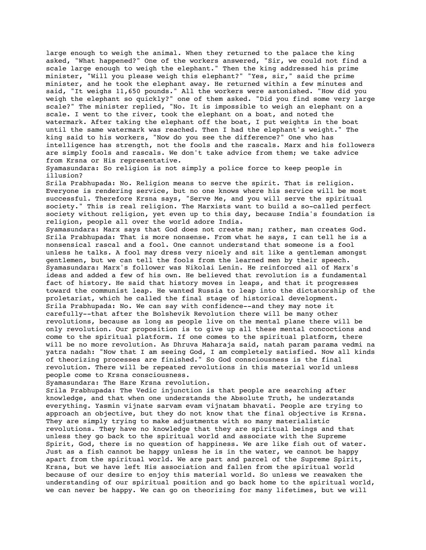large enough to weigh the animal. When they returned to the palace the king asked, "What happened?" One of the workers answered, "Sir, we could not find a scale large enough to weigh the elephant." Then the king addressed his prime minister, "Will you please weigh this elephant?" "Yes, sir," said the prime minister, and he took the elephant away. He returned within a few minutes and said, "It weighs 11,650 pounds." All the workers were astonished. "How did you weigh the elephant so quickly?" one of them asked. "Did you find some very large scale?" The minister replied, "No. It is impossible to weigh an elephant on a scale. I went to the river, took the elephant on a boat, and noted the watermark. After taking the elephant off the boat, I put weights in the boat until the same watermark was reached. Then I had the elephant's weight." The king said to his workers, "Now do you see the difference?" One who has intelligence has strength, not the fools and the rascals. Marx and his followers are simply fools and rascals. We don't take advice from them; we take advice from Krsna or His representative.

Syamasundara: So religion is not simply a police force to keep people in illusion?

Srila Prabhupada: No. Religion means to serve the spirit. That is religion. Everyone is rendering service, but no one knows where his service will be most successful. Therefore Krsna says, "Serve Me, and you will serve the spiritual society." This is real religion. The Marxists want to build a so-called perfect society without religion, yet even up to this day, because India's foundation is religion, people all over the world adore India.

Syamasundara: Marx says that God does not create man; rather, man creates God. Srila Prabhupada: That is more nonsense. From what he says, I can tell he is a nonsensical rascal and a fool. One cannot understand that someone is a fool unless he talks. A fool may dress very nicely and sit like a gentleman amongst gentlemen, but we can tell the fools from the learned men by their speech. Syamasundara: Marx's follower was Nikolai Lenin. He reinforced all of Marx's ideas and added a few of his own. He believed that revolution is a fundamental fact of history. He said that history moves in leaps, and that it progresses toward the communist leap. He wanted Russia to leap into the dictatorship of the proletariat, which he called the final stage of historical development. Srila Prabhupada: No. We can say with confidence--and they may note it carefully--that after the Bolshevik Revolution there will be many other revolutions, because as long as people live on the mental plane there will be only revolution. Our proposition is to give up all these mental concoctions and come to the spiritual platform. If one comes to the spiritual platform, there will be no more revolution. As Dhruva Maharaja said, natah param parama vedmi na yatra nadah: "Now that I am seeing God, I am completely satisfied. Now all kinds of theorizing processes are finished." So God consciousness is the final revolution. There will be repeated revolutions in this material world unless people come to Krsna consciousness.

Syamasundara: The Hare Krsna revolution.

Srila Prabhupada: The Vedic injunction is that people are searching after knowledge, and that when one understands the Absolute Truth, he understands everything. Yasmin vijnate sarvam evam vijnatam bhavati. People are trying to approach an objective, but they do not know that the final objective is Krsna. They are simply trying to make adjustments with so many materialistic revolutions. They have no knowledge that they are spiritual beings and that unless they go back to the spiritual world and associate with the Supreme Spirit, God, there is no question of happiness. We are like fish out of water. Just as a fish cannot be happy unless he is in the water, we cannot be happy apart from the spiritual world. We are part and parcel of the Supreme Spirit, Krsna, but we have left His association and fallen from the spiritual world because of our desire to enjoy this material world. So unless we reawaken the understanding of our spiritual position and go back home to the spiritual world, we can never be happy. We can go on theorizing for many lifetimes, but we will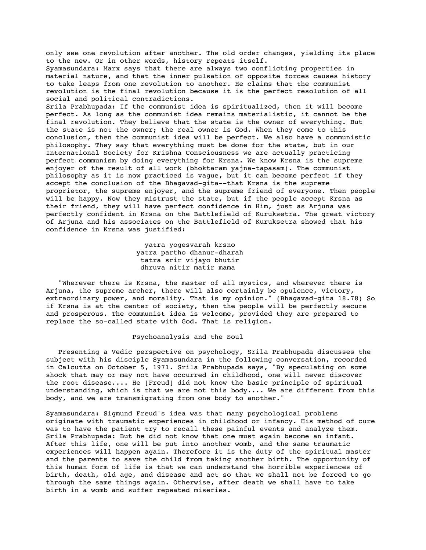only see one revolution after another. The old order changes, yielding its place to the new. Or in other words, history repeats itself. Syamasundara: Marx says that there are always two conflicting properties in material nature, and that the inner pulsation of opposite forces causes history to take leaps from one revolution to another. He claims that the communist revolution is the final revolution because it is the perfect resolution of all social and political contradictions. Srila Prabhupada: If the communist idea is spiritualized, then it will become perfect. As long as the communist idea remains materialistic, it cannot be the final revolution. They believe that the state is the owner of everything. But the state is not the owner; the real owner is God. When they come to this conclusion, then the communist idea will be perfect. We also have a communistic philosophy. They say that everything must be done for the state, but in our International Society for Krishna Consciousness we are actually practicing perfect communism by doing everything for Krsna. We know Krsna is the supreme enjoyer of the result of all work (bhoktaram yajna-tapasam). The communist philosophy as it is now practiced is vague, but it can become perfect if they accept the conclusion of the Bhagavad-gita--that Krsna is the supreme proprietor, the supreme enjoyer, and the supreme friend of everyone. Then people will be happy. Now they mistrust the state, but if the people accept Krsna as their friend, they will have perfect confidence in Him, just as Arjuna was perfectly confident in Krsna on the Battlefield of Kuruksetra. The great victory of Arjuna and his associates on the Battlefield of Kuruksetra showed that his confidence in Krsna was justified:

> yatra yogesvarah krsno yatra partho dhanur-dharah tatra srir vijayo bhutir dhruva nitir matir mama

 "Wherever there is Krsna, the master of all mystics, and wherever there is Arjuna, the supreme archer, there will also certainly be opulence, victory, extraordinary power, and morality. That is my opinion." (Bhagavad-gita 18.78) So if Krsna is at the center of society, then the people will be perfectly secure and prosperous. The communist idea is welcome, provided they are prepared to replace the so-called state with God. That is religion.

## Psychoanalysis and the Soul

 Presenting a Vedic perspective on psychology, Srila Prabhupada discusses the subject with his disciple Syamasundara in the following conversation, recorded in Calcutta on October 5, 1971. Srila Prabhupada says, "By speculating on some shock that may or may not have occurred in childhood, one will never discover the root disease.... He [Freud] did not know the basic principle of spiritual understanding, which is that we are not this body.... We are different from this body, and we are transmigrating from one body to another."

Syamasundara: Sigmund Freud's idea was that many psychological problems originate with traumatic experiences in childhood or infancy. His method of cure was to have the patient try to recall these painful events and analyze them. Srila Prabhupada: But he did not know that one must again become an infant. After this life, one will be put into another womb, and the same traumatic experiences will happen again. Therefore it is the duty of the spiritual master and the parents to save the child from taking another birth. The opportunity of this human form of life is that we can understand the horrible experiences of birth, death, old age, and disease and act so that we shall not be forced to go through the same things again. Otherwise, after death we shall have to take birth in a womb and suffer repeated miseries.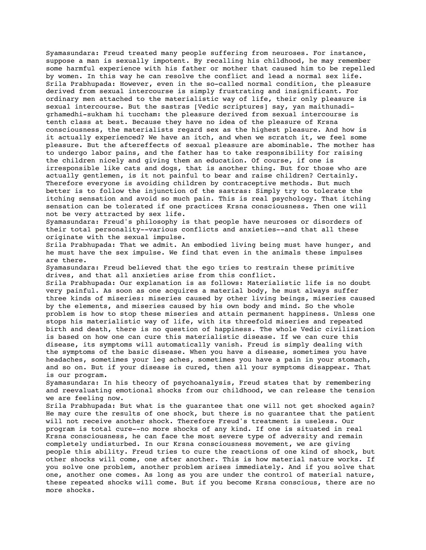Syamasundara: Freud treated many people suffering from neuroses. For instance, suppose a man is sexually impotent. By recalling his childhood, he may remember some harmful experience with his father or mother that caused him to be repelled by women. In this way he can resolve the conflict and lead a normal sex life. Srila Prabhupada: However, even in the so-called normal condition, the pleasure derived from sexual intercourse is simply frustrating and insignificant. For ordinary men attached to the materialistic way of life, their only pleasure is sexual intercourse. But the sastras [Vedic scriptures] say, yan maithunadigrhamedhi-sukham hi tuccham: the pleasure derived from sexual intercourse is tenth class at best. Because they have no idea of the pleasure of Krsna consciousness, the materialists regard sex as the highest pleasure. And how is it actually experienced? We have an itch, and when we scratch it, we feel some pleasure. But the aftereffects of sexual pleasure are abominable. The mother has to undergo labor pains, and the father has to take responsibility for raising the children nicely and giving them an education. Of course, if one is irresponsible like cats and dogs, that is another thing. But for those who are actually gentlemen, is it not painful to bear and raise children? Certainly. Therefore everyone is avoiding children by contraceptive methods. But much better is to follow the injunction of the sastras: Simply try to tolerate the itching sensation and avoid so much pain. This is real psychology. That itching sensation can be tolerated if one practices Krsna consciousness. Then one will not be very attracted by sex life.

Syamasundara: Freud's philosophy is that people have neuroses or disorders of their total personality--various conflicts and anxieties--and that all these originate with the sexual impulse.

Srila Prabhupada: That we admit. An embodied living being must have hunger, and he must have the sex impulse. We find that even in the animals these impulses are there.

Syamasundara: Freud believed that the ego tries to restrain these primitive drives, and that all anxieties arise from this conflict.

Srila Prabhupada: Our explanation is as follows: Materialistic life is no doubt very painful. As soon as one acquires a material body, he must always suffer three kinds of miseries: miseries caused by other living beings, miseries caused by the elements, and miseries caused by his own body and mind. So the whole problem is how to stop these miseries and attain permanent happiness. Unless one stops his materialistic way of life, with its threefold miseries and repeated birth and death, there is no question of happiness. The whole Vedic civilization is based on how one can cure this materialistic disease. If we can cure this disease, its symptoms will automatically vanish. Freud is simply dealing with the symptoms of the basic disease. When you have a disease, sometimes you have headaches, sometimes your leg aches, sometimes you have a pain in your stomach, and so on. But if your disease is cured, then all your symptoms disappear. That is our program.

Syamasundara: In his theory of psychoanalysis, Freud states that by remembering and reevaluating emotional shocks from our childhood, we can release the tension we are feeling now.

Srila Prabhupada: But what is the guarantee that one will not get shocked again? He may cure the results of one shock, but there is no guarantee that the patient will not receive another shock. Therefore Freud's treatment is useless. Our program is total cure--no more shocks of any kind. If one is situated in real Krsna consciousness, he can face the most severe type of adversity and remain completely undisturbed. In our Krsna consciousness movement, we are giving people this ability. Freud tries to cure the reactions of one kind of shock, but other shocks will come, one after another. This is how material nature works. If you solve one problem, another problem arises immediately. And if you solve that one, another one comes. As long as you are under the control of material nature, these repeated shocks will come. But if you become Krsna conscious, there are no more shocks.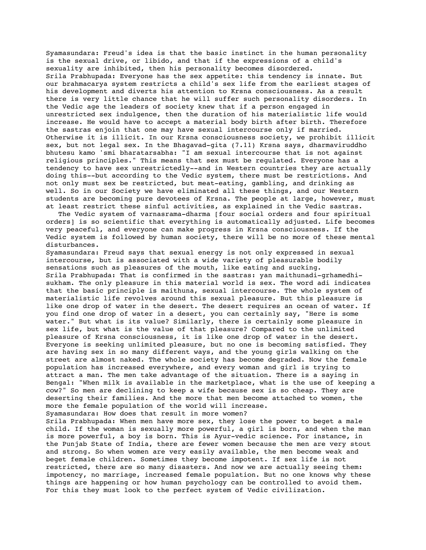Syamasundara: Freud's idea is that the basic instinct in the human personality is the sexual drive, or libido, and that if the expressions of a child's sexuality are inhibited, then his personality becomes disordered. Srila Prabhupada: Everyone has the sex appetite: this tendency is innate. But our brahmacarya system restricts a child's sex life from the earliest stages of his development and diverts his attention to Krsna consciousness. As a result there is very little chance that he will suffer such personality disorders. In the Vedic age the leaders of society knew that if a person engaged in unrestricted sex indulgence, then the duration of his materialistic life would increase. He would have to accept a material body birth after birth. Therefore the sastras enjoin that one may have sexual intercourse only if married. Otherwise it is illicit. In our Krsna consciousness society, we prohibit illicit sex, but not legal sex. In the Bhagavad-gita (7.11) Krsna says, dharmaviruddho bhutesu kamo 'smi bharatarsabha: "I am sexual intercourse that is not against religious principles." This means that sex must be regulated. Everyone has a tendency to have sex unrestrictedly--and in Western countries they are actually doing this--but according to the Vedic system, there must be restrictions. And not only must sex be restricted, but meat-eating, gambling, and drinking as well. So in our Society we have eliminated all these things, and our Western students are becoming pure devotees of Krsna. The people at large, however, must at least restrict these sinful activities, as explained in the Vedic sastras.

 The Vedic system of varnasrama-dharma [four social orders and four spiritual orders] is so scientific that everything is automatically adjusted. Life becomes very peaceful, and everyone can make progress in Krsna consciousness. If the Vedic system is followed by human society, there will be no more of these mental disturbances.

Syamasundara: Freud says that sexual energy is not only expressed in sexual intercourse, but is associated with a wide variety of pleasurable bodily sensations such as pleasures of the mouth, like eating and sucking. Srila Prabhupada: That is confirmed in the sastras: yan maithunadi-grhamedhisukham. The only pleasure in this material world is sex. The word adi indicates that the basic principle is maithuna, sexual intercourse. The whole system of materialistic life revolves around this sexual pleasure. But this pleasure is like one drop of water in the desert. The desert requires an ocean of water. If you find one drop of water in a desert, you can certainly say, "Here is some water." But what is its value? Similarly, there is certainly some pleasure in sex life, but what is the value of that pleasure? Compared to the unlimited pleasure of Krsna consciousness, it is like one drop of water in the desert. Everyone is seeking unlimited pleasure, but no one is becoming satisfied. They are having sex in so many different ways, and the young girls walking on the street are almost naked. The whole society has become degraded. Now the female population has increased everywhere, and every woman and girl is trying to attract a man. The men take advantage of the situation. There is a saying in Bengal: "When milk is available in the marketplace, what is the use of keeping a cow?" So men are declining to keep a wife because sex is so cheap. They are deserting their families. And the more that men become attached to women, the more the female population of the world will increase.

Syamasundara: How does that result in more women?

Srila Prabhupada: When men have more sex, they lose the power to beget a male child. If the woman is sexually more powerful, a girl is born, and when the man is more powerful, a boy is born. This is Ayur-vedic science. For instance, in the Punjab State of India, there are fewer women because the men are very stout and strong. So when women are very easily available, the men become weak and beget female children. Sometimes they become impotent. If sex life is not restricted, there are so many disasters. And now we are actually seeing them: impotency, no marriage, increased female population. But no one knows why these things are happening or how human psychology can be controlled to avoid them. For this they must look to the perfect system of Vedic civilization.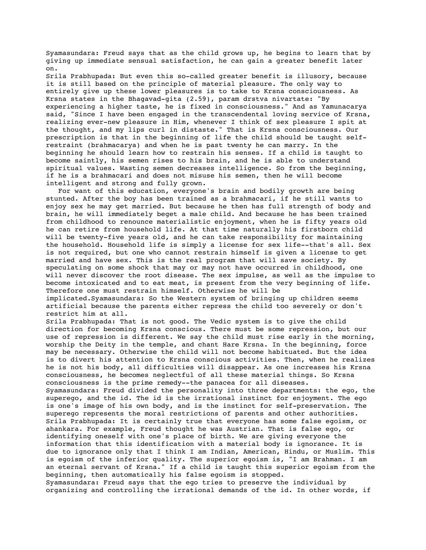Syamasundara: Freud says that as the child grows up, he begins to learn that by giving up immediate sensual satisfaction, he can gain a greater benefit later on.

Srila Prabhupada: But even this so-called greater benefit is illusory, because it is still based on the principle of material pleasure. The only way to entirely give up these lower pleasures is to take to Krsna consciousness. As Krsna states in the Bhagavad-gita (2.59), param drstva nivartate: "By experiencing a higher taste, he is fixed in consciousness." And as Yamunacarya said, "Since I have been engaged in the transcendental loving service of Krsna, realizing ever-new pleasure in Him, whenever I think of sex pleasure I spit at the thought, and my lips curl in distaste." That is Krsna consciousness. Our prescription is that in the beginning of life the child should be taught selfrestraint (brahmacarya) and when he is past twenty he can marry. In the beginning he should learn how to restrain his senses. If a child is taught to become saintly, his semen rises to his brain, and he is able to understand spiritual values. Wasting semen decreases intelligence. So from the beginning, if he is a brahmacari and does not misuse his semen, then he will become intelligent and strong and fully grown.

 For want of this education, everyone's brain and bodily growth are being stunted. After the boy has been trained as a brahmacari, if he still wants to enjoy sex he may get married. But because he then has full strength of body and brain, he will immediately beget a male child. And because he has been trained from childhood to renounce materialistic enjoyment, when he is fifty years old he can retire from household life. At that time naturally his firstborn child will be twenty-five years old, and he can take responsibility for maintaining the household. Household life is simply a license for sex life--that's all. Sex is not required, but one who cannot restrain himself is given a license to get married and have sex. This is the real program that will save society. By speculating on some shock that may or may not have occurred in childhood, one will never discover the root disease. The sex impulse, as well as the impulse to become intoxicated and to eat meat, is present from the very beginning of life. Therefore one must restrain himself. Otherwise he will be

implicated.Syamasundara: So the Western system of bringing up children seems artificial because the parents either repress the child too severely or don't restrict him at all.

Srila Prabhupada: That is not good. The Vedic system is to give the child direction for becoming Krsna conscious. There must be some repression, but our use of repression is different. We say the child must rise early in the morning, worship the Deity in the temple, and chant Hare Krsna. In the beginning, force may be necessary. Otherwise the child will not become habituated. But the idea is to divert his attention to Krsna conscious activities. Then, when he realizes he is not his body, all difficulties will disappear. As one increases his Krsna consciousness, he becomes neglectful of all these material things. So Krsna consciousness is the prime remedy--the panacea for all diseases.

Syamasundara: Freud divided the personality into three departments: the ego, the superego, and the id. The id is the irrational instinct for enjoyment. The ego is one's image of his own body, and is the instinct for self-preservation. The superego represents the moral restrictions of parents and other authorities. Srila Prabhupada: It is certainly true that everyone has some false egoism, or ahankara. For example, Freud thought he was Austrian. That is false ego, or identifying oneself with one's place of birth. We are giving everyone the information that this identification with a material body is ignorance. It is due to ignorance only that I think I am Indian, American, Hindu, or Muslim. This is egoism of the inferior quality. The superior egoism is, "I am Brahman. I am an eternal servant of Krsna." If a child is taught this superior egoism from the beginning, then automatically his false egoism is stopped.

Syamasundara: Freud says that the ego tries to preserve the individual by organizing and controlling the irrational demands of the id. In other words, if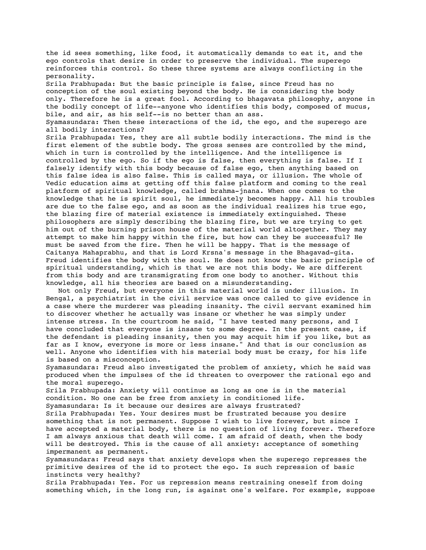the id sees something, like food, it automatically demands to eat it, and the ego controls that desire in order to preserve the individual. The superego reinforces this control. So these three systems are always conflicting in the personality. Srila Prabhupada: But the basic principle is false, since Freud has no conception of the soul existing beyond the body. He is considering the body only. Therefore he is a great fool. According to bhagavata philosophy, anyone in the bodily concept of life--anyone who identifies this body, composed of mucus, bile, and air, as his self--is no better than an ass. Syamasundara: Then these interactions of the id, the ego, and the superego are all bodily interactions? Srila Prabhupada: Yes, they are all subtle bodily interactions. The mind is the first element of the subtle body. The gross senses are controlled by the mind, which in turn is controlled by the intelligence. And the intelligence is controlled by the ego. So if the ego is false, then everything is false. If I falsely identify with this body because of false ego, then anything based on this false idea is also false. This is called maya, or illusion. The whole of Vedic education aims at getting off this false platform and coming to the real platform of spiritual knowledge, called brahma-jnana. When one comes to the knowledge that he is spirit soul, he immediately becomes happy. All his troubles are due to the false ego, and as soon as the individual realizes his true ego, the blazing fire of material existence is immediately extinguished. These philosophers are simply describing the blazing fire, but we are trying to get him out of the burning prison house of the material world altogether. They may attempt to make him happy within the fire, but how can they be successful? He must be saved from the fire. Then he will be happy. That is the message of Caitanya Mahaprabhu, and that is Lord Krsna's message in the Bhagavad-gita. Freud identifies the body with the soul. He does not know the basic principle of spiritual understanding, which is that we are not this body. We are different from this body and are transmigrating from one body to another. Without this knowledge, all his theories are based on a misunderstanding.

 Not only Freud, but everyone in this material world is under illusion. In Bengal, a psychiatrist in the civil service was once called to give evidence in a case where the murderer was pleading insanity. The civil servant examined him to discover whether he actually was insane or whether he was simply under intense stress. In the courtroom he said, "I have tested many persons, and I have concluded that everyone is insane to some degree. In the present case, if the defendant is pleading insanity, then you may acquit him if you like, but as far as I know, everyone is more or less insane." And that is our conclusion as well. Anyone who identifies with his material body must be crazy, for his life is based on a misconception.

Syamasundara: Freud also investigated the problem of anxiety, which he said was produced when the impulses of the id threaten to overpower the rational ego and the moral superego.

Srila Prabhupada: Anxiety will continue as long as one is in the material condition. No one can be free from anxiety in conditioned life. Syamasundara: Is it because our desires are always frustrated? Srila Prabhupada: Yes. Your desires must be frustrated because you desire something that is not permanent. Suppose I wish to live forever, but since I have accepted a material body, there is no question of living forever. Therefore I am always anxious that death will come. I am afraid of death, when the body will be destroyed. This is the cause of all anxiety: acceptance of something impermanent as permanent.

Syamasundara: Freud says that anxiety develops when the superego represses the primitive desires of the id to protect the ego. Is such repression of basic instincts very healthy?

Srila Prabhupada: Yes. For us repression means restraining oneself from doing something which, in the long run, is against one's welfare. For example, suppose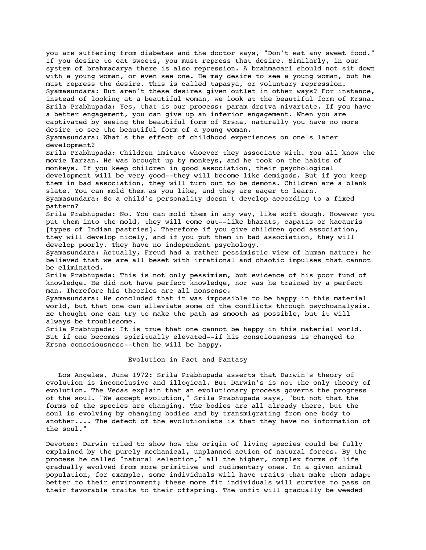you are suffering from diabetes and the doctor says, "Don't eat any sweet food." If you desire to eat sweets, you must repress that desire. Similarly, in our system of brahmacarya there is also repression. A brahmacari should not sit down with a young woman, or even see one. He may desire to see a young woman, but he must repress the desire. This is called tapasya, or voluntary repression. Syamasundara: But aren't these desires given outlet in other ways? For instance, instead of looking at a beautiful woman, we look at the beautiful form of Krsna. Srila Prabhupada: Yes, that is our process: param drstva nivartate. If you have a better engagement, you can give up an inferior engagement. When you are captivated by seeing the beautiful form of Krsna, naturally you have no more desire to see the beautiful form of a young woman. Syamasundara: What's the effect of childhood experiences on one's later development? Srila Prabhupada: Children imitate whoever they associate with. You all know the movie Tarzan. He was brought up by monkeys, and he took on the habits of monkeys. If you keep children in good association, their psychological development will be very good--they will become like demigods. But if you keep them in bad association, they will turn out to be demons. Children are a blank slate. You can mold them as you like, and they are eager to learn. Syamasundara: So a child's personality doesn't develop according to a fixed pattern?

Srila Prabhupada: No. You can mold them in any way, like soft dough. However you put them into the mold, they will come out--like bharats, capatis or kacauris [types of Indian pastries]. Therefore if you give children good association, they will develop nicely, and if you put them in bad association, they will develop poorly. They have no independent psychology.

Syamasundara: Actually, Freud had a rather pessimistic view of human nature: he believed that we are all beset with irrational and chaotic impulses that cannot be eliminated.

Srila Prabhupada: This is not only pessimism, but evidence of his poor fund of knowledge. He did not have perfect knowledge, nor was he trained by a perfect man. Therefore his theories are all nonsense.

Syamasundara: He concluded that it was impossible to be happy in this material world, but that one can alleviate some of the conflicts through psychoanalysis. He thought one can try to make the path as smooth as possible, but it will always be troublesome.

Srila Prabhupada: It is true that one cannot be happy in this material world. But if one becomes spiritually elevated--if his consciousness is changed to Krsna consciousness--then he will be happy.

## Evolution in Fact and Fantasy

 Los Angeles, June 1972: Srila Prabhupada asserts that Darwin's theory of evolution is inconclusive and illogical. But Darwin's is not the only theory of evolution. The Vedas explain that an evolutionary process governs the progress of the soul. "We accept evolution," Srila Prabhupada says, "but not that the forms of the species are changing. The bodies are all already there, but the soul is evolving by changing bodies and by transmigrating from one body to another.... The defect of the evolutionists is that they have no information of the soul."

Devotee: Darwin tried to show how the origin of living species could be fully explained by the purely mechanical, unplanned action of natural forces. By the process he called "natural selection," all the higher, complex forms of life gradually evolved from more primitive and rudimentary ones. In a given animal population, for example, some individuals will have traits that make them adapt better to their environment; these more fit individuals will survive to pass on their favorable traits to their offspring. The unfit will gradually be weeded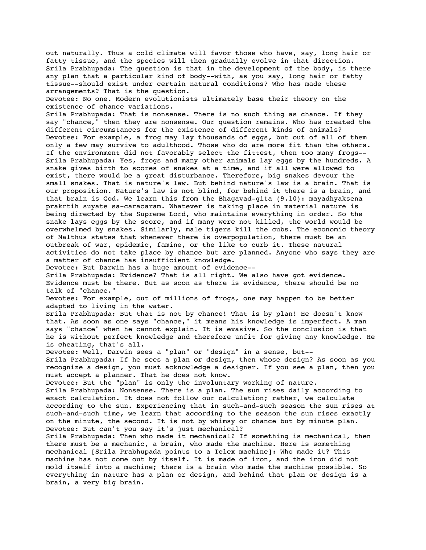out naturally. Thus a cold climate will favor those who have, say, long hair or fatty tissue, and the species will then gradually evolve in that direction. Srila Prabhupada: The question is that in the development of the body, is there any plan that a particular kind of body--with, as you say, long hair or fatty tissue--should exist under certain natural conditions? Who has made these arrangements? That is the question.

Devotee: No one. Modern evolutionists ultimately base their theory on the existence of chance variations.

Srila Prabhupada: That is nonsense. There is no such thing as chance. If they say "chance," then they are nonsense. Our question remains. Who has created the different circumstances for the existence of different kinds of animals? Devotee: For example, a frog may lay thousands of eggs, but out of all of them only a few may survive to adulthood. Those who do are more fit than the others. If the environment did not favorably select the fittest, then too many frogs-- Srila Prabhupada: Yes, frogs and many other animals lay eggs by the hundreds. A snake gives birth to scores of snakes at a time, and if all were allowed to exist, there would be a great disturbance. Therefore, big snakes devour the small snakes. That is nature's law. But behind nature's law is a brain. That is our proposition. Nature's law is not blind, for behind it there is a brain, and that brain is God. We learn this from the Bhagavad-gita (9.10): mayadhyaksena prakrtih suyate sa-caracaram. Whatever is taking place in material nature is being directed by the Supreme Lord, who maintains everything in order. So the snake lays eggs by the score, and if many were not killed, the world would be overwhelmed by snakes. Similarly, male tigers kill the cubs. The economic theory of Malthus states that whenever there is overpopulation, there must be an outbreak of war, epidemic, famine, or the like to curb it. These natural activities do not take place by chance but are planned. Anyone who says they are a matter of chance has insufficient knowledge.

Devotee: But Darwin has a huge amount of evidence--

Srila Prabhupada: Evidence? That is all right. We also have got evidence. Evidence must be there. But as soon as there is evidence, there should be no talk of "chance."

Devotee: For example, out of millions of frogs, one may happen to be better adapted to living in the water.

Srila Prabhupada: But that is not by chance! That is by plan! He doesn't know that. As soon as one says "chance," it means his knowledge is imperfect. A man says "chance" when he cannot explain. It is evasive. So the conclusion is that he is without perfect knowledge and therefore unfit for giving any knowledge. He is cheating, that's all.

Devotee: Well, Darwin sees a "plan" or "design" in a sense, but-- Srila Prabhupada: If he sees a plan or design, then whose design? As soon as you recognize a design, you must acknowledge a designer. If you see a plan, then you must accept a planner. That he does not know.

Devotee: But the "plan" is only the involuntary working of nature. Srila Prabhupada: Nonsense. There is a plan. The sun rises daily according to exact calculation. It does not follow our calculation; rather, we calculate according to the sun. Experiencing that in such-and-such season the sun rises at such-and-such time, we learn that according to the season the sun rises exactly on the minute, the second. It is not by whimsy or chance but by minute plan. Devotee: But can't you say it's just mechanical?

Srila Prabhupada: Then who made it mechanical? If something is mechanical, then there must be a mechanic, a brain, who made the machine. Here is something mechanical [Srila Prabhupada points to a Telex machine]: Who made it? This machine has not come out by itself. It is made of iron, and the iron did not mold itself into a machine; there is a brain who made the machine possible. So everything in nature has a plan or design, and behind that plan or design is a brain, a very big brain.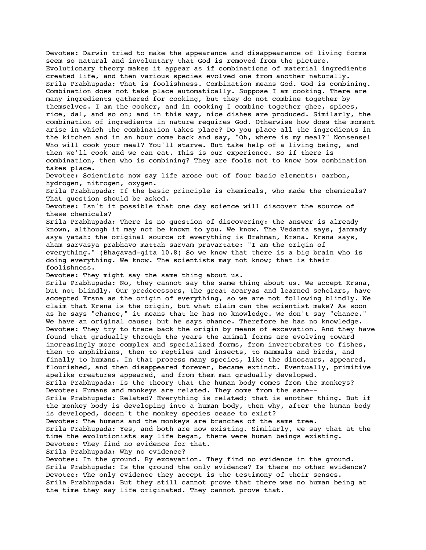Devotee: Darwin tried to make the appearance and disappearance of living forms seem so natural and involuntary that God is removed from the picture. Evolutionary theory makes it appear as if combinations of material ingredients created life, and then various species evolved one from another naturally. Srila Prabhupada: That is foolishness. Combination means God. God is combining. Combination does not take place automatically. Suppose I am cooking. There are many ingredients gathered for cooking, but they do not combine together by themselves. I am the cooker, and in cooking I combine together ghee, spices, rice, dal, and so on; and in this way, nice dishes are produced. Similarly, the combination of ingredients in nature requires God. Otherwise how does the moment arise in which the combination takes place? Do you place all the ingredients in the kitchen and in an hour come back and say, "Oh, where is my meal?" Nonsense! Who will cook your meal? You'll starve. But take help of a living being, and then we'll cook and we can eat. This is our experience. So if there is combination, then who is combining? They are fools not to know how combination takes place. Devotee: Scientists now say life arose out of four basic elements: carbon, hydrogen, nitrogen, oxygen. Srila Prabhupada: If the basic principle is chemicals, who made the chemicals? That question should be asked. Devotee: Isn't it possible that one day science will discover the source of these chemicals? Srila Prabhupada: There is no question of discovering: the answer is already known, although it may not be known to you. We know. The Vedanta says, janmady asya yatah: the original source of everything is Brahman, Krsna. Krsna says, aham sarvasya prabhavo mattah sarvam pravartate: "I am the origin of everything." (Bhagavad-gita 10.8) So we know that there is a big brain who is doing everything. We know. The scientists may not know; that is their foolishness. Devotee: They might say the same thing about us. Srila Prabhupada: No, they cannot say the same thing about us. We accept Krsna, but not blindly. Our predecessors, the great acaryas and learned scholars, have accepted Krsna as the origin of everything, so we are not following blindly. We claim that Krsna is the origin, but what claim can the scientist make? As soon as he says "chance," it means that he has no knowledge. We don't say "chance." We have an original cause; but he says chance. Therefore he has no knowledge. Devotee: They try to trace back the origin by means of excavation. And they have found that gradually through the years the animal forms are evolving toward increasingly more complex and specialized forms, from invertebrates to fishes, then to amphibians, then to reptiles and insects, to mammals and birds, and finally to humans. In that process many species, like the dinosaurs, appeared, flourished, and then disappeared forever, became extinct. Eventually, primitive apelike creatures appeared, and from them man gradually developed. Srila Prabhupada: Is the theory that the human body comes from the monkeys? Devotee: Humans and monkeys are related. They come from the same-- Srila Prabhupada: Related? Everything is related; that is another thing. But if the monkey body is developing into a human body, then why, after the human body is developed, doesn't the monkey species cease to exist? Devotee: The humans and the monkeys are branches of the same tree. Srila Prabhupada: Yes, and both are now existing. Similarly, we say that at the time the evolutionists say life began, there were human beings existing. Devotee: They find no evidence for that. Srila Prabhupada: Why no evidence? Devotee: In the ground. By excavation. They find no evidence in the ground. Srila Prabhupada: Is the ground the only evidence? Is there no other evidence? Devotee: The only evidence they accept is the testimony of their senses. Srila Prabhupada: But they still cannot prove that there was no human being at the time they say life originated. They cannot prove that.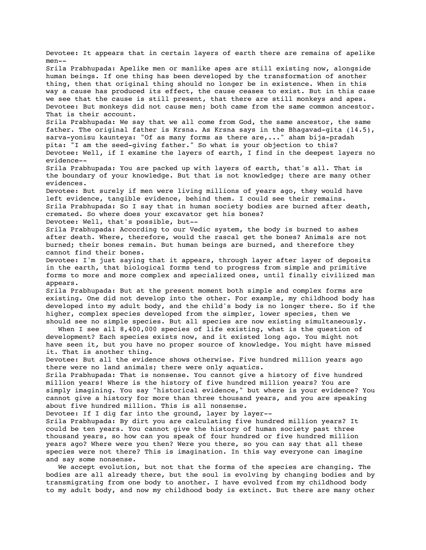Devotee: It appears that in certain layers of earth there are remains of apelike men-- Srila Prabhupada: Apelike men or manlike apes are still existing now, alongside human beings. If one thing has been developed by the transformation of another thing, then that original thing should no longer be in existence. When in this way a cause has produced its effect, the cause ceases to exist. But in this case we see that the cause is still present, that there are still monkeys and apes. Devotee: But monkeys did not cause men; both came from the same common ancestor. That is their account. Srila Prabhupada: We say that we all come from God, the same ancestor, the same father. The original father is Krsna. As Krsna says in the Bhagavad-gita (14.5), sarva-yonisu kaunteya: "Of as many forms as there are,..." aham bija-pradah pita: "I am the seed-giving father." So what is your objection to this? Devotee: Well, if I examine the layers of earth, I find in the deepest layers no evidence-- Srila Prabhupada: You are packed up with layers of earth, that's all. That is the boundary of your knowledge. But that is not knowledge; there are many other evidences. Devotee: But surely if men were living millions of years ago, they would have left evidence, tangible evidence, behind them. I could see their remains. Srila Prabhupada: So I say that in human society bodies are burned after death, cremated. So where does your excavator get his bones? Devotee: Well, that's possible, but-- Srila Prabhupada: According to our Vedic system, the body is burned to ashes after death. Where, therefore, would the rascal get the bones? Animals are not burned; their bones remain. But human beings are burned, and therefore they cannot find their bones. Devotee: I'm just saying that it appears, through layer after layer of deposits in the earth, that biological forms tend to progress from simple and primitive forms to more and more complex and specialized ones, until finally civilized man appears. Srila Prabhupada: But at the present moment both simple and complex forms are existing. One did not develop into the other. For example, my childhood body has developed into my adult body, and the child's body is no longer there. So if the higher, complex species developed from the simpler, lower species, then we should see no simple species. But all species are now existing simultaneously. When I see all 8,400,000 species of life existing, what is the question of development? Each species exists now, and it existed long ago. You might not have seen it, but you have no proper source of knowledge. You might have missed it. That is another thing. Devotee: But all the evidence shows otherwise. Five hundred million years ago there were no land animals; there were only aquatics. Srila Prabhupada: That is nonsense. You cannot give a history of five hundred million years! Where is the history of five hundred million years? You are simply imagining. You say "historical evidence," but where is your evidence? You cannot give a history for more than three thousand years, and you are speaking about five hundred million. This is all nonsense. Devotee: If I dig far into the ground, layer by layer-- Srila Prabhupada: By dirt you are calculating five hundred million years? It could be ten years. You cannot give the history of human society past three thousand years, so how can you speak of four hundred or five hundred million years ago? Where were you then? Were you there, so you can say that all these species were not there? This is imagination. In this way everyone can imagine and say some nonsense. We accept evolution, but not that the forms of the species are changing. The bodies are all already there, but the soul is evolving by changing bodies and by

transmigrating from one body to another. I have evolved from my childhood body to my adult body, and now my childhood body is extinct. But there are many other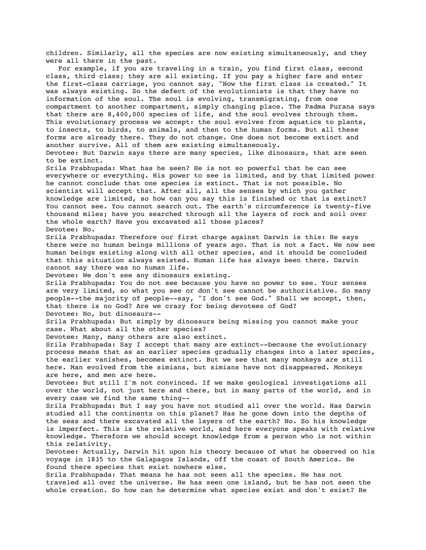children. Similarly, all the species are now existing simultaneously, and they were all there in the past.

 For example, if you are traveling in a train, you find first class, second class, third class; they are all existing. If you pay a higher fare and enter the first-class carriage, you cannot say, "Now the first class is created." It was always existing. So the defect of the evolutionists is that they have no information of the soul. The soul is evolving, transmigrating, from one compartment to another compartment, simply changing place. The Padma Purana says that there are 8,400,000 species of life, and the soul evolves through them. This evolutionary process we accept: the soul evolves from aquatics to plants, to insects, to birds, to animals, and then to the human forms. But all these forms are already there. They do not change. One does not become extinct and another survive. All of them are existing simultaneously.

Devotee: But Darwin says there are many species, like dinosaurs, that are seen to be extinct.

Srila Prabhupada: What has he seen? He is not so powerful that he can see everywhere or everything. His power to see is limited, and by that limited power he cannot conclude that one species is extinct. That is not possible. No scientist will accept that. After all, all the senses by which you gather knowledge are limited, so how can you say this is finished or that is extinct? You cannot see. You cannot search out. The earth's circumference is twenty-five thousand miles; have you searched through all the layers of rock and soil over the whole earth? Have you excavated all those places? Devotee: No.

Srila Prabhupada: Therefore our first charge against Darwin is this: He says there were no human beings millions of years ago. That is not a fact. We now see human beings existing along with all other species, and it should be concluded that this situation always existed. Human life has always been there. Darwin cannot say there was no human life.

Devotee: We don't see any dinosaurs existing.

Srila Prabhupada: You do not see because you have no power to see. Your senses are very limited, so what you see or don't see cannot be authoritative. So many people--the majority of people--say, "I don't see God." Shall we accept, then, that there is no God? Are we crazy for being devotees of God? Devotee: No, but dinosaurs--

Srila Prabhupada: But simply by dinosaurs being missing you cannot make your

case. What about all the other species?

Devotee: Many, many others are also extinct.

Srila Prabhupada: Say I accept that many are extinct--because the evolutionary process means that as an earlier species gradually changes into a later species, the earlier vanishes, becomes extinct. But we see that many monkeys are still here. Man evolved from the simians, but simians have not disappeared. Monkeys are here, and men are here.

Devotee: But still I'm not convinced. If we make geological investigations all over the world, not just here and there, but in many parts of the world, and in every case we find the same thing--

Srila Prabhupada: But I say you have not studied all over the world. Has Darwin studied all the continents on this planet? Has he gone down into the depths of the seas and there excavated all the layers of the earth? No. So his knowledge is imperfect. This is the relative world, and here everyone speaks with relative knowledge. Therefore we should accept knowledge from a person who is not within this relativity.

Devotee: Actually, Darwin hit upon his theory because of what he observed on his voyage in 1835 to the Galapagos Islands, off the coast of South America. He found there species that exist nowhere else.

Srila Prabhupada: That means he has not seen all the species. He has not traveled all over the universe. He has seen one island, but he has not seen the whole creation. So how can he determine what species exist and don't exist? He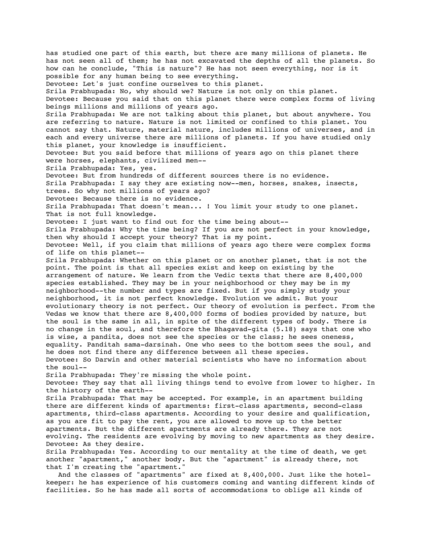has studied one part of this earth, but there are many millions of planets. He has not seen all of them; he has not excavated the depths of all the planets. So how can he conclude, "This is nature"? He has not seen everything, nor is it possible for any human being to see everything. Devotee: Let's just confine ourselves to this planet. Srila Prabhupada: No, why should we? Nature is not only on this planet. Devotee: Because you said that on this planet there were complex forms of living beings millions and millions of years ago. Srila Prabhupada: We are not talking about this planet, but about anywhere. You are referring to nature. Nature is not limited or confined to this planet. You cannot say that. Nature, material nature, includes millions of universes, and in each and every universe there are millions of planets. If you have studied only this planet, your knowledge is insufficient. Devotee: But you said before that millions of years ago on this planet there were horses, elephants, civilized men-- Srila Prabhupada: Yes, yes. Devotee: But from hundreds of different sources there is no evidence. Srila Prabhupada: I say they are existing now--men, horses, snakes, insects, trees. So why not millions of years ago? Devotee: Because there is no evidence. Srila Prabhupada: That doesn't mean... ! You limit your study to one planet. That is not full knowledge. Devotee: I just want to find out for the time being about-- Srila Prabhupada: Why the time being? If you are not perfect in your knowledge, then why should I accept your theory? That is my point. Devotee: Well, if you claim that millions of years ago there were complex forms of life on this planet-- Srila Prabhupada: Whether on this planet or on another planet, that is not the point. The point is that all species exist and keep on existing by the arrangement of nature. We learn from the Vedic texts that there are 8,400,000 species established. They may be in your neighborhood or they may be in my neighborhood--the number and types are fixed. But if you simply study your neighborhood, it is not perfect knowledge. Evolution we admit. But your evolutionary theory is not perfect. Our theory of evolution is perfect. From the Vedas we know that there are 8,400,000 forms of bodies provided by nature, but the soul is the same in all, in spite of the different types of body. There is no change in the soul, and therefore the Bhagavad-gita (5.18) says that one who is wise, a pandita, does not see the species or the class; he sees oneness, equality. Panditah sama-darsinah. One who sees to the bottom sees the soul, and he does not find there any difference between all these species. Devotee: So Darwin and other material scientists who have no information about the soul-- Srila Prabhupada: They're missing the whole point. Devotee: They say that all living things tend to evolve from lower to higher. In the history of the earth-- Srila Prabhupada: That may be accepted. For example, in an apartment building there are different kinds of apartments: first-class apartments, second-class apartments, third-class apartments. According to your desire and qualification, as you are fit to pay the rent, you are allowed to move up to the better apartments. But the different apartments are already there. They are not evolving. The residents are evolving by moving to new apartments as they desire. Devotee: As they desire. Srila Prabhupada: Yes. According to our mentality at the time of death, we get another "apartment," another body. But the "apartment" is already there, not that I'm creating the "apartment." And the classes of "apartments" are fixed at 8,400,000. Just like the hotel-

keeper: he has experience of his customers coming and wanting different kinds of facilities. So he has made all sorts of accommodations to oblige all kinds of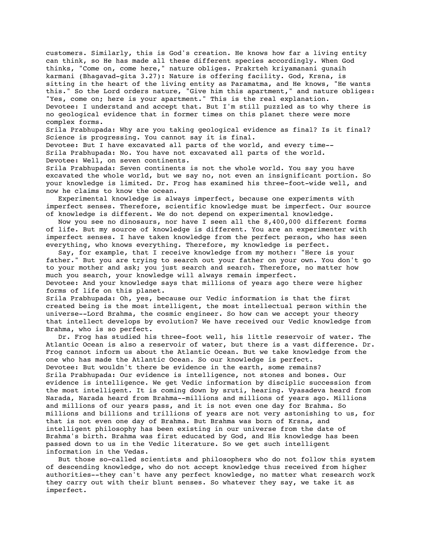customers. Similarly, this is God's creation. He knows how far a living entity can think, so He has made all these different species accordingly. When God thinks, "Come on, come here," nature obliges. Prakrteh kriyamanani gunaih karmani (Bhagavad-gita 3.27): Nature is offering facility. God, Krsna, is sitting in the heart of the living entity as Paramatma, and He knows, "He wants this." So the Lord orders nature, "Give him this apartment," and nature obliges: "Yes, come on; here is your apartment." This is the real explanation. Devotee: I understand and accept that. But I'm still puzzled as to why there is no geological evidence that in former times on this planet there were more complex forms.

Srila Prabhupada: Why are you taking geological evidence as final? Is it final? Science is progressing. You cannot say it is final.

Devotee: But I have excavated all parts of the world, and every time-- Srila Prabhupada: No. You have not excavated all parts of the world. Devotee: Well, on seven continents.

Srila Prabhupada: Seven continents is not the whole world. You say you have excavated the whole world, but we say no, not even an insignificant portion. So your knowledge is limited. Dr. Frog has examined his three-foot-wide well, and now he claims to know the ocean.

 Experimental knowledge is always imperfect, because one experiments with imperfect senses. Therefore, scientific knowledge must be imperfect. Our source of knowledge is different. We do not depend on experimental knowledge.

 Now you see no dinosaurs, nor have I seen all the 8,400,000 different forms of life. But my source of knowledge is different. You are an experimenter with imperfect senses. I have taken knowledge from the perfect person, who has seen everything, who knows everything. Therefore, my knowledge is perfect.

 Say, for example, that I receive knowledge from my mother: "Here is your father." But you are trying to search out your father on your own. You don't go to your mother and ask; you just search and search. Therefore, no matter how much you search, your knowledge will always remain imperfect. Devotee: And your knowledge says that millions of years ago there were higher forms of life on this planet.

Srila Prabhupada: Oh, yes, because our Vedic information is that the first created being is the most intelligent, the most intellectual person within the universe--Lord Brahma, the cosmic engineer. So how can we accept your theory that intellect develops by evolution? We have received our Vedic knowledge from Brahma, who is so perfect.

 Dr. Frog has studied his three-foot well, his little reservoir of water. The Atlantic Ocean is also a reservoir of water, but there is a vast difference. Dr. Frog cannot inform us about the Atlantic Ocean. But we take knowledge from the one who has made the Atlantic Ocean. So our knowledge is perfect.

Devotee: But wouldn't there be evidence in the earth, some remains? Srila Prabhupada: Our evidence is intelligence, not stones and bones. Our evidence is intelligence. We get Vedic information by disciplic succession from the most intelligent. It is coming down by sruti, hearing. Vyasadeva heard from Narada, Narada heard from Brahma--millions and millions of years ago. Millions and millions of our years pass, and it is not even one day for Brahma. So millions and billions and trillions of years are not very astonishing to us, for that is not even one day of Brahma. But Brahma was born of Krsna, and intelligent philosophy has been existing in our universe from the date of Brahma's birth. Brahma was first educated by God, and His knowledge has been passed down to us in the Vedic literature. So we get such intelligent information in the Vedas.

 But those so-called scientists and philosophers who do not follow this system of descending knowledge, who do not accept knowledge thus received from higher authorities--they can't have any perfect knowledge, no matter what research work they carry out with their blunt senses. So whatever they say, we take it as imperfect.